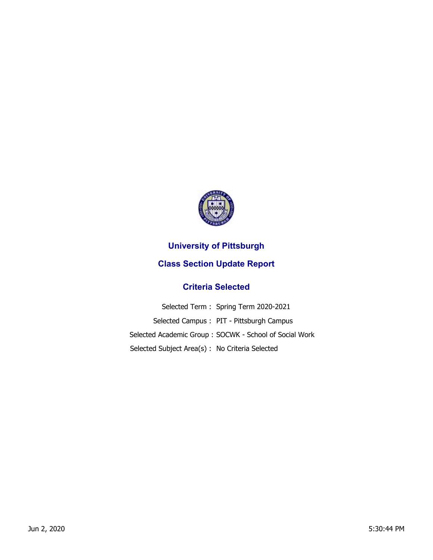

## **University of Pittsburgh**

## **Class Section Update Report**

## **Criteria Selected**

|                                                 | Selected Term: Spring Term 2020-2021                   |
|-------------------------------------------------|--------------------------------------------------------|
|                                                 | Selected Campus: PIT - Pittsburgh Campus               |
|                                                 | Selected Academic Group: SOCWK - School of Social Work |
| Selected Subject Area(s) : No Criteria Selected |                                                        |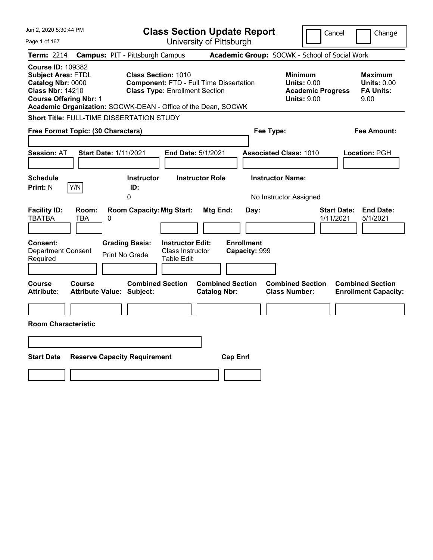| Jun 2, 2020 5:30:44 PM                                                                                                                                                                                  |                                                                                                                       | <b>Class Section Update Report</b>             |                                                                                        | Cancel<br>Change                                                 |
|---------------------------------------------------------------------------------------------------------------------------------------------------------------------------------------------------------|-----------------------------------------------------------------------------------------------------------------------|------------------------------------------------|----------------------------------------------------------------------------------------|------------------------------------------------------------------|
| Page 1 of 167                                                                                                                                                                                           |                                                                                                                       | University of Pittsburgh                       |                                                                                        |                                                                  |
| <b>Term: 2214</b>                                                                                                                                                                                       | <b>Campus: PIT - Pittsburgh Campus</b>                                                                                |                                                | Academic Group: SOCWK - School of Social Work                                          |                                                                  |
| <b>Course ID: 109382</b><br><b>Subject Area: FTDL</b><br>Catalog Nbr: 0000<br><b>Class Nbr: 14210</b><br><b>Course Offering Nbr: 1</b><br>Academic Organization: SOCWK-DEAN - Office of the Dean, SOCWK | <b>Class Section: 1010</b><br><b>Component: FTD - Full Time Dissertation</b><br><b>Class Type: Enrollment Section</b> |                                                | <b>Minimum</b><br><b>Units: 0.00</b><br><b>Academic Progress</b><br><b>Units: 9.00</b> | <b>Maximum</b><br><b>Units: 0.00</b><br><b>FA Units:</b><br>9.00 |
| <b>Short Title: FULL-TIME DISSERTATION STUDY</b>                                                                                                                                                        |                                                                                                                       |                                                |                                                                                        |                                                                  |
| Free Format Topic: (30 Characters)                                                                                                                                                                      |                                                                                                                       |                                                | Fee Type:                                                                              | Fee Amount:                                                      |
| <b>Start Date: 1/11/2021</b><br><b>Session: AT</b>                                                                                                                                                      | End Date: 5/1/2021                                                                                                    |                                                | <b>Associated Class: 1010</b>                                                          | Location: PGH                                                    |
| <b>Schedule</b><br><b>Print: N</b><br>Y/N                                                                                                                                                               | <b>Instructor</b><br>ID:<br>$\mathbf 0$                                                                               | <b>Instructor Role</b>                         | <b>Instructor Name:</b><br>No Instructor Assigned                                      |                                                                  |
| <b>Facility ID:</b><br>Room:<br>TBATBA<br>TBA<br>0                                                                                                                                                      | <b>Room Capacity: Mtg Start:</b>                                                                                      | Mtg End:<br>Day:                               |                                                                                        | <b>Start Date:</b><br><b>End Date:</b><br>1/11/2021<br>5/1/2021  |
| Consent:<br><b>Department Consent</b><br>Required                                                                                                                                                       | <b>Grading Basis:</b><br><b>Instructor Edit:</b><br>Class Instructor<br>Print No Grade<br><b>Table Edit</b>           | <b>Enrollment</b><br>Capacity: 999             |                                                                                        |                                                                  |
| <b>Course</b><br>Course<br><b>Attribute:</b><br><b>Attribute Value: Subject:</b>                                                                                                                        | <b>Combined Section</b>                                                                                               | <b>Combined Section</b><br><b>Catalog Nbr:</b> | <b>Combined Section</b><br><b>Class Number:</b>                                        | <b>Combined Section</b><br><b>Enrollment Capacity:</b>           |
|                                                                                                                                                                                                         |                                                                                                                       |                                                |                                                                                        |                                                                  |
| <b>Room Characteristic</b>                                                                                                                                                                              |                                                                                                                       |                                                |                                                                                        |                                                                  |
|                                                                                                                                                                                                         |                                                                                                                       |                                                |                                                                                        |                                                                  |
| <b>Start Date</b><br><b>Reserve Capacity Requirement</b>                                                                                                                                                |                                                                                                                       | <b>Cap Enrl</b>                                |                                                                                        |                                                                  |
|                                                                                                                                                                                                         |                                                                                                                       |                                                |                                                                                        |                                                                  |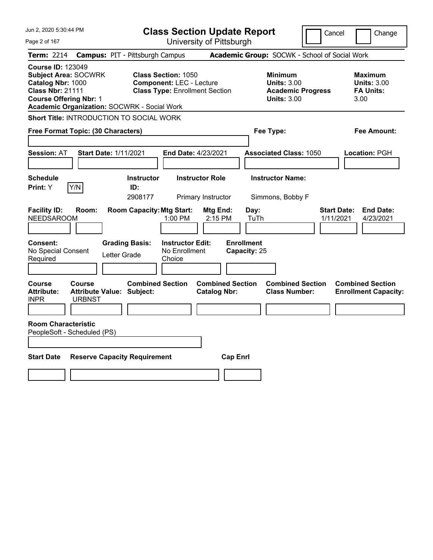| Jun 2, 2020 5:30:44 PM                                                                                                                                                                         | <b>Class Section Update Report</b>                                                                     |                                                                                                   | Cancel<br>Change                                                 |
|------------------------------------------------------------------------------------------------------------------------------------------------------------------------------------------------|--------------------------------------------------------------------------------------------------------|---------------------------------------------------------------------------------------------------|------------------------------------------------------------------|
| Page 2 of 167                                                                                                                                                                                  | University of Pittsburgh                                                                               |                                                                                                   |                                                                  |
| Term: 2214                                                                                                                                                                                     | <b>Campus: PIT - Pittsburgh Campus</b>                                                                 | Academic Group: SOCWK - School of Social Work                                                     |                                                                  |
| <b>Course ID: 123049</b><br><b>Subject Area: SOCWRK</b><br>Catalog Nbr: 1000<br><b>Class Nbr: 21111</b><br><b>Course Offering Nbr: 1</b><br><b>Academic Organization: SOCWRK - Social Work</b> | <b>Class Section: 1050</b><br><b>Component: LEC - Lecture</b><br><b>Class Type: Enrollment Section</b> | <b>Minimum</b><br><b>Units: 3.00</b><br><b>Academic Progress</b><br><b>Units: 3.00</b>            | <b>Maximum</b><br><b>Units: 3.00</b><br><b>FA Units:</b><br>3.00 |
| <b>Short Title: INTRODUCTION TO SOCIAL WORK</b>                                                                                                                                                |                                                                                                        |                                                                                                   |                                                                  |
| Free Format Topic: (30 Characters)                                                                                                                                                             |                                                                                                        | Fee Type:                                                                                         | Fee Amount:                                                      |
| <b>Start Date: 1/11/2021</b><br><b>Session: AT</b>                                                                                                                                             | End Date: 4/23/2021                                                                                    | <b>Associated Class: 1050</b>                                                                     | Location: PGH                                                    |
| <b>Schedule</b><br>Y/N<br>Print: Y                                                                                                                                                             | <b>Instructor Role</b><br><b>Instructor</b><br>ID:<br>2908177<br>Primary Instructor                    | <b>Instructor Name:</b><br>Simmons, Bobby F                                                       |                                                                  |
| <b>Facility ID:</b><br>Room:<br><b>NEEDSAROOM</b>                                                                                                                                              | <b>Room Capacity: Mtg Start:</b><br>1:00 PM                                                            | Mtg End:<br>Day:<br>2:15 PM<br>TuTh                                                               | <b>Start Date:</b><br><b>End Date:</b><br>4/23/2021<br>1/11/2021 |
| Consent:<br>No Special Consent<br>Letter Grade<br>Required                                                                                                                                     | <b>Grading Basis:</b><br><b>Instructor Edit:</b><br>No Enrollment<br>Choice                            | <b>Enrollment</b><br>Capacity: 25                                                                 |                                                                  |
| Course<br><b>Course</b><br><b>Attribute:</b><br><b>Attribute Value: Subject:</b><br><b>INPR</b><br><b>URBNST</b>                                                                               | <b>Combined Section</b>                                                                                | <b>Combined Section</b><br><b>Combined Section</b><br><b>Catalog Nbr:</b><br><b>Class Number:</b> | <b>Combined Section</b><br><b>Enrollment Capacity:</b>           |
| <b>Room Characteristic</b><br>PeopleSoft - Scheduled (PS)                                                                                                                                      |                                                                                                        |                                                                                                   |                                                                  |
| <b>Start Date</b><br><b>Reserve Capacity Requirement</b>                                                                                                                                       |                                                                                                        | <b>Cap Enrl</b>                                                                                   |                                                                  |
|                                                                                                                                                                                                |                                                                                                        |                                                                                                   |                                                                  |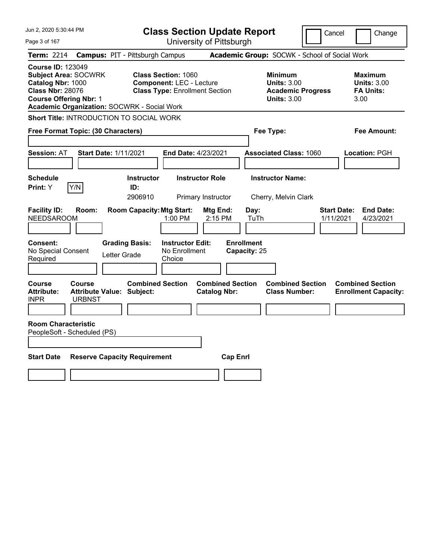| Jun 2, 2020 5:30:44 PM                                                                                                                                                                         | <b>Class Section Update Report</b>                                                                     |                                                |                                                                                        | Cancel<br>Change                                                 |
|------------------------------------------------------------------------------------------------------------------------------------------------------------------------------------------------|--------------------------------------------------------------------------------------------------------|------------------------------------------------|----------------------------------------------------------------------------------------|------------------------------------------------------------------|
| Page 3 of 167                                                                                                                                                                                  |                                                                                                        | University of Pittsburgh                       |                                                                                        |                                                                  |
| Term: 2214                                                                                                                                                                                     | <b>Campus: PIT - Pittsburgh Campus</b>                                                                 |                                                | Academic Group: SOCWK - School of Social Work                                          |                                                                  |
| <b>Course ID: 123049</b><br><b>Subject Area: SOCWRK</b><br>Catalog Nbr: 1000<br><b>Class Nbr: 28076</b><br><b>Course Offering Nbr: 1</b><br><b>Academic Organization: SOCWRK - Social Work</b> | <b>Class Section: 1060</b><br><b>Component: LEC - Lecture</b><br><b>Class Type: Enrollment Section</b> |                                                | <b>Minimum</b><br><b>Units: 3.00</b><br><b>Academic Progress</b><br><b>Units: 3.00</b> | <b>Maximum</b><br><b>Units: 3.00</b><br><b>FA Units:</b><br>3.00 |
| <b>Short Title: INTRODUCTION TO SOCIAL WORK</b>                                                                                                                                                |                                                                                                        |                                                |                                                                                        |                                                                  |
| Free Format Topic: (30 Characters)                                                                                                                                                             |                                                                                                        |                                                | Fee Type:                                                                              | Fee Amount:                                                      |
| <b>Start Date: 1/11/2021</b><br><b>Session: AT</b>                                                                                                                                             | End Date: 4/23/2021                                                                                    |                                                | <b>Associated Class: 1060</b>                                                          | Location: PGH                                                    |
| <b>Schedule</b><br> Y/N <br>Print: Y                                                                                                                                                           | <b>Instructor Role</b><br><b>Instructor</b><br>ID:<br>2906910                                          | Primary Instructor                             | <b>Instructor Name:</b><br>Cherry, Melvin Clark                                        |                                                                  |
| <b>Facility ID:</b><br>Room:<br><b>NEEDSAROOM</b>                                                                                                                                              | <b>Room Capacity: Mtg Start:</b><br>1:00 PM                                                            | Mtg End:<br>Day:<br>2:15 PM<br>TuTh            |                                                                                        | <b>End Date:</b><br><b>Start Date:</b><br>4/23/2021<br>1/11/2021 |
| Consent:<br>No Special Consent<br>Letter Grade<br>Required                                                                                                                                     | <b>Grading Basis:</b><br><b>Instructor Edit:</b><br>No Enrollment<br>Choice                            | <b>Enrollment</b><br>Capacity: 25              |                                                                                        |                                                                  |
| Course<br><b>Course</b><br><b>Attribute:</b><br><b>Attribute Value: Subject:</b><br><b>INPR</b><br><b>URBNST</b>                                                                               | <b>Combined Section</b>                                                                                | <b>Combined Section</b><br><b>Catalog Nbr:</b> | <b>Combined Section</b><br><b>Class Number:</b>                                        | <b>Combined Section</b><br><b>Enrollment Capacity:</b>           |
| <b>Room Characteristic</b><br>PeopleSoft - Scheduled (PS)                                                                                                                                      |                                                                                                        |                                                |                                                                                        |                                                                  |
| <b>Start Date</b><br><b>Reserve Capacity Requirement</b>                                                                                                                                       |                                                                                                        | <b>Cap Enrl</b>                                |                                                                                        |                                                                  |
|                                                                                                                                                                                                |                                                                                                        |                                                |                                                                                        |                                                                  |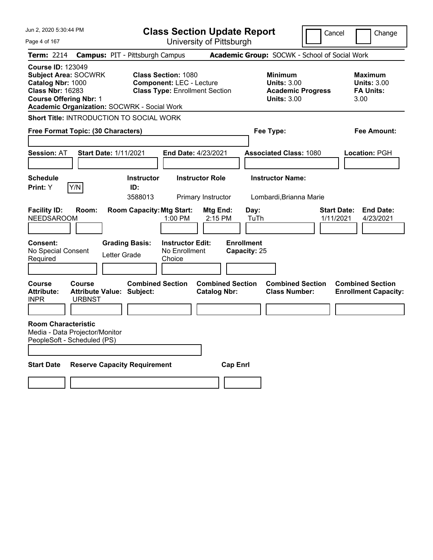| Jun 2, 2020 5:30:44 PM                                                                                                                                                                         | <b>Class Section Update Report</b>                                                                     |                                                |                                                                                        | Cancel<br>Change                                                 |
|------------------------------------------------------------------------------------------------------------------------------------------------------------------------------------------------|--------------------------------------------------------------------------------------------------------|------------------------------------------------|----------------------------------------------------------------------------------------|------------------------------------------------------------------|
| Page 4 of 167                                                                                                                                                                                  |                                                                                                        | University of Pittsburgh                       |                                                                                        |                                                                  |
| Term: 2214                                                                                                                                                                                     | <b>Campus: PIT - Pittsburgh Campus</b>                                                                 |                                                | Academic Group: SOCWK - School of Social Work                                          |                                                                  |
| <b>Course ID: 123049</b><br><b>Subject Area: SOCWRK</b><br>Catalog Nbr: 1000<br><b>Class Nbr: 16283</b><br><b>Course Offering Nbr: 1</b><br><b>Academic Organization: SOCWRK - Social Work</b> | <b>Class Section: 1080</b><br><b>Component: LEC - Lecture</b><br><b>Class Type: Enrollment Section</b> |                                                | <b>Minimum</b><br><b>Units: 3.00</b><br><b>Academic Progress</b><br><b>Units: 3.00</b> | <b>Maximum</b><br><b>Units: 3.00</b><br><b>FA Units:</b><br>3.00 |
| <b>Short Title: INTRODUCTION TO SOCIAL WORK</b>                                                                                                                                                |                                                                                                        |                                                |                                                                                        |                                                                  |
| Free Format Topic: (30 Characters)                                                                                                                                                             |                                                                                                        |                                                | Fee Type:                                                                              | Fee Amount:                                                      |
| <b>Start Date: 1/11/2021</b><br><b>Session: AT</b>                                                                                                                                             | End Date: 4/23/2021                                                                                    |                                                | <b>Associated Class: 1080</b>                                                          | Location: PGH                                                    |
| <b>Schedule</b><br>Y/N<br>Print: Y                                                                                                                                                             | <b>Instructor Role</b><br><b>Instructor</b><br>ID:<br>3588013<br>Primary Instructor                    |                                                | <b>Instructor Name:</b><br>Lombardi, Brianna Marie                                     |                                                                  |
| <b>Facility ID:</b><br>Room:<br><b>NEEDSAROOM</b>                                                                                                                                              | <b>Room Capacity: Mtg Start:</b><br>1:00 PM                                                            | Mtg End:<br>Day:<br>2:15 PM<br>TuTh            |                                                                                        | <b>Start Date:</b><br><b>End Date:</b><br>1/11/2021<br>4/23/2021 |
| <b>Consent:</b><br>No Special Consent<br>Letter Grade<br>Required                                                                                                                              | <b>Grading Basis:</b><br><b>Instructor Edit:</b><br>No Enrollment<br>Choice                            | <b>Enrollment</b><br>Capacity: 25              |                                                                                        |                                                                  |
| Course<br><b>Course</b><br><b>Attribute:</b><br><b>Attribute Value: Subject:</b><br><b>INPR</b><br><b>URBNST</b>                                                                               | <b>Combined Section</b>                                                                                | <b>Combined Section</b><br><b>Catalog Nbr:</b> | <b>Combined Section</b><br><b>Class Number:</b>                                        | <b>Combined Section</b><br><b>Enrollment Capacity:</b>           |
| <b>Room Characteristic</b><br>Media - Data Projector/Monitor<br>PeopleSoft - Scheduled (PS)                                                                                                    |                                                                                                        |                                                |                                                                                        |                                                                  |
| <b>Start Date</b><br><b>Reserve Capacity Requirement</b>                                                                                                                                       |                                                                                                        | <b>Cap Enrl</b>                                |                                                                                        |                                                                  |
|                                                                                                                                                                                                |                                                                                                        |                                                |                                                                                        |                                                                  |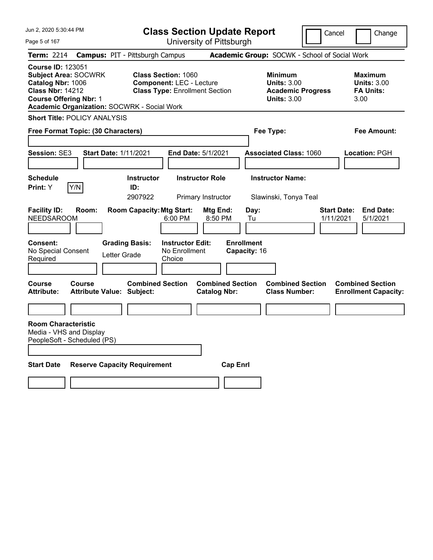| Jun 2, 2020 5:30:44 PM                                                                                                                                                                  | <b>Class Section Update Report</b>                                                                                         |                                                                        |                                                                                        | Cancel<br>Change                                                 |
|-----------------------------------------------------------------------------------------------------------------------------------------------------------------------------------------|----------------------------------------------------------------------------------------------------------------------------|------------------------------------------------------------------------|----------------------------------------------------------------------------------------|------------------------------------------------------------------|
| Page 5 of 167                                                                                                                                                                           |                                                                                                                            | University of Pittsburgh                                               |                                                                                        |                                                                  |
| <b>Term:</b> 2214                                                                                                                                                                       | <b>Campus: PIT - Pittsburgh Campus</b>                                                                                     |                                                                        |                                                                                        | Academic Group: SOCWK - School of Social Work                    |
| <b>Course ID: 123051</b><br><b>Subject Area: SOCWRK</b><br>Catalog Nbr: 1006<br><b>Class Nbr: 14212</b><br><b>Course Offering Nbr: 1</b><br>Academic Organization: SOCWRK - Social Work | <b>Class Section: 1060</b><br><b>Component: LEC - Lecture</b><br><b>Class Type: Enrollment Section</b>                     |                                                                        | <b>Minimum</b><br><b>Units: 3.00</b><br><b>Academic Progress</b><br><b>Units: 3.00</b> | <b>Maximum</b><br><b>Units: 3.00</b><br><b>FA Units:</b><br>3.00 |
| <b>Short Title: POLICY ANALYSIS</b>                                                                                                                                                     |                                                                                                                            |                                                                        |                                                                                        |                                                                  |
| Free Format Topic: (30 Characters)                                                                                                                                                      |                                                                                                                            |                                                                        | Fee Type:                                                                              | Fee Amount:                                                      |
| <b>Session: SE3</b><br><b>Start Date: 1/11/2021</b>                                                                                                                                     | <b>End Date: 5/1/2021</b>                                                                                                  |                                                                        | <b>Associated Class: 1060</b>                                                          | Location: PGH                                                    |
| <b>Schedule</b>                                                                                                                                                                         | <b>Instructor Role</b><br><b>Instructor</b>                                                                                |                                                                        | <b>Instructor Name:</b>                                                                |                                                                  |
| Y/N<br><b>Print:</b> Y                                                                                                                                                                  | ID:<br>2907922<br>Primary Instructor                                                                                       |                                                                        | Slawinski, Tonya Teal                                                                  |                                                                  |
| <b>Facility ID:</b><br>Room:<br><b>NEEDSAROOM</b><br><b>Consent:</b><br>No Special Consent<br>Letter Grade<br>Required                                                                  | <b>Room Capacity: Mtg Start:</b><br>6:00 PM<br><b>Grading Basis:</b><br><b>Instructor Edit:</b><br>No Enrollment<br>Choice | Mtg End:<br>Day:<br>8:50 PM<br>Tu<br><b>Enrollment</b><br>Capacity: 16 |                                                                                        | <b>End Date:</b><br><b>Start Date:</b><br>1/11/2021<br>5/1/2021  |
| Course<br><b>Course</b><br><b>Attribute:</b><br><b>Attribute Value: Subject:</b>                                                                                                        | <b>Combined Section</b>                                                                                                    | <b>Combined Section</b><br><b>Catalog Nbr:</b>                         | <b>Combined Section</b><br><b>Class Number:</b>                                        | <b>Combined Section</b><br><b>Enrollment Capacity:</b>           |
|                                                                                                                                                                                         |                                                                                                                            |                                                                        |                                                                                        |                                                                  |
| <b>Room Characteristic</b><br>Media - VHS and Display<br>PeopleSoft - Scheduled (PS)                                                                                                    |                                                                                                                            |                                                                        |                                                                                        |                                                                  |
| <b>Start Date</b><br><b>Reserve Capacity Requirement</b>                                                                                                                                |                                                                                                                            | <b>Cap Enrl</b>                                                        |                                                                                        |                                                                  |
|                                                                                                                                                                                         |                                                                                                                            |                                                                        |                                                                                        |                                                                  |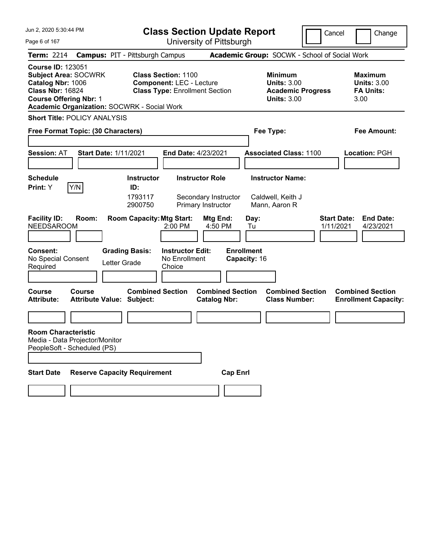| Jun 2, 2020 5:30:44 PM                                                                                                                                                                         | <b>Class Section Update Report</b>                                                                     |                                                |                                                                                        | Cancel                          | Change                                                           |
|------------------------------------------------------------------------------------------------------------------------------------------------------------------------------------------------|--------------------------------------------------------------------------------------------------------|------------------------------------------------|----------------------------------------------------------------------------------------|---------------------------------|------------------------------------------------------------------|
| Page 6 of 167                                                                                                                                                                                  |                                                                                                        | University of Pittsburgh                       |                                                                                        |                                 |                                                                  |
| <b>Term: 2214</b>                                                                                                                                                                              | <b>Campus: PIT - Pittsburgh Campus</b>                                                                 |                                                | Academic Group: SOCWK - School of Social Work                                          |                                 |                                                                  |
| <b>Course ID: 123051</b><br><b>Subject Area: SOCWRK</b><br>Catalog Nbr: 1006<br><b>Class Nbr: 16824</b><br><b>Course Offering Nbr: 1</b><br><b>Academic Organization: SOCWRK - Social Work</b> | <b>Class Section: 1100</b><br><b>Component: LEC - Lecture</b><br><b>Class Type: Enrollment Section</b> |                                                | <b>Minimum</b><br><b>Units: 3.00</b><br><b>Academic Progress</b><br><b>Units: 3.00</b> |                                 | <b>Maximum</b><br><b>Units: 3.00</b><br><b>FA Units:</b><br>3.00 |
| <b>Short Title: POLICY ANALYSIS</b>                                                                                                                                                            |                                                                                                        |                                                |                                                                                        |                                 |                                                                  |
| Free Format Topic: (30 Characters)                                                                                                                                                             |                                                                                                        |                                                | Fee Type:                                                                              |                                 | <b>Fee Amount:</b>                                               |
| <b>Session: AT</b>                                                                                                                                                                             | <b>Start Date: 1/11/2021</b>                                                                           | <b>End Date: 4/23/2021</b>                     | <b>Associated Class: 1100</b>                                                          |                                 | Location: PGH                                                    |
| <b>Schedule</b>                                                                                                                                                                                | <b>Instructor</b>                                                                                      | <b>Instructor Role</b>                         | <b>Instructor Name:</b>                                                                |                                 |                                                                  |
| Y/N<br>Print: Y                                                                                                                                                                                | ID:<br>1793117<br>2900750                                                                              | Secondary Instructor<br>Primary Instructor     | Caldwell, Keith J<br>Mann, Aaron R                                                     |                                 |                                                                  |
| <b>Facility ID:</b><br>Room:<br><b>NEEDSAROOM</b>                                                                                                                                              | <b>Room Capacity: Mtg Start:</b><br>2:00 PM                                                            | <b>Mtg End:</b><br>4:50 PM                     | Day:<br>Tu                                                                             | <b>Start Date:</b><br>1/11/2021 | <b>End Date:</b><br>4/23/2021                                    |
| <b>Consent:</b><br>No Special Consent<br>Required                                                                                                                                              | <b>Instructor Edit:</b><br><b>Grading Basis:</b><br>No Enrollment<br>Letter Grade<br>Choice            |                                                | <b>Enrollment</b><br>Capacity: 16                                                      |                                 |                                                                  |
| Course<br>Course<br><b>Attribute:</b>                                                                                                                                                          | <b>Combined Section</b><br><b>Attribute Value: Subject:</b>                                            | <b>Combined Section</b><br><b>Catalog Nbr:</b> | <b>Combined Section</b><br><b>Class Number:</b>                                        |                                 | <b>Combined Section</b><br><b>Enrollment Capacity:</b>           |
|                                                                                                                                                                                                |                                                                                                        |                                                |                                                                                        |                                 |                                                                  |
| <b>Room Characteristic</b><br>Media - Data Projector/Monitor<br>PeopleSoft - Scheduled (PS)                                                                                                    |                                                                                                        |                                                |                                                                                        |                                 |                                                                  |
| <b>Start Date</b>                                                                                                                                                                              | <b>Reserve Capacity Requirement</b>                                                                    | <b>Cap Enrl</b>                                |                                                                                        |                                 |                                                                  |
|                                                                                                                                                                                                |                                                                                                        |                                                |                                                                                        |                                 |                                                                  |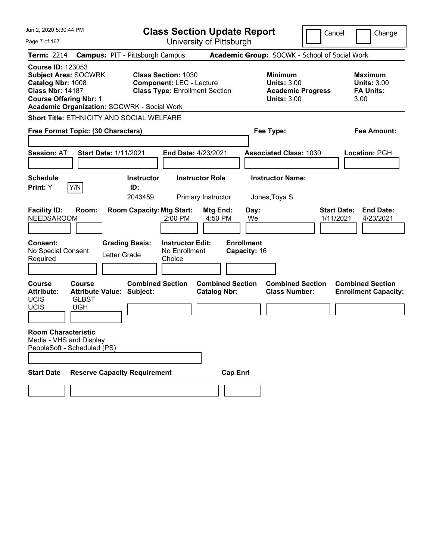| Jun 2, 2020 5:30:44 PM                                                                                                                                                                         |                                                                           | <b>Class Section Update Report</b>                                                                     |                                                                        |                                                                                        | Cancel                          | Change                                                           |
|------------------------------------------------------------------------------------------------------------------------------------------------------------------------------------------------|---------------------------------------------------------------------------|--------------------------------------------------------------------------------------------------------|------------------------------------------------------------------------|----------------------------------------------------------------------------------------|---------------------------------|------------------------------------------------------------------|
| Page 7 of 167                                                                                                                                                                                  |                                                                           | University of Pittsburgh                                                                               |                                                                        |                                                                                        |                                 |                                                                  |
| <b>Term: 2214</b>                                                                                                                                                                              | <b>Campus: PIT - Pittsburgh Campus</b>                                    |                                                                                                        | Academic Group: SOCWK - School of Social Work                          |                                                                                        |                                 |                                                                  |
| <b>Course ID: 123053</b><br><b>Subject Area: SOCWRK</b><br>Catalog Nbr: 1008<br><b>Class Nbr: 14187</b><br><b>Course Offering Nbr: 1</b><br><b>Academic Organization: SOCWRK - Social Work</b> |                                                                           | <b>Class Section: 1030</b><br><b>Component: LEC - Lecture</b><br><b>Class Type: Enrollment Section</b> |                                                                        | <b>Minimum</b><br><b>Units: 3.00</b><br><b>Academic Progress</b><br><b>Units: 3.00</b> |                                 | <b>Maximum</b><br><b>Units: 3.00</b><br><b>FA Units:</b><br>3.00 |
| <b>Short Title: ETHNICITY AND SOCIAL WELFARE</b>                                                                                                                                               |                                                                           |                                                                                                        |                                                                        |                                                                                        |                                 |                                                                  |
| Free Format Topic: (30 Characters)                                                                                                                                                             |                                                                           |                                                                                                        |                                                                        | Fee Type:                                                                              |                                 | Fee Amount:                                                      |
| <b>Session: AT</b>                                                                                                                                                                             | <b>Start Date: 1/11/2021</b>                                              | <b>End Date: 4/23/2021</b>                                                                             |                                                                        | <b>Associated Class: 1030</b>                                                          |                                 | Location: PGH                                                    |
| <b>Schedule</b>                                                                                                                                                                                | <b>Instructor</b>                                                         | <b>Instructor Role</b>                                                                                 |                                                                        | <b>Instructor Name:</b>                                                                |                                 |                                                                  |
| Y/N<br>Print: Y                                                                                                                                                                                | ID:<br>2043459                                                            | Primary Instructor                                                                                     |                                                                        | Jones, Toya S                                                                          |                                 |                                                                  |
| <b>Facility ID:</b><br>Room:<br><b>NEEDSAROOM</b><br>Consent:<br>No Special Consent<br>Required                                                                                                | <b>Room Capacity: Mtg Start:</b><br><b>Grading Basis:</b><br>Letter Grade | 2:00 PM<br><b>Instructor Edit:</b><br>No Enrollment<br>Choice                                          | Mtg End:<br>Day:<br>4:50 PM<br>We<br><b>Enrollment</b><br>Capacity: 16 |                                                                                        | <b>Start Date:</b><br>1/11/2021 | <b>End Date:</b><br>4/23/2021                                    |
| <b>Course</b><br>Course<br><b>Attribute:</b><br><b>UCIS</b><br><b>GLBST</b><br><b>UCIS</b><br><b>UGH</b>                                                                                       | <b>Combined Section</b><br><b>Attribute Value: Subject:</b>               |                                                                                                        | <b>Combined Section</b><br><b>Catalog Nbr:</b>                         | <b>Combined Section</b><br><b>Class Number:</b>                                        |                                 | <b>Combined Section</b><br><b>Enrollment Capacity:</b>           |
| <b>Room Characteristic</b><br>Media - VHS and Display<br>PeopleSoft - Scheduled (PS)                                                                                                           |                                                                           |                                                                                                        |                                                                        |                                                                                        |                                 |                                                                  |
| <b>Start Date</b>                                                                                                                                                                              | <b>Reserve Capacity Requirement</b>                                       |                                                                                                        | <b>Cap Enrl</b>                                                        |                                                                                        |                                 |                                                                  |
|                                                                                                                                                                                                |                                                                           |                                                                                                        |                                                                        |                                                                                        |                                 |                                                                  |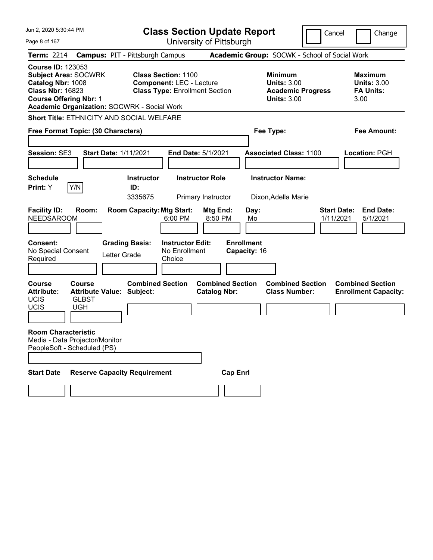| Jun 2, 2020 5:30:44 PM                                                                                                                   |                                      |                                                                           |                                                                                                        | <b>Class Section Update Report</b>             |                                                            | Cancel                                          | Change                                                           |
|------------------------------------------------------------------------------------------------------------------------------------------|--------------------------------------|---------------------------------------------------------------------------|--------------------------------------------------------------------------------------------------------|------------------------------------------------|------------------------------------------------------------|-------------------------------------------------|------------------------------------------------------------------|
| Page 8 of 167                                                                                                                            |                                      |                                                                           |                                                                                                        | University of Pittsburgh                       |                                                            |                                                 |                                                                  |
| <b>Term: 2214</b>                                                                                                                        |                                      | <b>Campus: PIT - Pittsburgh Campus</b>                                    |                                                                                                        |                                                | Academic Group: SOCWK - School of Social Work              |                                                 |                                                                  |
| <b>Course ID: 123053</b><br><b>Subject Area: SOCWRK</b><br>Catalog Nbr: 1008<br><b>Class Nbr: 16823</b><br><b>Course Offering Nbr: 1</b> |                                      | <b>Academic Organization: SOCWRK - Social Work</b>                        | <b>Class Section: 1100</b><br><b>Component: LEC - Lecture</b><br><b>Class Type: Enrollment Section</b> |                                                | <b>Minimum</b><br><b>Units: 3.00</b><br><b>Units: 3.00</b> | <b>Academic Progress</b>                        | <b>Maximum</b><br><b>Units: 3.00</b><br><b>FA Units:</b><br>3.00 |
|                                                                                                                                          |                                      | Short Title: ETHNICITY AND SOCIAL WELFARE                                 |                                                                                                        |                                                |                                                            |                                                 |                                                                  |
| Free Format Topic: (30 Characters)                                                                                                       |                                      |                                                                           |                                                                                                        |                                                | Fee Type:                                                  |                                                 | <b>Fee Amount:</b>                                               |
| <b>Session: SE3</b>                                                                                                                      |                                      | <b>Start Date: 1/11/2021</b>                                              |                                                                                                        | <b>End Date: 5/1/2021</b>                      | <b>Associated Class: 1100</b>                              |                                                 | Location: PGH                                                    |
| <b>Schedule</b>                                                                                                                          |                                      | <b>Instructor</b>                                                         |                                                                                                        | <b>Instructor Role</b>                         | <b>Instructor Name:</b>                                    |                                                 |                                                                  |
| Print: Y                                                                                                                                 | Y/N                                  | ID:<br>3335675                                                            |                                                                                                        | Primary Instructor                             | Dixon, Adella Marie                                        |                                                 |                                                                  |
| <b>Facility ID:</b><br><b>NEEDSAROOM</b><br><b>Consent:</b><br>No Special Consent<br>Required                                            | Room:                                | <b>Room Capacity: Mtg Start:</b><br><b>Grading Basis:</b><br>Letter Grade | 6:00 PM<br><b>Instructor Edit:</b><br>No Enrollment<br>Choice                                          | Mtg End:<br>8:50 PM                            | Day:<br>Mo<br><b>Enrollment</b><br>Capacity: 16            | <b>Start Date:</b><br>1/11/2021                 | <b>End Date:</b><br>5/1/2021                                     |
| <b>Course</b><br><b>Attribute:</b><br><b>UCIS</b><br><b>UCIS</b>                                                                         | Course<br><b>GLBST</b><br><b>UGH</b> | <b>Combined Section</b><br><b>Attribute Value: Subject:</b>               |                                                                                                        | <b>Combined Section</b><br><b>Catalog Nbr:</b> |                                                            | <b>Combined Section</b><br><b>Class Number:</b> | <b>Combined Section</b><br><b>Enrollment Capacity:</b>           |
| <b>Room Characteristic</b><br>Media - Data Projector/Monitor<br>PeopleSoft - Scheduled (PS)                                              |                                      |                                                                           |                                                                                                        |                                                |                                                            |                                                 |                                                                  |
| <b>Start Date</b>                                                                                                                        |                                      | <b>Reserve Capacity Requirement</b>                                       |                                                                                                        | <b>Cap Enrl</b>                                |                                                            |                                                 |                                                                  |
|                                                                                                                                          |                                      |                                                                           |                                                                                                        |                                                |                                                            |                                                 |                                                                  |
|                                                                                                                                          |                                      |                                                                           |                                                                                                        |                                                |                                                            |                                                 |                                                                  |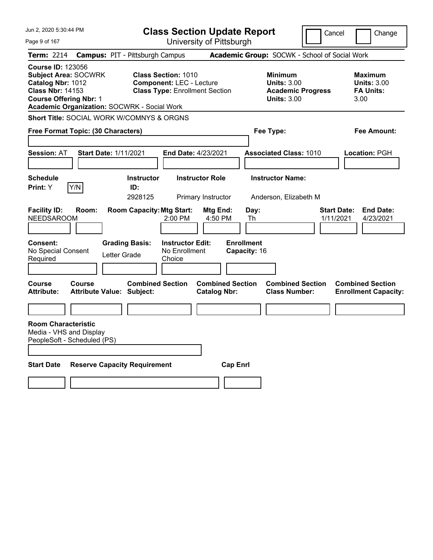| Jun 2, 2020 5:30:44 PM                                                                                                                                                                         | <b>Class Section Update Report</b>                                                                     |                                                |                                                                                        | Cancel                          | Change                                                           |
|------------------------------------------------------------------------------------------------------------------------------------------------------------------------------------------------|--------------------------------------------------------------------------------------------------------|------------------------------------------------|----------------------------------------------------------------------------------------|---------------------------------|------------------------------------------------------------------|
| Page 9 of 167                                                                                                                                                                                  |                                                                                                        | University of Pittsburgh                       |                                                                                        |                                 |                                                                  |
| <b>Term: 2214</b>                                                                                                                                                                              | <b>Campus: PIT - Pittsburgh Campus</b>                                                                 |                                                | Academic Group: SOCWK - School of Social Work                                          |                                 |                                                                  |
| <b>Course ID: 123056</b><br><b>Subject Area: SOCWRK</b><br>Catalog Nbr: 1012<br><b>Class Nbr: 14153</b><br><b>Course Offering Nbr: 1</b><br><b>Academic Organization: SOCWRK - Social Work</b> | <b>Class Section: 1010</b><br><b>Component: LEC - Lecture</b><br><b>Class Type: Enrollment Section</b> |                                                | <b>Minimum</b><br><b>Units: 3.00</b><br><b>Academic Progress</b><br><b>Units: 3.00</b> |                                 | <b>Maximum</b><br><b>Units: 3.00</b><br><b>FA Units:</b><br>3.00 |
| Short Title: SOCIAL WORK W/COMNYS & ORGNS                                                                                                                                                      |                                                                                                        |                                                |                                                                                        |                                 |                                                                  |
| Free Format Topic: (30 Characters)                                                                                                                                                             |                                                                                                        |                                                | Fee Type:                                                                              |                                 | Fee Amount:                                                      |
| <b>Start Date: 1/11/2021</b><br><b>Session: AT</b>                                                                                                                                             | End Date: 4/23/2021                                                                                    |                                                | <b>Associated Class: 1010</b>                                                          |                                 | Location: PGH                                                    |
| <b>Schedule</b><br>Y/N<br>Print: Y                                                                                                                                                             | <b>Instructor</b><br>ID:<br>2928125                                                                    | <b>Instructor Role</b><br>Primary Instructor   | <b>Instructor Name:</b><br>Anderson, Elizabeth M                                       |                                 |                                                                  |
| <b>Facility ID:</b><br>Room:<br><b>NEEDSAROOM</b>                                                                                                                                              | <b>Room Capacity: Mtg Start:</b><br>2:00 PM                                                            | Mtg End:<br>4:50 PM                            | Day:<br>Th                                                                             | <b>Start Date:</b><br>1/11/2021 | <b>End Date:</b><br>4/23/2021                                    |
| Consent:<br>No Special Consent<br>Letter Grade<br>Required                                                                                                                                     | <b>Grading Basis:</b><br><b>Instructor Edit:</b><br>No Enrollment<br>Choice                            | <b>Enrollment</b><br>Capacity: 16              |                                                                                        |                                 |                                                                  |
| Course<br>Course<br><b>Attribute:</b><br><b>Attribute Value: Subject:</b>                                                                                                                      | <b>Combined Section</b>                                                                                | <b>Combined Section</b><br><b>Catalog Nbr:</b> | <b>Combined Section</b><br><b>Class Number:</b>                                        |                                 | <b>Combined Section</b><br><b>Enrollment Capacity:</b>           |
|                                                                                                                                                                                                |                                                                                                        |                                                |                                                                                        |                                 |                                                                  |
| <b>Room Characteristic</b><br>Media - VHS and Display<br>PeopleSoft - Scheduled (PS)                                                                                                           |                                                                                                        |                                                |                                                                                        |                                 |                                                                  |
| <b>Start Date</b><br><b>Reserve Capacity Requirement</b>                                                                                                                                       |                                                                                                        | <b>Cap Enri</b>                                |                                                                                        |                                 |                                                                  |
|                                                                                                                                                                                                |                                                                                                        |                                                |                                                                                        |                                 |                                                                  |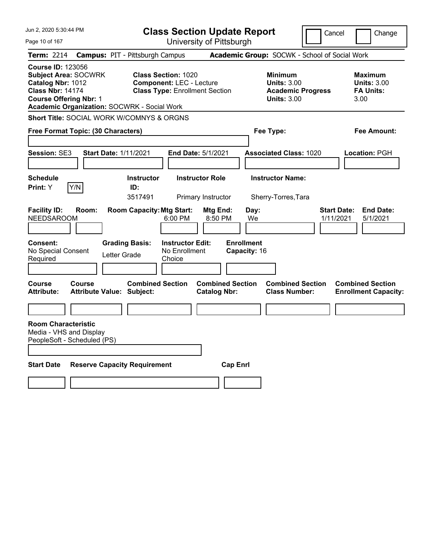| Jun 2, 2020 5:30:44 PM                                                                                                                                                                  | <b>Class Section Update Report</b>                                                                                                                                             | Cancel                                                                                                        | Change                                                           |
|-----------------------------------------------------------------------------------------------------------------------------------------------------------------------------------------|--------------------------------------------------------------------------------------------------------------------------------------------------------------------------------|---------------------------------------------------------------------------------------------------------------|------------------------------------------------------------------|
| Page 10 of 167                                                                                                                                                                          | University of Pittsburgh                                                                                                                                                       |                                                                                                               |                                                                  |
| <b>Term: 2214</b>                                                                                                                                                                       | <b>Campus: PIT - Pittsburgh Campus</b>                                                                                                                                         | Academic Group: SOCWK - School of Social Work                                                                 |                                                                  |
| <b>Course ID: 123056</b><br><b>Subject Area: SOCWRK</b><br>Catalog Nbr: 1012<br><b>Class Nbr: 14174</b><br><b>Course Offering Nbr: 1</b><br>Academic Organization: SOCWRK - Social Work | <b>Class Section: 1020</b><br><b>Component: LEC - Lecture</b><br><b>Class Type: Enrollment Section</b>                                                                         | <b>Minimum</b><br><b>Units: 3.00</b><br><b>Academic Progress</b><br><b>Units: 3.00</b>                        | <b>Maximum</b><br><b>Units: 3.00</b><br><b>FA Units:</b><br>3.00 |
| <b>Short Title: SOCIAL WORK W/COMNYS &amp; ORGNS</b>                                                                                                                                    |                                                                                                                                                                                |                                                                                                               |                                                                  |
| Free Format Topic: (30 Characters)                                                                                                                                                      |                                                                                                                                                                                | Fee Type:                                                                                                     | Fee Amount:                                                      |
| <b>Session: SE3</b><br><b>Start Date: 1/11/2021</b>                                                                                                                                     | End Date: 5/1/2021                                                                                                                                                             | <b>Associated Class: 1020</b>                                                                                 | Location: PGH                                                    |
| <b>Schedule</b>                                                                                                                                                                         | <b>Instructor Role</b><br><b>Instructor</b>                                                                                                                                    | <b>Instructor Name:</b>                                                                                       |                                                                  |
| Y/N<br>Print: Y                                                                                                                                                                         | ID:<br>3517491<br>Primary Instructor                                                                                                                                           | Sherry-Torres, Tara                                                                                           |                                                                  |
| <b>Facility ID:</b><br>Room:<br><b>NEEDSAROOM</b><br><b>Grading Basis:</b><br>Consent:<br>No Special Consent<br>Letter Grade<br>Required<br>Course<br>Course                            | <b>Room Capacity: Mtg Start:</b><br>Mtg End:<br>6:00 PM<br>8:50 PM<br><b>Instructor Edit:</b><br>No Enrollment<br>Choice<br><b>Combined Section</b><br><b>Combined Section</b> | Day:<br><b>Start Date:</b><br>We<br>1/11/2021<br><b>Enrollment</b><br>Capacity: 16<br><b>Combined Section</b> | <b>End Date:</b><br>5/1/2021<br><b>Combined Section</b>          |
| <b>Attribute:</b><br><b>Attribute Value: Subject:</b>                                                                                                                                   | <b>Catalog Nbr:</b>                                                                                                                                                            | <b>Class Number:</b>                                                                                          | <b>Enrollment Capacity:</b>                                      |
|                                                                                                                                                                                         |                                                                                                                                                                                |                                                                                                               |                                                                  |
| <b>Room Characteristic</b><br>Media - VHS and Display<br>PeopleSoft - Scheduled (PS)                                                                                                    |                                                                                                                                                                                |                                                                                                               |                                                                  |
| <b>Start Date</b><br><b>Reserve Capacity Requirement</b>                                                                                                                                |                                                                                                                                                                                | <b>Cap Enrl</b>                                                                                               |                                                                  |
|                                                                                                                                                                                         |                                                                                                                                                                                |                                                                                                               |                                                                  |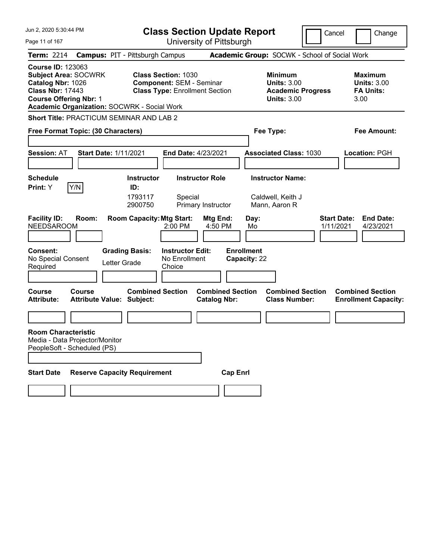| Jun 2, 2020 5:30:44 PM                                                                                                                                                                  | <b>Class Section Update Report</b>                                                                     |                                                                                     |                                                                                        | Cancel             | Change                                                           |
|-----------------------------------------------------------------------------------------------------------------------------------------------------------------------------------------|--------------------------------------------------------------------------------------------------------|-------------------------------------------------------------------------------------|----------------------------------------------------------------------------------------|--------------------|------------------------------------------------------------------|
| Page 11 of 167                                                                                                                                                                          |                                                                                                        | University of Pittsburgh                                                            |                                                                                        |                    |                                                                  |
| <b>Term: 2214</b>                                                                                                                                                                       | <b>Campus: PIT - Pittsburgh Campus</b>                                                                 |                                                                                     | Academic Group: SOCWK - School of Social Work                                          |                    |                                                                  |
| <b>Course ID: 123063</b><br>Subject Area: SOCWRK<br>Catalog Nbr: 1026<br><b>Class Nbr: 17443</b><br><b>Course Offering Nbr: 1</b><br><b>Academic Organization: SOCWRK - Social Work</b> | <b>Class Section: 1030</b><br><b>Component: SEM - Seminar</b><br><b>Class Type: Enrollment Section</b> |                                                                                     | <b>Minimum</b><br><b>Units: 3.00</b><br><b>Academic Progress</b><br><b>Units: 3.00</b> |                    | <b>Maximum</b><br><b>Units: 3.00</b><br><b>FA Units:</b><br>3.00 |
| <b>Short Title: PRACTICUM SEMINAR AND LAB 2</b>                                                                                                                                         |                                                                                                        |                                                                                     |                                                                                        |                    |                                                                  |
| Free Format Topic: (30 Characters)                                                                                                                                                      |                                                                                                        |                                                                                     | Fee Type:                                                                              |                    | Fee Amount:                                                      |
| <b>Session: AT</b><br><b>Start Date: 1/11/2021</b>                                                                                                                                      | End Date: 4/23/2021                                                                                    |                                                                                     | <b>Associated Class: 1030</b>                                                          |                    | Location: PGH                                                    |
| <b>Schedule</b>                                                                                                                                                                         | <b>Instructor</b><br><b>Instructor Role</b>                                                            |                                                                                     | <b>Instructor Name:</b>                                                                |                    |                                                                  |
| Y/N<br>Print: Y<br><b>Facility ID:</b><br>Room:                                                                                                                                         | ID:<br>1793117<br>Special<br>2900750<br><b>Room Capacity: Mtg Start:</b>                               | Primary Instructor<br>Mtg End:                                                      | Caldwell, Keith J<br>Mann, Aaron R<br>Day:                                             | <b>Start Date:</b> | <b>End Date:</b>                                                 |
| <b>NEEDSAROOM</b>                                                                                                                                                                       | $2:00$ PM                                                                                              | 4:50 PM                                                                             | Mo                                                                                     | 1/11/2021          | 4/23/2021                                                        |
| <b>Consent:</b><br>No Special Consent<br>Letter Grade<br>Required<br>Course<br>Course<br><b>Attribute:</b><br><b>Attribute Value: Subject:</b>                                          | <b>Grading Basis:</b><br><b>Instructor Edit:</b><br>No Enrollment<br>Choice<br><b>Combined Section</b> | <b>Enrollment</b><br>Capacity: 22<br><b>Combined Section</b><br><b>Catalog Nbr:</b> | <b>Combined Section</b><br><b>Class Number:</b>                                        |                    | <b>Combined Section</b><br><b>Enrollment Capacity:</b>           |
|                                                                                                                                                                                         |                                                                                                        |                                                                                     |                                                                                        |                    |                                                                  |
| <b>Room Characteristic</b><br>Media - Data Projector/Monitor<br>PeopleSoft - Scheduled (PS)<br><b>Reserve Capacity Requirement</b><br><b>Start Date</b>                                 |                                                                                                        | <b>Cap Enrl</b>                                                                     |                                                                                        |                    |                                                                  |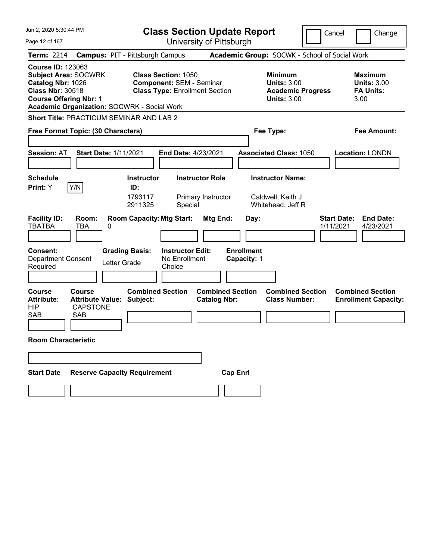| Jun 2, 2020 5:30:44 PM                                                                                                                                                                         | <b>Class Section Update Report</b>                                                                     |                                                                                        | Cancel<br>Change                                                 |
|------------------------------------------------------------------------------------------------------------------------------------------------------------------------------------------------|--------------------------------------------------------------------------------------------------------|----------------------------------------------------------------------------------------|------------------------------------------------------------------|
| Page 12 of 167                                                                                                                                                                                 | University of Pittsburgh                                                                               |                                                                                        |                                                                  |
| <b>Term: 2214</b>                                                                                                                                                                              | <b>Campus: PIT - Pittsburgh Campus</b>                                                                 | Academic Group: SOCWK - School of Social Work                                          |                                                                  |
| <b>Course ID: 123063</b><br><b>Subject Area: SOCWRK</b><br>Catalog Nbr: 1026<br><b>Class Nbr: 30518</b><br><b>Course Offering Nbr: 1</b><br><b>Academic Organization: SOCWRK - Social Work</b> | <b>Class Section: 1050</b><br><b>Component: SEM - Seminar</b><br><b>Class Type: Enrollment Section</b> | <b>Minimum</b><br><b>Units: 3.00</b><br><b>Academic Progress</b><br><b>Units: 3.00</b> | <b>Maximum</b><br><b>Units: 3.00</b><br><b>FA Units:</b><br>3.00 |
| <b>Short Title: PRACTICUM SEMINAR AND LAB 2</b>                                                                                                                                                |                                                                                                        |                                                                                        |                                                                  |
| Free Format Topic: (30 Characters)                                                                                                                                                             |                                                                                                        | Fee Type:                                                                              | Fee Amount:                                                      |
|                                                                                                                                                                                                |                                                                                                        |                                                                                        |                                                                  |
| <b>Session: AT</b><br><b>Start Date: 1/11/2021</b>                                                                                                                                             | End Date: 4/23/2021                                                                                    | <b>Associated Class: 1050</b>                                                          | <b>Location: LONDN</b>                                           |
| <b>Schedule</b>                                                                                                                                                                                | <b>Instructor Role</b><br><b>Instructor</b>                                                            | <b>Instructor Name:</b>                                                                |                                                                  |
| Y/N<br>Print: Y                                                                                                                                                                                | ID:                                                                                                    |                                                                                        |                                                                  |
|                                                                                                                                                                                                | 1793117<br>Primary Instructor<br>2911325<br>Special                                                    | Caldwell, Keith J<br>Whitehead, Jeff R                                                 |                                                                  |
| <b>Facility ID:</b><br>Room:<br><b>TBATBA</b><br>TBA<br>0                                                                                                                                      | <b>Room Capacity: Mtg Start:</b><br>Mtg End:                                                           | Day:                                                                                   | <b>End Date:</b><br><b>Start Date:</b><br>1/11/2021<br>4/23/2021 |
| <b>Consent:</b><br><b>Department Consent</b><br>Letter Grade<br>Required                                                                                                                       | <b>Grading Basis:</b><br><b>Instructor Edit:</b><br>No Enrollment<br>Choice                            | <b>Enrollment</b><br>Capacity: 1                                                       |                                                                  |
| <b>Course</b><br>Course<br><b>Attribute Value:</b><br><b>Attribute:</b><br><b>HIP</b><br><b>CAPSTONE</b><br><b>SAB</b><br><b>SAB</b>                                                           | <b>Combined Section</b><br><b>Combined Section</b><br>Subject:<br><b>Catalog Nbr:</b>                  | <b>Combined Section</b><br><b>Class Number:</b>                                        | <b>Combined Section</b><br><b>Enrollment Capacity:</b>           |
| <b>Room Characteristic</b>                                                                                                                                                                     |                                                                                                        |                                                                                        |                                                                  |
|                                                                                                                                                                                                |                                                                                                        |                                                                                        |                                                                  |
| <b>Reserve Capacity Requirement</b><br><b>Start Date</b>                                                                                                                                       |                                                                                                        | <b>Cap Enrl</b>                                                                        |                                                                  |
|                                                                                                                                                                                                |                                                                                                        |                                                                                        |                                                                  |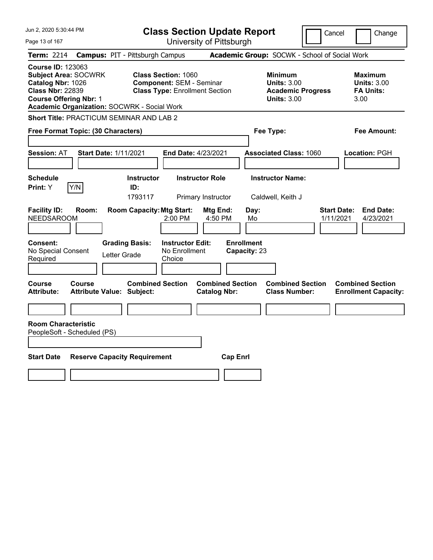| Jun 2, 2020 5:30:44 PM                                                                                                                                                                         | <b>Class Section Update Report</b>                                                                     | Cancel                                                                                 | Change                                                           |
|------------------------------------------------------------------------------------------------------------------------------------------------------------------------------------------------|--------------------------------------------------------------------------------------------------------|----------------------------------------------------------------------------------------|------------------------------------------------------------------|
| Page 13 of 167                                                                                                                                                                                 | University of Pittsburgh                                                                               |                                                                                        |                                                                  |
| <b>Term: 2214</b>                                                                                                                                                                              | <b>Campus: PIT - Pittsburgh Campus</b>                                                                 | Academic Group: SOCWK - School of Social Work                                          |                                                                  |
| <b>Course ID: 123063</b><br><b>Subject Area: SOCWRK</b><br>Catalog Nbr: 1026<br><b>Class Nbr: 22839</b><br><b>Course Offering Nbr: 1</b><br><b>Academic Organization: SOCWRK - Social Work</b> | <b>Class Section: 1060</b><br><b>Component: SEM - Seminar</b><br><b>Class Type: Enrollment Section</b> | <b>Minimum</b><br><b>Units: 3.00</b><br><b>Academic Progress</b><br><b>Units: 3.00</b> | <b>Maximum</b><br><b>Units: 3.00</b><br><b>FA Units:</b><br>3.00 |
| Short Title: PRACTICUM SEMINAR AND LAB 2                                                                                                                                                       |                                                                                                        |                                                                                        |                                                                  |
| Free Format Topic: (30 Characters)                                                                                                                                                             |                                                                                                        | Fee Type:                                                                              | Fee Amount:                                                      |
| <b>Start Date: 1/11/2021</b><br><b>Session: AT</b>                                                                                                                                             | End Date: 4/23/2021                                                                                    | <b>Associated Class: 1060</b>                                                          | Location: PGH                                                    |
| <b>Schedule</b><br>Y/N<br>Print: Y                                                                                                                                                             | <b>Instructor Role</b><br><b>Instructor</b><br>ID:<br>1793117<br>Primary Instructor                    | <b>Instructor Name:</b><br>Caldwell, Keith J                                           |                                                                  |
| <b>Facility ID:</b><br>Room:<br><b>NEEDSAROOM</b>                                                                                                                                              | <b>Room Capacity: Mtg Start:</b><br>Mtg End:<br>4:50 PM<br>$2:00$ PM                                   | Day:<br>Mo                                                                             | <b>Start Date:</b><br><b>End Date:</b><br>1/11/2021<br>4/23/2021 |
| <b>Consent:</b><br>No Special Consent<br>Letter Grade<br>Required                                                                                                                              | <b>Grading Basis:</b><br><b>Instructor Edit:</b><br>No Enrollment<br>Choice                            | <b>Enrollment</b><br>Capacity: 23                                                      |                                                                  |
| Course<br><b>Course</b><br><b>Attribute:</b><br><b>Attribute Value: Subject:</b>                                                                                                               | <b>Combined Section</b><br><b>Combined Section</b><br><b>Catalog Nbr:</b>                              | <b>Combined Section</b><br><b>Class Number:</b>                                        | <b>Combined Section</b><br><b>Enrollment Capacity:</b>           |
|                                                                                                                                                                                                |                                                                                                        |                                                                                        |                                                                  |
| <b>Room Characteristic</b><br>PeopleSoft - Scheduled (PS)                                                                                                                                      |                                                                                                        |                                                                                        |                                                                  |
| <b>Start Date</b><br><b>Reserve Capacity Requirement</b>                                                                                                                                       | <b>Cap Enrl</b>                                                                                        |                                                                                        |                                                                  |
|                                                                                                                                                                                                |                                                                                                        |                                                                                        |                                                                  |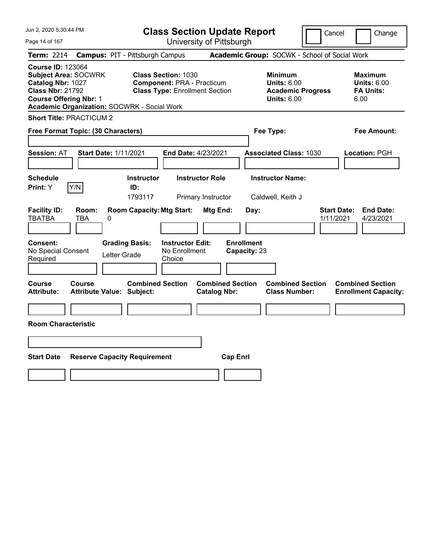| Jun 2, 2020 5:30:44 PM                                                                                                                                                                  | <b>Class Section Update Report</b>                                                                       |                                                                                                   | Cancel<br>Change                                                 |
|-----------------------------------------------------------------------------------------------------------------------------------------------------------------------------------------|----------------------------------------------------------------------------------------------------------|---------------------------------------------------------------------------------------------------|------------------------------------------------------------------|
| Page 14 of 167                                                                                                                                                                          | University of Pittsburgh                                                                                 |                                                                                                   |                                                                  |
| <b>Term: 2214</b>                                                                                                                                                                       | <b>Campus: PIT - Pittsburgh Campus</b>                                                                   | Academic Group: SOCWK - School of Social Work                                                     |                                                                  |
| <b>Course ID: 123064</b><br><b>Subject Area: SOCWRK</b><br>Catalog Nbr: 1027<br><b>Class Nbr: 21792</b><br><b>Course Offering Nbr: 1</b><br>Academic Organization: SOCWRK - Social Work | <b>Class Section: 1030</b><br><b>Component: PRA - Practicum</b><br><b>Class Type: Enrollment Section</b> | <b>Minimum</b><br><b>Units: 6.00</b><br><b>Academic Progress</b><br><b>Units: 6.00</b>            | <b>Maximum</b><br><b>Units: 6.00</b><br><b>FA Units:</b><br>6.00 |
| <b>Short Title: PRACTICUM 2</b>                                                                                                                                                         |                                                                                                          |                                                                                                   |                                                                  |
| Free Format Topic: (30 Characters)                                                                                                                                                      |                                                                                                          | Fee Type:                                                                                         | Fee Amount:                                                      |
| <b>Start Date: 1/11/2021</b><br><b>Session: AT</b>                                                                                                                                      | End Date: 4/23/2021                                                                                      | <b>Associated Class: 1030</b>                                                                     | Location: PGH                                                    |
| <b>Schedule</b><br>Y/N<br>Print: Y                                                                                                                                                      | <b>Instructor</b><br><b>Instructor Role</b><br>ID:<br>1793117<br>Primary Instructor                      | <b>Instructor Name:</b><br>Caldwell, Keith J                                                      |                                                                  |
| <b>Facility ID:</b><br>Room:<br><b>TBATBA</b><br>TBA<br>0                                                                                                                               | <b>Room Capacity: Mtg Start:</b>                                                                         | Mtg End:<br>Day:                                                                                  | <b>Start Date:</b><br><b>End Date:</b><br>1/11/2021<br>4/23/2021 |
| <b>Consent:</b><br>No Special Consent<br>Letter Grade<br>Required                                                                                                                       | <b>Grading Basis:</b><br><b>Instructor Edit:</b><br>No Enrollment<br>Choice                              | <b>Enrollment</b><br>Capacity: 23                                                                 |                                                                  |
| <b>Course</b><br><b>Course</b><br><b>Attribute:</b><br><b>Attribute Value: Subject:</b>                                                                                                 | <b>Combined Section</b>                                                                                  | <b>Combined Section</b><br><b>Combined Section</b><br><b>Catalog Nbr:</b><br><b>Class Number:</b> | <b>Combined Section</b><br><b>Enrollment Capacity:</b>           |
| <b>Room Characteristic</b>                                                                                                                                                              |                                                                                                          |                                                                                                   |                                                                  |
|                                                                                                                                                                                         |                                                                                                          |                                                                                                   |                                                                  |
| <b>Start Date</b><br><b>Reserve Capacity Requirement</b>                                                                                                                                |                                                                                                          | <b>Cap Enrl</b>                                                                                   |                                                                  |
|                                                                                                                                                                                         |                                                                                                          |                                                                                                   |                                                                  |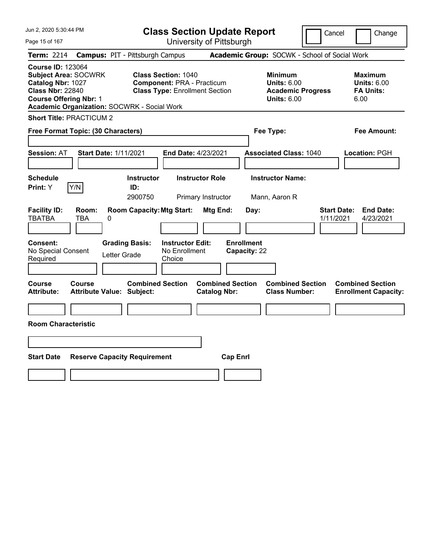| Jun 2, 2020 5:30:44 PM                                                                                                                                                                         | <b>Class Section Update Report</b>                                                                       |                                                                                                   | Cancel<br>Change                                                 |
|------------------------------------------------------------------------------------------------------------------------------------------------------------------------------------------------|----------------------------------------------------------------------------------------------------------|---------------------------------------------------------------------------------------------------|------------------------------------------------------------------|
| Page 15 of 167                                                                                                                                                                                 | University of Pittsburgh                                                                                 |                                                                                                   |                                                                  |
| <b>Term: 2214</b>                                                                                                                                                                              | <b>Campus: PIT - Pittsburgh Campus</b>                                                                   | Academic Group: SOCWK - School of Social Work                                                     |                                                                  |
| <b>Course ID: 123064</b><br><b>Subject Area: SOCWRK</b><br>Catalog Nbr: 1027<br><b>Class Nbr: 22840</b><br><b>Course Offering Nbr: 1</b><br><b>Academic Organization: SOCWRK - Social Work</b> | <b>Class Section: 1040</b><br><b>Component: PRA - Practicum</b><br><b>Class Type: Enrollment Section</b> | <b>Minimum</b><br><b>Units: 6.00</b><br><b>Academic Progress</b><br><b>Units: 6.00</b>            | <b>Maximum</b><br><b>Units: 6.00</b><br><b>FA Units:</b><br>6.00 |
| <b>Short Title: PRACTICUM 2</b>                                                                                                                                                                |                                                                                                          |                                                                                                   |                                                                  |
| Free Format Topic: (30 Characters)                                                                                                                                                             |                                                                                                          | Fee Type:                                                                                         | Fee Amount:                                                      |
| <b>Session: AT</b><br><b>Start Date: 1/11/2021</b>                                                                                                                                             | <b>End Date: 4/23/2021</b>                                                                               | <b>Associated Class: 1040</b>                                                                     | Location: PGH                                                    |
| <b>Schedule</b><br>Y/N<br>Print: Y                                                                                                                                                             | <b>Instructor Role</b><br><b>Instructor</b><br>ID:<br>2900750<br>Primary Instructor                      | <b>Instructor Name:</b><br>Mann, Aaron R                                                          |                                                                  |
| <b>Facility ID:</b><br>Room:<br><b>TBATBA</b><br><b>TBA</b><br>0                                                                                                                               | <b>Room Capacity: Mtg Start:</b>                                                                         | Mtg End:<br>Day:                                                                                  | <b>Start Date:</b><br><b>End Date:</b><br>4/23/2021<br>1/11/2021 |
| Consent:<br>No Special Consent<br>Letter Grade<br>Required                                                                                                                                     | <b>Grading Basis:</b><br><b>Instructor Edit:</b><br>No Enrollment<br>Choice                              | <b>Enrollment</b><br>Capacity: 22                                                                 |                                                                  |
| Course<br><b>Course</b><br><b>Attribute:</b><br>Attribute Value: Subject:                                                                                                                      | <b>Combined Section</b>                                                                                  | <b>Combined Section</b><br><b>Combined Section</b><br><b>Catalog Nbr:</b><br><b>Class Number:</b> | <b>Combined Section</b><br><b>Enrollment Capacity:</b>           |
| <b>Room Characteristic</b>                                                                                                                                                                     |                                                                                                          |                                                                                                   |                                                                  |
|                                                                                                                                                                                                |                                                                                                          |                                                                                                   |                                                                  |
| <b>Start Date</b><br><b>Reserve Capacity Requirement</b>                                                                                                                                       |                                                                                                          | <b>Cap Enrl</b>                                                                                   |                                                                  |
|                                                                                                                                                                                                |                                                                                                          |                                                                                                   |                                                                  |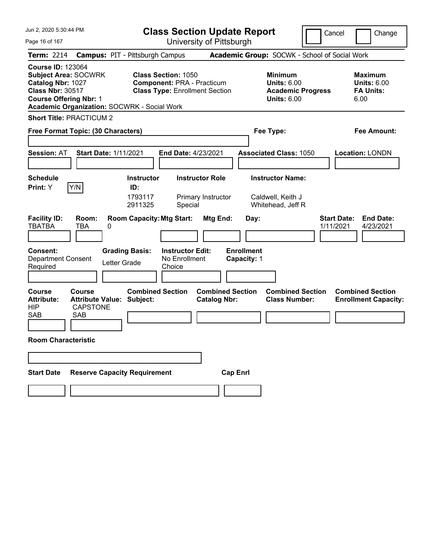| Jun 2, 2020 5:30:44 PM<br><b>Class Section Update Report</b>                                                                                                                                   |                                                                                                          |                                                                                        | Cancel<br>Change                                                 |
|------------------------------------------------------------------------------------------------------------------------------------------------------------------------------------------------|----------------------------------------------------------------------------------------------------------|----------------------------------------------------------------------------------------|------------------------------------------------------------------|
| Page 16 of 167                                                                                                                                                                                 | University of Pittsburgh                                                                                 |                                                                                        |                                                                  |
| <b>Term: 2214</b>                                                                                                                                                                              | <b>Campus: PIT - Pittsburgh Campus</b>                                                                   | Academic Group: SOCWK - School of Social Work                                          |                                                                  |
| <b>Course ID: 123064</b><br><b>Subject Area: SOCWRK</b><br>Catalog Nbr: 1027<br><b>Class Nbr: 30517</b><br><b>Course Offering Nbr: 1</b><br><b>Academic Organization: SOCWRK - Social Work</b> | <b>Class Section: 1050</b><br><b>Component: PRA - Practicum</b><br><b>Class Type: Enrollment Section</b> | <b>Minimum</b><br><b>Units: 6.00</b><br><b>Academic Progress</b><br><b>Units: 6.00</b> | <b>Maximum</b><br><b>Units: 6.00</b><br><b>FA Units:</b><br>6.00 |
| <b>Short Title: PRACTICUM 2</b>                                                                                                                                                                |                                                                                                          |                                                                                        |                                                                  |
| Free Format Topic: (30 Characters)                                                                                                                                                             |                                                                                                          | Fee Type:                                                                              | Fee Amount:                                                      |
|                                                                                                                                                                                                |                                                                                                          |                                                                                        |                                                                  |
| <b>Session: AT</b><br><b>Start Date: 1/11/2021</b>                                                                                                                                             | End Date: 4/23/2021                                                                                      | <b>Associated Class: 1050</b>                                                          | Location: LONDN                                                  |
| <b>Schedule</b>                                                                                                                                                                                | <b>Instructor Role</b><br>Instructor                                                                     | <b>Instructor Name:</b>                                                                |                                                                  |
| Y/N<br>Print: Y                                                                                                                                                                                | ID:                                                                                                      |                                                                                        |                                                                  |
|                                                                                                                                                                                                | 1793117<br>Primary Instructor<br>2911325<br>Special                                                      | Caldwell, Keith J<br>Whitehead, Jeff R                                                 |                                                                  |
| <b>Facility ID:</b><br>Room:<br><b>TBATBA</b><br>TBA<br>0                                                                                                                                      | <b>Room Capacity: Mtg Start:</b><br>Mtg End:                                                             | Day:                                                                                   | <b>Start Date:</b><br><b>End Date:</b><br>1/11/2021<br>4/23/2021 |
| <b>Consent:</b><br><b>Department Consent</b><br>Letter Grade<br>Required                                                                                                                       | <b>Grading Basis:</b><br><b>Instructor Edit:</b><br>No Enrollment<br>Choice                              | <b>Enrollment</b><br>Capacity: 1                                                       |                                                                  |
| <b>Course</b><br>Course<br><b>Attribute Value:</b><br><b>Attribute:</b><br><b>HIP</b><br><b>CAPSTONE</b><br>SAB<br><b>SAB</b>                                                                  | <b>Combined Section</b><br><b>Combined Section</b><br>Subject:<br><b>Catalog Nbr:</b>                    | <b>Combined Section</b><br><b>Class Number:</b>                                        | <b>Combined Section</b><br><b>Enrollment Capacity:</b>           |
| <b>Room Characteristic</b>                                                                                                                                                                     |                                                                                                          |                                                                                        |                                                                  |
|                                                                                                                                                                                                |                                                                                                          |                                                                                        |                                                                  |
| <b>Reserve Capacity Requirement</b><br><b>Start Date</b>                                                                                                                                       |                                                                                                          | <b>Cap Enrl</b>                                                                        |                                                                  |
|                                                                                                                                                                                                |                                                                                                          |                                                                                        |                                                                  |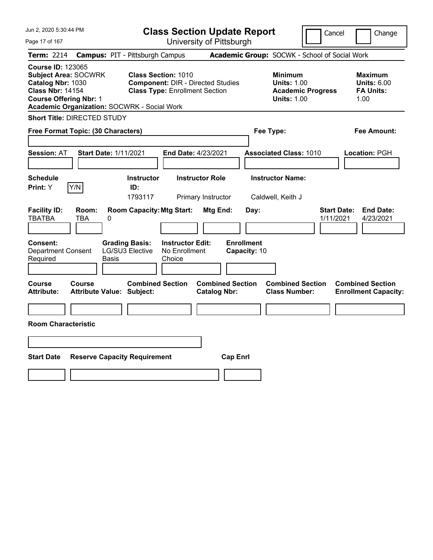| Jun 2, 2020 5:30:44 PM                                                                                                                                                                         | <b>Class Section Update Report</b>                                                                                                  | Cancel                                                                                 | Change                                                           |
|------------------------------------------------------------------------------------------------------------------------------------------------------------------------------------------------|-------------------------------------------------------------------------------------------------------------------------------------|----------------------------------------------------------------------------------------|------------------------------------------------------------------|
| Page 17 of 167                                                                                                                                                                                 | University of Pittsburgh                                                                                                            |                                                                                        |                                                                  |
| <b>Term: 2214</b>                                                                                                                                                                              | <b>Campus: PIT - Pittsburgh Campus</b>                                                                                              | Academic Group: SOCWK - School of Social Work                                          |                                                                  |
| <b>Course ID: 123065</b><br><b>Subject Area: SOCWRK</b><br>Catalog Nbr: 1030<br><b>Class Nbr: 14154</b><br><b>Course Offering Nbr: 1</b><br><b>Academic Organization: SOCWRK - Social Work</b> | <b>Class Section: 1010</b><br><b>Component: DIR - Directed Studies</b><br><b>Class Type: Enrollment Section</b>                     | <b>Minimum</b><br><b>Units: 1.00</b><br><b>Academic Progress</b><br><b>Units: 1.00</b> | <b>Maximum</b><br><b>Units: 6.00</b><br><b>FA Units:</b><br>1.00 |
| Short Title: DIRECTED STUDY                                                                                                                                                                    |                                                                                                                                     |                                                                                        |                                                                  |
| Free Format Topic: (30 Characters)                                                                                                                                                             |                                                                                                                                     | Fee Type:                                                                              | Fee Amount:                                                      |
| <b>Session: AT</b><br><b>Start Date: 1/11/2021</b>                                                                                                                                             | <b>End Date: 4/23/2021</b>                                                                                                          | <b>Associated Class: 1010</b>                                                          | Location: PGH                                                    |
| <b>Schedule</b><br>Y/N<br><b>Print:</b> Y                                                                                                                                                      | <b>Instructor</b><br><b>Instructor Role</b><br>ID:<br>1793117<br>Primary Instructor                                                 | <b>Instructor Name:</b><br>Caldwell, Keith J                                           |                                                                  |
| <b>Facility ID:</b><br>Room:<br><b>TBATBA</b><br>TBA<br>0                                                                                                                                      | <b>Room Capacity: Mtg Start:</b><br><b>Mtg End:</b><br>Day:                                                                         | <b>Start Date:</b><br>1/11/2021                                                        | <b>End Date:</b><br>4/23/2021                                    |
| <b>Consent:</b><br><b>Department Consent</b><br>Required<br>Basis                                                                                                                              | <b>Enrollment</b><br><b>Grading Basis:</b><br><b>Instructor Edit:</b><br>LG/SU3 Elective<br>No Enrollment<br>Capacity: 10<br>Choice |                                                                                        |                                                                  |
| Course<br><b>Course</b><br><b>Attribute:</b><br><b>Attribute Value: Subject:</b>                                                                                                               | <b>Combined Section</b><br><b>Combined Section</b><br><b>Catalog Nbr:</b>                                                           | <b>Combined Section</b><br><b>Class Number:</b>                                        | <b>Combined Section</b><br><b>Enrollment Capacity:</b>           |
|                                                                                                                                                                                                |                                                                                                                                     |                                                                                        |                                                                  |
| <b>Room Characteristic</b>                                                                                                                                                                     |                                                                                                                                     |                                                                                        |                                                                  |
|                                                                                                                                                                                                |                                                                                                                                     |                                                                                        |                                                                  |
| <b>Start Date</b><br><b>Reserve Capacity Requirement</b>                                                                                                                                       | <b>Cap Enrl</b>                                                                                                                     |                                                                                        |                                                                  |
|                                                                                                                                                                                                |                                                                                                                                     |                                                                                        |                                                                  |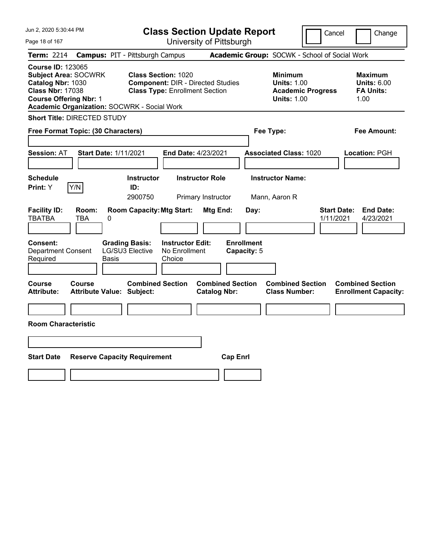| Jun 2, 2020 5:30:44 PM                                                                                                                                                                         | <b>Class Section Update Report</b>                                                                                                 | Cancel                                                                                 | Change                                                           |
|------------------------------------------------------------------------------------------------------------------------------------------------------------------------------------------------|------------------------------------------------------------------------------------------------------------------------------------|----------------------------------------------------------------------------------------|------------------------------------------------------------------|
| Page 18 of 167                                                                                                                                                                                 | University of Pittsburgh                                                                                                           |                                                                                        |                                                                  |
| <b>Term: 2214</b>                                                                                                                                                                              | <b>Campus: PIT - Pittsburgh Campus</b>                                                                                             | Academic Group: SOCWK - School of Social Work                                          |                                                                  |
| <b>Course ID: 123065</b><br><b>Subject Area: SOCWRK</b><br>Catalog Nbr: 1030<br><b>Class Nbr: 17038</b><br><b>Course Offering Nbr: 1</b><br><b>Academic Organization: SOCWRK - Social Work</b> | <b>Class Section: 1020</b><br><b>Component: DIR - Directed Studies</b><br><b>Class Type: Enrollment Section</b>                    | <b>Minimum</b><br><b>Units: 1.00</b><br><b>Academic Progress</b><br><b>Units: 1.00</b> | <b>Maximum</b><br><b>Units: 6.00</b><br><b>FA Units:</b><br>1.00 |
| Short Title: DIRECTED STUDY                                                                                                                                                                    |                                                                                                                                    |                                                                                        |                                                                  |
| Free Format Topic: (30 Characters)                                                                                                                                                             |                                                                                                                                    | Fee Type:                                                                              | Fee Amount:                                                      |
| <b>Session: AT</b><br><b>Start Date: 1/11/2021</b>                                                                                                                                             | <b>End Date: 4/23/2021</b>                                                                                                         | <b>Associated Class: 1020</b>                                                          | Location: PGH                                                    |
| <b>Schedule</b><br>Y/N<br><b>Print:</b> Y                                                                                                                                                      | <b>Instructor</b><br><b>Instructor Role</b><br>ID:<br>2900750<br>Primary Instructor                                                | <b>Instructor Name:</b><br>Mann, Aaron R                                               |                                                                  |
| <b>Facility ID:</b><br>Room:<br><b>TBATBA</b><br>TBA<br>0                                                                                                                                      | <b>Room Capacity: Mtg Start:</b><br><b>Mtg End:</b><br>Day:                                                                        | <b>Start Date:</b><br>1/11/2021                                                        | <b>End Date:</b><br>4/23/2021                                    |
| <b>Consent:</b><br><b>Department Consent</b><br>Required<br>Basis                                                                                                                              | <b>Enrollment</b><br><b>Grading Basis:</b><br><b>Instructor Edit:</b><br>LG/SU3 Elective<br>No Enrollment<br>Capacity: 5<br>Choice |                                                                                        |                                                                  |
| Course<br><b>Course</b><br><b>Attribute:</b><br><b>Attribute Value: Subject:</b>                                                                                                               | <b>Combined Section</b><br><b>Combined Section</b><br><b>Catalog Nbr:</b>                                                          | <b>Combined Section</b><br><b>Class Number:</b>                                        | <b>Combined Section</b><br><b>Enrollment Capacity:</b>           |
|                                                                                                                                                                                                |                                                                                                                                    |                                                                                        |                                                                  |
| <b>Room Characteristic</b>                                                                                                                                                                     |                                                                                                                                    |                                                                                        |                                                                  |
|                                                                                                                                                                                                |                                                                                                                                    |                                                                                        |                                                                  |
| <b>Start Date</b><br><b>Reserve Capacity Requirement</b>                                                                                                                                       | <b>Cap Enrl</b>                                                                                                                    |                                                                                        |                                                                  |
|                                                                                                                                                                                                |                                                                                                                                    |                                                                                        |                                                                  |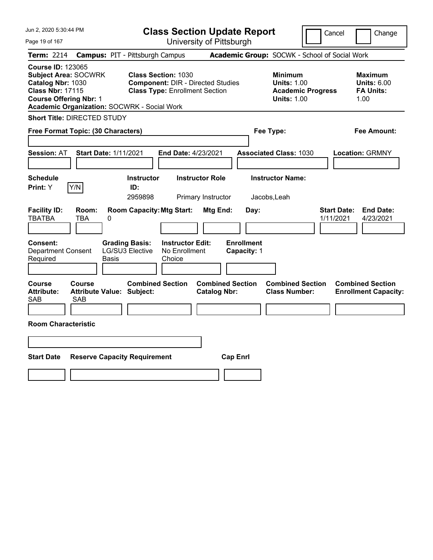| Jun 2, 2020 5:30:44 PM                                                                                                                                                                  | <b>Class Section Update Report</b>                                                                                                 | Cancel<br>Change                                                                                                                                           |
|-----------------------------------------------------------------------------------------------------------------------------------------------------------------------------------------|------------------------------------------------------------------------------------------------------------------------------------|------------------------------------------------------------------------------------------------------------------------------------------------------------|
| Page 19 of 167                                                                                                                                                                          | University of Pittsburgh                                                                                                           |                                                                                                                                                            |
| <b>Term: 2214</b>                                                                                                                                                                       | <b>Campus: PIT - Pittsburgh Campus</b>                                                                                             | Academic Group: SOCWK - School of Social Work                                                                                                              |
| <b>Course ID: 123065</b><br><b>Subject Area: SOCWRK</b><br>Catalog Nbr: 1030<br><b>Class Nbr: 17115</b><br><b>Course Offering Nbr: 1</b><br>Academic Organization: SOCWRK - Social Work | <b>Class Section: 1030</b><br><b>Component: DIR - Directed Studies</b><br><b>Class Type: Enrollment Section</b>                    | <b>Minimum</b><br><b>Maximum</b><br><b>Units: 1.00</b><br><b>Units: 6.00</b><br><b>Academic Progress</b><br><b>FA Units:</b><br><b>Units: 1.00</b><br>1.00 |
| <b>Short Title: DIRECTED STUDY</b>                                                                                                                                                      |                                                                                                                                    |                                                                                                                                                            |
| Free Format Topic: (30 Characters)                                                                                                                                                      |                                                                                                                                    | Fee Type:<br>Fee Amount:                                                                                                                                   |
| <b>Session: AT</b><br><b>Start Date: 1/11/2021</b>                                                                                                                                      | <b>End Date: 4/23/2021</b>                                                                                                         | <b>Associated Class: 1030</b><br><b>Location: GRMNY</b>                                                                                                    |
| <b>Schedule</b><br>Y/N<br>Print: Y                                                                                                                                                      | <b>Instructor</b><br><b>Instructor Role</b><br>ID:<br>2959898<br>Primary Instructor                                                | <b>Instructor Name:</b><br>Jacobs, Leah                                                                                                                    |
| <b>Facility ID:</b><br>Room:<br><b>TBATBA</b><br><b>TBA</b><br>0                                                                                                                        | <b>Room Capacity: Mtg Start:</b><br>Mtg End:<br>Day:                                                                               | <b>Start Date:</b><br><b>End Date:</b><br>1/11/2021<br>4/23/2021                                                                                           |
| Consent:<br><b>Department Consent</b><br>Required<br><b>Basis</b>                                                                                                                       | <b>Enrollment</b><br><b>Grading Basis:</b><br><b>Instructor Edit:</b><br>LG/SU3 Elective<br>No Enrollment<br>Capacity: 1<br>Choice |                                                                                                                                                            |
| Course<br><b>Course</b><br><b>Attribute:</b><br><b>Attribute Value: Subject:</b><br><b>SAB</b><br><b>SAB</b>                                                                            | <b>Combined Section</b><br><b>Combined Section</b><br><b>Catalog Nbr:</b>                                                          | <b>Combined Section</b><br><b>Combined Section</b><br><b>Class Number:</b><br><b>Enrollment Capacity:</b>                                                  |
| <b>Room Characteristic</b>                                                                                                                                                              |                                                                                                                                    |                                                                                                                                                            |
|                                                                                                                                                                                         |                                                                                                                                    |                                                                                                                                                            |
| <b>Start Date</b>                                                                                                                                                                       | <b>Reserve Capacity Requirement</b><br><b>Cap Enrl</b>                                                                             |                                                                                                                                                            |
|                                                                                                                                                                                         |                                                                                                                                    |                                                                                                                                                            |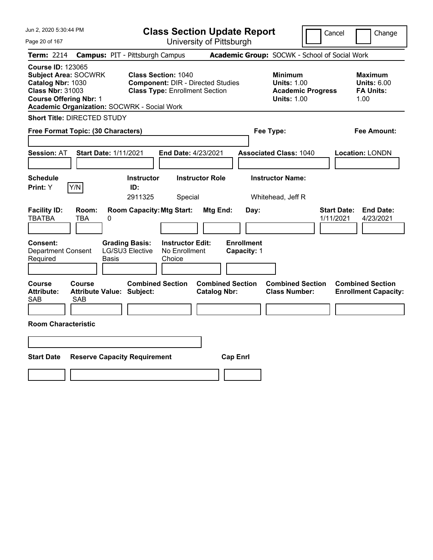| Jun 2, 2020 5:30:44 PM                                                                                                                                                                         | <b>Class Section Update Report</b>                                                                                                 | Cancel                                                                                 | Change                                                           |
|------------------------------------------------------------------------------------------------------------------------------------------------------------------------------------------------|------------------------------------------------------------------------------------------------------------------------------------|----------------------------------------------------------------------------------------|------------------------------------------------------------------|
| Page 20 of 167                                                                                                                                                                                 | University of Pittsburgh                                                                                                           |                                                                                        |                                                                  |
| Term: 2214                                                                                                                                                                                     | <b>Campus: PIT - Pittsburgh Campus</b>                                                                                             | Academic Group: SOCWK - School of Social Work                                          |                                                                  |
| <b>Course ID: 123065</b><br><b>Subject Area: SOCWRK</b><br>Catalog Nbr: 1030<br><b>Class Nbr: 31003</b><br><b>Course Offering Nbr: 1</b><br><b>Academic Organization: SOCWRK - Social Work</b> | <b>Class Section: 1040</b><br><b>Component: DIR - Directed Studies</b><br><b>Class Type: Enrollment Section</b>                    | <b>Minimum</b><br><b>Units: 1.00</b><br><b>Academic Progress</b><br><b>Units: 1.00</b> | <b>Maximum</b><br><b>Units: 6.00</b><br><b>FA Units:</b><br>1.00 |
| <b>Short Title: DIRECTED STUDY</b>                                                                                                                                                             |                                                                                                                                    |                                                                                        |                                                                  |
| Free Format Topic: (30 Characters)                                                                                                                                                             |                                                                                                                                    | Fee Type:                                                                              | Fee Amount:                                                      |
| <b>Start Date: 1/11/2021</b><br><b>Session: AT</b>                                                                                                                                             | End Date: 4/23/2021                                                                                                                | <b>Associated Class: 1040</b>                                                          | <b>Location: LONDN</b>                                           |
| <b>Schedule</b><br>Y/N<br>Print: Y                                                                                                                                                             | <b>Instructor Role</b><br><b>Instructor</b><br>ID:<br>2911325<br>Special                                                           | <b>Instructor Name:</b><br>Whitehead, Jeff R                                           |                                                                  |
| <b>Facility ID:</b><br>Room:<br><b>TBATBA</b><br><b>TBA</b><br>0                                                                                                                               | <b>Room Capacity: Mtg Start:</b><br><b>Mtg End:</b><br>Day:                                                                        | <b>Start Date:</b><br>1/11/2021                                                        | <b>End Date:</b><br>4/23/2021                                    |
| Consent:<br><b>Department Consent</b><br>Required<br>Basis                                                                                                                                     | <b>Enrollment</b><br><b>Grading Basis:</b><br><b>Instructor Edit:</b><br>LG/SU3 Elective<br>No Enrollment<br>Capacity: 1<br>Choice |                                                                                        |                                                                  |
| <b>Course</b><br><b>Course</b><br><b>Attribute:</b><br><b>Attribute Value: Subject:</b><br><b>SAB</b><br><b>SAB</b>                                                                            | <b>Combined Section</b><br><b>Combined Section</b><br><b>Catalog Nbr:</b>                                                          | <b>Combined Section</b><br><b>Class Number:</b>                                        | <b>Combined Section</b><br><b>Enrollment Capacity:</b>           |
| <b>Room Characteristic</b>                                                                                                                                                                     |                                                                                                                                    |                                                                                        |                                                                  |
|                                                                                                                                                                                                |                                                                                                                                    |                                                                                        |                                                                  |
| <b>Start Date</b><br><b>Reserve Capacity Requirement</b>                                                                                                                                       | <b>Cap Enrl</b>                                                                                                                    |                                                                                        |                                                                  |
|                                                                                                                                                                                                |                                                                                                                                    |                                                                                        |                                                                  |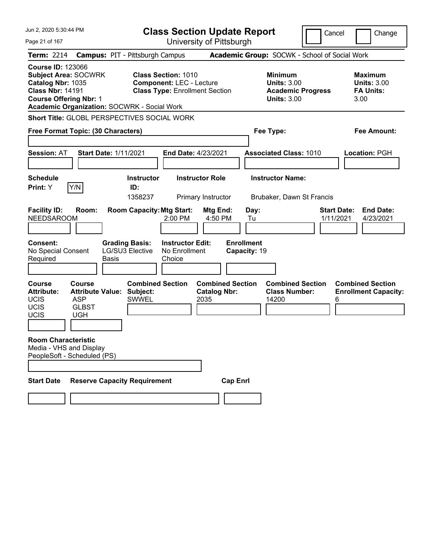| Jun 2, 2020 5:30:44 PM<br>Page 21 of 167                                                                  |                                                                                      |                                                                 |                                                               | <b>Class Section Update Report</b><br>University of Pittsburgh |                                   |                                                                                        | Cancel<br>Change                                                 |
|-----------------------------------------------------------------------------------------------------------|--------------------------------------------------------------------------------------|-----------------------------------------------------------------|---------------------------------------------------------------|----------------------------------------------------------------|-----------------------------------|----------------------------------------------------------------------------------------|------------------------------------------------------------------|
| <b>Term: 2214</b>                                                                                         |                                                                                      | <b>Campus: PIT - Pittsburgh Campus</b>                          |                                                               |                                                                |                                   | Academic Group: SOCWK - School of Social Work                                          |                                                                  |
| <b>Course ID: 123066</b><br>Catalog Nbr: 1035<br><b>Class Nbr: 14191</b><br><b>Course Offering Nbr: 1</b> | <b>Subject Area: SOCWRK</b>                                                          | <b>Academic Organization: SOCWRK - Social Work</b>              | <b>Class Section: 1010</b><br><b>Component: LEC - Lecture</b> | <b>Class Type: Enrollment Section</b>                          |                                   | <b>Minimum</b><br><b>Units: 3.00</b><br><b>Academic Progress</b><br><b>Units: 3.00</b> | <b>Maximum</b><br><b>Units: 3.00</b><br><b>FA Units:</b><br>3.00 |
|                                                                                                           |                                                                                      | Short Title: GLOBL PERSPECTIVES SOCIAL WORK                     |                                                               |                                                                |                                   |                                                                                        |                                                                  |
|                                                                                                           | Free Format Topic: (30 Characters)                                                   |                                                                 |                                                               |                                                                |                                   | Fee Type:                                                                              | <b>Fee Amount:</b>                                               |
| <b>Session: AT</b>                                                                                        |                                                                                      | <b>Start Date: 1/11/2021</b>                                    |                                                               | End Date: 4/23/2021                                            |                                   | <b>Associated Class: 1010</b>                                                          | Location: PGH                                                    |
| <b>Schedule</b><br>Print: Y                                                                               | Y/N                                                                                  | <b>Instructor</b><br>ID:<br>1358237                             |                                                               | <b>Instructor Role</b><br>Primary Instructor                   |                                   | <b>Instructor Name:</b><br>Brubaker, Dawn St Francis                                   |                                                                  |
| <b>Facility ID:</b><br><b>NEEDSAROOM</b>                                                                  | Room:                                                                                | <b>Room Capacity: Mtg Start:</b>                                | 2:00 PM                                                       | Mtg End:<br>4:50 PM                                            | Day:<br>Tu                        |                                                                                        | <b>End Date:</b><br><b>Start Date:</b><br>1/11/2021<br>4/23/2021 |
| <b>Consent:</b><br>No Special Consent<br>Required                                                         |                                                                                      | <b>Grading Basis:</b><br><b>LG/SU3 Elective</b><br><b>Basis</b> | <b>Instructor Edit:</b><br>No Enrollment<br>Choice            |                                                                | <b>Enrollment</b><br>Capacity: 19 |                                                                                        |                                                                  |
| <b>Course</b><br><b>Attribute:</b><br>UCIS<br>UCIS<br><b>UCIS</b>                                         | <b>Course</b><br><b>Attribute Value:</b><br><b>ASP</b><br><b>GLBST</b><br><b>UGH</b> | <b>Combined Section</b><br>Subject:<br><b>SWWEL</b>             |                                                               | <b>Combined Section</b><br><b>Catalog Nbr:</b><br>2035         |                                   | <b>Combined Section</b><br><b>Class Number:</b><br>14200                               | <b>Combined Section</b><br><b>Enrollment Capacity:</b><br>6      |
| <b>Room Characteristic</b>                                                                                | Media - VHS and Display<br>PeopleSoft - Scheduled (PS)                               |                                                                 |                                                               |                                                                |                                   |                                                                                        |                                                                  |
| <b>Start Date</b>                                                                                         |                                                                                      | <b>Reserve Capacity Requirement</b>                             |                                                               |                                                                | <b>Cap Enrl</b>                   |                                                                                        |                                                                  |
|                                                                                                           |                                                                                      |                                                                 |                                                               |                                                                |                                   |                                                                                        |                                                                  |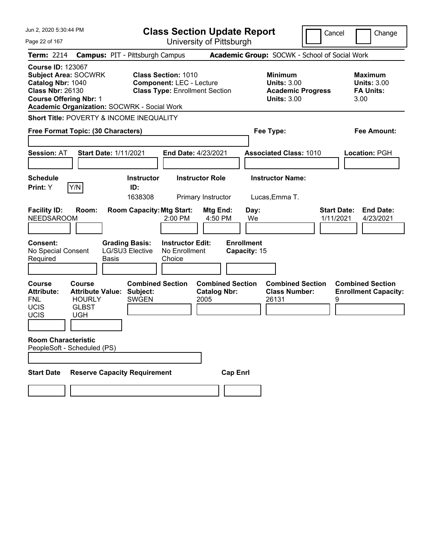| Jun 2, 2020 5:30:44 PM                                                                                                                                                                                                                               |                                                                                                                          | <b>Class Section Update Report</b>                                                               |                                                                                        | Cancel<br>Change                                                 |
|------------------------------------------------------------------------------------------------------------------------------------------------------------------------------------------------------------------------------------------------------|--------------------------------------------------------------------------------------------------------------------------|--------------------------------------------------------------------------------------------------|----------------------------------------------------------------------------------------|------------------------------------------------------------------|
| Page 22 of 167                                                                                                                                                                                                                                       |                                                                                                                          | University of Pittsburgh                                                                         |                                                                                        |                                                                  |
| <b>Term: 2214</b>                                                                                                                                                                                                                                    | <b>Campus: PIT - Pittsburgh Campus</b>                                                                                   |                                                                                                  | Academic Group: SOCWK - School of Social Work                                          |                                                                  |
| <b>Course ID: 123067</b><br><b>Subject Area: SOCWRK</b><br>Catalog Nbr: 1040<br><b>Class Nbr: 26130</b><br><b>Course Offering Nbr: 1</b><br><b>Academic Organization: SOCWRK - Social Work</b>                                                       | <b>Class Section: 1010</b>                                                                                               | <b>Component: LEC - Lecture</b><br><b>Class Type: Enrollment Section</b>                         | <b>Minimum</b><br><b>Units: 3.00</b><br><b>Academic Progress</b><br><b>Units: 3.00</b> | <b>Maximum</b><br><b>Units: 3.00</b><br><b>FA Units:</b><br>3.00 |
| Short Title: POVERTY & INCOME INEQUALITY                                                                                                                                                                                                             |                                                                                                                          |                                                                                                  |                                                                                        |                                                                  |
| Free Format Topic: (30 Characters)                                                                                                                                                                                                                   |                                                                                                                          |                                                                                                  | Fee Type:                                                                              | Fee Amount:                                                      |
| <b>Session: AT</b><br><b>Schedule</b><br>Y/N<br>Print: Y                                                                                                                                                                                             | <b>Start Date: 1/11/2021</b><br><b>Instructor</b><br>ID:                                                                 | End Date: 4/23/2021<br><b>Instructor Role</b>                                                    | <b>Associated Class: 1010</b><br><b>Instructor Name:</b>                               | Location: PGH                                                    |
| <b>Facility ID:</b><br>Room:<br><b>NEEDSAROOM</b><br><b>Consent:</b><br>No Special Consent<br>Required                                                                                                                                               | 1638308<br><b>Room Capacity: Mtg Start:</b><br><b>Grading Basis:</b><br><b>LG/SU3 Elective</b><br><b>Basis</b><br>Choice | Primary Instructor<br>Mtg End:<br>2:00 PM<br>4:50 PM<br><b>Instructor Edit:</b><br>No Enrollment | Lucas, Emma T.<br>Day:<br>We<br><b>Enrollment</b><br>Capacity: 15                      | Start Date:<br><b>End Date:</b><br>1/11/2021<br>4/23/2021        |
| <b>Course</b><br>Course<br><b>Attribute Value:</b><br><b>Attribute:</b><br><b>FNL</b><br><b>HOURLY</b><br><b>UCIS</b><br><b>GLBST</b><br><b>UCIS</b><br><b>UGH</b><br><b>Room Characteristic</b><br>PeopleSoft - Scheduled (PS)<br><b>Start Date</b> | <b>Combined Section</b><br>Subject:<br><b>SWGEN</b><br><b>Reserve Capacity Requirement</b>                               | <b>Combined Section</b><br><b>Catalog Nbr:</b><br>2005<br><b>Cap Enrl</b>                        | <b>Combined Section</b><br><b>Class Number:</b><br>26131                               | <b>Combined Section</b><br><b>Enrollment Capacity:</b><br>9      |
|                                                                                                                                                                                                                                                      |                                                                                                                          |                                                                                                  |                                                                                        |                                                                  |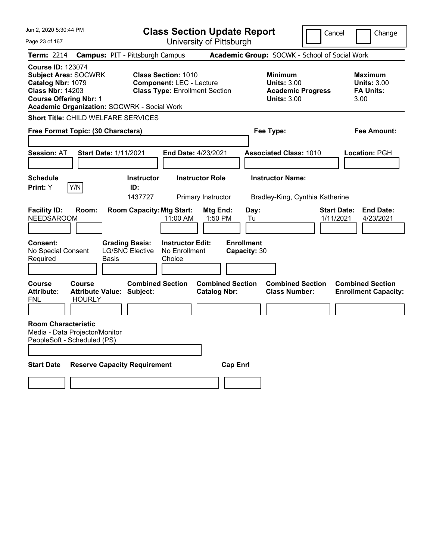| Jun 2, 2020 5:30:44 PM                                                                                                                                                                         | <b>Class Section Update Report</b>                                                                             |                                                |                                                                                        | Cancel<br>Change                                                 |
|------------------------------------------------------------------------------------------------------------------------------------------------------------------------------------------------|----------------------------------------------------------------------------------------------------------------|------------------------------------------------|----------------------------------------------------------------------------------------|------------------------------------------------------------------|
| Page 23 of 167                                                                                                                                                                                 |                                                                                                                | University of Pittsburgh                       |                                                                                        |                                                                  |
| <b>Term: 2214</b>                                                                                                                                                                              | <b>Campus: PIT - Pittsburgh Campus</b>                                                                         |                                                | Academic Group: SOCWK - School of Social Work                                          |                                                                  |
| <b>Course ID: 123074</b><br><b>Subject Area: SOCWRK</b><br>Catalog Nbr: 1079<br><b>Class Nbr: 14203</b><br><b>Course Offering Nbr: 1</b><br><b>Academic Organization: SOCWRK - Social Work</b> | <b>Class Section: 1010</b><br><b>Component: LEC - Lecture</b><br><b>Class Type: Enrollment Section</b>         |                                                | <b>Minimum</b><br><b>Units: 3.00</b><br><b>Academic Progress</b><br><b>Units: 3.00</b> | <b>Maximum</b><br><b>Units: 3.00</b><br><b>FA Units:</b><br>3.00 |
| <b>Short Title: CHILD WELFARE SERVICES</b>                                                                                                                                                     |                                                                                                                |                                                |                                                                                        |                                                                  |
| Free Format Topic: (30 Characters)                                                                                                                                                             |                                                                                                                |                                                | Fee Type:                                                                              | Fee Amount:                                                      |
| <b>Session: AT</b>                                                                                                                                                                             | <b>Start Date: 1/11/2021</b><br><b>End Date: 4/23/2021</b>                                                     |                                                | <b>Associated Class: 1010</b>                                                          | Location: PGH                                                    |
| <b>Schedule</b><br>Y/N<br>Print: Y                                                                                                                                                             | <b>Instructor</b><br>ID:<br>1437727                                                                            | <b>Instructor Role</b><br>Primary Instructor   | <b>Instructor Name:</b><br>Bradley-King, Cynthia Katherine                             |                                                                  |
| <b>Facility ID:</b><br>Room:<br><b>NEEDSAROOM</b>                                                                                                                                              | <b>Room Capacity: Mtg Start:</b><br>11:00 AM                                                                   | Mtg End:<br>1:50 PM                            | Day:<br>Tu                                                                             | <b>Start Date:</b><br><b>End Date:</b><br>1/11/2021<br>4/23/2021 |
| <b>Consent:</b><br>No Special Consent<br>Required                                                                                                                                              | <b>Grading Basis:</b><br><b>Instructor Edit:</b><br><b>LG/SNC Elective</b><br>No Enrollment<br>Basis<br>Choice | <b>Enrollment</b><br>Capacity: 30              |                                                                                        |                                                                  |
| <b>Course</b><br><b>Course</b><br><b>Attribute:</b><br><b>HOURLY</b><br>FNL                                                                                                                    | <b>Combined Section</b><br><b>Attribute Value: Subject:</b>                                                    | <b>Combined Section</b><br><b>Catalog Nbr:</b> | <b>Combined Section</b><br><b>Class Number:</b>                                        | <b>Combined Section</b><br><b>Enrollment Capacity:</b>           |
| <b>Room Characteristic</b><br>Media - Data Projector/Monitor<br>PeopleSoft - Scheduled (PS)                                                                                                    |                                                                                                                |                                                |                                                                                        |                                                                  |
| <b>Start Date</b>                                                                                                                                                                              | <b>Reserve Capacity Requirement</b>                                                                            | <b>Cap Enri</b>                                |                                                                                        |                                                                  |
|                                                                                                                                                                                                |                                                                                                                |                                                |                                                                                        |                                                                  |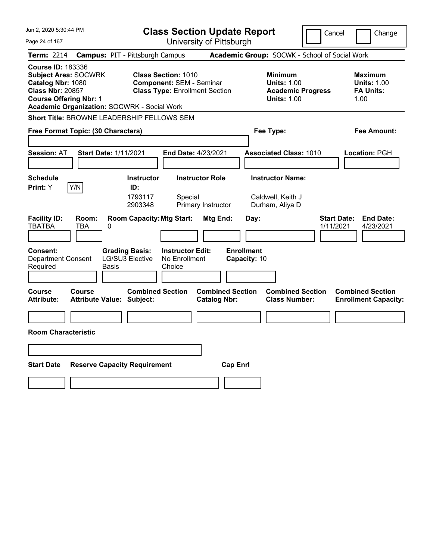| Jun 2, 2020 5:30:44 PM<br><b>Class Section Update Report</b>                                                                                                                            |                                                                                                           |                                                                                        | Cancel<br>Change                                                 |
|-----------------------------------------------------------------------------------------------------------------------------------------------------------------------------------------|-----------------------------------------------------------------------------------------------------------|----------------------------------------------------------------------------------------|------------------------------------------------------------------|
| Page 24 of 167                                                                                                                                                                          | University of Pittsburgh                                                                                  |                                                                                        |                                                                  |
| <b>Term: 2214</b>                                                                                                                                                                       | <b>Campus: PIT - Pittsburgh Campus</b>                                                                    | Academic Group: SOCWK - School of Social Work                                          |                                                                  |
| <b>Course ID: 183336</b><br><b>Subject Area: SOCWRK</b><br>Catalog Nbr: 1080<br><b>Class Nbr: 20857</b><br><b>Course Offering Nbr: 1</b><br>Academic Organization: SOCWRK - Social Work | <b>Class Section: 1010</b><br><b>Component: SEM - Seminar</b><br><b>Class Type: Enrollment Section</b>    | <b>Minimum</b><br><b>Units: 1.00</b><br><b>Academic Progress</b><br><b>Units: 1.00</b> | <b>Maximum</b><br><b>Units: 1.00</b><br><b>FA Units:</b><br>1.00 |
| Short Title: BROWNE LEADERSHIP FELLOWS SEM                                                                                                                                              |                                                                                                           |                                                                                        |                                                                  |
| Free Format Topic: (30 Characters)                                                                                                                                                      |                                                                                                           | Fee Type:                                                                              | Fee Amount:                                                      |
| <b>Session: AT</b><br><b>Start Date: 1/11/2021</b>                                                                                                                                      | End Date: 4/23/2021                                                                                       | <b>Associated Class: 1010</b>                                                          | Location: PGH                                                    |
| <b>Schedule</b><br>Y/N<br>Print: Y                                                                                                                                                      | <b>Instructor Role</b><br><b>Instructor</b><br>ID:<br>1793117<br>Special<br>2903348<br>Primary Instructor | <b>Instructor Name:</b><br>Caldwell, Keith J<br>Durham, Aliya D                        |                                                                  |
| <b>Facility ID:</b><br>Room:<br><b>TBATBA</b><br>TBA<br>0                                                                                                                               | <b>Room Capacity: Mtg Start:</b><br>Mtg End:                                                              | Day:                                                                                   | <b>Start Date:</b><br><b>End Date:</b><br>4/23/2021<br>1/11/2021 |
| <b>Consent:</b><br><b>Department Consent</b><br>Required<br><b>Basis</b>                                                                                                                | <b>Grading Basis:</b><br><b>Instructor Edit:</b><br><b>LG/SU3 Elective</b><br>No Enrollment<br>Choice     | <b>Enrollment</b><br>Capacity: 10                                                      |                                                                  |
| Course<br>Course<br>Attribute:<br><b>Attribute Value: Subject:</b>                                                                                                                      | <b>Combined Section</b><br><b>Catalog Nbr:</b>                                                            | <b>Combined Section</b><br><b>Combined Section</b><br><b>Class Number:</b>             | <b>Combined Section</b><br><b>Enrollment Capacity:</b>           |
|                                                                                                                                                                                         |                                                                                                           |                                                                                        |                                                                  |
| <b>Room Characteristic</b>                                                                                                                                                              |                                                                                                           |                                                                                        |                                                                  |
|                                                                                                                                                                                         |                                                                                                           |                                                                                        |                                                                  |
| <b>Start Date</b><br><b>Reserve Capacity Requirement</b>                                                                                                                                |                                                                                                           | <b>Cap Enrl</b>                                                                        |                                                                  |
|                                                                                                                                                                                         |                                                                                                           |                                                                                        |                                                                  |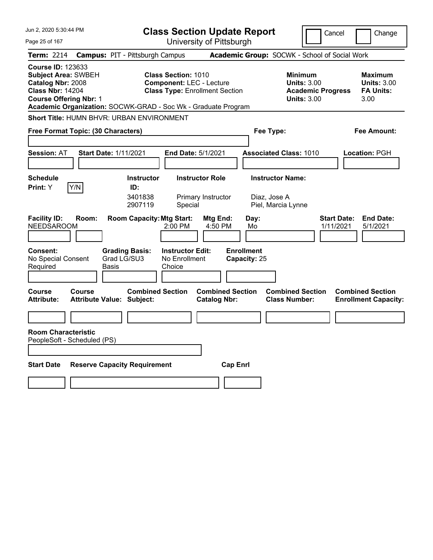| Jun 2, 2020 5:30:44 PM                                                                                                                                                                                   | <b>Class Section Update Report</b>                                                                     |                                                         |                                                                                        | Cancel<br>Change                                                 |
|----------------------------------------------------------------------------------------------------------------------------------------------------------------------------------------------------------|--------------------------------------------------------------------------------------------------------|---------------------------------------------------------|----------------------------------------------------------------------------------------|------------------------------------------------------------------|
| Page 25 of 167                                                                                                                                                                                           |                                                                                                        | University of Pittsburgh                                |                                                                                        |                                                                  |
| <b>Term: 2214</b>                                                                                                                                                                                        | <b>Campus: PIT - Pittsburgh Campus</b>                                                                 |                                                         | Academic Group: SOCWK - School of Social Work                                          |                                                                  |
| <b>Course ID: 123633</b><br><b>Subject Area: SWBEH</b><br>Catalog Nbr: 2008<br><b>Class Nbr: 14204</b><br><b>Course Offering Nbr: 1</b><br>Academic Organization: SOCWK-GRAD - Soc Wk - Graduate Program | <b>Class Section: 1010</b><br><b>Component: LEC - Lecture</b><br><b>Class Type: Enrollment Section</b> |                                                         | <b>Minimum</b><br><b>Units: 3.00</b><br><b>Academic Progress</b><br><b>Units: 3.00</b> | <b>Maximum</b><br><b>Units: 3.00</b><br><b>FA Units:</b><br>3.00 |
| Short Title: HUMN BHVR: URBAN ENVIRONMENT                                                                                                                                                                |                                                                                                        |                                                         |                                                                                        |                                                                  |
| Free Format Topic: (30 Characters)                                                                                                                                                                       |                                                                                                        |                                                         | Fee Type:                                                                              | Fee Amount:                                                      |
| <b>Session: AT</b><br><b>Start Date: 1/11/2021</b>                                                                                                                                                       | <b>End Date: 5/1/2021</b>                                                                              |                                                         | <b>Associated Class: 1010</b>                                                          | Location: PGH                                                    |
| <b>Schedule</b>                                                                                                                                                                                          | <b>Instructor Role</b><br><b>Instructor</b>                                                            |                                                         | <b>Instructor Name:</b>                                                                |                                                                  |
| Y/N<br>Print: Y<br><b>Facility ID:</b><br>Room:<br><b>NEEDSAROOM</b>                                                                                                                                     | ID:<br>3401838<br>2907119<br>Special<br><b>Room Capacity: Mtg Start:</b><br>2:00 PM                    | Primary Instructor<br>Mtg End:<br>Day:<br>4:50 PM<br>Mo | Diaz, Jose A<br>Piel, Marcia Lynne                                                     | <b>Start Date:</b><br><b>End Date:</b><br>1/11/2021<br>5/1/2021  |
| <b>Grading Basis:</b><br><b>Consent:</b><br>No Special Consent<br>Grad LG/SU3<br>Required<br>Basis                                                                                                       | <b>Instructor Edit:</b><br>No Enrollment<br>Choice                                                     | <b>Enrollment</b><br>Capacity: 25                       |                                                                                        |                                                                  |
| <b>Course</b><br>Course<br><b>Attribute:</b><br><b>Attribute Value: Subject:</b>                                                                                                                         | <b>Combined Section</b>                                                                                | <b>Combined Section</b><br><b>Catalog Nbr:</b>          | <b>Combined Section</b><br><b>Class Number:</b>                                        | <b>Combined Section</b><br><b>Enrollment Capacity:</b>           |
| <b>Room Characteristic</b><br>PeopleSoft - Scheduled (PS)                                                                                                                                                |                                                                                                        |                                                         |                                                                                        |                                                                  |
| <b>Start Date</b><br><b>Reserve Capacity Requirement</b>                                                                                                                                                 |                                                                                                        | <b>Cap Enrl</b>                                         |                                                                                        |                                                                  |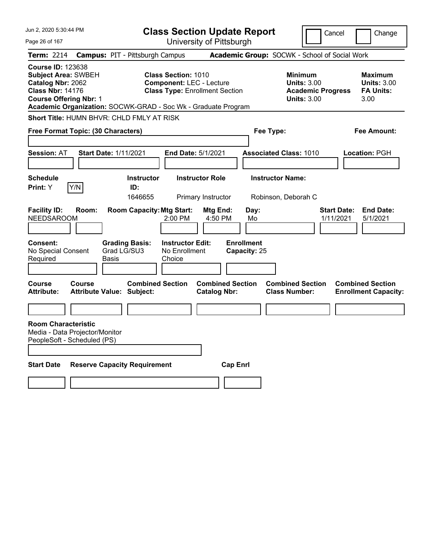| Jun 2, 2020 5:30:44 PM                                                                                                                                                                                   |                                               | <b>Class Section Update Report</b>                                                                     |                                                |                                   |                                                                                        | Cancel<br>Change                                                 |
|----------------------------------------------------------------------------------------------------------------------------------------------------------------------------------------------------------|-----------------------------------------------|--------------------------------------------------------------------------------------------------------|------------------------------------------------|-----------------------------------|----------------------------------------------------------------------------------------|------------------------------------------------------------------|
| Page 26 of 167                                                                                                                                                                                           |                                               |                                                                                                        | University of Pittsburgh                       |                                   |                                                                                        |                                                                  |
| Term: 2214                                                                                                                                                                                               | <b>Campus: PIT - Pittsburgh Campus</b>        |                                                                                                        |                                                |                                   | Academic Group: SOCWK - School of Social Work                                          |                                                                  |
| <b>Course ID: 123638</b><br><b>Subject Area: SWBEH</b><br>Catalog Nbr: 2062<br><b>Class Nbr: 14176</b><br><b>Course Offering Nbr: 1</b><br>Academic Organization: SOCWK-GRAD - Soc Wk - Graduate Program |                                               | <b>Class Section: 1010</b><br><b>Component: LEC - Lecture</b><br><b>Class Type: Enrollment Section</b> |                                                |                                   | <b>Minimum</b><br><b>Units: 3.00</b><br><b>Academic Progress</b><br><b>Units: 3.00</b> | <b>Maximum</b><br><b>Units: 3.00</b><br><b>FA Units:</b><br>3.00 |
| <b>Short Title: HUMN BHVR: CHLD FMLY AT RISK</b>                                                                                                                                                         |                                               |                                                                                                        |                                                |                                   |                                                                                        |                                                                  |
| <b>Free Format Topic: (30 Characters)</b>                                                                                                                                                                |                                               |                                                                                                        |                                                | Fee Type:                         |                                                                                        | Fee Amount:                                                      |
|                                                                                                                                                                                                          |                                               |                                                                                                        |                                                |                                   |                                                                                        |                                                                  |
| <b>Session: AT</b>                                                                                                                                                                                       | <b>Start Date: 1/11/2021</b>                  | <b>End Date: 5/1/2021</b>                                                                              |                                                |                                   | <b>Associated Class: 1010</b>                                                          | Location: PGH                                                    |
|                                                                                                                                                                                                          |                                               |                                                                                                        |                                                |                                   |                                                                                        |                                                                  |
| <b>Schedule</b>                                                                                                                                                                                          |                                               | <b>Instructor</b>                                                                                      | <b>Instructor Role</b>                         | <b>Instructor Name:</b>           |                                                                                        |                                                                  |
| Y/N<br><b>Print:</b> Y                                                                                                                                                                                   | ID:                                           | 1646655                                                                                                |                                                |                                   |                                                                                        |                                                                  |
| <b>Facility ID:</b>                                                                                                                                                                                      | Room:                                         | <b>Room Capacity: Mtg Start:</b>                                                                       | Primary Instructor<br>Mtg End:                 | Day:                              | Robinson, Deborah C                                                                    | <b>Start Date:</b><br><b>End Date:</b>                           |
| <b>NEEDSAROOM</b>                                                                                                                                                                                        |                                               | 2:00 PM                                                                                                | 4:50 PM                                        | Mo                                |                                                                                        | 1/11/2021<br>5/1/2021                                            |
| <b>Consent:</b><br>No Special Consent<br>Required                                                                                                                                                        | <b>Grading Basis:</b><br>Grad LG/SU3<br>Basis | <b>Instructor Edit:</b><br>No Enrollment<br>Choice                                                     |                                                | <b>Enrollment</b><br>Capacity: 25 |                                                                                        |                                                                  |
| <b>Course</b><br>Course<br><b>Attribute:</b>                                                                                                                                                             | Attribute Value: Subject:                     | <b>Combined Section</b>                                                                                | <b>Combined Section</b><br><b>Catalog Nbr:</b> |                                   | <b>Combined Section</b><br><b>Class Number:</b>                                        | <b>Combined Section</b><br><b>Enrollment Capacity:</b>           |
|                                                                                                                                                                                                          |                                               |                                                                                                        |                                                |                                   |                                                                                        |                                                                  |
| <b>Room Characteristic</b><br>Media - Data Projector/Monitor<br>PeopleSoft - Scheduled (PS)                                                                                                              |                                               |                                                                                                        |                                                |                                   |                                                                                        |                                                                  |
| <b>Start Date</b>                                                                                                                                                                                        | <b>Reserve Capacity Requirement</b>           |                                                                                                        | <b>Cap Enrl</b>                                |                                   |                                                                                        |                                                                  |
|                                                                                                                                                                                                          |                                               |                                                                                                        |                                                |                                   |                                                                                        |                                                                  |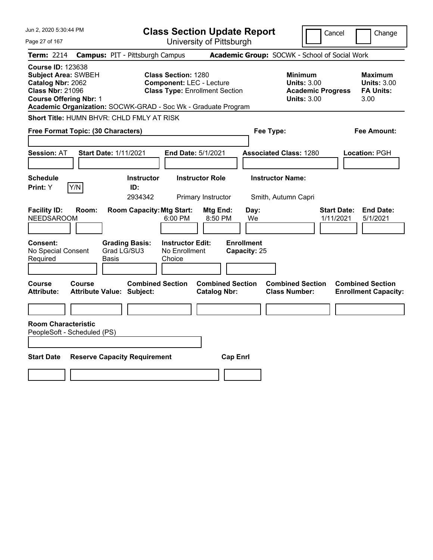| Jun 2, 2020 5:30:44 PM                                                                                                                                                                                   |                                                                                                        | <b>Class Section Update Report</b>                                     |                                                                                        | Cancel<br>Change                                                 |
|----------------------------------------------------------------------------------------------------------------------------------------------------------------------------------------------------------|--------------------------------------------------------------------------------------------------------|------------------------------------------------------------------------|----------------------------------------------------------------------------------------|------------------------------------------------------------------|
| Page 27 of 167                                                                                                                                                                                           |                                                                                                        | University of Pittsburgh                                               |                                                                                        |                                                                  |
| <b>Term: 2214</b>                                                                                                                                                                                        | <b>Campus: PIT - Pittsburgh Campus</b>                                                                 |                                                                        | Academic Group: SOCWK - School of Social Work                                          |                                                                  |
| <b>Course ID: 123638</b><br><b>Subject Area: SWBEH</b><br>Catalog Nbr: 2062<br><b>Class Nbr: 21096</b><br><b>Course Offering Nbr: 1</b><br>Academic Organization: SOCWK-GRAD - Soc Wk - Graduate Program | <b>Class Section: 1280</b><br><b>Component: LEC - Lecture</b><br><b>Class Type: Enrollment Section</b> |                                                                        | <b>Minimum</b><br><b>Units: 3.00</b><br><b>Academic Progress</b><br><b>Units: 3.00</b> | <b>Maximum</b><br><b>Units: 3.00</b><br><b>FA Units:</b><br>3.00 |
| Short Title: HUMN BHVR: CHLD FMLY AT RISK                                                                                                                                                                |                                                                                                        |                                                                        |                                                                                        |                                                                  |
| Free Format Topic: (30 Characters)                                                                                                                                                                       |                                                                                                        |                                                                        | Fee Type:                                                                              | Fee Amount:                                                      |
| <b>Start Date: 1/11/2021</b><br><b>Session: AT</b>                                                                                                                                                       | <b>End Date: 5/1/2021</b>                                                                              |                                                                        | <b>Associated Class: 1280</b>                                                          | Location: PGH                                                    |
| <b>Schedule</b><br>Y/N<br><b>Print:</b> Y                                                                                                                                                                | <b>Instructor</b><br>ID:<br>2934342                                                                    | <b>Instructor Role</b><br>Primary Instructor                           | <b>Instructor Name:</b><br>Smith, Autumn Capri                                         |                                                                  |
| <b>Facility ID:</b><br>Room:<br><b>NEEDSAROOM</b><br>Consent:<br><b>Grading Basis:</b><br>Grad LG/SU3<br>No Special Consent                                                                              | <b>Room Capacity: Mtg Start:</b><br>6:00 PM<br><b>Instructor Edit:</b><br>No Enrollment                | Mtg End:<br>Day:<br>8:50 PM<br>We<br><b>Enrollment</b><br>Capacity: 25 |                                                                                        | <b>Start Date:</b><br><b>End Date:</b><br>5/1/2021<br>1/11/2021  |
| Required<br>Basis                                                                                                                                                                                        | Choice                                                                                                 |                                                                        |                                                                                        |                                                                  |
| Course<br>Course<br><b>Attribute Value: Subject:</b><br><b>Attribute:</b>                                                                                                                                | <b>Combined Section</b>                                                                                | <b>Combined Section</b><br><b>Catalog Nbr:</b>                         | <b>Combined Section</b><br><b>Class Number:</b>                                        | <b>Combined Section</b><br><b>Enrollment Capacity:</b>           |
| <b>Room Characteristic</b>                                                                                                                                                                               |                                                                                                        |                                                                        |                                                                                        |                                                                  |
| PeopleSoft - Scheduled (PS)                                                                                                                                                                              |                                                                                                        |                                                                        |                                                                                        |                                                                  |
| <b>Start Date</b><br><b>Reserve Capacity Requirement</b>                                                                                                                                                 |                                                                                                        | <b>Cap Enrl</b>                                                        |                                                                                        |                                                                  |
|                                                                                                                                                                                                          |                                                                                                        |                                                                        |                                                                                        |                                                                  |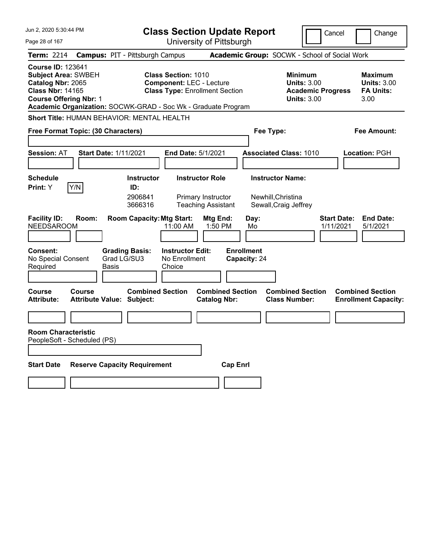| Jun 2, 2020 5:30:44 PM                                                                                                                                                                                   |                                                                                                        | <b>Class Section Update Report</b>                                                   |                                                                                        | Cancel<br>Change                                                 |
|----------------------------------------------------------------------------------------------------------------------------------------------------------------------------------------------------------|--------------------------------------------------------------------------------------------------------|--------------------------------------------------------------------------------------|----------------------------------------------------------------------------------------|------------------------------------------------------------------|
| Page 28 of 167                                                                                                                                                                                           |                                                                                                        | University of Pittsburgh                                                             |                                                                                        |                                                                  |
| <b>Term: 2214</b>                                                                                                                                                                                        | <b>Campus: PIT - Pittsburgh Campus</b>                                                                 |                                                                                      | Academic Group: SOCWK - School of Social Work                                          |                                                                  |
| <b>Course ID: 123641</b><br><b>Subject Area: SWBEH</b><br>Catalog Nbr: 2065<br><b>Class Nbr: 14165</b><br><b>Course Offering Nbr: 1</b><br>Academic Organization: SOCWK-GRAD - Soc Wk - Graduate Program | <b>Class Section: 1010</b><br><b>Component: LEC - Lecture</b><br><b>Class Type: Enrollment Section</b> |                                                                                      | <b>Minimum</b><br><b>Units: 3.00</b><br><b>Academic Progress</b><br><b>Units: 3.00</b> | <b>Maximum</b><br><b>Units: 3.00</b><br><b>FA Units:</b><br>3.00 |
| Short Title: HUMAN BEHAVIOR: MENTAL HEALTH                                                                                                                                                               |                                                                                                        |                                                                                      |                                                                                        |                                                                  |
| Free Format Topic: (30 Characters)                                                                                                                                                                       |                                                                                                        |                                                                                      | Fee Type:                                                                              | Fee Amount:                                                      |
| <b>Session: AT</b><br><b>Start Date: 1/11/2021</b>                                                                                                                                                       | <b>End Date: 5/1/2021</b>                                                                              |                                                                                      | <b>Associated Class: 1010</b>                                                          | <b>Location: PGH</b>                                             |
| <b>Schedule</b>                                                                                                                                                                                          | <b>Instructor</b>                                                                                      | <b>Instructor Role</b>                                                               | <b>Instructor Name:</b>                                                                |                                                                  |
| Y/N<br>Print: Y<br><b>Facility ID:</b><br>Room:<br><b>NEEDSAROOM</b>                                                                                                                                     | ID:<br>2906841<br>3666316<br><b>Room Capacity: Mtg Start:</b><br>11:00 AM                              | Primary Instructor<br><b>Teaching Assistant</b><br>Mtg End:<br>Day:<br>1:50 PM<br>Mo | Newhill, Christina<br>Sewall, Craig Jeffrey                                            | <b>Start Date:</b><br><b>End Date:</b><br>1/11/2021<br>5/1/2021  |
|                                                                                                                                                                                                          |                                                                                                        |                                                                                      |                                                                                        |                                                                  |
| <b>Consent:</b><br>No Special Consent<br>Required<br>Basis                                                                                                                                               | <b>Grading Basis:</b><br><b>Instructor Edit:</b><br>Grad LG/SU3<br>No Enrollment<br>Choice             | <b>Enrollment</b><br>Capacity: 24                                                    |                                                                                        |                                                                  |
| <b>Course</b><br>Course<br><b>Attribute:</b><br><b>Attribute Value: Subject:</b>                                                                                                                         | <b>Combined Section</b>                                                                                | <b>Combined Section</b><br><b>Catalog Nbr:</b>                                       | <b>Combined Section</b><br><b>Class Number:</b>                                        | <b>Combined Section</b><br><b>Enrollment Capacity:</b>           |
|                                                                                                                                                                                                          |                                                                                                        |                                                                                      |                                                                                        |                                                                  |
| <b>Room Characteristic</b><br>PeopleSoft - Scheduled (PS)                                                                                                                                                |                                                                                                        |                                                                                      |                                                                                        |                                                                  |
| <b>Start Date</b>                                                                                                                                                                                        | <b>Reserve Capacity Requirement</b>                                                                    | <b>Cap Enrl</b>                                                                      |                                                                                        |                                                                  |
|                                                                                                                                                                                                          |                                                                                                        |                                                                                      |                                                                                        |                                                                  |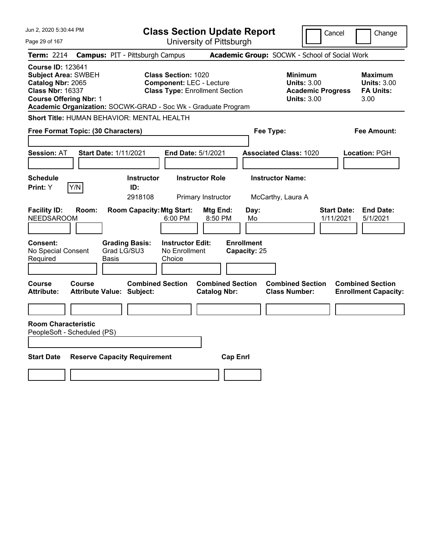| Jun 2, 2020 5:30:44 PM                                                                                                                                                                                   |                                                             | <b>Class Section Update Report</b>                                                                     |                                                |                                                 | Cancel                                                               | Change                                                           |
|----------------------------------------------------------------------------------------------------------------------------------------------------------------------------------------------------------|-------------------------------------------------------------|--------------------------------------------------------------------------------------------------------|------------------------------------------------|-------------------------------------------------|----------------------------------------------------------------------|------------------------------------------------------------------|
| Page 29 of 167                                                                                                                                                                                           |                                                             |                                                                                                        | University of Pittsburgh                       |                                                 |                                                                      |                                                                  |
| Term: 2214                                                                                                                                                                                               | <b>Campus: PIT - Pittsburgh Campus</b>                      |                                                                                                        |                                                | Academic Group: SOCWK - School of Social Work   |                                                                      |                                                                  |
| <b>Course ID: 123641</b><br><b>Subject Area: SWBEH</b><br>Catalog Nbr: 2065<br><b>Class Nbr: 16337</b><br><b>Course Offering Nbr: 1</b><br>Academic Organization: SOCWK-GRAD - Soc Wk - Graduate Program |                                                             | <b>Class Section: 1020</b><br><b>Component: LEC - Lecture</b><br><b>Class Type: Enrollment Section</b> |                                                | <b>Minimum</b>                                  | <b>Units: 3.00</b><br><b>Academic Progress</b><br><b>Units: 3.00</b> | <b>Maximum</b><br><b>Units: 3.00</b><br><b>FA Units:</b><br>3.00 |
| <b>Short Title: HUMAN BEHAVIOR: MENTAL HEALTH</b>                                                                                                                                                        |                                                             |                                                                                                        |                                                |                                                 |                                                                      |                                                                  |
| Free Format Topic: (30 Characters)                                                                                                                                                                       |                                                             |                                                                                                        |                                                | Fee Type:                                       |                                                                      | Fee Amount:                                                      |
| <b>Session: AT</b>                                                                                                                                                                                       | <b>Start Date: 1/11/2021</b>                                | End Date: 5/1/2021                                                                                     |                                                | <b>Associated Class: 1020</b>                   |                                                                      | Location: PGH                                                    |
| Schedule<br>Y/N<br>Print: Y                                                                                                                                                                              | <b>Instructor</b><br>ID:<br>2918108                         | <b>Instructor Role</b><br><b>Primary Instructor</b>                                                    |                                                | <b>Instructor Name:</b><br>McCarthy, Laura A    |                                                                      |                                                                  |
| <b>Facility ID:</b><br>Room:<br><b>NEEDSAROOM</b><br>Consent:                                                                                                                                            | <b>Room Capacity: Mtg Start:</b><br><b>Grading Basis:</b>   | 6:00 PM<br><b>Instructor Edit:</b>                                                                     | Mtg End:<br>8:50 PM<br><b>Enrollment</b>       | Day:<br>Mo                                      | <b>Start Date:</b><br>1/11/2021                                      | <b>End Date:</b><br>5/1/2021                                     |
| No Special Consent<br>Required                                                                                                                                                                           | Grad LG/SU3<br>Basis                                        | No Enrollment<br>Choice                                                                                | Capacity: 25                                   |                                                 |                                                                      |                                                                  |
| Course<br>Course<br>Attribute:                                                                                                                                                                           | <b>Combined Section</b><br><b>Attribute Value: Subject:</b> |                                                                                                        | <b>Combined Section</b><br><b>Catalog Nbr:</b> | <b>Combined Section</b><br><b>Class Number:</b> |                                                                      | <b>Combined Section</b><br><b>Enrollment Capacity:</b>           |
|                                                                                                                                                                                                          |                                                             |                                                                                                        |                                                |                                                 |                                                                      |                                                                  |
| <b>Room Characteristic</b><br>PeopleSoft - Scheduled (PS)                                                                                                                                                |                                                             |                                                                                                        |                                                |                                                 |                                                                      |                                                                  |
|                                                                                                                                                                                                          |                                                             |                                                                                                        |                                                |                                                 |                                                                      |                                                                  |
| <b>Start Date</b>                                                                                                                                                                                        | <b>Reserve Capacity Requirement</b>                         |                                                                                                        | <b>Cap Enrl</b>                                |                                                 |                                                                      |                                                                  |
|                                                                                                                                                                                                          |                                                             |                                                                                                        |                                                |                                                 |                                                                      |                                                                  |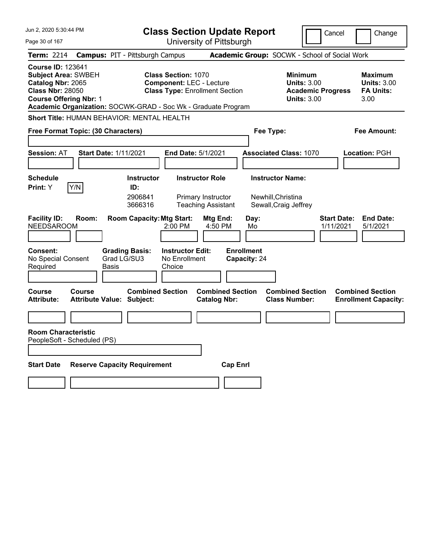| Jun 2, 2020 5:30:44 PM                                                                                                                  | <b>Class Section Update Report</b>                                                                                                                                      |                                                                                        | Cancel<br>Change                                                 |
|-----------------------------------------------------------------------------------------------------------------------------------------|-------------------------------------------------------------------------------------------------------------------------------------------------------------------------|----------------------------------------------------------------------------------------|------------------------------------------------------------------|
| Page 30 of 167                                                                                                                          | University of Pittsburgh                                                                                                                                                |                                                                                        |                                                                  |
| <b>Term: 2214</b>                                                                                                                       | <b>Campus: PIT - Pittsburgh Campus</b>                                                                                                                                  | Academic Group: SOCWK - School of Social Work                                          |                                                                  |
| <b>Course ID: 123641</b><br><b>Subject Area: SWBEH</b><br>Catalog Nbr: 2065<br><b>Class Nbr: 28050</b><br><b>Course Offering Nbr: 1</b> | <b>Class Section: 1070</b><br><b>Component: LEC - Lecture</b><br><b>Class Type: Enrollment Section</b><br>Academic Organization: SOCWK-GRAD - Soc Wk - Graduate Program | <b>Minimum</b><br><b>Units: 3.00</b><br><b>Academic Progress</b><br><b>Units: 3.00</b> | <b>Maximum</b><br><b>Units: 3.00</b><br><b>FA Units:</b><br>3.00 |
| <b>Short Title: HUMAN BEHAVIOR: MENTAL HEALTH</b>                                                                                       |                                                                                                                                                                         |                                                                                        |                                                                  |
| Free Format Topic: (30 Characters)                                                                                                      |                                                                                                                                                                         | Fee Type:                                                                              | Fee Amount:                                                      |
| <b>Session: AT</b>                                                                                                                      | <b>Start Date: 1/11/2021</b><br>End Date: 5/1/2021                                                                                                                      | <b>Associated Class: 1070</b>                                                          | Location: PGH                                                    |
| <b>Schedule</b>                                                                                                                         | <b>Instructor Role</b><br><b>Instructor</b>                                                                                                                             | <b>Instructor Name:</b>                                                                |                                                                  |
| Y/N<br>Print: Y<br><b>Facility ID:</b><br>Room:<br><b>NEEDSAROOM</b>                                                                    | ID:<br>2906841<br>Primary Instructor<br>3666316<br><b>Teaching Assistant</b><br><b>Room Capacity: Mtg Start:</b><br>Mtg End:<br>2:00 PM<br>4:50 PM                      | Newhill, Christina<br>Sewall, Craig Jeffrey<br>Day:<br>Mo                              | <b>Start Date:</b><br><b>End Date:</b><br>1/11/2021<br>5/1/2021  |
| <b>Consent:</b><br>No Special Consent<br>Required<br>Basis                                                                              | <b>Grading Basis:</b><br><b>Instructor Edit:</b><br>Grad LG/SU3<br>No Enrollment<br>Choice                                                                              | <b>Enrollment</b><br>Capacity: 24                                                      |                                                                  |
| <b>Course</b><br>Course<br><b>Attribute:</b>                                                                                            | <b>Combined Section</b><br><b>Combined Section</b><br>Attribute Value: Subject:<br><b>Catalog Nbr:</b>                                                                  | <b>Combined Section</b><br><b>Class Number:</b>                                        | <b>Combined Section</b><br><b>Enrollment Capacity:</b>           |
| <b>Room Characteristic</b><br>PeopleSoft - Scheduled (PS)                                                                               |                                                                                                                                                                         |                                                                                        |                                                                  |
| <b>Start Date</b>                                                                                                                       | <b>Reserve Capacity Requirement</b>                                                                                                                                     | <b>Cap Enrl</b>                                                                        |                                                                  |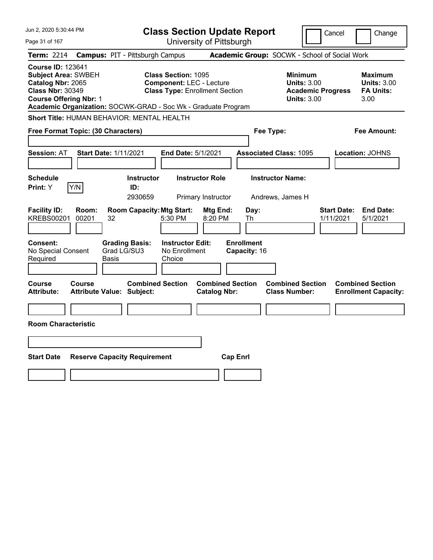| Jun 2, 2020 5:30:44 PM                                                                                                                                                                                   |                                                                                                        | <b>Class Section Update Report</b>             |                                                                                        | Cancel<br>Change                                                 |
|----------------------------------------------------------------------------------------------------------------------------------------------------------------------------------------------------------|--------------------------------------------------------------------------------------------------------|------------------------------------------------|----------------------------------------------------------------------------------------|------------------------------------------------------------------|
| Page 31 of 167                                                                                                                                                                                           |                                                                                                        | University of Pittsburgh                       |                                                                                        |                                                                  |
| <b>Campus: PIT - Pittsburgh Campus</b><br><b>Term: 2214</b>                                                                                                                                              |                                                                                                        |                                                | Academic Group: SOCWK - School of Social Work                                          |                                                                  |
| <b>Course ID: 123641</b><br><b>Subject Area: SWBEH</b><br>Catalog Nbr: 2065<br><b>Class Nbr: 30349</b><br><b>Course Offering Nbr: 1</b><br>Academic Organization: SOCWK-GRAD - Soc Wk - Graduate Program | <b>Class Section: 1095</b><br><b>Component: LEC - Lecture</b><br><b>Class Type: Enrollment Section</b> |                                                | <b>Minimum</b><br><b>Units: 3.00</b><br><b>Academic Progress</b><br><b>Units: 3.00</b> | <b>Maximum</b><br><b>Units: 3.00</b><br><b>FA Units:</b><br>3.00 |
| <b>Short Title: HUMAN BEHAVIOR: MENTAL HEALTH</b>                                                                                                                                                        |                                                                                                        |                                                |                                                                                        |                                                                  |
| Free Format Topic: (30 Characters)                                                                                                                                                                       |                                                                                                        |                                                | Fee Type:                                                                              | Fee Amount:                                                      |
| <b>Start Date: 1/11/2021</b><br><b>Session: AT</b>                                                                                                                                                       | End Date: 5/1/2021                                                                                     |                                                | <b>Associated Class: 1095</b>                                                          | Location: JOHNS                                                  |
| <b>Schedule</b><br>Y/N<br>Print: Y                                                                                                                                                                       | <b>Instructor</b><br>ID:<br>2930659                                                                    | <b>Instructor Role</b><br>Primary Instructor   | <b>Instructor Name:</b><br>Andrews, James H                                            |                                                                  |
| <b>Facility ID:</b><br>Room:<br><b>KREBS00201</b><br>00201<br>32                                                                                                                                         | <b>Room Capacity: Mtg Start:</b><br>5:30 PM                                                            | Mtg End:<br>Day:<br>8:20 PM<br>Th              |                                                                                        | <b>End Date:</b><br><b>Start Date:</b><br>1/11/2021<br>5/1/2021  |
| Consent:<br><b>Grading Basis:</b><br>Grad LG/SU3<br>No Special Consent<br>Required<br>Basis                                                                                                              | <b>Instructor Edit:</b><br>No Enrollment<br>Choice                                                     | <b>Enrollment</b><br>Capacity: 16              |                                                                                        |                                                                  |
| Course<br>Course<br><b>Attribute Value: Subject:</b><br><b>Attribute:</b>                                                                                                                                | <b>Combined Section</b>                                                                                | <b>Combined Section</b><br><b>Catalog Nbr:</b> | <b>Combined Section</b><br><b>Class Number:</b>                                        | <b>Combined Section</b><br><b>Enrollment Capacity:</b>           |
| <b>Room Characteristic</b>                                                                                                                                                                               |                                                                                                        |                                                |                                                                                        |                                                                  |
|                                                                                                                                                                                                          |                                                                                                        |                                                |                                                                                        |                                                                  |
| <b>Start Date</b><br><b>Reserve Capacity Requirement</b>                                                                                                                                                 |                                                                                                        | <b>Cap Enrl</b>                                |                                                                                        |                                                                  |
|                                                                                                                                                                                                          |                                                                                                        |                                                |                                                                                        |                                                                  |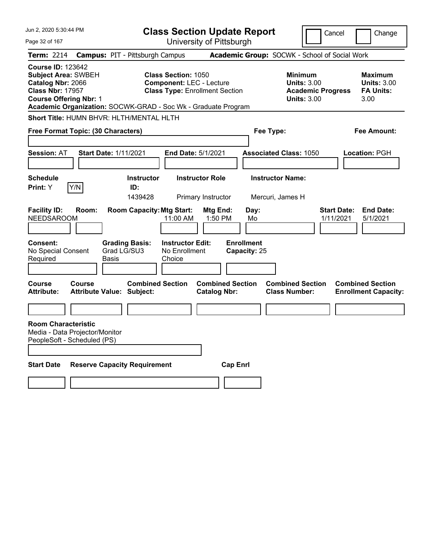| Jun 2, 2020 5:30:44 PM                                                                                                                                                                                   | <b>Class Section Update Report</b>                                                                     |                                                | Cancel                                                                                 | Change                                                    |
|----------------------------------------------------------------------------------------------------------------------------------------------------------------------------------------------------------|--------------------------------------------------------------------------------------------------------|------------------------------------------------|----------------------------------------------------------------------------------------|-----------------------------------------------------------|
| Page 32 of 167                                                                                                                                                                                           | University of Pittsburgh                                                                               |                                                |                                                                                        |                                                           |
| <b>Campus: PIT - Pittsburgh Campus</b><br><b>Term: 2214</b>                                                                                                                                              |                                                                                                        | Academic Group: SOCWK - School of Social Work  |                                                                                        |                                                           |
| <b>Course ID: 123642</b><br><b>Subject Area: SWBEH</b><br>Catalog Nbr: 2066<br><b>Class Nbr: 17957</b><br><b>Course Offering Nbr: 1</b><br>Academic Organization: SOCWK-GRAD - Soc Wk - Graduate Program | <b>Class Section: 1050</b><br><b>Component: LEC - Lecture</b><br><b>Class Type: Enrollment Section</b> |                                                | <b>Minimum</b><br><b>Units: 3.00</b><br><b>Academic Progress</b><br><b>Units: 3.00</b> | Maximum<br><b>Units: 3.00</b><br><b>FA Units:</b><br>3.00 |
| Short Title: HUMN BHVR: HLTH/MENTAL HLTH                                                                                                                                                                 |                                                                                                        |                                                |                                                                                        |                                                           |
| Free Format Topic: (30 Characters)                                                                                                                                                                       |                                                                                                        | Fee Type:                                      |                                                                                        | Fee Amount:                                               |
| <b>Session: AT</b><br><b>Start Date: 1/11/2021</b>                                                                                                                                                       | <b>End Date: 5/1/2021</b>                                                                              |                                                | <b>Associated Class: 1050</b>                                                          | Location: PGH                                             |
| <b>Schedule</b><br>Y/N<br>Print: Y                                                                                                                                                                       | <b>Instructor Role</b><br><b>Instructor</b><br>ID:<br>1439428<br>Primary Instructor                    | Mercuri, James H                               | <b>Instructor Name:</b>                                                                |                                                           |
| <b>Facility ID:</b><br>Room:<br><b>NEEDSAROOM</b>                                                                                                                                                        | <b>Room Capacity: Mtg Start:</b><br>11:00 AM                                                           | Mtg End:<br>Day:<br>1:50 PM<br>Mo              | <b>Start Date:</b><br>1/11/2021                                                        | <b>End Date:</b><br>5/1/2021                              |
| Consent:<br><b>Grading Basis:</b><br>Grad LG/SU3<br>No Special Consent<br>Required<br>Basis                                                                                                              | <b>Instructor Edit:</b><br>No Enrollment<br>Choice                                                     | <b>Enrollment</b><br>Capacity: 25              |                                                                                        |                                                           |
| <b>Course</b><br>Course<br><b>Attribute:</b><br><b>Attribute Value: Subject:</b>                                                                                                                         | <b>Combined Section</b>                                                                                | <b>Combined Section</b><br><b>Catalog Nbr:</b> | <b>Combined Section</b><br><b>Class Number:</b>                                        | <b>Combined Section</b><br><b>Enrollment Capacity:</b>    |
|                                                                                                                                                                                                          |                                                                                                        |                                                |                                                                                        |                                                           |
| <b>Room Characteristic</b><br>Media - Data Projector/Monitor<br>PeopleSoft - Scheduled (PS)                                                                                                              |                                                                                                        |                                                |                                                                                        |                                                           |
| <b>Start Date</b><br><b>Reserve Capacity Requirement</b>                                                                                                                                                 |                                                                                                        | <b>Cap Enrl</b>                                |                                                                                        |                                                           |
|                                                                                                                                                                                                          |                                                                                                        |                                                |                                                                                        |                                                           |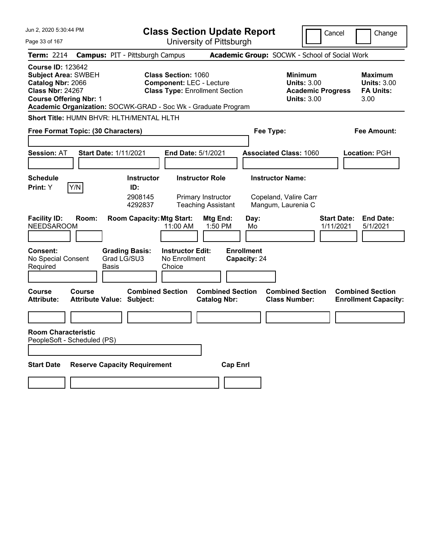| Jun 2, 2020 5:30:44 PM                                                                                                                                                                                   | <b>Class Section Update Report</b>                                                                                   |                                                                                        | Cancel<br>Change                                                 |
|----------------------------------------------------------------------------------------------------------------------------------------------------------------------------------------------------------|----------------------------------------------------------------------------------------------------------------------|----------------------------------------------------------------------------------------|------------------------------------------------------------------|
| Page 33 of 167                                                                                                                                                                                           | University of Pittsburgh                                                                                             |                                                                                        |                                                                  |
| <b>Campus: PIT - Pittsburgh Campus</b><br><b>Term: 2214</b>                                                                                                                                              |                                                                                                                      | Academic Group: SOCWK - School of Social Work                                          |                                                                  |
| <b>Course ID: 123642</b><br><b>Subject Area: SWBEH</b><br>Catalog Nbr: 2066<br><b>Class Nbr: 24267</b><br><b>Course Offering Nbr: 1</b><br>Academic Organization: SOCWK-GRAD - Soc Wk - Graduate Program | <b>Class Section: 1060</b><br><b>Component: LEC - Lecture</b><br><b>Class Type: Enrollment Section</b>               | <b>Minimum</b><br><b>Units: 3.00</b><br><b>Academic Progress</b><br><b>Units: 3.00</b> | <b>Maximum</b><br><b>Units: 3.00</b><br><b>FA Units:</b><br>3.00 |
| Short Title: HUMN BHVR: HLTH/MENTAL HLTH                                                                                                                                                                 |                                                                                                                      |                                                                                        |                                                                  |
| Free Format Topic: (30 Characters)                                                                                                                                                                       |                                                                                                                      | Fee Type:                                                                              | Fee Amount:                                                      |
| <b>Session: AT</b><br><b>Start Date: 1/11/2021</b>                                                                                                                                                       | End Date: 5/1/2021                                                                                                   | <b>Associated Class: 1060</b>                                                          | Location: PGH                                                    |
| <b>Schedule</b><br>Y/N<br>Print: Y<br>ID:                                                                                                                                                                | <b>Instructor Role</b><br><b>Instructor</b><br>2908145<br>Primary Instructor<br>4292837<br><b>Teaching Assistant</b> | <b>Instructor Name:</b><br>Copeland, Valire Carr<br>Mangum, Laurenia C                 |                                                                  |
| <b>Facility ID:</b><br>Room:<br><b>NEEDSAROOM</b>                                                                                                                                                        | <b>Room Capacity: Mtg Start:</b><br><b>Mtg End:</b><br>11:00 AM<br>1:50 PM                                           | Day:<br>Mo                                                                             | <b>End Date:</b><br><b>Start Date:</b><br>1/11/2021<br>5/1/2021  |
| <b>Grading Basis:</b><br><b>Consent:</b><br>Grad LG/SU3<br>No Special Consent<br>Required<br><b>Basis</b>                                                                                                | <b>Instructor Edit:</b><br>No Enrollment<br>Choice                                                                   | <b>Enrollment</b><br>Capacity: 24                                                      |                                                                  |
| <b>Course</b><br>Course<br><b>Attribute Value: Subject:</b><br><b>Attribute:</b>                                                                                                                         | <b>Combined Section</b><br><b>Combined Section</b><br><b>Catalog Nbr:</b>                                            | <b>Combined Section</b><br><b>Class Number:</b>                                        | <b>Combined Section</b><br><b>Enrollment Capacity:</b>           |
|                                                                                                                                                                                                          |                                                                                                                      |                                                                                        |                                                                  |
| <b>Room Characteristic</b><br>PeopleSoft - Scheduled (PS)                                                                                                                                                |                                                                                                                      |                                                                                        |                                                                  |
| <b>Start Date</b><br><b>Reserve Capacity Requirement</b>                                                                                                                                                 | <b>Cap Enrl</b>                                                                                                      |                                                                                        |                                                                  |
|                                                                                                                                                                                                          |                                                                                                                      |                                                                                        |                                                                  |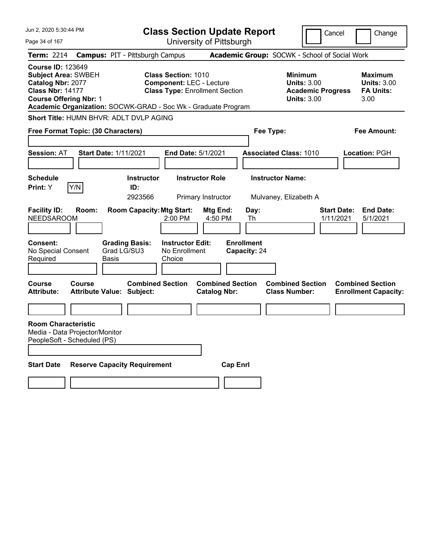| Jun 2, 2020 5:30:44 PM                                                                                                                                                                                   | <b>Class Section Update Report</b>                                                                     |                                                                                        | Cancel<br>Change                                                 |
|----------------------------------------------------------------------------------------------------------------------------------------------------------------------------------------------------------|--------------------------------------------------------------------------------------------------------|----------------------------------------------------------------------------------------|------------------------------------------------------------------|
| Page 34 of 167                                                                                                                                                                                           | University of Pittsburgh                                                                               |                                                                                        |                                                                  |
| <b>Campus: PIT - Pittsburgh Campus</b><br><b>Term: 2214</b>                                                                                                                                              |                                                                                                        | Academic Group: SOCWK - School of Social Work                                          |                                                                  |
| <b>Course ID: 123649</b><br><b>Subject Area: SWBEH</b><br>Catalog Nbr: 2077<br><b>Class Nbr: 14177</b><br><b>Course Offering Nbr: 1</b><br>Academic Organization: SOCWK-GRAD - Soc Wk - Graduate Program | <b>Class Section: 1010</b><br><b>Component: LEC - Lecture</b><br><b>Class Type: Enrollment Section</b> | <b>Minimum</b><br><b>Units: 3.00</b><br><b>Academic Progress</b><br><b>Units: 3.00</b> | <b>Maximum</b><br><b>Units: 3.00</b><br><b>FA Units:</b><br>3.00 |
| Short Title: HUMN BHVR: ADLT DVLP AGING                                                                                                                                                                  |                                                                                                        |                                                                                        |                                                                  |
| Free Format Topic: (30 Characters)                                                                                                                                                                       |                                                                                                        | Fee Type:                                                                              | Fee Amount:                                                      |
|                                                                                                                                                                                                          |                                                                                                        |                                                                                        |                                                                  |
| <b>Session: AT</b><br><b>Start Date: 1/11/2021</b>                                                                                                                                                       | End Date: 5/1/2021                                                                                     | <b>Associated Class: 1010</b>                                                          | Location: PGH                                                    |
|                                                                                                                                                                                                          |                                                                                                        |                                                                                        |                                                                  |
| <b>Schedule</b>                                                                                                                                                                                          | <b>Instructor Role</b><br><b>Instructor</b>                                                            | <b>Instructor Name:</b>                                                                |                                                                  |
| Y/N<br>Print: Y<br>ID:                                                                                                                                                                                   |                                                                                                        |                                                                                        |                                                                  |
|                                                                                                                                                                                                          | 2923566<br>Primary Instructor                                                                          | Mulvaney, Elizabeth A                                                                  |                                                                  |
| <b>Facility ID:</b><br>Room:<br><b>NEEDSAROOM</b>                                                                                                                                                        | <b>Room Capacity: Mtg Start:</b><br>Mtg End:<br>2:00 PM<br>4:50 PM                                     | Day:<br>Th                                                                             | <b>Start Date:</b><br><b>End Date:</b><br>1/11/2021<br>5/1/2021  |
| Consent:<br><b>Grading Basis:</b><br>No Special Consent<br>Grad LG/SU3<br>Required<br>Basis                                                                                                              | <b>Instructor Edit:</b><br>No Enrollment<br>Choice                                                     | <b>Enrollment</b><br>Capacity: 24                                                      |                                                                  |
| Course<br>Course<br>Attribute:<br><b>Attribute Value: Subject:</b>                                                                                                                                       | <b>Combined Section</b><br><b>Combined Section</b><br><b>Catalog Nbr:</b>                              | <b>Combined Section</b><br><b>Class Number:</b>                                        | <b>Combined Section</b><br><b>Enrollment Capacity:</b>           |
|                                                                                                                                                                                                          |                                                                                                        |                                                                                        |                                                                  |
| <b>Room Characteristic</b><br>Media - Data Projector/Monitor<br>PeopleSoft - Scheduled (PS)                                                                                                              |                                                                                                        |                                                                                        |                                                                  |
| <b>Start Date</b><br><b>Reserve Capacity Requirement</b>                                                                                                                                                 |                                                                                                        | <b>Cap Enrl</b>                                                                        |                                                                  |
|                                                                                                                                                                                                          |                                                                                                        |                                                                                        |                                                                  |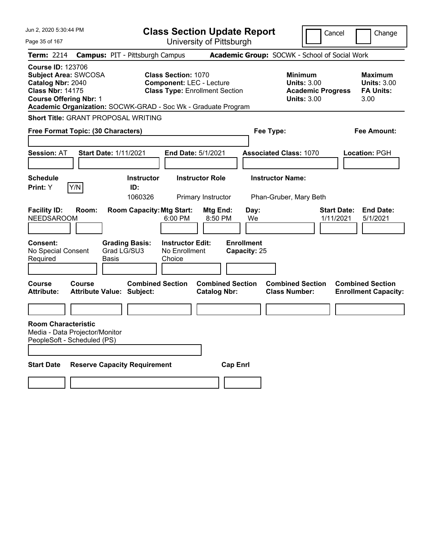| Jun 2, 2020 5:30:44 PM                                                                                                                   |        |                                                               | <b>Class Section Update Report</b>                                                                     |                                                |                                   |                                                                                 | Cancel<br>Change                                                 |  |
|------------------------------------------------------------------------------------------------------------------------------------------|--------|---------------------------------------------------------------|--------------------------------------------------------------------------------------------------------|------------------------------------------------|-----------------------------------|---------------------------------------------------------------------------------|------------------------------------------------------------------|--|
| Page 35 of 167                                                                                                                           |        |                                                               |                                                                                                        | University of Pittsburgh                       |                                   |                                                                                 |                                                                  |  |
| <b>Term: 2214</b>                                                                                                                        |        | <b>Campus: PIT - Pittsburgh Campus</b>                        |                                                                                                        |                                                |                                   | Academic Group: SOCWK - School of Social Work                                   |                                                                  |  |
| <b>Course ID: 123706</b><br><b>Subject Area: SWCOSA</b><br>Catalog Nbr: 2040<br><b>Class Nbr: 14175</b><br><b>Course Offering Nbr: 1</b> |        | Academic Organization: SOCWK-GRAD - Soc Wk - Graduate Program | <b>Class Section: 1070</b><br><b>Component: LEC - Lecture</b><br><b>Class Type: Enrollment Section</b> |                                                |                                   | Minimum<br><b>Units: 3.00</b><br><b>Academic Progress</b><br><b>Units: 3.00</b> | <b>Maximum</b><br><b>Units: 3.00</b><br><b>FA Units:</b><br>3.00 |  |
|                                                                                                                                          |        | <b>Short Title: GRANT PROPOSAL WRITING</b>                    |                                                                                                        |                                                |                                   |                                                                                 |                                                                  |  |
| Free Format Topic: (30 Characters)                                                                                                       |        |                                                               |                                                                                                        |                                                | Fee Type:                         |                                                                                 | Fee Amount:                                                      |  |
| <b>Session: AT</b>                                                                                                                       |        | <b>Start Date: 1/11/2021</b>                                  | End Date: 5/1/2021                                                                                     |                                                |                                   | <b>Associated Class: 1070</b>                                                   | Location: PGH                                                    |  |
| <b>Schedule</b><br>Print: Y                                                                                                              | Y/N    | <b>Instructor</b><br>ID:<br>1060326                           |                                                                                                        | <b>Instructor Role</b><br>Primary Instructor   |                                   | <b>Instructor Name:</b><br>Phan-Gruber, Mary Beth                               |                                                                  |  |
| <b>Facility ID:</b><br><b>NEEDSAROOM</b>                                                                                                 | Room:  | <b>Room Capacity: Mtg Start:</b>                              | 6:00 PM                                                                                                | Mtg End:<br>8:50 PM                            | Day:<br>We                        |                                                                                 | <b>Start Date:</b><br><b>End Date:</b><br>1/11/2021<br>5/1/2021  |  |
| Consent:<br>No Special Consent<br>Required                                                                                               |        | <b>Grading Basis:</b><br>Grad LG/SU3<br>Basis                 | <b>Instructor Edit:</b><br>No Enrollment<br>Choice                                                     |                                                | <b>Enrollment</b><br>Capacity: 25 |                                                                                 |                                                                  |  |
| Course<br><b>Attribute:</b>                                                                                                              | Course | <b>Combined Section</b><br><b>Attribute Value: Subject:</b>   |                                                                                                        | <b>Combined Section</b><br><b>Catalog Nbr:</b> |                                   | <b>Combined Section</b><br><b>Class Number:</b>                                 | <b>Combined Section</b><br><b>Enrollment Capacity:</b>           |  |
|                                                                                                                                          |        |                                                               |                                                                                                        |                                                |                                   |                                                                                 |                                                                  |  |
| <b>Room Characteristic</b><br>Media - Data Projector/Monitor<br>PeopleSoft - Scheduled (PS)                                              |        |                                                               |                                                                                                        |                                                |                                   |                                                                                 |                                                                  |  |
| <b>Start Date</b>                                                                                                                        |        | <b>Reserve Capacity Requirement</b>                           |                                                                                                        | <b>Cap Enrl</b>                                |                                   |                                                                                 |                                                                  |  |
|                                                                                                                                          |        |                                                               |                                                                                                        |                                                |                                   |                                                                                 |                                                                  |  |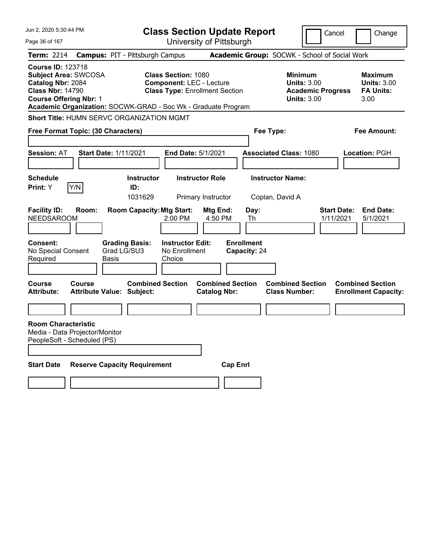| Jun 2, 2020 5:30:44 PM                                                                                                                   |                              |                                                               | <b>Class Section Update Report</b>                                                                     |                                                |                                 |                                                                                        | Cancel                          | Change                                                           |
|------------------------------------------------------------------------------------------------------------------------------------------|------------------------------|---------------------------------------------------------------|--------------------------------------------------------------------------------------------------------|------------------------------------------------|---------------------------------|----------------------------------------------------------------------------------------|---------------------------------|------------------------------------------------------------------|
| Page 36 of 167                                                                                                                           |                              |                                                               |                                                                                                        | University of Pittsburgh                       |                                 |                                                                                        |                                 |                                                                  |
| <b>Term: 2214</b>                                                                                                                        |                              | <b>Campus: PIT - Pittsburgh Campus</b>                        |                                                                                                        |                                                |                                 | Academic Group: SOCWK - School of Social Work                                          |                                 |                                                                  |
| <b>Course ID: 123718</b><br><b>Subject Area: SWCOSA</b><br>Catalog Nbr: 2084<br><b>Class Nbr: 14790</b><br><b>Course Offering Nbr: 1</b> |                              | Academic Organization: SOCWK-GRAD - Soc Wk - Graduate Program | <b>Class Section: 1080</b><br><b>Component: LEC - Lecture</b><br><b>Class Type: Enrollment Section</b> |                                                |                                 | <b>Minimum</b><br><b>Units: 3.00</b><br><b>Academic Progress</b><br><b>Units: 3.00</b> |                                 | <b>Maximum</b><br><b>Units: 3.00</b><br><b>FA Units:</b><br>3.00 |
|                                                                                                                                          |                              | Short Title: HUMN SERVC ORGANIZATION MGMT                     |                                                                                                        |                                                |                                 |                                                                                        |                                 |                                                                  |
| Free Format Topic: (30 Characters)                                                                                                       |                              |                                                               |                                                                                                        |                                                | Fee Type:                       |                                                                                        |                                 | Fee Amount:                                                      |
| <b>Session: AT</b>                                                                                                                       | <b>Start Date: 1/11/2021</b> |                                                               | End Date: 5/1/2021                                                                                     |                                                |                                 | <b>Associated Class: 1080</b>                                                          |                                 | <b>Location: PGH</b>                                             |
| <b>Schedule</b>                                                                                                                          |                              | <b>Instructor</b>                                             |                                                                                                        | <b>Instructor Role</b>                         |                                 | <b>Instructor Name:</b>                                                                |                                 |                                                                  |
| <b>Print:</b> Y                                                                                                                          | Y/N                          | ID:<br>1031629                                                |                                                                                                        | Primary Instructor                             |                                 | Coplan, David A                                                                        |                                 |                                                                  |
| <b>Facility ID:</b><br><b>NEEDSAROOM</b><br><b>Consent:</b>                                                                              | Room:                        | <b>Room Capacity: Mtg Start:</b><br><b>Grading Basis:</b>     | 2:00 PM<br><b>Instructor Edit:</b>                                                                     | Mtg End:<br>4:50 PM                            | Day:<br>Th<br><b>Enrollment</b> |                                                                                        | <b>Start Date:</b><br>1/11/2021 | <b>End Date:</b><br>5/1/2021                                     |
| No Special Consent<br>Required                                                                                                           | Basis                        | Grad LG/SU3                                                   | No Enrollment<br>Choice                                                                                |                                                | Capacity: 24                    |                                                                                        |                                 |                                                                  |
|                                                                                                                                          |                              |                                                               |                                                                                                        |                                                |                                 |                                                                                        |                                 |                                                                  |
| Course<br><b>Attribute:</b>                                                                                                              | <b>Course</b>                | <b>Combined Section</b><br>Attribute Value: Subject:          |                                                                                                        | <b>Combined Section</b><br><b>Catalog Nbr:</b> |                                 | <b>Combined Section</b><br><b>Class Number:</b>                                        |                                 | <b>Combined Section</b><br><b>Enrollment Capacity:</b>           |
|                                                                                                                                          |                              |                                                               |                                                                                                        |                                                |                                 |                                                                                        |                                 |                                                                  |
| <b>Room Characteristic</b><br>Media - Data Projector/Monitor<br>PeopleSoft - Scheduled (PS)                                              |                              |                                                               |                                                                                                        |                                                |                                 |                                                                                        |                                 |                                                                  |
| <b>Start Date</b>                                                                                                                        |                              | <b>Reserve Capacity Requirement</b>                           |                                                                                                        | <b>Cap Enri</b>                                |                                 |                                                                                        |                                 |                                                                  |
|                                                                                                                                          |                              |                                                               |                                                                                                        |                                                |                                 |                                                                                        |                                 |                                                                  |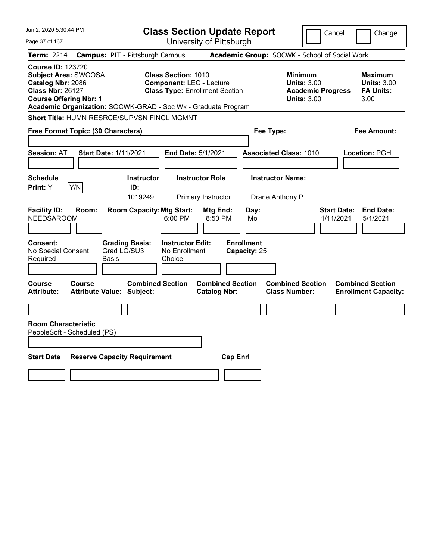| Jun 2, 2020 5:30:44 PM                                                                                                                   |                                                                                                                                                                         | <b>Class Section Update Report</b>             | Cancel                                                                                 | Change                                                           |
|------------------------------------------------------------------------------------------------------------------------------------------|-------------------------------------------------------------------------------------------------------------------------------------------------------------------------|------------------------------------------------|----------------------------------------------------------------------------------------|------------------------------------------------------------------|
| Page 37 of 167                                                                                                                           |                                                                                                                                                                         | University of Pittsburgh                       |                                                                                        |                                                                  |
| <b>Term: 2214</b>                                                                                                                        | <b>Campus: PIT - Pittsburgh Campus</b>                                                                                                                                  |                                                | Academic Group: SOCWK - School of Social Work                                          |                                                                  |
| <b>Course ID: 123720</b><br><b>Subject Area: SWCOSA</b><br>Catalog Nbr: 2086<br><b>Class Nbr: 26127</b><br><b>Course Offering Nbr: 1</b> | <b>Class Section: 1010</b><br><b>Component: LEC - Lecture</b><br><b>Class Type: Enrollment Section</b><br>Academic Organization: SOCWK-GRAD - Soc Wk - Graduate Program |                                                | <b>Minimum</b><br><b>Units: 3.00</b><br><b>Academic Progress</b><br><b>Units: 3.00</b> | <b>Maximum</b><br><b>Units: 3.00</b><br><b>FA Units:</b><br>3.00 |
|                                                                                                                                          | Short Title: HUMN RESRCE/SUPVSN FINCL MGMNT                                                                                                                             |                                                |                                                                                        |                                                                  |
| Free Format Topic: (30 Characters)                                                                                                       |                                                                                                                                                                         |                                                | Fee Type:                                                                              | Fee Amount:                                                      |
| <b>Session: AT</b>                                                                                                                       | <b>Start Date: 1/11/2021</b><br>End Date: 5/1/2021                                                                                                                      |                                                | <b>Associated Class: 1010</b>                                                          | Location: PGH                                                    |
| <b>Schedule</b><br>Print: Y<br>Y/N                                                                                                       | <b>Instructor Role</b><br><b>Instructor</b><br>ID:<br>1019249                                                                                                           | Primary Instructor                             | <b>Instructor Name:</b><br>Drane, Anthony P                                            |                                                                  |
| <b>Facility ID:</b><br>Room:<br><b>NEEDSAROOM</b>                                                                                        | <b>Room Capacity: Mtg Start:</b><br>6:00 PM                                                                                                                             | Mtg End:<br>Day:<br>8:50 PM<br>Mo              | 1/11/2021                                                                              | <b>End Date:</b><br><b>Start Date:</b><br>5/1/2021               |
| Consent:<br>No Special Consent<br>Required                                                                                               | <b>Instructor Edit:</b><br><b>Grading Basis:</b><br>Grad LG/SU3<br>No Enrollment<br>Choice<br>Basis                                                                     | <b>Enrollment</b><br>Capacity: 25              |                                                                                        |                                                                  |
| Course<br>Course<br><b>Attribute:</b>                                                                                                    | <b>Combined Section</b><br><b>Attribute Value: Subject:</b>                                                                                                             | <b>Combined Section</b><br><b>Catalog Nbr:</b> | <b>Combined Section</b><br><b>Class Number:</b>                                        | <b>Combined Section</b><br><b>Enrollment Capacity:</b>           |
|                                                                                                                                          |                                                                                                                                                                         |                                                |                                                                                        |                                                                  |
| <b>Room Characteristic</b><br>PeopleSoft - Scheduled (PS)                                                                                |                                                                                                                                                                         |                                                |                                                                                        |                                                                  |
|                                                                                                                                          |                                                                                                                                                                         |                                                |                                                                                        |                                                                  |
| <b>Start Date</b>                                                                                                                        | <b>Reserve Capacity Requirement</b>                                                                                                                                     | <b>Cap Enrl</b>                                |                                                                                        |                                                                  |
|                                                                                                                                          |                                                                                                                                                                         |                                                |                                                                                        |                                                                  |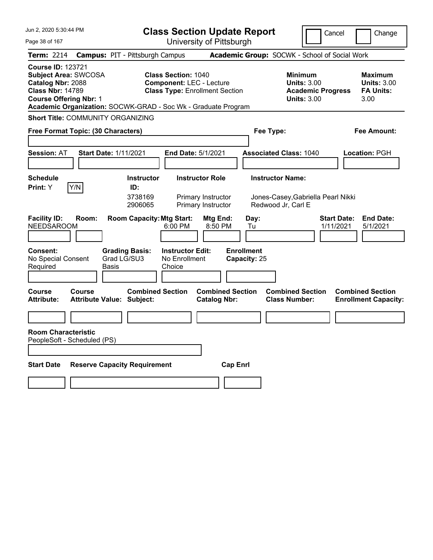| Jun 2, 2020 5:30:44 PM                                                                                                                                                                                    |                                                             | <b>Class Section Update Report</b>                                                                     |                                                |                                   |                                                                                        | Cancel                          | Change                                                    |
|-----------------------------------------------------------------------------------------------------------------------------------------------------------------------------------------------------------|-------------------------------------------------------------|--------------------------------------------------------------------------------------------------------|------------------------------------------------|-----------------------------------|----------------------------------------------------------------------------------------|---------------------------------|-----------------------------------------------------------|
| Page 38 of 167                                                                                                                                                                                            |                                                             | University of Pittsburgh                                                                               |                                                |                                   |                                                                                        |                                 |                                                           |
| <b>Term:</b> 2214                                                                                                                                                                                         | <b>Campus: PIT - Pittsburgh Campus</b>                      |                                                                                                        |                                                |                                   | Academic Group: SOCWK - School of Social Work                                          |                                 |                                                           |
| <b>Course ID: 123721</b><br><b>Subject Area: SWCOSA</b><br>Catalog Nbr: 2088<br><b>Class Nbr: 14789</b><br><b>Course Offering Nbr: 1</b><br>Academic Organization: SOCWK-GRAD - Soc Wk - Graduate Program |                                                             | <b>Class Section: 1040</b><br><b>Component: LEC - Lecture</b><br><b>Class Type: Enrollment Section</b> |                                                |                                   | <b>Minimum</b><br><b>Units: 3.00</b><br><b>Academic Progress</b><br><b>Units: 3.00</b> |                                 | Maximum<br><b>Units: 3.00</b><br><b>FA Units:</b><br>3.00 |
| <b>Short Title: COMMUNITY ORGANIZING</b>                                                                                                                                                                  |                                                             |                                                                                                        |                                                |                                   |                                                                                        |                                 |                                                           |
| Free Format Topic: (30 Characters)                                                                                                                                                                        |                                                             |                                                                                                        |                                                | Fee Type:                         |                                                                                        |                                 | Fee Amount:                                               |
| <b>Session: AT</b>                                                                                                                                                                                        | <b>Start Date: 1/11/2021</b>                                | <b>End Date: 5/1/2021</b>                                                                              |                                                |                                   | <b>Associated Class: 1040</b>                                                          |                                 | Location: PGH                                             |
| <b>Schedule</b><br>Y/N<br>Print: Y                                                                                                                                                                        | <b>Instructor</b><br>ID:<br>3738169<br>2906065              | <b>Instructor Role</b>                                                                                 | Primary Instructor<br>Primary Instructor       |                                   | <b>Instructor Name:</b><br>Jones-Casey, Gabriella Pearl Nikki<br>Redwood Jr, Carl E    |                                 |                                                           |
| <b>Facility ID:</b><br>Room:<br><b>NEEDSAROOM</b>                                                                                                                                                         | <b>Room Capacity: Mtg Start:</b>                            | 6:00 PM                                                                                                | Mtg End:<br>8:50 PM                            | Day:<br>Tu                        |                                                                                        | <b>Start Date:</b><br>1/11/2021 | <b>End Date:</b><br>5/1/2021                              |
| <b>Consent:</b><br>No Special Consent<br>Required                                                                                                                                                         | <b>Grading Basis:</b><br>Grad LG/SU3<br>Basis               | <b>Instructor Edit:</b><br>No Enrollment<br>Choice                                                     |                                                | <b>Enrollment</b><br>Capacity: 25 |                                                                                        |                                 |                                                           |
| Course<br>Course<br><b>Attribute:</b>                                                                                                                                                                     | <b>Combined Section</b><br><b>Attribute Value: Subject:</b> |                                                                                                        | <b>Combined Section</b><br><b>Catalog Nbr:</b> |                                   | <b>Combined Section</b><br><b>Class Number:</b>                                        |                                 | <b>Combined Section</b><br><b>Enrollment Capacity:</b>    |
|                                                                                                                                                                                                           |                                                             |                                                                                                        |                                                |                                   |                                                                                        |                                 |                                                           |
| <b>Room Characteristic</b><br>PeopleSoft - Scheduled (PS)                                                                                                                                                 |                                                             |                                                                                                        |                                                |                                   |                                                                                        |                                 |                                                           |
| <b>Start Date</b>                                                                                                                                                                                         | <b>Reserve Capacity Requirement</b>                         |                                                                                                        | <b>Cap Enrl</b>                                |                                   |                                                                                        |                                 |                                                           |
|                                                                                                                                                                                                           |                                                             |                                                                                                        |                                                |                                   |                                                                                        |                                 |                                                           |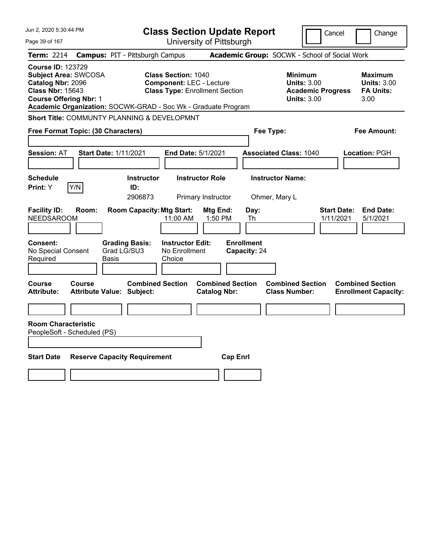| Jun 2, 2020 5:30:44 PM                                                                                                                   | <b>Class Section Update Report</b>                                                                                                                                      | Cancel<br>Change                                                                                                                                           |
|------------------------------------------------------------------------------------------------------------------------------------------|-------------------------------------------------------------------------------------------------------------------------------------------------------------------------|------------------------------------------------------------------------------------------------------------------------------------------------------------|
| Page 39 of 167                                                                                                                           | University of Pittsburgh                                                                                                                                                |                                                                                                                                                            |
| <b>Term: 2214</b>                                                                                                                        | <b>Campus: PIT - Pittsburgh Campus</b>                                                                                                                                  | Academic Group: SOCWK - School of Social Work                                                                                                              |
| <b>Course ID: 123729</b><br><b>Subject Area: SWCOSA</b><br>Catalog Nbr: 2096<br><b>Class Nbr: 15643</b><br><b>Course Offering Nbr: 1</b> | <b>Class Section: 1040</b><br><b>Component: LEC - Lecture</b><br><b>Class Type: Enrollment Section</b><br>Academic Organization: SOCWK-GRAD - Soc Wk - Graduate Program | <b>Minimum</b><br><b>Maximum</b><br><b>Units: 3.00</b><br><b>Units: 3.00</b><br><b>FA Units:</b><br><b>Academic Progress</b><br><b>Units: 3.00</b><br>3.00 |
|                                                                                                                                          | Short Title: COMMUNTY PLANNING & DEVELOPMNT                                                                                                                             |                                                                                                                                                            |
| Free Format Topic: (30 Characters)                                                                                                       |                                                                                                                                                                         | Fee Type:<br>Fee Amount:                                                                                                                                   |
| <b>Session: AT</b>                                                                                                                       | <b>Start Date: 1/11/2021</b><br>End Date: 5/1/2021                                                                                                                      | <b>Associated Class: 1040</b><br>Location: PGH                                                                                                             |
| <b>Schedule</b><br>Print: Y<br>Y/N                                                                                                       | <b>Instructor Role</b><br><b>Instructor</b><br>ID:<br>2906873<br>Primary Instructor                                                                                     | <b>Instructor Name:</b><br>Ohmer, Mary L                                                                                                                   |
| <b>Facility ID:</b><br>Room:<br><b>NEEDSAROOM</b>                                                                                        | <b>Room Capacity: Mtg Start:</b><br>Mtg End:<br>11:00 AM<br>1:50 PM                                                                                                     | <b>Start Date:</b><br><b>End Date:</b><br>Day:<br>1/11/2021<br>5/1/2021<br>Th                                                                              |
| Consent:<br>No Special Consent<br>Required                                                                                               | <b>Instructor Edit:</b><br><b>Grading Basis:</b><br>Grad LG/SU3<br>No Enrollment<br>Choice<br>Basis                                                                     | <b>Enrollment</b><br>Capacity: 24                                                                                                                          |
| Course<br>Course<br><b>Attribute:</b>                                                                                                    | <b>Combined Section</b><br><b>Attribute Value: Subject:</b><br><b>Catalog Nbr:</b>                                                                                      | <b>Combined Section</b><br><b>Combined Section</b><br><b>Combined Section</b><br><b>Class Number:</b><br><b>Enrollment Capacity:</b>                       |
| <b>Room Characteristic</b><br>PeopleSoft - Scheduled (PS)                                                                                |                                                                                                                                                                         |                                                                                                                                                            |
|                                                                                                                                          |                                                                                                                                                                         |                                                                                                                                                            |
| <b>Start Date</b>                                                                                                                        | <b>Reserve Capacity Requirement</b>                                                                                                                                     | <b>Cap Enrl</b>                                                                                                                                            |
|                                                                                                                                          |                                                                                                                                                                         |                                                                                                                                                            |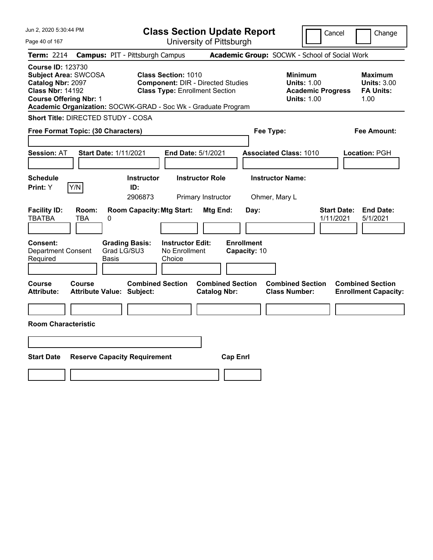| Jun 2, 2020 5:30:44 PM                                                                                                                                                                                    |                                                                                                                 | <b>Class Section Update Report</b>             | Cancel                                                                                 | Change                                                    |
|-----------------------------------------------------------------------------------------------------------------------------------------------------------------------------------------------------------|-----------------------------------------------------------------------------------------------------------------|------------------------------------------------|----------------------------------------------------------------------------------------|-----------------------------------------------------------|
| Page 40 of 167                                                                                                                                                                                            |                                                                                                                 | University of Pittsburgh                       |                                                                                        |                                                           |
| <b>Term: 2214</b>                                                                                                                                                                                         | <b>Campus: PIT - Pittsburgh Campus</b>                                                                          |                                                | Academic Group: SOCWK - School of Social Work                                          |                                                           |
| <b>Course ID: 123730</b><br><b>Subject Area: SWCOSA</b><br>Catalog Nbr: 2097<br><b>Class Nbr: 14192</b><br><b>Course Offering Nbr: 1</b><br>Academic Organization: SOCWK-GRAD - Soc Wk - Graduate Program | <b>Class Section: 1010</b><br><b>Component: DIR - Directed Studies</b><br><b>Class Type: Enrollment Section</b> |                                                | <b>Minimum</b><br><b>Units: 1.00</b><br><b>Academic Progress</b><br><b>Units: 1.00</b> | Maximum<br><b>Units: 3.00</b><br><b>FA Units:</b><br>1.00 |
| <b>Short Title: DIRECTED STUDY - COSA</b>                                                                                                                                                                 |                                                                                                                 |                                                |                                                                                        |                                                           |
| Free Format Topic: (30 Characters)                                                                                                                                                                        |                                                                                                                 | Fee Type:                                      |                                                                                        | Fee Amount:                                               |
| <b>Session: AT</b><br><b>Start Date: 1/11/2021</b>                                                                                                                                                        | End Date: 5/1/2021                                                                                              |                                                | <b>Associated Class: 1010</b>                                                          | Location: PGH                                             |
| <b>Schedule</b><br>Y/N<br>Print: Y                                                                                                                                                                        | <b>Instructor Role</b><br><b>Instructor</b><br>ID:<br>2906873<br>Primary Instructor                             |                                                | <b>Instructor Name:</b><br>Ohmer, Mary L                                               |                                                           |
| <b>Facility ID:</b><br>Room:<br><b>TBATBA</b><br>TBA<br>0<br><b>Consent:</b><br><b>Grading Basis:</b>                                                                                                     | <b>Room Capacity: Mtg Start:</b><br><b>Instructor Edit:</b>                                                     | Mtg End:<br>Day:<br><b>Enrollment</b>          | <b>Start Date:</b><br>1/11/2021                                                        | <b>End Date:</b><br>5/1/2021                              |
| Grad LG/SU3<br><b>Department Consent</b><br>Required<br>Basis                                                                                                                                             | No Enrollment<br>Choice                                                                                         | Capacity: 10                                   |                                                                                        |                                                           |
| Course<br>Course<br><b>Attribute Value: Subject:</b><br>Attribute:                                                                                                                                        | <b>Combined Section</b>                                                                                         | <b>Combined Section</b><br><b>Catalog Nbr:</b> | <b>Combined Section</b><br><b>Class Number:</b>                                        | <b>Combined Section</b><br><b>Enrollment Capacity:</b>    |
|                                                                                                                                                                                                           |                                                                                                                 |                                                |                                                                                        |                                                           |
| <b>Room Characteristic</b>                                                                                                                                                                                |                                                                                                                 |                                                |                                                                                        |                                                           |
|                                                                                                                                                                                                           |                                                                                                                 |                                                |                                                                                        |                                                           |
| <b>Start Date</b><br><b>Reserve Capacity Requirement</b>                                                                                                                                                  |                                                                                                                 | <b>Cap Enrl</b>                                |                                                                                        |                                                           |
|                                                                                                                                                                                                           |                                                                                                                 |                                                |                                                                                        |                                                           |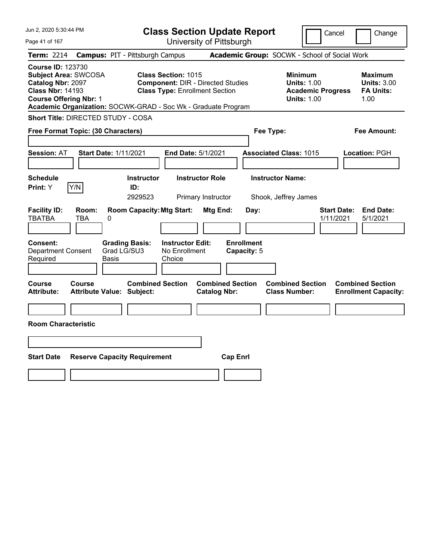| Jun 2, 2020 5:30:44 PM                                                                                                                   |                                                                                                                                      | <b>Class Section Update Report</b>             | Cancel                                                                                 | Change                                                           |
|------------------------------------------------------------------------------------------------------------------------------------------|--------------------------------------------------------------------------------------------------------------------------------------|------------------------------------------------|----------------------------------------------------------------------------------------|------------------------------------------------------------------|
| Page 41 of 167                                                                                                                           |                                                                                                                                      | University of Pittsburgh                       |                                                                                        |                                                                  |
| <b>Term: 2214</b>                                                                                                                        | <b>Campus: PIT - Pittsburgh Campus</b>                                                                                               |                                                | Academic Group: SOCWK - School of Social Work                                          |                                                                  |
| <b>Course ID: 123730</b><br><b>Subject Area: SWCOSA</b><br>Catalog Nbr: 2097<br><b>Class Nbr: 14193</b><br><b>Course Offering Nbr: 1</b> | <b>Class Section: 1015</b><br><b>Class Type: Enrollment Section</b><br>Academic Organization: SOCWK-GRAD - Soc Wk - Graduate Program | <b>Component: DIR - Directed Studies</b>       | <b>Minimum</b><br><b>Units: 1.00</b><br><b>Academic Progress</b><br><b>Units: 1.00</b> | <b>Maximum</b><br><b>Units: 3.00</b><br><b>FA Units:</b><br>1.00 |
| Short Title: DIRECTED STUDY - COSA                                                                                                       |                                                                                                                                      |                                                |                                                                                        |                                                                  |
| Free Format Topic: (30 Characters)                                                                                                       |                                                                                                                                      |                                                | Fee Type:                                                                              | Fee Amount:                                                      |
| <b>Session: AT</b>                                                                                                                       | <b>Start Date: 1/11/2021</b>                                                                                                         | End Date: 5/1/2021                             | <b>Associated Class: 1015</b>                                                          | Location: PGH                                                    |
| <b>Schedule</b><br>Print: Y<br>Y/N                                                                                                       | <b>Instructor</b><br>ID:<br>2929523                                                                                                  | <b>Instructor Role</b><br>Primary Instructor   | <b>Instructor Name:</b><br>Shook, Jeffrey James                                        |                                                                  |
| <b>Facility ID:</b><br>Room:<br><b>TBATBA</b><br>TBA                                                                                     | <b>Room Capacity: Mtg Start:</b><br>0                                                                                                | Mtg End:<br>Day:                               | <b>Start Date:</b><br>1/11/2021                                                        | <b>End Date:</b><br>5/1/2021                                     |
| <b>Consent:</b><br>Department Consent<br>Required                                                                                        | <b>Grading Basis:</b><br><b>Instructor Edit:</b><br>Grad LG/SU3<br>No Enrollment<br>Basis<br>Choice                                  | <b>Enrollment</b><br>Capacity: 5               |                                                                                        |                                                                  |
| Course<br><b>Course</b><br><b>Attribute:</b>                                                                                             | <b>Combined Section</b><br><b>Attribute Value: Subject:</b>                                                                          | <b>Combined Section</b><br><b>Catalog Nbr:</b> | <b>Combined Section</b><br><b>Class Number:</b>                                        | <b>Combined Section</b><br><b>Enrollment Capacity:</b>           |
|                                                                                                                                          |                                                                                                                                      |                                                |                                                                                        |                                                                  |
| <b>Room Characteristic</b>                                                                                                               |                                                                                                                                      |                                                |                                                                                        |                                                                  |
|                                                                                                                                          |                                                                                                                                      |                                                |                                                                                        |                                                                  |
| <b>Start Date</b>                                                                                                                        | <b>Reserve Capacity Requirement</b>                                                                                                  | <b>Cap Enrl</b>                                |                                                                                        |                                                                  |
|                                                                                                                                          |                                                                                                                                      |                                                |                                                                                        |                                                                  |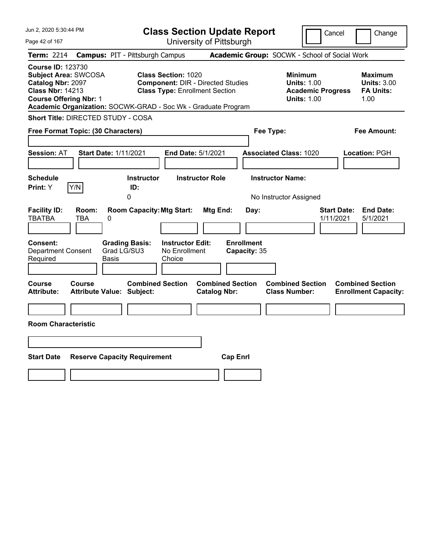| Jun 2, 2020 5:30:44 PM                                                                                                                                                                                    |                                                                                                                 | <b>Class Section Update Report</b>             | Cancel                                                                                 | Change                                                    |
|-----------------------------------------------------------------------------------------------------------------------------------------------------------------------------------------------------------|-----------------------------------------------------------------------------------------------------------------|------------------------------------------------|----------------------------------------------------------------------------------------|-----------------------------------------------------------|
| Page 42 of 167                                                                                                                                                                                            |                                                                                                                 | University of Pittsburgh                       |                                                                                        |                                                           |
| Term: 2214                                                                                                                                                                                                | <b>Campus: PIT - Pittsburgh Campus</b>                                                                          |                                                | Academic Group: SOCWK - School of Social Work                                          |                                                           |
| <b>Course ID: 123730</b><br><b>Subject Area: SWCOSA</b><br>Catalog Nbr: 2097<br><b>Class Nbr: 14213</b><br><b>Course Offering Nbr: 1</b><br>Academic Organization: SOCWK-GRAD - Soc Wk - Graduate Program | <b>Class Section: 1020</b><br><b>Component: DIR - Directed Studies</b><br><b>Class Type: Enrollment Section</b> |                                                | <b>Minimum</b><br><b>Units: 1.00</b><br><b>Academic Progress</b><br><b>Units: 1.00</b> | Maximum<br><b>Units: 3.00</b><br><b>FA Units:</b><br>1.00 |
| Short Title: DIRECTED STUDY - COSA                                                                                                                                                                        |                                                                                                                 |                                                |                                                                                        |                                                           |
| Free Format Topic: (30 Characters)                                                                                                                                                                        |                                                                                                                 |                                                | Fee Type:                                                                              | Fee Amount:                                               |
| <b>Start Date: 1/11/2021</b><br><b>Session: AT</b>                                                                                                                                                        | End Date: 5/1/2021                                                                                              |                                                | <b>Associated Class: 1020</b>                                                          | Location: PGH                                             |
| <b>Schedule</b><br>Y/N<br><b>Print:</b> Y                                                                                                                                                                 | <b>Instructor</b><br>ID:<br>0                                                                                   | <b>Instructor Role</b>                         | <b>Instructor Name:</b><br>No Instructor Assigned                                      |                                                           |
| <b>Facility ID:</b><br>Room:<br><b>TBATBA</b><br>TBA<br>0                                                                                                                                                 | <b>Room Capacity: Mtg Start:</b>                                                                                | Mtg End:<br>Day:                               | <b>Start Date:</b><br>1/11/2021                                                        | <b>End Date:</b><br>5/1/2021                              |
| Consent:<br><b>Department Consent</b><br>Required<br>Basis                                                                                                                                                | <b>Grading Basis:</b><br><b>Instructor Edit:</b><br>Grad LG/SU3<br>No Enrollment<br>Choice                      | <b>Enrollment</b><br>Capacity: 35              |                                                                                        |                                                           |
| Course<br>Course<br><b>Attribute Value: Subject:</b><br><b>Attribute:</b>                                                                                                                                 | <b>Combined Section</b>                                                                                         | <b>Combined Section</b><br><b>Catalog Nbr:</b> | <b>Combined Section</b><br><b>Class Number:</b>                                        | <b>Combined Section</b><br><b>Enrollment Capacity:</b>    |
| <b>Room Characteristic</b>                                                                                                                                                                                |                                                                                                                 |                                                |                                                                                        |                                                           |
|                                                                                                                                                                                                           |                                                                                                                 |                                                |                                                                                        |                                                           |
|                                                                                                                                                                                                           |                                                                                                                 |                                                |                                                                                        |                                                           |
| <b>Start Date</b>                                                                                                                                                                                         | <b>Reserve Capacity Requirement</b>                                                                             | <b>Cap Enrl</b>                                |                                                                                        |                                                           |
|                                                                                                                                                                                                           |                                                                                                                 |                                                |                                                                                        |                                                           |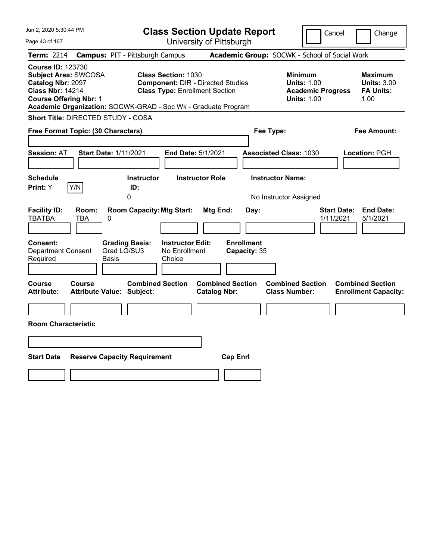| Jun 2, 2020 5:30:44 PM                                                                                                                                                                                    |                                                                                                                 | <b>Class Section Update Report</b>             | Cancel                                                                                 | Change                                                    |
|-----------------------------------------------------------------------------------------------------------------------------------------------------------------------------------------------------------|-----------------------------------------------------------------------------------------------------------------|------------------------------------------------|----------------------------------------------------------------------------------------|-----------------------------------------------------------|
| Page 43 of 167                                                                                                                                                                                            |                                                                                                                 | University of Pittsburgh                       |                                                                                        |                                                           |
| Term: 2214                                                                                                                                                                                                | <b>Campus: PIT - Pittsburgh Campus</b>                                                                          |                                                | Academic Group: SOCWK - School of Social Work                                          |                                                           |
| <b>Course ID: 123730</b><br><b>Subject Area: SWCOSA</b><br>Catalog Nbr: 2097<br><b>Class Nbr: 14214</b><br><b>Course Offering Nbr: 1</b><br>Academic Organization: SOCWK-GRAD - Soc Wk - Graduate Program | <b>Class Section: 1030</b><br><b>Component: DIR - Directed Studies</b><br><b>Class Type: Enrollment Section</b> |                                                | <b>Minimum</b><br><b>Units: 1.00</b><br><b>Academic Progress</b><br><b>Units: 1.00</b> | Maximum<br><b>Units: 3.00</b><br><b>FA Units:</b><br>1.00 |
| Short Title: DIRECTED STUDY - COSA                                                                                                                                                                        |                                                                                                                 |                                                |                                                                                        |                                                           |
| Free Format Topic: (30 Characters)                                                                                                                                                                        |                                                                                                                 |                                                | Fee Type:                                                                              | Fee Amount:                                               |
| <b>Start Date: 1/11/2021</b><br><b>Session: AT</b>                                                                                                                                                        | End Date: 5/1/2021                                                                                              |                                                | <b>Associated Class: 1030</b>                                                          | Location: PGH                                             |
| <b>Schedule</b><br>Y/N<br><b>Print:</b> Y                                                                                                                                                                 | <b>Instructor</b><br>ID:<br>0                                                                                   | <b>Instructor Role</b>                         | <b>Instructor Name:</b><br>No Instructor Assigned                                      |                                                           |
| <b>Facility ID:</b><br>Room:<br><b>TBATBA</b><br>TBA<br>0                                                                                                                                                 | <b>Room Capacity: Mtg Start:</b>                                                                                | Mtg End:<br>Day:                               | 1/11/2021                                                                              | <b>Start Date:</b><br><b>End Date:</b><br>5/1/2021        |
| Consent:<br><b>Grading Basis:</b><br>Grad LG/SU3<br><b>Department Consent</b><br>Required<br>Basis                                                                                                        | <b>Instructor Edit:</b><br>No Enrollment<br>Choice                                                              | <b>Enrollment</b><br>Capacity: 35              |                                                                                        |                                                           |
| Course<br>Course<br><b>Attribute Value: Subject:</b><br><b>Attribute:</b>                                                                                                                                 | <b>Combined Section</b>                                                                                         | <b>Combined Section</b><br><b>Catalog Nbr:</b> | <b>Combined Section</b><br><b>Class Number:</b>                                        | <b>Combined Section</b><br><b>Enrollment Capacity:</b>    |
|                                                                                                                                                                                                           |                                                                                                                 |                                                |                                                                                        |                                                           |
| <b>Room Characteristic</b>                                                                                                                                                                                |                                                                                                                 |                                                |                                                                                        |                                                           |
|                                                                                                                                                                                                           |                                                                                                                 |                                                |                                                                                        |                                                           |
| <b>Start Date</b><br><b>Reserve Capacity Requirement</b>                                                                                                                                                  |                                                                                                                 | <b>Cap Enrl</b>                                |                                                                                        |                                                           |
|                                                                                                                                                                                                           |                                                                                                                 |                                                |                                                                                        |                                                           |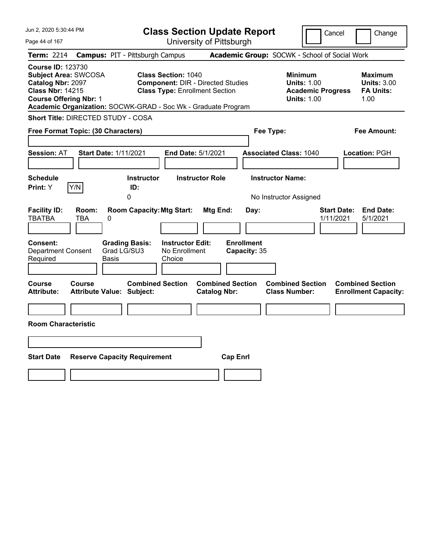| Jun 2, 2020 5:30:44 PM                                                                                                                                                                                    |                                                                                                                 | <b>Class Section Update Report</b>             | Cancel                                                                                 | Change                                                    |
|-----------------------------------------------------------------------------------------------------------------------------------------------------------------------------------------------------------|-----------------------------------------------------------------------------------------------------------------|------------------------------------------------|----------------------------------------------------------------------------------------|-----------------------------------------------------------|
| Page 44 of 167                                                                                                                                                                                            |                                                                                                                 | University of Pittsburgh                       |                                                                                        |                                                           |
| Term: 2214                                                                                                                                                                                                | <b>Campus: PIT - Pittsburgh Campus</b>                                                                          |                                                | Academic Group: SOCWK - School of Social Work                                          |                                                           |
| <b>Course ID: 123730</b><br><b>Subject Area: SWCOSA</b><br>Catalog Nbr: 2097<br><b>Class Nbr: 14215</b><br><b>Course Offering Nbr: 1</b><br>Academic Organization: SOCWK-GRAD - Soc Wk - Graduate Program | <b>Class Section: 1040</b><br><b>Component: DIR - Directed Studies</b><br><b>Class Type: Enrollment Section</b> |                                                | <b>Minimum</b><br><b>Units: 1.00</b><br><b>Academic Progress</b><br><b>Units: 1.00</b> | Maximum<br><b>Units: 3.00</b><br><b>FA Units:</b><br>1.00 |
| Short Title: DIRECTED STUDY - COSA                                                                                                                                                                        |                                                                                                                 |                                                |                                                                                        |                                                           |
| Free Format Topic: (30 Characters)                                                                                                                                                                        |                                                                                                                 |                                                | Fee Type:                                                                              | Fee Amount:                                               |
| <b>Session: AT</b>                                                                                                                                                                                        | <b>Start Date: 1/11/2021</b>                                                                                    | End Date: 5/1/2021                             | <b>Associated Class: 1040</b>                                                          | Location: PGH                                             |
| <b>Schedule</b><br>Y/N<br><b>Print:</b> Y                                                                                                                                                                 | <b>Instructor</b><br>ID:<br>0                                                                                   | <b>Instructor Role</b>                         | <b>Instructor Name:</b><br>No Instructor Assigned                                      |                                                           |
| <b>Facility ID:</b><br>Room:<br><b>TBATBA</b><br>TBA<br>0                                                                                                                                                 | <b>Room Capacity: Mtg Start:</b>                                                                                | Mtg End:<br>Day:                               | <b>Start Date:</b><br>1/11/2021                                                        | <b>End Date:</b><br>5/1/2021                              |
| Consent:<br><b>Department Consent</b><br>Required                                                                                                                                                         | <b>Grading Basis:</b><br><b>Instructor Edit:</b><br>Grad LG/SU3<br>No Enrollment<br>Choice<br>Basis             | <b>Enrollment</b><br>Capacity: 35              |                                                                                        |                                                           |
| Course<br>Course<br><b>Attribute:</b>                                                                                                                                                                     | <b>Combined Section</b><br><b>Attribute Value: Subject:</b>                                                     | <b>Combined Section</b><br><b>Catalog Nbr:</b> | <b>Combined Section</b><br><b>Class Number:</b>                                        | <b>Combined Section</b><br><b>Enrollment Capacity:</b>    |
|                                                                                                                                                                                                           |                                                                                                                 |                                                |                                                                                        |                                                           |
| <b>Room Characteristic</b>                                                                                                                                                                                |                                                                                                                 |                                                |                                                                                        |                                                           |
|                                                                                                                                                                                                           |                                                                                                                 |                                                |                                                                                        |                                                           |
| <b>Start Date</b>                                                                                                                                                                                         | <b>Reserve Capacity Requirement</b>                                                                             | <b>Cap Enrl</b>                                |                                                                                        |                                                           |
|                                                                                                                                                                                                           |                                                                                                                 |                                                |                                                                                        |                                                           |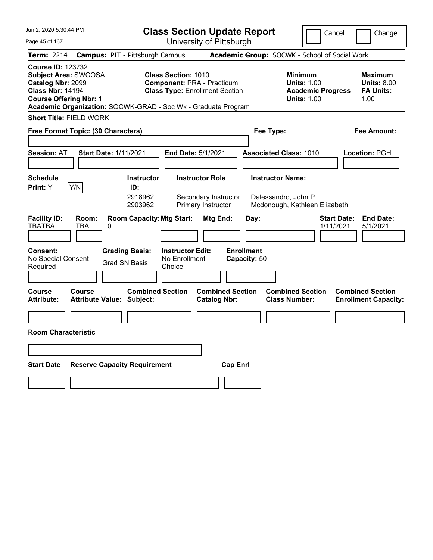| Jun 2, 2020 5:30:44 PM                                                                                                                                                                                    | <b>Class Section Update Report</b>                                                                       |                                                                      |                                                | Cancel                                                                                 | Change                                                    |
|-----------------------------------------------------------------------------------------------------------------------------------------------------------------------------------------------------------|----------------------------------------------------------------------------------------------------------|----------------------------------------------------------------------|------------------------------------------------|----------------------------------------------------------------------------------------|-----------------------------------------------------------|
| Page 45 of 167                                                                                                                                                                                            |                                                                                                          | University of Pittsburgh                                             |                                                |                                                                                        |                                                           |
| <b>Campus: PIT - Pittsburgh Campus</b><br>Term: 2214                                                                                                                                                      |                                                                                                          |                                                                      |                                                | Academic Group: SOCWK - School of Social Work                                          |                                                           |
| <b>Course ID: 123732</b><br><b>Subject Area: SWCOSA</b><br>Catalog Nbr: 2099<br><b>Class Nbr: 14194</b><br><b>Course Offering Nbr: 1</b><br>Academic Organization: SOCWK-GRAD - Soc Wk - Graduate Program | <b>Class Section: 1010</b><br><b>Component: PRA - Practicum</b><br><b>Class Type: Enrollment Section</b> |                                                                      |                                                | <b>Minimum</b><br><b>Units: 1.00</b><br><b>Academic Progress</b><br><b>Units: 1.00</b> | Maximum<br><b>Units: 8.00</b><br><b>FA Units:</b><br>1.00 |
| <b>Short Title: FIELD WORK</b>                                                                                                                                                                            |                                                                                                          |                                                                      |                                                |                                                                                        |                                                           |
| Free Format Topic: (30 Characters)                                                                                                                                                                        |                                                                                                          |                                                                      | Fee Type:                                      |                                                                                        | Fee Amount:                                               |
| <b>Session: AT</b><br><b>Start Date: 1/11/2021</b>                                                                                                                                                        | <b>End Date: 5/1/2021</b>                                                                                |                                                                      | <b>Associated Class: 1010</b>                  |                                                                                        | Location: PGH                                             |
| <b>Schedule</b><br>Y/N<br>Print: Y                                                                                                                                                                        | <b>Instructor</b><br>ID:<br>2918962<br>2903962                                                           | <b>Instructor Role</b><br>Secondary Instructor<br>Primary Instructor | <b>Instructor Name:</b><br>Dalessandro, John P | Mcdonough, Kathleen Elizabeth                                                          |                                                           |
| <b>Facility ID:</b><br>Room:<br><b>TBATBA</b><br><b>TBA</b><br>0                                                                                                                                          | <b>Room Capacity: Mtg Start:</b>                                                                         | Mtg End:                                                             | Day:                                           | 1/11/2021                                                                              | <b>Start Date:</b><br><b>End Date:</b><br>5/1/2021        |
| <b>Grading Basis:</b><br><b>Consent:</b><br>No Special Consent<br><b>Grad SN Basis</b><br>Required                                                                                                        | <b>Instructor Edit:</b><br>No Enrollment<br>Choice                                                       |                                                                      | <b>Enrollment</b><br>Capacity: 50              |                                                                                        |                                                           |
| Course<br>Course<br><b>Attribute:</b><br><b>Attribute Value: Subject:</b>                                                                                                                                 | <b>Combined Section</b>                                                                                  | <b>Combined Section</b><br><b>Catalog Nbr:</b>                       |                                                | <b>Combined Section</b><br><b>Class Number:</b>                                        | <b>Combined Section</b><br><b>Enrollment Capacity:</b>    |
|                                                                                                                                                                                                           |                                                                                                          |                                                                      |                                                |                                                                                        |                                                           |
| <b>Room Characteristic</b>                                                                                                                                                                                |                                                                                                          |                                                                      |                                                |                                                                                        |                                                           |
|                                                                                                                                                                                                           |                                                                                                          |                                                                      |                                                |                                                                                        |                                                           |
| <b>Start Date</b><br><b>Reserve Capacity Requirement</b>                                                                                                                                                  |                                                                                                          | <b>Cap Enrl</b>                                                      |                                                |                                                                                        |                                                           |
|                                                                                                                                                                                                           |                                                                                                          |                                                                      |                                                |                                                                                        |                                                           |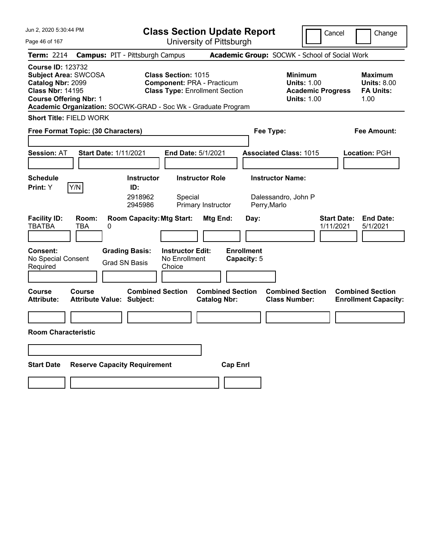| Jun 2, 2020 5:30:44 PM                                                                                                                                                                                    | <b>Class Section Update Report</b>                                                                       |                                                |                                                                | Cancel                                                                                 | Change                                                    |
|-----------------------------------------------------------------------------------------------------------------------------------------------------------------------------------------------------------|----------------------------------------------------------------------------------------------------------|------------------------------------------------|----------------------------------------------------------------|----------------------------------------------------------------------------------------|-----------------------------------------------------------|
| Page 46 of 167                                                                                                                                                                                            |                                                                                                          | University of Pittsburgh                       |                                                                |                                                                                        |                                                           |
| <b>Campus: PIT - Pittsburgh Campus</b><br>Term: 2214                                                                                                                                                      |                                                                                                          |                                                | Academic Group: SOCWK - School of Social Work                  |                                                                                        |                                                           |
| <b>Course ID: 123732</b><br><b>Subject Area: SWCOSA</b><br>Catalog Nbr: 2099<br><b>Class Nbr: 14195</b><br><b>Course Offering Nbr: 1</b><br>Academic Organization: SOCWK-GRAD - Soc Wk - Graduate Program | <b>Class Section: 1015</b><br><b>Component: PRA - Practicum</b><br><b>Class Type: Enrollment Section</b> |                                                |                                                                | <b>Minimum</b><br><b>Units: 1.00</b><br><b>Academic Progress</b><br><b>Units: 1.00</b> | Maximum<br><b>Units: 8.00</b><br><b>FA Units:</b><br>1.00 |
| <b>Short Title: FIELD WORK</b>                                                                                                                                                                            |                                                                                                          |                                                |                                                                |                                                                                        |                                                           |
| Free Format Topic: (30 Characters)                                                                                                                                                                        |                                                                                                          |                                                | Fee Type:                                                      |                                                                                        | Fee Amount:                                               |
| <b>Session: AT</b><br><b>Start Date: 1/11/2021</b>                                                                                                                                                        | <b>End Date: 5/1/2021</b>                                                                                |                                                | <b>Associated Class: 1015</b>                                  |                                                                                        | Location: PGH                                             |
| <b>Schedule</b><br>Y/N<br>Print: Y                                                                                                                                                                        | <b>Instructor</b><br>ID:<br>2918962<br>Special<br>2945986                                                | <b>Instructor Role</b><br>Primary Instructor   | <b>Instructor Name:</b><br>Dalessandro, John P<br>Perry, Marlo |                                                                                        |                                                           |
| <b>Facility ID:</b><br>Room:<br><b>TBATBA</b><br><b>TBA</b><br>0                                                                                                                                          | <b>Room Capacity: Mtg Start:</b>                                                                         | Mtg End:                                       | Day:                                                           | 1/11/2021                                                                              | <b>Start Date:</b><br><b>End Date:</b><br>5/1/2021        |
| <b>Grading Basis:</b><br><b>Consent:</b><br>No Special Consent<br><b>Grad SN Basis</b><br>Required                                                                                                        | <b>Instructor Edit:</b><br>No Enrollment<br>Choice                                                       |                                                | <b>Enrollment</b><br>Capacity: 5                               |                                                                                        |                                                           |
| Course<br>Course<br><b>Attribute:</b><br><b>Attribute Value: Subject:</b>                                                                                                                                 | <b>Combined Section</b>                                                                                  | <b>Combined Section</b><br><b>Catalog Nbr:</b> |                                                                | <b>Combined Section</b><br><b>Class Number:</b>                                        | <b>Combined Section</b><br><b>Enrollment Capacity:</b>    |
|                                                                                                                                                                                                           |                                                                                                          |                                                |                                                                |                                                                                        |                                                           |
| <b>Room Characteristic</b>                                                                                                                                                                                |                                                                                                          |                                                |                                                                |                                                                                        |                                                           |
|                                                                                                                                                                                                           |                                                                                                          |                                                |                                                                |                                                                                        |                                                           |
| <b>Start Date</b><br><b>Reserve Capacity Requirement</b>                                                                                                                                                  |                                                                                                          | <b>Cap Enrl</b>                                |                                                                |                                                                                        |                                                           |
|                                                                                                                                                                                                           |                                                                                                          |                                                |                                                                |                                                                                        |                                                           |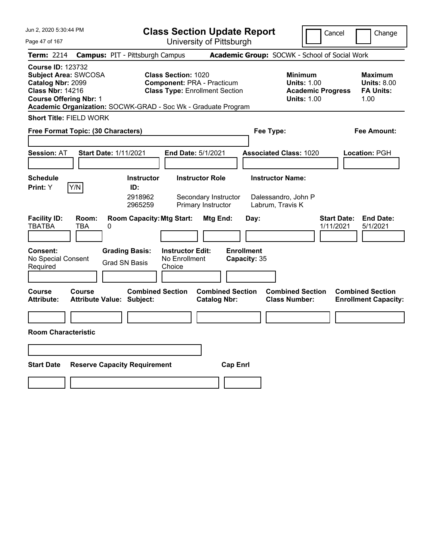| Jun 2, 2020 5:30:44 PM                                                                                                                                                                             | <b>Class Section Update Report</b>                                                                       |                                                                      |                                                                    | Cancel                                                                                 | Change                                                    |
|----------------------------------------------------------------------------------------------------------------------------------------------------------------------------------------------------|----------------------------------------------------------------------------------------------------------|----------------------------------------------------------------------|--------------------------------------------------------------------|----------------------------------------------------------------------------------------|-----------------------------------------------------------|
| Page 47 of 167                                                                                                                                                                                     |                                                                                                          | University of Pittsburgh                                             |                                                                    |                                                                                        |                                                           |
| Term: 2214<br><b>Campus: PIT - Pittsburgh Campus</b>                                                                                                                                               |                                                                                                          |                                                                      | Academic Group: SOCWK - School of Social Work                      |                                                                                        |                                                           |
| <b>Course ID: 123732</b><br>Subject Area: SWCOSA<br>Catalog Nbr: 2099<br><b>Class Nbr: 14216</b><br><b>Course Offering Nbr: 1</b><br>Academic Organization: SOCWK-GRAD - Soc Wk - Graduate Program | <b>Class Section: 1020</b><br><b>Component: PRA - Practicum</b><br><b>Class Type: Enrollment Section</b> |                                                                      |                                                                    | <b>Minimum</b><br><b>Units: 1.00</b><br><b>Academic Progress</b><br><b>Units: 1.00</b> | Maximum<br><b>Units: 8.00</b><br><b>FA Units:</b><br>1.00 |
| <b>Short Title: FIELD WORK</b>                                                                                                                                                                     |                                                                                                          |                                                                      |                                                                    |                                                                                        |                                                           |
| Free Format Topic: (30 Characters)                                                                                                                                                                 |                                                                                                          |                                                                      | Fee Type:                                                          |                                                                                        | Fee Amount:                                               |
| <b>Session: AT</b><br><b>Start Date: 1/11/2021</b>                                                                                                                                                 | <b>End Date: 5/1/2021</b>                                                                                |                                                                      | <b>Associated Class: 1020</b>                                      |                                                                                        | Location: PGH                                             |
| <b>Schedule</b><br>Y/N<br>Print: Y                                                                                                                                                                 | <b>Instructor</b><br>ID:<br>2918962<br>2965259                                                           | <b>Instructor Role</b><br>Secondary Instructor<br>Primary Instructor | <b>Instructor Name:</b><br>Dalessandro, John P<br>Labrum, Travis K |                                                                                        |                                                           |
| <b>Facility ID:</b><br>Room:<br><b>TBATBA</b><br><b>TBA</b><br>0                                                                                                                                   | <b>Room Capacity: Mtg Start:</b>                                                                         | Mtg End:                                                             | Day:                                                               | <b>Start Date:</b><br>1/11/2021                                                        | <b>End Date:</b><br>5/1/2021                              |
| <b>Grading Basis:</b><br><b>Consent:</b><br>No Special Consent<br><b>Grad SN Basis</b><br>Required                                                                                                 | <b>Instructor Edit:</b><br>No Enrollment<br>Choice                                                       |                                                                      | <b>Enrollment</b><br>Capacity: 35                                  |                                                                                        |                                                           |
| Course<br>Course<br><b>Attribute:</b><br><b>Attribute Value: Subject:</b>                                                                                                                          | <b>Combined Section</b>                                                                                  | <b>Combined Section</b><br><b>Catalog Nbr:</b>                       | <b>Class Number:</b>                                               | <b>Combined Section</b>                                                                | <b>Combined Section</b><br><b>Enrollment Capacity:</b>    |
|                                                                                                                                                                                                    |                                                                                                          |                                                                      |                                                                    |                                                                                        |                                                           |
| <b>Room Characteristic</b>                                                                                                                                                                         |                                                                                                          |                                                                      |                                                                    |                                                                                        |                                                           |
|                                                                                                                                                                                                    |                                                                                                          |                                                                      |                                                                    |                                                                                        |                                                           |
| <b>Start Date</b><br><b>Reserve Capacity Requirement</b>                                                                                                                                           |                                                                                                          | <b>Cap Enrl</b>                                                      |                                                                    |                                                                                        |                                                           |
|                                                                                                                                                                                                    |                                                                                                          |                                                                      |                                                                    |                                                                                        |                                                           |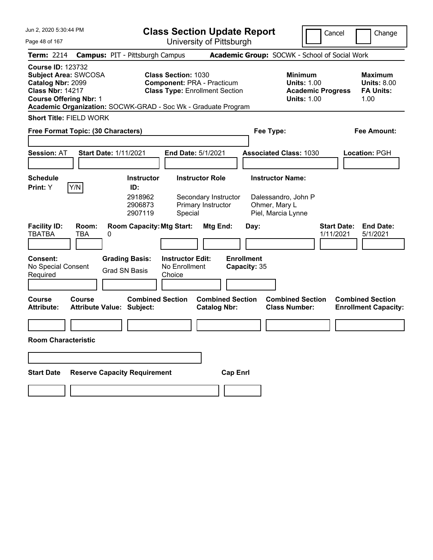| Jun 2, 2020 5:30:44 PM                                                                                                                   | <b>Class Section Update Report</b>                                                                                                                                        |                                                        |                                                                    | Cancel                                                               | Change                                                           |
|------------------------------------------------------------------------------------------------------------------------------------------|---------------------------------------------------------------------------------------------------------------------------------------------------------------------------|--------------------------------------------------------|--------------------------------------------------------------------|----------------------------------------------------------------------|------------------------------------------------------------------|
| Page 48 of 167                                                                                                                           |                                                                                                                                                                           | University of Pittsburgh                               |                                                                    |                                                                      |                                                                  |
| <b>Term: 2214</b>                                                                                                                        | <b>Campus: PIT - Pittsburgh Campus</b>                                                                                                                                    |                                                        | Academic Group: SOCWK - School of Social Work                      |                                                                      |                                                                  |
| <b>Course ID: 123732</b><br><b>Subject Area: SWCOSA</b><br>Catalog Nbr: 2099<br><b>Class Nbr: 14217</b><br><b>Course Offering Nbr: 1</b> | <b>Class Section: 1030</b><br><b>Component: PRA - Practicum</b><br><b>Class Type: Enrollment Section</b><br>Academic Organization: SOCWK-GRAD - Soc Wk - Graduate Program |                                                        | <b>Minimum</b>                                                     | <b>Units: 1.00</b><br><b>Academic Progress</b><br><b>Units: 1.00</b> | <b>Maximum</b><br><b>Units: 8.00</b><br><b>FA Units:</b><br>1.00 |
| <b>Short Title: FIELD WORK</b>                                                                                                           |                                                                                                                                                                           |                                                        |                                                                    |                                                                      |                                                                  |
| Free Format Topic: (30 Characters)                                                                                                       |                                                                                                                                                                           |                                                        | Fee Type:                                                          |                                                                      | <b>Fee Amount:</b>                                               |
| <b>Session: AT</b>                                                                                                                       | <b>Start Date: 1/11/2021</b><br>End Date: 5/1/2021                                                                                                                        |                                                        | <b>Associated Class: 1030</b>                                      |                                                                      | <b>Location: PGH</b>                                             |
| <b>Schedule</b>                                                                                                                          | <b>Instructor</b>                                                                                                                                                         | <b>Instructor Role</b>                                 | <b>Instructor Name:</b>                                            |                                                                      |                                                                  |
| Y/N<br>Print: Y                                                                                                                          | ID:                                                                                                                                                                       |                                                        |                                                                    |                                                                      |                                                                  |
| <b>Facility ID:</b><br>Room:<br><b>TBATBA</b><br><b>TBA</b>                                                                              | 2918962<br>2906873<br>2907119<br>Special<br><b>Room Capacity: Mtg Start:</b><br>0                                                                                         | Secondary Instructor<br>Primary Instructor<br>Mtg End: | Dalessandro, John P<br>Ohmer, Mary L<br>Piel, Marcia Lynne<br>Day: | <b>Start Date:</b><br>1/11/2021                                      | <b>End Date:</b><br>5/1/2021                                     |
|                                                                                                                                          |                                                                                                                                                                           |                                                        |                                                                    |                                                                      |                                                                  |
| <b>Consent:</b><br>No Special Consent<br>Required                                                                                        | <b>Grading Basis:</b><br><b>Instructor Edit:</b><br>No Enrollment<br><b>Grad SN Basis</b><br>Choice                                                                       | <b>Enrollment</b><br>Capacity: 35                      |                                                                    |                                                                      |                                                                  |
| Course<br><b>Course</b><br><b>Attribute:</b>                                                                                             | <b>Combined Section</b><br><b>Attribute Value: Subject:</b>                                                                                                               | <b>Combined Section</b><br><b>Catalog Nbr:</b>         | <b>Combined Section</b><br><b>Class Number:</b>                    |                                                                      | <b>Combined Section</b><br><b>Enrollment Capacity:</b>           |
|                                                                                                                                          |                                                                                                                                                                           |                                                        |                                                                    |                                                                      |                                                                  |
| <b>Room Characteristic</b>                                                                                                               |                                                                                                                                                                           |                                                        |                                                                    |                                                                      |                                                                  |
|                                                                                                                                          |                                                                                                                                                                           |                                                        |                                                                    |                                                                      |                                                                  |
| <b>Start Date</b>                                                                                                                        | <b>Reserve Capacity Requirement</b>                                                                                                                                       | <b>Cap Enrl</b>                                        |                                                                    |                                                                      |                                                                  |
|                                                                                                                                          |                                                                                                                                                                           |                                                        |                                                                    |                                                                      |                                                                  |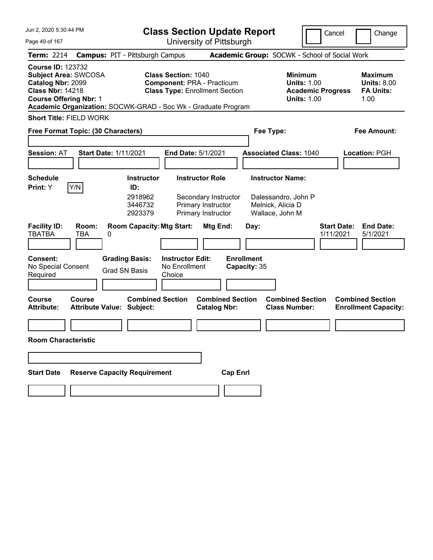| Jun 2, 2020 5:30:44 PM                                                                                                                   |                                                                                                                                                                                      | <b>Class Section Update Report</b>                                                                                        |                                                                                        | Cancel<br>Change                                                 |
|------------------------------------------------------------------------------------------------------------------------------------------|--------------------------------------------------------------------------------------------------------------------------------------------------------------------------------------|---------------------------------------------------------------------------------------------------------------------------|----------------------------------------------------------------------------------------|------------------------------------------------------------------|
| Page 49 of 167                                                                                                                           |                                                                                                                                                                                      | University of Pittsburgh                                                                                                  |                                                                                        |                                                                  |
| <b>Term: 2214</b>                                                                                                                        | <b>Campus: PIT - Pittsburgh Campus</b>                                                                                                                                               |                                                                                                                           | Academic Group: SOCWK - School of Social Work                                          |                                                                  |
| <b>Course ID: 123732</b><br><b>Subject Area: SWCOSA</b><br>Catalog Nbr: 2099<br><b>Class Nbr: 14218</b><br><b>Course Offering Nbr: 1</b> | <b>Class Section: 1040</b><br><b>Component: PRA - Practicum</b><br><b>Class Type: Enrollment Section</b><br>Academic Organization: SOCWK-GRAD - Soc Wk - Graduate Program            |                                                                                                                           | <b>Minimum</b><br><b>Units: 1.00</b><br><b>Academic Progress</b><br><b>Units: 1.00</b> | <b>Maximum</b><br><b>Units: 8.00</b><br><b>FA Units:</b><br>1.00 |
| <b>Short Title: FIELD WORK</b>                                                                                                           |                                                                                                                                                                                      |                                                                                                                           |                                                                                        |                                                                  |
| Free Format Topic: (30 Characters)                                                                                                       |                                                                                                                                                                                      |                                                                                                                           | Fee Type:                                                                              | <b>Fee Amount:</b>                                               |
| <b>Session: AT</b>                                                                                                                       | <b>Start Date: 1/11/2021</b><br>End Date: 5/1/2021                                                                                                                                   |                                                                                                                           | <b>Associated Class: 1040</b>                                                          | <b>Location: PGH</b>                                             |
| <b>Schedule</b>                                                                                                                          | <b>Instructor</b>                                                                                                                                                                    | <b>Instructor Role</b>                                                                                                    | <b>Instructor Name:</b>                                                                |                                                                  |
| Y/N<br>Print: Y<br><b>Facility ID:</b><br>Room:<br><b>TBATBA</b><br><b>TBA</b><br><b>Consent:</b><br>No Special Consent<br>Required      | ID:<br>2918962<br>3446732<br>2923379<br><b>Room Capacity: Mtg Start:</b><br>0<br><b>Grading Basis:</b><br><b>Instructor Edit:</b><br>No Enrollment<br><b>Grad SN Basis</b><br>Choice | Secondary Instructor<br>Primary Instructor<br>Primary Instructor<br>Mtg End:<br>Day:<br><b>Enrollment</b><br>Capacity: 35 | Dalessandro, John P<br>Melnick, Alicia D<br>Wallace, John M                            | <b>Start Date:</b><br><b>End Date:</b><br>1/11/2021<br>5/1/2021  |
|                                                                                                                                          |                                                                                                                                                                                      |                                                                                                                           |                                                                                        |                                                                  |
| Course<br><b>Course</b><br><b>Attribute:</b>                                                                                             | <b>Combined Section</b><br><b>Attribute Value: Subject:</b>                                                                                                                          | <b>Combined Section</b><br><b>Catalog Nbr:</b>                                                                            | <b>Combined Section</b><br><b>Class Number:</b>                                        | <b>Combined Section</b><br><b>Enrollment Capacity:</b>           |
| <b>Room Characteristic</b>                                                                                                               |                                                                                                                                                                                      |                                                                                                                           |                                                                                        |                                                                  |
|                                                                                                                                          |                                                                                                                                                                                      |                                                                                                                           |                                                                                        |                                                                  |
| <b>Start Date</b>                                                                                                                        | <b>Reserve Capacity Requirement</b>                                                                                                                                                  | <b>Cap Enrl</b>                                                                                                           |                                                                                        |                                                                  |
|                                                                                                                                          |                                                                                                                                                                                      |                                                                                                                           |                                                                                        |                                                                  |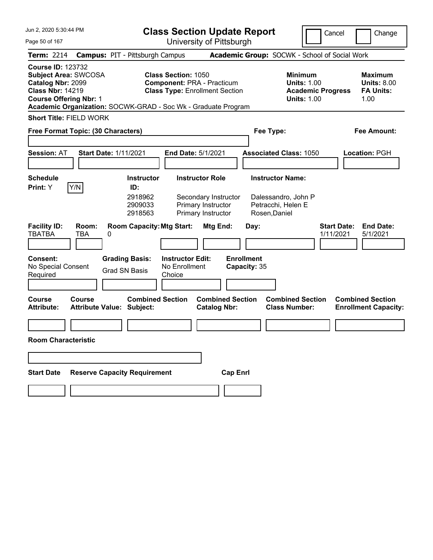| Jun 2, 2020 5:30:44 PM                                                                                                                   |                                                                                                                                                                           | <b>Class Section Update Report</b>                                                   |                                                                                        | Cancel<br>Change                                                 |
|------------------------------------------------------------------------------------------------------------------------------------------|---------------------------------------------------------------------------------------------------------------------------------------------------------------------------|--------------------------------------------------------------------------------------|----------------------------------------------------------------------------------------|------------------------------------------------------------------|
| Page 50 of 167                                                                                                                           |                                                                                                                                                                           | University of Pittsburgh                                                             |                                                                                        |                                                                  |
| <b>Term: 2214</b>                                                                                                                        | <b>Campus: PIT - Pittsburgh Campus</b>                                                                                                                                    |                                                                                      | Academic Group: SOCWK - School of Social Work                                          |                                                                  |
| <b>Course ID: 123732</b><br><b>Subject Area: SWCOSA</b><br>Catalog Nbr: 2099<br><b>Class Nbr: 14219</b><br><b>Course Offering Nbr: 1</b> | <b>Class Section: 1050</b><br><b>Component: PRA - Practicum</b><br><b>Class Type: Enrollment Section</b><br>Academic Organization: SOCWK-GRAD - Soc Wk - Graduate Program |                                                                                      | <b>Minimum</b><br><b>Units: 1.00</b><br><b>Academic Progress</b><br><b>Units: 1.00</b> | <b>Maximum</b><br><b>Units: 8.00</b><br><b>FA Units:</b><br>1.00 |
| <b>Short Title: FIELD WORK</b>                                                                                                           |                                                                                                                                                                           |                                                                                      |                                                                                        |                                                                  |
| Free Format Topic: (30 Characters)                                                                                                       |                                                                                                                                                                           |                                                                                      | Fee Type:                                                                              | <b>Fee Amount:</b>                                               |
| <b>Session: AT</b>                                                                                                                       | <b>Start Date: 1/11/2021</b><br>End Date: 5/1/2021                                                                                                                        |                                                                                      | <b>Associated Class: 1050</b>                                                          | <b>Location: PGH</b>                                             |
| <b>Schedule</b>                                                                                                                          | <b>Instructor</b>                                                                                                                                                         | <b>Instructor Role</b>                                                               | <b>Instructor Name:</b>                                                                |                                                                  |
| Y/N<br>Print: Y                                                                                                                          | ID:                                                                                                                                                                       |                                                                                      |                                                                                        |                                                                  |
| <b>Facility ID:</b><br>Room:<br><b>TBATBA</b><br><b>TBA</b>                                                                              | 2918962<br>2909033<br>2918563<br><b>Room Capacity: Mtg Start:</b><br>0                                                                                                    | Secondary Instructor<br>Primary Instructor<br>Primary Instructor<br>Mtg End:<br>Day: | Dalessandro, John P<br>Petracchi, Helen E<br>Rosen, Daniel                             | <b>Start Date:</b><br><b>End Date:</b><br>1/11/2021<br>5/1/2021  |
|                                                                                                                                          |                                                                                                                                                                           |                                                                                      |                                                                                        |                                                                  |
| <b>Consent:</b><br>No Special Consent<br>Required                                                                                        | <b>Grading Basis:</b><br><b>Instructor Edit:</b><br>No Enrollment<br><b>Grad SN Basis</b><br>Choice                                                                       | <b>Enrollment</b><br>Capacity: 35                                                    |                                                                                        |                                                                  |
| Course<br><b>Course</b><br><b>Attribute:</b>                                                                                             | <b>Combined Section</b><br><b>Attribute Value: Subject:</b>                                                                                                               | <b>Combined Section</b><br><b>Catalog Nbr:</b>                                       | <b>Combined Section</b><br><b>Class Number:</b>                                        | <b>Combined Section</b><br><b>Enrollment Capacity:</b>           |
|                                                                                                                                          |                                                                                                                                                                           |                                                                                      |                                                                                        |                                                                  |
| <b>Room Characteristic</b>                                                                                                               |                                                                                                                                                                           |                                                                                      |                                                                                        |                                                                  |
|                                                                                                                                          |                                                                                                                                                                           |                                                                                      |                                                                                        |                                                                  |
| <b>Start Date</b>                                                                                                                        | <b>Reserve Capacity Requirement</b>                                                                                                                                       | <b>Cap Enrl</b>                                                                      |                                                                                        |                                                                  |
|                                                                                                                                          |                                                                                                                                                                           |                                                                                      |                                                                                        |                                                                  |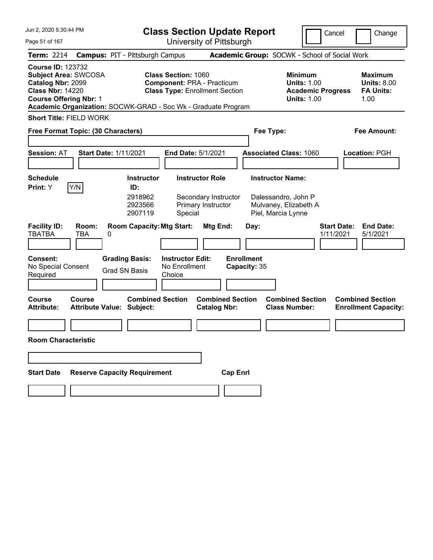| Jun 2, 2020 5:30:44 PM                                                                                                                   |                                                                                                                                                                    | <b>Class Section Update Report</b>                             |                                                                                        | Cancel<br>Change                                                 |
|------------------------------------------------------------------------------------------------------------------------------------------|--------------------------------------------------------------------------------------------------------------------------------------------------------------------|----------------------------------------------------------------|----------------------------------------------------------------------------------------|------------------------------------------------------------------|
| Page 51 of 167                                                                                                                           |                                                                                                                                                                    | University of Pittsburgh                                       |                                                                                        |                                                                  |
| <b>Term: 2214</b>                                                                                                                        | <b>Campus: PIT - Pittsburgh Campus</b>                                                                                                                             |                                                                | Academic Group: SOCWK - School of Social Work                                          |                                                                  |
| <b>Course ID: 123732</b><br><b>Subject Area: SWCOSA</b><br>Catalog Nbr: 2099<br><b>Class Nbr: 14220</b><br><b>Course Offering Nbr: 1</b> | Class Section: 1060<br><b>Component: PRA - Practicum</b><br><b>Class Type: Enrollment Section</b><br>Academic Organization: SOCWK-GRAD - Soc Wk - Graduate Program |                                                                | <b>Minimum</b><br><b>Units: 1.00</b><br><b>Academic Progress</b><br><b>Units: 1.00</b> | <b>Maximum</b><br><b>Units: 8.00</b><br><b>FA Units:</b><br>1.00 |
| <b>Short Title: FIELD WORK</b>                                                                                                           |                                                                                                                                                                    |                                                                |                                                                                        |                                                                  |
| Free Format Topic: (30 Characters)                                                                                                       |                                                                                                                                                                    |                                                                | Fee Type:                                                                              | <b>Fee Amount:</b>                                               |
| <b>Session: AT</b>                                                                                                                       | <b>Start Date: 1/11/2021</b><br>End Date: 5/1/2021                                                                                                                 |                                                                | <b>Associated Class: 1060</b>                                                          | <b>Location: PGH</b>                                             |
| <b>Schedule</b>                                                                                                                          | <b>Instructor</b>                                                                                                                                                  | <b>Instructor Role</b>                                         | <b>Instructor Name:</b>                                                                |                                                                  |
| Y/N<br>Print: Y<br><b>Facility ID:</b><br>Room:<br><b>TBATBA</b><br><b>TBA</b>                                                           | ID:<br>2918962<br>2923566<br>2907119<br>Special<br><b>Room Capacity: Mtg Start:</b><br>0                                                                           | Secondary Instructor<br>Primary Instructor<br>Mtg End:<br>Day: | Dalessandro, John P<br>Mulvaney, Elizabeth A<br>Piel, Marcia Lynne                     | <b>Start Date:</b><br><b>End Date:</b><br>1/11/2021<br>5/1/2021  |
|                                                                                                                                          |                                                                                                                                                                    |                                                                |                                                                                        |                                                                  |
| <b>Consent:</b><br>No Special Consent<br>Required                                                                                        | <b>Grading Basis:</b><br><b>Instructor Edit:</b><br>No Enrollment<br><b>Grad SN Basis</b><br>Choice                                                                | <b>Enrollment</b><br>Capacity: 35                              |                                                                                        |                                                                  |
| Course<br><b>Course</b><br><b>Attribute:</b>                                                                                             | <b>Combined Section</b><br><b>Attribute Value: Subject:</b>                                                                                                        | <b>Combined Section</b><br><b>Catalog Nbr:</b>                 | <b>Combined Section</b><br><b>Class Number:</b>                                        | <b>Combined Section</b><br><b>Enrollment Capacity:</b>           |
|                                                                                                                                          |                                                                                                                                                                    |                                                                |                                                                                        |                                                                  |
| <b>Room Characteristic</b>                                                                                                               |                                                                                                                                                                    |                                                                |                                                                                        |                                                                  |
|                                                                                                                                          |                                                                                                                                                                    |                                                                |                                                                                        |                                                                  |
| <b>Start Date</b>                                                                                                                        | <b>Reserve Capacity Requirement</b>                                                                                                                                | <b>Cap Enrl</b>                                                |                                                                                        |                                                                  |
|                                                                                                                                          |                                                                                                                                                                    |                                                                |                                                                                        |                                                                  |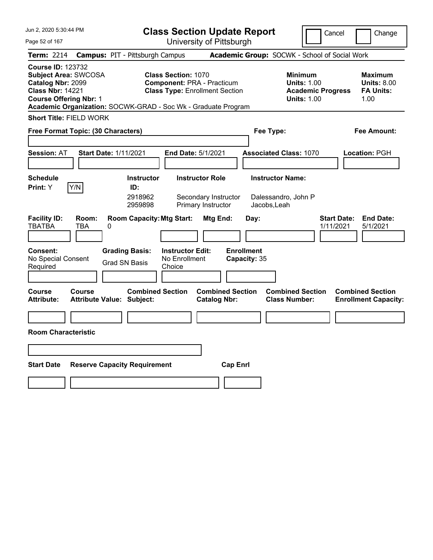| Jun 2, 2020 5:30:44 PM                                                                                                                                                                             | <b>Class Section Update Report</b>                                                                       |                                                                      |                                                               | Cancel                                                                                 | Change                                                    |
|----------------------------------------------------------------------------------------------------------------------------------------------------------------------------------------------------|----------------------------------------------------------------------------------------------------------|----------------------------------------------------------------------|---------------------------------------------------------------|----------------------------------------------------------------------------------------|-----------------------------------------------------------|
| Page 52 of 167                                                                                                                                                                                     |                                                                                                          | University of Pittsburgh                                             |                                                               |                                                                                        |                                                           |
| Term: 2214<br><b>Campus: PIT - Pittsburgh Campus</b>                                                                                                                                               |                                                                                                          |                                                                      | Academic Group: SOCWK - School of Social Work                 |                                                                                        |                                                           |
| <b>Course ID: 123732</b><br>Subject Area: SWCOSA<br>Catalog Nbr: 2099<br><b>Class Nbr: 14221</b><br><b>Course Offering Nbr: 1</b><br>Academic Organization: SOCWK-GRAD - Soc Wk - Graduate Program | <b>Class Section: 1070</b><br><b>Component: PRA - Practicum</b><br><b>Class Type: Enrollment Section</b> |                                                                      |                                                               | <b>Minimum</b><br><b>Units: 1.00</b><br><b>Academic Progress</b><br><b>Units: 1.00</b> | Maximum<br><b>Units: 8.00</b><br><b>FA Units:</b><br>1.00 |
| <b>Short Title: FIELD WORK</b>                                                                                                                                                                     |                                                                                                          |                                                                      |                                                               |                                                                                        |                                                           |
| Free Format Topic: (30 Characters)                                                                                                                                                                 |                                                                                                          |                                                                      | Fee Type:                                                     |                                                                                        | Fee Amount:                                               |
| <b>Session: AT</b><br><b>Start Date: 1/11/2021</b>                                                                                                                                                 | <b>End Date: 5/1/2021</b>                                                                                |                                                                      | <b>Associated Class: 1070</b>                                 |                                                                                        | Location: PGH                                             |
| <b>Schedule</b><br>Y/N<br>Print: Y                                                                                                                                                                 | <b>Instructor</b><br>ID:<br>2918962<br>2959898                                                           | <b>Instructor Role</b><br>Secondary Instructor<br>Primary Instructor | <b>Instructor Name:</b><br>Dalessandro, John P<br>Jacobs,Leah |                                                                                        |                                                           |
| <b>Facility ID:</b><br>Room:<br><b>TBATBA</b><br><b>TBA</b><br>0                                                                                                                                   | <b>Room Capacity: Mtg Start:</b>                                                                         | Mtg End:                                                             | Day:                                                          | 1/11/2021                                                                              | <b>Start Date:</b><br><b>End Date:</b><br>5/1/2021        |
| <b>Grading Basis:</b><br><b>Consent:</b><br>No Special Consent<br><b>Grad SN Basis</b><br>Required                                                                                                 | <b>Instructor Edit:</b><br>No Enrollment<br>Choice                                                       |                                                                      | <b>Enrollment</b><br>Capacity: 35                             |                                                                                        |                                                           |
| Course<br>Course<br><b>Attribute:</b><br><b>Attribute Value: Subject:</b>                                                                                                                          | <b>Combined Section</b>                                                                                  | <b>Combined Section</b><br><b>Catalog Nbr:</b>                       | <b>Class Number:</b>                                          | <b>Combined Section</b>                                                                | <b>Combined Section</b><br><b>Enrollment Capacity:</b>    |
|                                                                                                                                                                                                    |                                                                                                          |                                                                      |                                                               |                                                                                        |                                                           |
| <b>Room Characteristic</b>                                                                                                                                                                         |                                                                                                          |                                                                      |                                                               |                                                                                        |                                                           |
|                                                                                                                                                                                                    |                                                                                                          |                                                                      |                                                               |                                                                                        |                                                           |
| <b>Start Date</b><br><b>Reserve Capacity Requirement</b>                                                                                                                                           |                                                                                                          | <b>Cap Enrl</b>                                                      |                                                               |                                                                                        |                                                           |
|                                                                                                                                                                                                    |                                                                                                          |                                                                      |                                                               |                                                                                        |                                                           |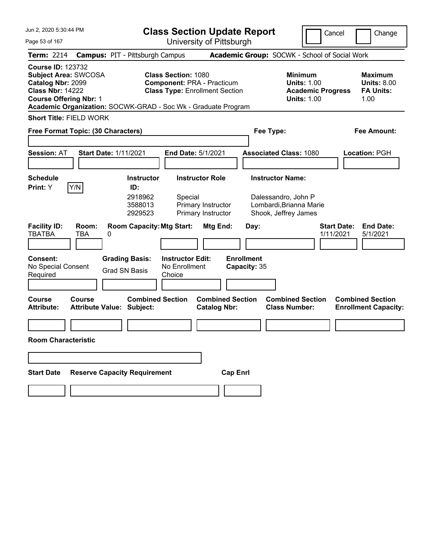| Jun 2, 2020 5:30:44 PM                                                                                                                   |                            |                                                                                                                                | <b>Class Section Update Report</b>                                                                       |                                                      |                                           |                                                                                        | Cancel<br>Change                                                 |
|------------------------------------------------------------------------------------------------------------------------------------------|----------------------------|--------------------------------------------------------------------------------------------------------------------------------|----------------------------------------------------------------------------------------------------------|------------------------------------------------------|-------------------------------------------|----------------------------------------------------------------------------------------|------------------------------------------------------------------|
| Page 53 of 167                                                                                                                           |                            |                                                                                                                                | University of Pittsburgh                                                                                 |                                                      |                                           |                                                                                        |                                                                  |
| <b>Term: 2214</b>                                                                                                                        |                            | <b>Campus: PIT - Pittsburgh Campus</b>                                                                                         |                                                                                                          |                                                      |                                           | Academic Group: SOCWK - School of Social Work                                          |                                                                  |
| <b>Course ID: 123732</b><br><b>Subject Area: SWCOSA</b><br>Catalog Nbr: 2099<br><b>Class Nbr: 14222</b><br><b>Course Offering Nbr: 1</b> |                            | Academic Organization: SOCWK-GRAD - Soc Wk - Graduate Program                                                                  | <b>Class Section: 1080</b><br><b>Component: PRA - Practicum</b><br><b>Class Type: Enrollment Section</b> |                                                      |                                           | <b>Minimum</b><br><b>Units: 1.00</b><br><b>Academic Progress</b><br><b>Units: 1.00</b> | <b>Maximum</b><br><b>Units: 8.00</b><br><b>FA Units:</b><br>1.00 |
| <b>Short Title: FIELD WORK</b>                                                                                                           |                            |                                                                                                                                |                                                                                                          |                                                      |                                           |                                                                                        |                                                                  |
| Free Format Topic: (30 Characters)                                                                                                       |                            |                                                                                                                                |                                                                                                          |                                                      | Fee Type:                                 |                                                                                        | <b>Fee Amount:</b>                                               |
| <b>Session: AT</b>                                                                                                                       |                            | <b>Start Date: 1/11/2021</b>                                                                                                   | End Date: 5/1/2021                                                                                       |                                                      | <b>Associated Class: 1080</b>             |                                                                                        | Location: PGH                                                    |
| <b>Schedule</b>                                                                                                                          |                            | <b>Instructor</b>                                                                                                              | <b>Instructor Role</b>                                                                                   |                                                      | <b>Instructor Name:</b>                   |                                                                                        |                                                                  |
| Print: Y<br><b>Facility ID:</b><br><b>TBATBA</b><br>Consent:<br>No Special Consent<br>Required                                           | Y/N<br>Room:<br><b>TBA</b> | ID:<br>2918962<br>3588013<br>2929523<br><b>Room Capacity: Mtg Start:</b><br>0<br><b>Grading Basis:</b><br><b>Grad SN Basis</b> | Special<br><b>Instructor Edit:</b><br>No Enrollment<br>Choice                                            | Primary Instructor<br>Primary Instructor<br>Mtg End: | Day:<br><b>Enrollment</b><br>Capacity: 35 | Dalessandro, John P<br>Lombardi, Brianna Marie<br>Shook, Jeffrey James                 | <b>End Date:</b><br><b>Start Date:</b><br>1/11/2021<br>5/1/2021  |
| <b>Course</b><br><b>Attribute:</b>                                                                                                       | <b>Course</b>              | <b>Combined Section</b><br><b>Attribute Value: Subject:</b>                                                                    |                                                                                                          | <b>Combined Section</b><br><b>Catalog Nbr:</b>       |                                           | <b>Combined Section</b><br><b>Class Number:</b>                                        | <b>Combined Section</b><br><b>Enrollment Capacity:</b>           |
| <b>Room Characteristic</b>                                                                                                               |                            |                                                                                                                                |                                                                                                          |                                                      |                                           |                                                                                        |                                                                  |
| <b>Start Date</b>                                                                                                                        |                            | <b>Reserve Capacity Requirement</b>                                                                                            |                                                                                                          | <b>Cap Enrl</b>                                      |                                           |                                                                                        |                                                                  |
|                                                                                                                                          |                            |                                                                                                                                |                                                                                                          |                                                      |                                           |                                                                                        |                                                                  |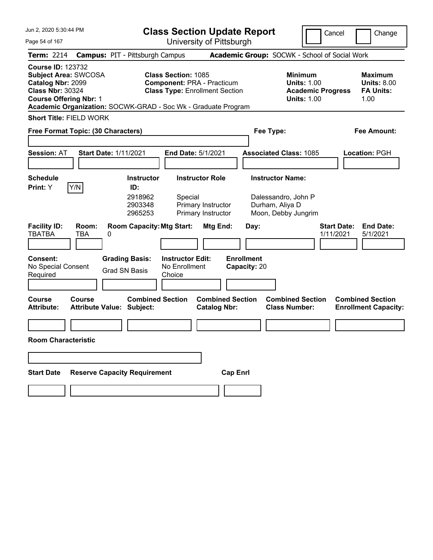| Jun 2, 2020 5:30:44 PM                                                                                                                   | <b>Class Section Update Report</b>                                                                                                                                                         |                                                                                           |                                                                       | Cancel                                                               | Change                                                           |
|------------------------------------------------------------------------------------------------------------------------------------------|--------------------------------------------------------------------------------------------------------------------------------------------------------------------------------------------|-------------------------------------------------------------------------------------------|-----------------------------------------------------------------------|----------------------------------------------------------------------|------------------------------------------------------------------|
| Page 54 of 167                                                                                                                           |                                                                                                                                                                                            | University of Pittsburgh                                                                  |                                                                       |                                                                      |                                                                  |
| <b>Term: 2214</b>                                                                                                                        | <b>Campus: PIT - Pittsburgh Campus</b>                                                                                                                                                     |                                                                                           | Academic Group: SOCWK - School of Social Work                         |                                                                      |                                                                  |
| <b>Course ID: 123732</b><br><b>Subject Area: SWCOSA</b><br>Catalog Nbr: 2099<br><b>Class Nbr: 30324</b><br><b>Course Offering Nbr: 1</b> | Class Section: 1085<br><b>Component: PRA - Practicum</b><br><b>Class Type: Enrollment Section</b><br>Academic Organization: SOCWK-GRAD - Soc Wk - Graduate Program                         |                                                                                           | <b>Minimum</b>                                                        | <b>Units: 1.00</b><br><b>Academic Progress</b><br><b>Units: 1.00</b> | <b>Maximum</b><br><b>Units: 8.00</b><br><b>FA Units:</b><br>1.00 |
| <b>Short Title: FIELD WORK</b>                                                                                                           |                                                                                                                                                                                            |                                                                                           |                                                                       |                                                                      |                                                                  |
| Free Format Topic: (30 Characters)                                                                                                       |                                                                                                                                                                                            |                                                                                           | Fee Type:                                                             |                                                                      | <b>Fee Amount:</b>                                               |
| <b>Session: AT</b>                                                                                                                       | <b>Start Date: 1/11/2021</b><br>End Date: 5/1/2021                                                                                                                                         |                                                                                           | <b>Associated Class: 1085</b>                                         |                                                                      | <b>Location: PGH</b>                                             |
| <b>Schedule</b>                                                                                                                          | <b>Instructor</b>                                                                                                                                                                          | <b>Instructor Role</b>                                                                    | <b>Instructor Name:</b>                                               |                                                                      |                                                                  |
| Y/N<br>Print: Y<br><b>Facility ID:</b><br>Room:<br><b>TBATBA</b><br><b>TBA</b><br>0<br><b>Consent:</b><br>No Special Consent<br>Required | ID:<br>2918962<br>Special<br>2903348<br>2965253<br><b>Room Capacity: Mtg Start:</b><br><b>Grading Basis:</b><br><b>Instructor Edit:</b><br>No Enrollment<br><b>Grad SN Basis</b><br>Choice | Primary Instructor<br>Primary Instructor<br>Mtg End:<br><b>Enrollment</b><br>Capacity: 20 | Dalessandro, John P<br>Durham, Aliya D<br>Moon, Debby Jungrim<br>Day: | <b>Start Date:</b><br>1/11/2021                                      | <b>End Date:</b><br>5/1/2021                                     |
|                                                                                                                                          |                                                                                                                                                                                            |                                                                                           |                                                                       |                                                                      |                                                                  |
| Course<br><b>Course</b><br><b>Attribute:</b>                                                                                             | <b>Combined Section</b><br><b>Attribute Value: Subject:</b>                                                                                                                                | <b>Combined Section</b><br><b>Catalog Nbr:</b>                                            | <b>Combined Section</b><br><b>Class Number:</b>                       |                                                                      | <b>Combined Section</b><br><b>Enrollment Capacity:</b>           |
| <b>Room Characteristic</b>                                                                                                               |                                                                                                                                                                                            |                                                                                           |                                                                       |                                                                      |                                                                  |
|                                                                                                                                          |                                                                                                                                                                                            |                                                                                           |                                                                       |                                                                      |                                                                  |
| <b>Start Date</b>                                                                                                                        | <b>Reserve Capacity Requirement</b>                                                                                                                                                        | <b>Cap Enrl</b>                                                                           |                                                                       |                                                                      |                                                                  |
|                                                                                                                                          |                                                                                                                                                                                            |                                                                                           |                                                                       |                                                                      |                                                                  |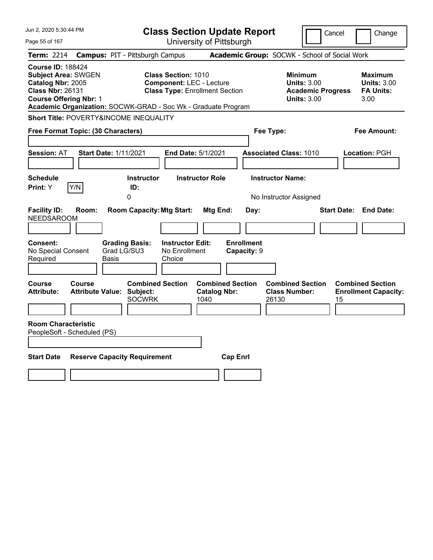| Jun 2, 2020 5:30:44 PM                                                                                                                  |                                                                                                                                                                         | <b>Class Section Update Report</b>                      | Cancel                                                                                 | Change                                                           |
|-----------------------------------------------------------------------------------------------------------------------------------------|-------------------------------------------------------------------------------------------------------------------------------------------------------------------------|---------------------------------------------------------|----------------------------------------------------------------------------------------|------------------------------------------------------------------|
| Page 55 of 167                                                                                                                          |                                                                                                                                                                         | University of Pittsburgh                                |                                                                                        |                                                                  |
| <b>Term: 2214</b>                                                                                                                       | <b>Campus: PIT - Pittsburgh Campus</b>                                                                                                                                  | Academic Group: SOCWK - School of Social Work           |                                                                                        |                                                                  |
| <b>Course ID: 188424</b><br><b>Subject Area: SWGEN</b><br>Catalog Nbr: 2005<br><b>Class Nbr: 26131</b><br><b>Course Offering Nbr: 1</b> | <b>Class Section: 1010</b><br><b>Component: LEC - Lecture</b><br><b>Class Type: Enrollment Section</b><br>Academic Organization: SOCWK-GRAD - Soc Wk - Graduate Program |                                                         | <b>Minimum</b><br><b>Units: 3.00</b><br><b>Academic Progress</b><br><b>Units: 3.00</b> | <b>Maximum</b><br><b>Units: 3.00</b><br><b>FA Units:</b><br>3.00 |
| Short Title: POVERTY&INCOME INEQUALITY                                                                                                  |                                                                                                                                                                         |                                                         |                                                                                        |                                                                  |
| Free Format Topic: (30 Characters)                                                                                                      |                                                                                                                                                                         | Fee Type:                                               |                                                                                        | Fee Amount:                                                      |
| <b>Session: AT</b>                                                                                                                      | <b>Start Date: 1/11/2021</b><br><b>End Date: 5/1/2021</b>                                                                                                               |                                                         | <b>Associated Class: 1010</b>                                                          | Location: PGH                                                    |
| <b>Schedule</b><br>Print: Y<br>Y/N                                                                                                      | <b>Instructor Role</b><br>Instructor<br>ID:<br>0                                                                                                                        | <b>Instructor Name:</b>                                 | No Instructor Assigned                                                                 |                                                                  |
| <b>Facility ID:</b><br>Room:<br><b>NEEDSAROOM</b>                                                                                       | <b>Room Capacity: Mtg Start:</b>                                                                                                                                        | Mtg End:<br>Day:                                        | <b>Start Date:</b>                                                                     | <b>End Date:</b>                                                 |
| Consent:<br>No Special Consent<br>Required                                                                                              | <b>Instructor Edit:</b><br><b>Grading Basis:</b><br>Grad LG/SU3<br>No Enrollment<br>Basis<br>Choice                                                                     | <b>Enrollment</b><br>Capacity: 9                        |                                                                                        |                                                                  |
| Course<br>Course<br><b>Attribute:</b>                                                                                                   | <b>Combined Section</b><br><b>Attribute Value: Subject:</b><br><b>SOCWRK</b><br>1040                                                                                    | <b>Combined Section</b><br><b>Catalog Nbr:</b><br>26130 | <b>Combined Section</b><br><b>Class Number:</b><br>15                                  | <b>Combined Section</b><br><b>Enrollment Capacity:</b>           |
| <b>Room Characteristic</b><br>PeopleSoft - Scheduled (PS)                                                                               |                                                                                                                                                                         |                                                         |                                                                                        |                                                                  |
| <b>Start Date</b>                                                                                                                       | <b>Reserve Capacity Requirement</b>                                                                                                                                     | <b>Cap Enrl</b>                                         |                                                                                        |                                                                  |
|                                                                                                                                         |                                                                                                                                                                         |                                                         |                                                                                        |                                                                  |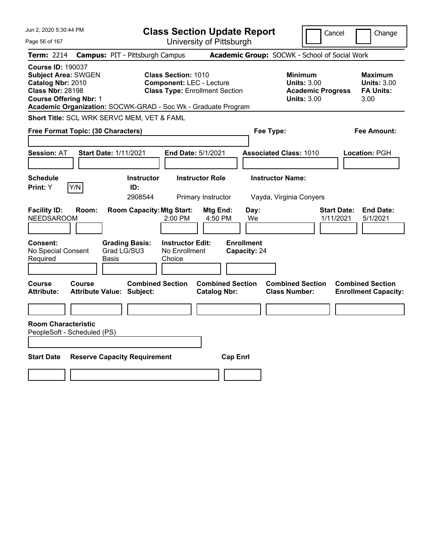| Jun 2, 2020 5:30:44 PM                                                                                                                  | <b>Class Section Update Report</b>                                                                                                                                      |                                                    | Cancel                                                                                 | Change                                                           |
|-----------------------------------------------------------------------------------------------------------------------------------------|-------------------------------------------------------------------------------------------------------------------------------------------------------------------------|----------------------------------------------------|----------------------------------------------------------------------------------------|------------------------------------------------------------------|
| Page 56 of 167                                                                                                                          | University of Pittsburgh                                                                                                                                                |                                                    |                                                                                        |                                                                  |
| <b>Term: 2214</b>                                                                                                                       | <b>Campus: PIT - Pittsburgh Campus</b>                                                                                                                                  | Academic Group: SOCWK - School of Social Work      |                                                                                        |                                                                  |
| <b>Course ID: 190037</b><br><b>Subject Area: SWGEN</b><br>Catalog Nbr: 2010<br><b>Class Nbr: 28198</b><br><b>Course Offering Nbr: 1</b> | <b>Class Section: 1010</b><br><b>Component: LEC - Lecture</b><br><b>Class Type: Enrollment Section</b><br>Academic Organization: SOCWK-GRAD - Soc Wk - Graduate Program |                                                    | <b>Minimum</b><br><b>Units: 3.00</b><br><b>Academic Progress</b><br><b>Units: 3.00</b> | <b>Maximum</b><br><b>Units: 3.00</b><br><b>FA Units:</b><br>3.00 |
| Short Title: SCL WRK SERVC MEM, VET & FAML                                                                                              |                                                                                                                                                                         |                                                    |                                                                                        |                                                                  |
| Free Format Topic: (30 Characters)                                                                                                      |                                                                                                                                                                         | Fee Type:                                          |                                                                                        | Fee Amount:                                                      |
| <b>Session: AT</b>                                                                                                                      | <b>Start Date: 1/11/2021</b><br>End Date: 5/1/2021                                                                                                                      | <b>Associated Class: 1010</b>                      |                                                                                        | <b>Location: PGH</b>                                             |
| <b>Schedule</b><br>Print: Y<br>Y/N                                                                                                      | <b>Instructor Role</b><br><b>Instructor</b><br>ID:<br>2908544<br>Primary Instructor                                                                                     | <b>Instructor Name:</b><br>Vayda, Virginia Conyers |                                                                                        |                                                                  |
| <b>Facility ID:</b><br>Room:<br><b>NEEDSAROOM</b>                                                                                       | <b>Room Capacity: Mtg Start:</b><br>2:00 PM                                                                                                                             | Mtg End:<br>Day:<br>4:50 PM<br>We                  | <b>Start Date:</b><br>1/11/2021                                                        | <b>End Date:</b><br>5/1/2021                                     |
| Consent:<br>No Special Consent<br>Required                                                                                              | <b>Grading Basis:</b><br><b>Instructor Edit:</b><br>Grad LG/SU3<br>No Enrollment<br>Basis<br>Choice                                                                     | <b>Enrollment</b><br>Capacity: 24                  |                                                                                        |                                                                  |
| <b>Course</b><br>Course<br><b>Attribute:</b>                                                                                            | <b>Combined Section</b><br><b>Attribute Value: Subject:</b>                                                                                                             | <b>Combined Section</b><br><b>Catalog Nbr:</b>     | <b>Combined Section</b><br><b>Class Number:</b>                                        | <b>Combined Section</b><br><b>Enrollment Capacity:</b>           |
| <b>Room Characteristic</b><br>PeopleSoft - Scheduled (PS)<br><b>Start Date</b>                                                          | <b>Reserve Capacity Requirement</b>                                                                                                                                     | <b>Cap Enrl</b>                                    |                                                                                        |                                                                  |
|                                                                                                                                         |                                                                                                                                                                         |                                                    |                                                                                        |                                                                  |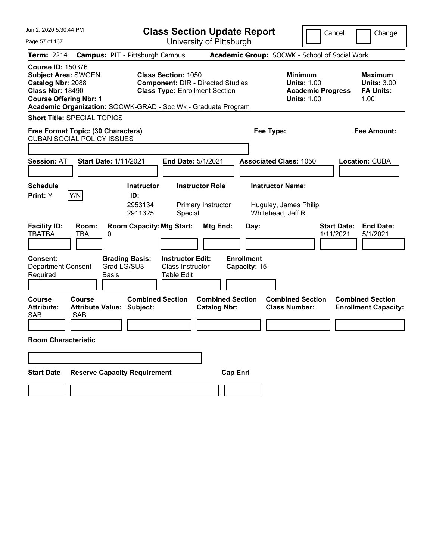| Jun 2, 2020 5:30:44 PM                                                                                                                  |                                                               | <b>Class Section Update Report</b>                                                                              |                                   |                                                                                        | Cancel<br>Change                                                 |
|-----------------------------------------------------------------------------------------------------------------------------------------|---------------------------------------------------------------|-----------------------------------------------------------------------------------------------------------------|-----------------------------------|----------------------------------------------------------------------------------------|------------------------------------------------------------------|
| Page 57 of 167                                                                                                                          |                                                               | University of Pittsburgh                                                                                        |                                   |                                                                                        |                                                                  |
| <b>Term: 2214</b>                                                                                                                       | <b>Campus: PIT - Pittsburgh Campus</b>                        |                                                                                                                 |                                   | Academic Group: SOCWK - School of Social Work                                          |                                                                  |
| <b>Course ID: 150376</b><br><b>Subject Area: SWGEN</b><br>Catalog Nbr: 2088<br><b>Class Nbr: 18490</b><br><b>Course Offering Nbr: 1</b> | Academic Organization: SOCWK-GRAD - Soc Wk - Graduate Program | <b>Class Section: 1050</b><br><b>Component: DIR - Directed Studies</b><br><b>Class Type: Enrollment Section</b> |                                   | <b>Minimum</b><br><b>Units: 1.00</b><br><b>Academic Progress</b><br><b>Units: 1.00</b> | <b>Maximum</b><br><b>Units: 3.00</b><br><b>FA Units:</b><br>1.00 |
| <b>Short Title: SPECIAL TOPICS</b>                                                                                                      |                                                               |                                                                                                                 |                                   |                                                                                        |                                                                  |
| Free Format Topic: (30 Characters)<br><b>CUBAN SOCIAL POLICY ISSUES</b>                                                                 |                                                               |                                                                                                                 |                                   | Fee Type:                                                                              | <b>Fee Amount:</b>                                               |
| <b>Session: AT</b>                                                                                                                      | <b>Start Date: 1/11/2021</b>                                  | <b>End Date: 5/1/2021</b>                                                                                       |                                   | <b>Associated Class: 1050</b>                                                          | <b>Location: CUBA</b>                                            |
| <b>Schedule</b>                                                                                                                         | <b>Instructor</b>                                             | <b>Instructor Role</b>                                                                                          |                                   | <b>Instructor Name:</b>                                                                |                                                                  |
| Y/N<br>Print: Y                                                                                                                         | ID:                                                           |                                                                                                                 |                                   |                                                                                        |                                                                  |
|                                                                                                                                         | 2953134<br>2911325                                            | Primary Instructor<br>Special                                                                                   |                                   | Huguley, James Philip<br>Whitehead, Jeff R                                             |                                                                  |
| <b>Facility ID:</b><br>Room:<br><b>TBATBA</b><br>TBA                                                                                    | <b>Room Capacity: Mtg Start:</b><br>0                         | Mtg End:                                                                                                        | Day:                              |                                                                                        | <b>Start Date:</b><br><b>End Date:</b><br>1/11/2021<br>5/1/2021  |
| Consent:<br><b>Department Consent</b><br>Required                                                                                       | <b>Grading Basis:</b><br>Grad LG/SU3<br><b>Basis</b>          | <b>Instructor Edit:</b><br>Class Instructor<br><b>Table Edit</b>                                                | <b>Enrollment</b><br>Capacity: 15 |                                                                                        |                                                                  |
| Course<br>Course<br><b>Attribute:</b><br>SAB<br><b>SAB</b>                                                                              | <b>Combined Section</b><br><b>Attribute Value: Subject:</b>   | <b>Catalog Nbr:</b>                                                                                             | <b>Combined Section</b>           | <b>Combined Section</b><br><b>Class Number:</b>                                        | <b>Combined Section</b><br><b>Enrollment Capacity:</b>           |
| <b>Room Characteristic</b>                                                                                                              |                                                               |                                                                                                                 |                                   |                                                                                        |                                                                  |
|                                                                                                                                         |                                                               |                                                                                                                 |                                   |                                                                                        |                                                                  |
| <b>Start Date</b>                                                                                                                       | <b>Reserve Capacity Requirement</b>                           |                                                                                                                 | <b>Cap Enrl</b>                   |                                                                                        |                                                                  |
|                                                                                                                                         |                                                               |                                                                                                                 |                                   |                                                                                        |                                                                  |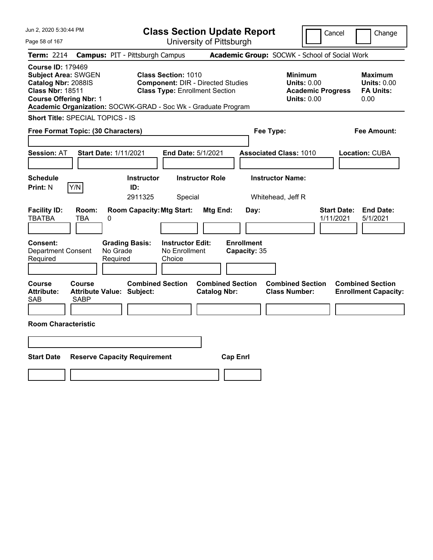| Jun 2, 2020 5:30:44 PM                                                                                                                                                                                     |                                                                                                                 | <b>Class Section Update Report</b>             | Cancel                                                                                 | Change                                                           |
|------------------------------------------------------------------------------------------------------------------------------------------------------------------------------------------------------------|-----------------------------------------------------------------------------------------------------------------|------------------------------------------------|----------------------------------------------------------------------------------------|------------------------------------------------------------------|
| Page 58 of 167                                                                                                                                                                                             |                                                                                                                 | University of Pittsburgh                       |                                                                                        |                                                                  |
| Term: 2214                                                                                                                                                                                                 | <b>Campus: PIT - Pittsburgh Campus</b>                                                                          |                                                | Academic Group: SOCWK - School of Social Work                                          |                                                                  |
| <b>Course ID: 179469</b><br><b>Subject Area: SWGEN</b><br>Catalog Nbr: 2088IS<br><b>Class Nbr: 18511</b><br><b>Course Offering Nbr: 1</b><br>Academic Organization: SOCWK-GRAD - Soc Wk - Graduate Program | <b>Class Section: 1010</b><br><b>Component: DIR - Directed Studies</b><br><b>Class Type: Enrollment Section</b> |                                                | <b>Minimum</b><br><b>Units: 0.00</b><br><b>Academic Progress</b><br><b>Units: 0.00</b> | <b>Maximum</b><br><b>Units: 0.00</b><br><b>FA Units:</b><br>0.00 |
| Short Title: SPECIAL TOPICS - IS                                                                                                                                                                           |                                                                                                                 |                                                |                                                                                        |                                                                  |
| Free Format Topic: (30 Characters)                                                                                                                                                                         |                                                                                                                 |                                                | Fee Type:                                                                              | Fee Amount:                                                      |
| <b>Session: AT</b><br><b>Start Date: 1/11/2021</b>                                                                                                                                                         | End Date: 5/1/2021                                                                                              |                                                | <b>Associated Class: 1010</b>                                                          | Location: CUBA                                                   |
| <b>Schedule</b><br>Y/N<br><b>Print: N</b>                                                                                                                                                                  | <b>Instructor</b><br>ID:<br>2911325<br>Special                                                                  | <b>Instructor Role</b>                         | <b>Instructor Name:</b><br>Whitehead, Jeff R                                           |                                                                  |
| <b>Facility ID:</b><br>Room:<br><b>TBATBA</b><br><b>TBA</b><br>0                                                                                                                                           | <b>Room Capacity: Mtg Start:</b>                                                                                | Mtg End:<br>Day:                               | 1/11/2021                                                                              | <b>Start Date:</b><br><b>End Date:</b><br>5/1/2021               |
| <b>Consent:</b><br><b>Department Consent</b><br>Required                                                                                                                                                   | <b>Instructor Edit:</b><br><b>Grading Basis:</b><br>No Grade<br>No Enrollment<br>Required<br>Choice             | <b>Enrollment</b><br>Capacity: 35              |                                                                                        |                                                                  |
| Course<br><b>Course</b><br><b>Attribute:</b><br><b>Attribute Value: Subject:</b><br><b>SAB</b><br><b>SABP</b>                                                                                              | <b>Combined Section</b>                                                                                         | <b>Combined Section</b><br><b>Catalog Nbr:</b> | <b>Combined Section</b><br><b>Class Number:</b>                                        | <b>Combined Section</b><br><b>Enrollment Capacity:</b>           |
| <b>Room Characteristic</b>                                                                                                                                                                                 |                                                                                                                 |                                                |                                                                                        |                                                                  |
|                                                                                                                                                                                                            |                                                                                                                 |                                                |                                                                                        |                                                                  |
| <b>Start Date</b>                                                                                                                                                                                          | <b>Reserve Capacity Requirement</b>                                                                             | <b>Cap Enrl</b>                                |                                                                                        |                                                                  |
|                                                                                                                                                                                                            |                                                                                                                 |                                                |                                                                                        |                                                                  |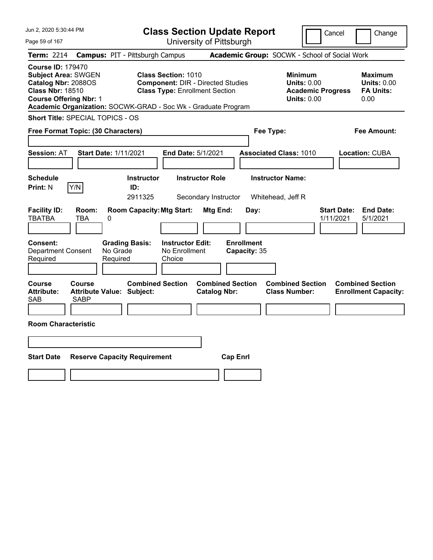| Jun 2, 2020 5:30:44 PM                                                                                                                                                                                     |                                                             | <b>Class Section Update Report</b>                                                |                                                 | Cancel                                                                                 | Change                                                           |
|------------------------------------------------------------------------------------------------------------------------------------------------------------------------------------------------------------|-------------------------------------------------------------|-----------------------------------------------------------------------------------|-------------------------------------------------|----------------------------------------------------------------------------------------|------------------------------------------------------------------|
| Page 59 of 167                                                                                                                                                                                             |                                                             | University of Pittsburgh                                                          |                                                 |                                                                                        |                                                                  |
| Term: 2214                                                                                                                                                                                                 | <b>Campus: PIT - Pittsburgh Campus</b>                      |                                                                                   | Academic Group: SOCWK - School of Social Work   |                                                                                        |                                                                  |
| <b>Course ID: 179470</b><br><b>Subject Area: SWGEN</b><br>Catalog Nbr: 2088OS<br><b>Class Nbr: 18510</b><br><b>Course Offering Nbr: 1</b><br>Academic Organization: SOCWK-GRAD - Soc Wk - Graduate Program | <b>Class Section: 1010</b>                                  | <b>Component: DIR - Directed Studies</b><br><b>Class Type: Enrollment Section</b> |                                                 | <b>Minimum</b><br><b>Units: 0.00</b><br><b>Academic Progress</b><br><b>Units: 0.00</b> | <b>Maximum</b><br><b>Units: 0.00</b><br><b>FA Units:</b><br>0.00 |
| Short Title: SPECIAL TOPICS - OS                                                                                                                                                                           |                                                             |                                                                                   |                                                 |                                                                                        |                                                                  |
| Free Format Topic: (30 Characters)                                                                                                                                                                         |                                                             |                                                                                   | Fee Type:                                       |                                                                                        | Fee Amount:                                                      |
| <b>Session: AT</b><br><b>Start Date: 1/11/2021</b>                                                                                                                                                         |                                                             | End Date: 5/1/2021                                                                | <b>Associated Class: 1010</b>                   |                                                                                        | Location: CUBA                                                   |
| <b>Schedule</b><br>Y/N<br><b>Print: N</b>                                                                                                                                                                  | <b>Instructor</b><br>ID:<br>2911325                         | <b>Instructor Role</b><br>Secondary Instructor                                    | <b>Instructor Name:</b><br>Whitehead, Jeff R    |                                                                                        |                                                                  |
| <b>Facility ID:</b><br>Room:<br><b>TBATBA</b><br>TBA<br>0                                                                                                                                                  | <b>Room Capacity: Mtg Start:</b>                            | <b>Mtg End:</b>                                                                   | Day:                                            | <b>Start Date:</b><br>1/11/2021                                                        | <b>End Date:</b><br>5/1/2021                                     |
| Consent:<br><b>Department Consent</b><br>Required                                                                                                                                                          | <b>Grading Basis:</b><br>No Grade<br>Required<br>Choice     | <b>Instructor Edit:</b><br>No Enrollment                                          | <b>Enrollment</b><br>Capacity: 35               |                                                                                        |                                                                  |
| Course<br>Course<br><b>Attribute:</b><br><b>SAB</b><br><b>SABP</b>                                                                                                                                         | <b>Combined Section</b><br><b>Attribute Value: Subject:</b> | <b>Combined Section</b><br><b>Catalog Nbr:</b>                                    | <b>Combined Section</b><br><b>Class Number:</b> |                                                                                        | <b>Combined Section</b><br><b>Enrollment Capacity:</b>           |
| <b>Room Characteristic</b>                                                                                                                                                                                 |                                                             |                                                                                   |                                                 |                                                                                        |                                                                  |
|                                                                                                                                                                                                            |                                                             |                                                                                   |                                                 |                                                                                        |                                                                  |
| <b>Start Date</b>                                                                                                                                                                                          | <b>Reserve Capacity Requirement</b>                         | <b>Cap Enrl</b>                                                                   |                                                 |                                                                                        |                                                                  |
|                                                                                                                                                                                                            |                                                             |                                                                                   |                                                 |                                                                                        |                                                                  |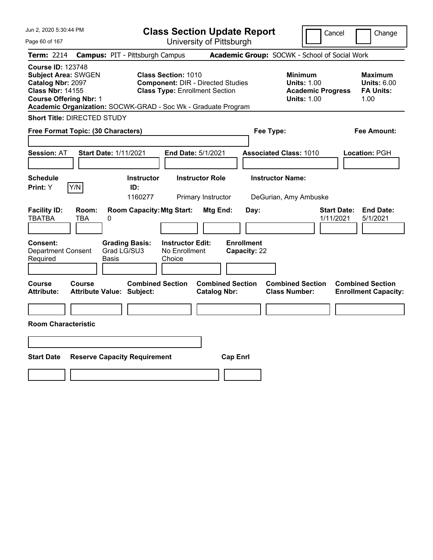| Jun 2, 2020 5:30:44 PM                                                                                                                  |                                                                                                                                      | <b>Class Section Update Report</b>             | Cancel                                                                                 | Change                                                           |
|-----------------------------------------------------------------------------------------------------------------------------------------|--------------------------------------------------------------------------------------------------------------------------------------|------------------------------------------------|----------------------------------------------------------------------------------------|------------------------------------------------------------------|
| Page 60 of 167                                                                                                                          |                                                                                                                                      | University of Pittsburgh                       |                                                                                        |                                                                  |
| <b>Term: 2214</b>                                                                                                                       | <b>Campus: PIT - Pittsburgh Campus</b>                                                                                               |                                                | Academic Group: SOCWK - School of Social Work                                          |                                                                  |
| <b>Course ID: 123748</b><br><b>Subject Area: SWGEN</b><br>Catalog Nbr: 2097<br><b>Class Nbr: 14155</b><br><b>Course Offering Nbr: 1</b> | <b>Class Section: 1010</b><br><b>Class Type: Enrollment Section</b><br>Academic Organization: SOCWK-GRAD - Soc Wk - Graduate Program | <b>Component: DIR - Directed Studies</b>       | <b>Minimum</b><br><b>Units: 1.00</b><br><b>Academic Progress</b><br><b>Units: 1.00</b> | <b>Maximum</b><br><b>Units: 6.00</b><br><b>FA Units:</b><br>1.00 |
| <b>Short Title: DIRECTED STUDY</b>                                                                                                      |                                                                                                                                      |                                                |                                                                                        |                                                                  |
| Free Format Topic: (30 Characters)                                                                                                      |                                                                                                                                      |                                                | Fee Type:                                                                              | <b>Fee Amount:</b>                                               |
| Session: AT                                                                                                                             | <b>Start Date: 1/11/2021</b>                                                                                                         | End Date: 5/1/2021                             | <b>Associated Class: 1010</b>                                                          | Location: PGH                                                    |
| <b>Schedule</b><br>Print: Y<br>Y/N                                                                                                      | Instructor<br>ID:<br>1160277                                                                                                         | <b>Instructor Role</b><br>Primary Instructor   | <b>Instructor Name:</b><br>DeGurian, Amy Ambuske                                       |                                                                  |
| <b>Facility ID:</b><br>Room:<br><b>TBATBA</b><br>TBA                                                                                    | <b>Room Capacity: Mtg Start:</b><br>0                                                                                                | Mtg End:<br>Day:                               | 1/11/2021                                                                              | <b>Start Date:</b><br><b>End Date:</b><br>5/1/2021               |
| Consent:<br><b>Department Consent</b><br>Required                                                                                       | <b>Instructor Edit:</b><br><b>Grading Basis:</b><br>Grad LG/SU3<br>No Enrollment<br>Basis<br>Choice                                  | <b>Enrollment</b><br>Capacity: 22              |                                                                                        |                                                                  |
| Course<br>Course<br><b>Attribute:</b>                                                                                                   | <b>Combined Section</b><br><b>Attribute Value: Subject:</b>                                                                          | <b>Combined Section</b><br><b>Catalog Nbr:</b> | <b>Combined Section</b><br><b>Class Number:</b>                                        | <b>Combined Section</b><br><b>Enrollment Capacity:</b>           |
|                                                                                                                                         |                                                                                                                                      |                                                |                                                                                        |                                                                  |
| <b>Room Characteristic</b>                                                                                                              |                                                                                                                                      |                                                |                                                                                        |                                                                  |
|                                                                                                                                         |                                                                                                                                      |                                                |                                                                                        |                                                                  |
| <b>Start Date</b>                                                                                                                       | <b>Reserve Capacity Requirement</b>                                                                                                  | <b>Cap Enrl</b>                                |                                                                                        |                                                                  |
|                                                                                                                                         |                                                                                                                                      |                                                |                                                                                        |                                                                  |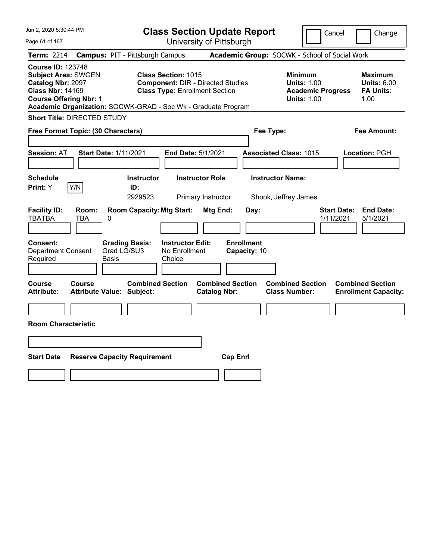| Jun 2, 2020 5:30:44 PM                                                                                                                                                                                   |                                                             | <b>Class Section Update Report</b>                                                |                                                 | Cancel                                                                                 | Change                                                    |
|----------------------------------------------------------------------------------------------------------------------------------------------------------------------------------------------------------|-------------------------------------------------------------|-----------------------------------------------------------------------------------|-------------------------------------------------|----------------------------------------------------------------------------------------|-----------------------------------------------------------|
| Page 61 of 167                                                                                                                                                                                           |                                                             | University of Pittsburgh                                                          |                                                 |                                                                                        |                                                           |
| Term: 2214                                                                                                                                                                                               | <b>Campus: PIT - Pittsburgh Campus</b>                      |                                                                                   | Academic Group: SOCWK - School of Social Work   |                                                                                        |                                                           |
| <b>Course ID: 123748</b><br><b>Subject Area: SWGEN</b><br>Catalog Nbr: 2097<br><b>Class Nbr: 14169</b><br><b>Course Offering Nbr: 1</b><br>Academic Organization: SOCWK-GRAD - Soc Wk - Graduate Program | <b>Class Section: 1015</b>                                  | <b>Component: DIR - Directed Studies</b><br><b>Class Type: Enrollment Section</b> |                                                 | <b>Minimum</b><br><b>Units: 1.00</b><br><b>Academic Progress</b><br><b>Units: 1.00</b> | Maximum<br><b>Units: 6.00</b><br><b>FA Units:</b><br>1.00 |
| <b>Short Title: DIRECTED STUDY</b>                                                                                                                                                                       |                                                             |                                                                                   |                                                 |                                                                                        |                                                           |
| Free Format Topic: (30 Characters)                                                                                                                                                                       |                                                             |                                                                                   | Fee Type:                                       |                                                                                        | <b>Fee Amount:</b>                                        |
| <b>Session: AT</b>                                                                                                                                                                                       | <b>Start Date: 1/11/2021</b>                                | End Date: 5/1/2021                                                                | <b>Associated Class: 1015</b>                   |                                                                                        | Location: PGH                                             |
| <b>Schedule</b><br>Y/N<br>Print: Y                                                                                                                                                                       | <b>Instructor</b><br>ID:<br>2929523                         | <b>Instructor Role</b><br>Primary Instructor                                      | <b>Instructor Name:</b><br>Shook, Jeffrey James |                                                                                        |                                                           |
| <b>Facility ID:</b><br>Room:<br><b>TBATBA</b><br>TBA                                                                                                                                                     | <b>Room Capacity: Mtg Start:</b><br>0                       | Mtg End:                                                                          | Day:                                            | <b>Start Date:</b><br>1/11/2021                                                        | <b>End Date:</b><br>5/1/2021                              |
| <b>Consent:</b><br><b>Department Consent</b><br>Required                                                                                                                                                 | <b>Grading Basis:</b><br>Grad LG/SU3<br>Basis<br>Choice     | <b>Instructor Edit:</b><br>No Enrollment                                          | <b>Enrollment</b><br>Capacity: 10               |                                                                                        |                                                           |
| Course<br>Course<br><b>Attribute:</b>                                                                                                                                                                    | <b>Combined Section</b><br><b>Attribute Value: Subject:</b> | <b>Combined Section</b><br><b>Catalog Nbr:</b>                                    | <b>Combined Section</b><br><b>Class Number:</b> |                                                                                        | <b>Combined Section</b><br><b>Enrollment Capacity:</b>    |
|                                                                                                                                                                                                          |                                                             |                                                                                   |                                                 |                                                                                        |                                                           |
| <b>Room Characteristic</b>                                                                                                                                                                               |                                                             |                                                                                   |                                                 |                                                                                        |                                                           |
|                                                                                                                                                                                                          |                                                             |                                                                                   |                                                 |                                                                                        |                                                           |
| <b>Start Date</b>                                                                                                                                                                                        | <b>Reserve Capacity Requirement</b>                         | <b>Cap Enrl</b>                                                                   |                                                 |                                                                                        |                                                           |
|                                                                                                                                                                                                          |                                                             |                                                                                   |                                                 |                                                                                        |                                                           |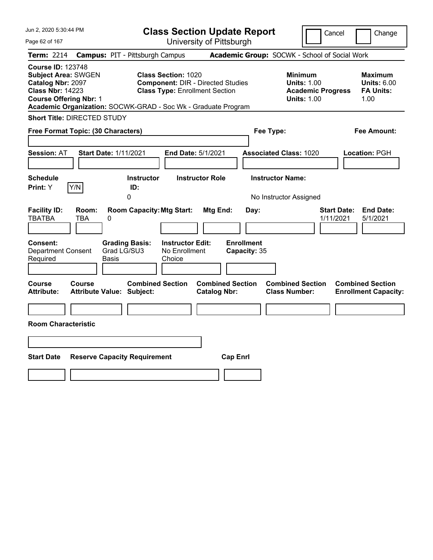| Jun 2, 2020 5:30:44 PM                                                                                                                  |                                                                                                                                                                                  | <b>Class Section Update Report</b>             | Cancel                                                                                 | Change                                                    |
|-----------------------------------------------------------------------------------------------------------------------------------------|----------------------------------------------------------------------------------------------------------------------------------------------------------------------------------|------------------------------------------------|----------------------------------------------------------------------------------------|-----------------------------------------------------------|
| Page 62 of 167                                                                                                                          |                                                                                                                                                                                  | University of Pittsburgh                       |                                                                                        |                                                           |
| Term: 2214                                                                                                                              | <b>Campus: PIT - Pittsburgh Campus</b>                                                                                                                                           |                                                | Academic Group: SOCWK - School of Social Work                                          |                                                           |
| <b>Course ID: 123748</b><br><b>Subject Area: SWGEN</b><br>Catalog Nbr: 2097<br><b>Class Nbr: 14223</b><br><b>Course Offering Nbr: 1</b> | <b>Class Section: 1020</b><br><b>Component: DIR - Directed Studies</b><br><b>Class Type: Enrollment Section</b><br>Academic Organization: SOCWK-GRAD - Soc Wk - Graduate Program |                                                | <b>Minimum</b><br><b>Units: 1.00</b><br><b>Academic Progress</b><br><b>Units: 1.00</b> | Maximum<br><b>Units: 6.00</b><br><b>FA Units:</b><br>1.00 |
| <b>Short Title: DIRECTED STUDY</b>                                                                                                      |                                                                                                                                                                                  |                                                |                                                                                        |                                                           |
| Free Format Topic: (30 Characters)                                                                                                      |                                                                                                                                                                                  |                                                | Fee Type:                                                                              | <b>Fee Amount:</b>                                        |
| <b>Session: AT</b>                                                                                                                      | <b>Start Date: 1/11/2021</b><br>End Date: 5/1/2021                                                                                                                               |                                                | <b>Associated Class: 1020</b>                                                          | Location: PGH                                             |
| <b>Schedule</b><br>Y/N<br>Print: Y                                                                                                      | <b>Instructor</b><br>ID:<br>0                                                                                                                                                    | <b>Instructor Role</b>                         | <b>Instructor Name:</b><br>No Instructor Assigned                                      |                                                           |
| <b>Facility ID:</b><br>Room:<br><b>TBATBA</b><br>0<br>TBA                                                                               | <b>Room Capacity: Mtg Start:</b>                                                                                                                                                 | Mtg End:<br>Day:                               | 1/11/2021                                                                              | <b>End Date:</b><br><b>Start Date:</b><br>5/1/2021        |
| <b>Consent:</b><br><b>Department Consent</b><br>Required                                                                                | <b>Instructor Edit:</b><br><b>Grading Basis:</b><br>Grad LG/SU3<br>No Enrollment<br>Basis<br>Choice                                                                              | <b>Enrollment</b><br>Capacity: 35              |                                                                                        |                                                           |
| Course<br>Course<br><b>Attribute:</b>                                                                                                   | <b>Combined Section</b><br><b>Attribute Value: Subject:</b>                                                                                                                      | <b>Combined Section</b><br><b>Catalog Nbr:</b> | <b>Combined Section</b><br><b>Class Number:</b>                                        | <b>Combined Section</b><br><b>Enrollment Capacity:</b>    |
|                                                                                                                                         |                                                                                                                                                                                  |                                                |                                                                                        |                                                           |
| <b>Room Characteristic</b>                                                                                                              |                                                                                                                                                                                  |                                                |                                                                                        |                                                           |
|                                                                                                                                         |                                                                                                                                                                                  |                                                |                                                                                        |                                                           |
| <b>Start Date</b>                                                                                                                       | <b>Reserve Capacity Requirement</b>                                                                                                                                              | <b>Cap Enrl</b>                                |                                                                                        |                                                           |
|                                                                                                                                         |                                                                                                                                                                                  |                                                |                                                                                        |                                                           |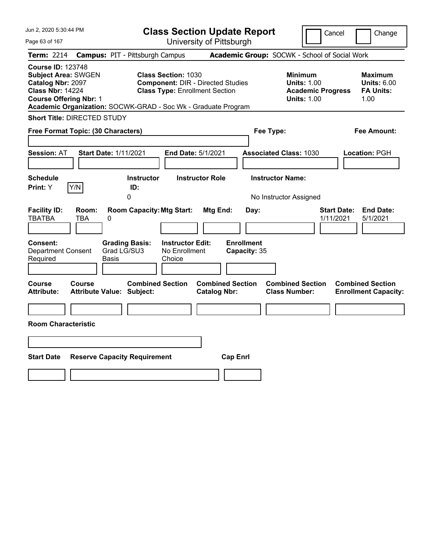| Jun 2, 2020 5:30:44 PM                                                                                                                         |                                                                                                                                                                                  | <b>Class Section Update Report</b>                    |                                                                                        | Cancel<br>Change                                                 |
|------------------------------------------------------------------------------------------------------------------------------------------------|----------------------------------------------------------------------------------------------------------------------------------------------------------------------------------|-------------------------------------------------------|----------------------------------------------------------------------------------------|------------------------------------------------------------------|
| Page 63 of 167                                                                                                                                 |                                                                                                                                                                                  | University of Pittsburgh                              |                                                                                        |                                                                  |
| Term: 2214                                                                                                                                     | <b>Campus: PIT - Pittsburgh Campus</b>                                                                                                                                           |                                                       | Academic Group: SOCWK - School of Social Work                                          |                                                                  |
| <b>Course ID: 123748</b><br><b>Subject Area: SWGEN</b><br><b>Catalog Nbr: 2097</b><br><b>Class Nbr: 14224</b><br><b>Course Offering Nbr: 1</b> | <b>Class Section: 1030</b><br><b>Component: DIR - Directed Studies</b><br><b>Class Type: Enrollment Section</b><br>Academic Organization: SOCWK-GRAD - Soc Wk - Graduate Program |                                                       | <b>Minimum</b><br><b>Units: 1.00</b><br><b>Academic Progress</b><br><b>Units: 1.00</b> | <b>Maximum</b><br><b>Units: 6.00</b><br><b>FA Units:</b><br>1.00 |
| <b>Short Title: DIRECTED STUDY</b>                                                                                                             |                                                                                                                                                                                  |                                                       |                                                                                        |                                                                  |
| Free Format Topic: (30 Characters)                                                                                                             |                                                                                                                                                                                  |                                                       | Fee Type:                                                                              | Fee Amount:                                                      |
| <b>Session: AT</b>                                                                                                                             | <b>Start Date: 1/11/2021</b><br>End Date: 5/1/2021                                                                                                                               |                                                       | <b>Associated Class: 1030</b>                                                          | Location: PGH                                                    |
| <b>Schedule</b>                                                                                                                                | <b>Instructor</b>                                                                                                                                                                | <b>Instructor Role</b>                                | <b>Instructor Name:</b>                                                                |                                                                  |
| Y/N<br>Print: Y                                                                                                                                | ID:<br>0                                                                                                                                                                         |                                                       | No Instructor Assigned                                                                 |                                                                  |
| <b>Facility ID:</b><br>Room:<br><b>TBATBA</b><br>TBA<br>0<br>Consent:<br><b>Department Consent</b><br>Required                                 | <b>Room Capacity: Mtg Start:</b><br><b>Grading Basis:</b><br><b>Instructor Edit:</b><br>Grad LG/SU3<br>No Enrollment<br>Choice<br>Basis                                          | Mtg End:<br>Day:<br><b>Enrollment</b><br>Capacity: 35 |                                                                                        | <b>End Date:</b><br><b>Start Date:</b><br>1/11/2021<br>5/1/2021  |
| Course<br><b>Course</b><br><b>Attribute:</b>                                                                                                   | <b>Combined Section</b><br><b>Attribute Value: Subject:</b>                                                                                                                      | <b>Combined Section</b><br><b>Catalog Nbr:</b>        | <b>Combined Section</b><br><b>Class Number:</b>                                        | <b>Combined Section</b><br><b>Enrollment Capacity:</b>           |
| <b>Room Characteristic</b>                                                                                                                     |                                                                                                                                                                                  |                                                       |                                                                                        |                                                                  |
|                                                                                                                                                |                                                                                                                                                                                  |                                                       |                                                                                        |                                                                  |
| <b>Start Date</b>                                                                                                                              | <b>Reserve Capacity Requirement</b>                                                                                                                                              | <b>Cap Enrl</b>                                       |                                                                                        |                                                                  |
|                                                                                                                                                |                                                                                                                                                                                  |                                                       |                                                                                        |                                                                  |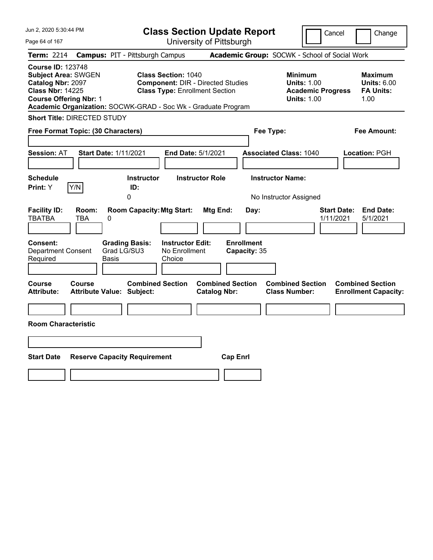| Jun 2, 2020 5:30:44 PM                                                                                                                  |                                                                                                                                      | <b>Class Section Update Report</b>             |                                                                                        | Cancel<br>Change                                                |
|-----------------------------------------------------------------------------------------------------------------------------------------|--------------------------------------------------------------------------------------------------------------------------------------|------------------------------------------------|----------------------------------------------------------------------------------------|-----------------------------------------------------------------|
| Page 64 of 167                                                                                                                          |                                                                                                                                      | University of Pittsburgh                       |                                                                                        |                                                                 |
| Term: 2214                                                                                                                              | <b>Campus: PIT - Pittsburgh Campus</b>                                                                                               |                                                | Academic Group: SOCWK - School of Social Work                                          |                                                                 |
| <b>Course ID: 123748</b><br><b>Subject Area: SWGEN</b><br>Catalog Nbr: 2097<br><b>Class Nbr: 14225</b><br><b>Course Offering Nbr: 1</b> | <b>Class Section: 1040</b><br><b>Class Type: Enrollment Section</b><br>Academic Organization: SOCWK-GRAD - Soc Wk - Graduate Program | <b>Component: DIR - Directed Studies</b>       | <b>Minimum</b><br><b>Units: 1.00</b><br><b>Academic Progress</b><br><b>Units: 1.00</b> | Maximum<br><b>Units: 6.00</b><br><b>FA Units:</b><br>1.00       |
| <b>Short Title: DIRECTED STUDY</b>                                                                                                      |                                                                                                                                      |                                                |                                                                                        |                                                                 |
| Free Format Topic: (30 Characters)                                                                                                      |                                                                                                                                      |                                                | Fee Type:                                                                              | Fee Amount:                                                     |
| <b>Session: AT</b>                                                                                                                      | <b>Start Date: 1/11/2021</b>                                                                                                         | <b>End Date: 5/1/2021</b>                      | <b>Associated Class: 1040</b>                                                          | Location: PGH                                                   |
| <b>Schedule</b><br>Y/N<br>Print: Y                                                                                                      | Instructor<br>ID:<br>0                                                                                                               | <b>Instructor Role</b>                         | <b>Instructor Name:</b><br>No Instructor Assigned                                      |                                                                 |
| <b>Facility ID:</b><br>Room:<br><b>TBATBA</b><br>TBA                                                                                    | <b>Room Capacity: Mtg Start:</b><br>0                                                                                                | Mtg End:<br>Day:                               |                                                                                        | <b>Start Date:</b><br><b>End Date:</b><br>1/11/2021<br>5/1/2021 |
| <b>Consent:</b><br><b>Department Consent</b><br>Required                                                                                | <b>Instructor Edit:</b><br><b>Grading Basis:</b><br>Grad LG/SU3<br>No Enrollment<br>Basis<br>Choice                                  | <b>Enrollment</b><br>Capacity: 35              |                                                                                        |                                                                 |
| Course<br>Course<br><b>Attribute:</b>                                                                                                   | <b>Combined Section</b><br><b>Attribute Value: Subject:</b>                                                                          | <b>Combined Section</b><br><b>Catalog Nbr:</b> | <b>Combined Section</b><br><b>Class Number:</b>                                        | <b>Combined Section</b><br><b>Enrollment Capacity:</b>          |
| <b>Room Characteristic</b>                                                                                                              |                                                                                                                                      |                                                |                                                                                        |                                                                 |
|                                                                                                                                         |                                                                                                                                      |                                                |                                                                                        |                                                                 |
| <b>Start Date</b>                                                                                                                       | <b>Reserve Capacity Requirement</b>                                                                                                  | <b>Cap Enrl</b>                                |                                                                                        |                                                                 |
|                                                                                                                                         |                                                                                                                                      |                                                |                                                                                        |                                                                 |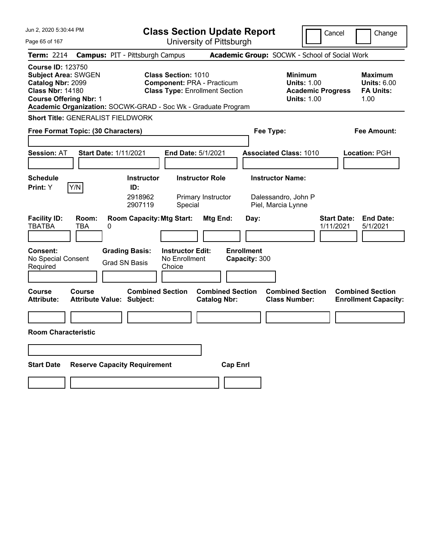| Jun 2, 2020 5:30:44 PM                                                                                                                                                                                   |                                                             | <b>Class Section Update Report</b>                                                                       |                                                |                                    |                                                                      | Cancel                   |                    | Change                                                           |
|----------------------------------------------------------------------------------------------------------------------------------------------------------------------------------------------------------|-------------------------------------------------------------|----------------------------------------------------------------------------------------------------------|------------------------------------------------|------------------------------------|----------------------------------------------------------------------|--------------------------|--------------------|------------------------------------------------------------------|
| Page 65 of 167                                                                                                                                                                                           |                                                             | University of Pittsburgh                                                                                 |                                                |                                    |                                                                      |                          |                    |                                                                  |
| Term: 2214                                                                                                                                                                                               | <b>Campus: PIT - Pittsburgh Campus</b>                      |                                                                                                          |                                                |                                    | Academic Group: SOCWK - School of Social Work                        |                          |                    |                                                                  |
| <b>Course ID: 123750</b><br><b>Subject Area: SWGEN</b><br>Catalog Nbr: 2099<br><b>Class Nbr: 14180</b><br><b>Course Offering Nbr: 1</b><br>Academic Organization: SOCWK-GRAD - Soc Wk - Graduate Program |                                                             | <b>Class Section: 1010</b><br><b>Component: PRA - Practicum</b><br><b>Class Type: Enrollment Section</b> |                                                |                                    | <b>Minimum</b><br><b>Units: 1.00</b><br><b>Units: 1.00</b>           | <b>Academic Progress</b> |                    | <b>Maximum</b><br><b>Units: 6.00</b><br><b>FA Units:</b><br>1.00 |
| <b>Short Title: GENERALIST FIELDWORK</b>                                                                                                                                                                 |                                                             |                                                                                                          |                                                |                                    |                                                                      |                          |                    |                                                                  |
| Free Format Topic: (30 Characters)                                                                                                                                                                       |                                                             |                                                                                                          |                                                |                                    | Fee Type:                                                            |                          |                    | Fee Amount:                                                      |
| <b>Session: AT</b>                                                                                                                                                                                       | <b>Start Date: 1/11/2021</b>                                | <b>End Date: 5/1/2021</b>                                                                                |                                                |                                    | <b>Associated Class: 1010</b>                                        |                          |                    | Location: PGH                                                    |
| <b>Schedule</b><br>Y/N<br>Print: Y                                                                                                                                                                       | <b>Instructor</b><br>ID:<br>2918962<br>2907119              | <b>Instructor Role</b><br>Primary Instructor<br>Special                                                  |                                                |                                    | <b>Instructor Name:</b><br>Dalessandro, John P<br>Piel, Marcia Lynne |                          |                    |                                                                  |
| <b>Facility ID:</b><br>Room:<br><b>TBATBA</b><br>TBA                                                                                                                                                     | <b>Room Capacity: Mtg Start:</b><br>0                       |                                                                                                          | Mtg End:                                       | Day:                               |                                                                      | 1/11/2021                | <b>Start Date:</b> | <b>End Date:</b><br>5/1/2021                                     |
| <b>Consent:</b><br>No Special Consent<br>Required                                                                                                                                                        | <b>Grading Basis:</b><br><b>Grad SN Basis</b>               | <b>Instructor Edit:</b><br>No Enrollment<br>Choice                                                       |                                                | <b>Enrollment</b><br>Capacity: 300 |                                                                      |                          |                    |                                                                  |
| Course<br>Course<br><b>Attribute:</b>                                                                                                                                                                    | <b>Combined Section</b><br><b>Attribute Value: Subject:</b> |                                                                                                          | <b>Combined Section</b><br><b>Catalog Nbr:</b> |                                    | <b>Combined Section</b><br><b>Class Number:</b>                      |                          |                    | <b>Combined Section</b><br><b>Enrollment Capacity:</b>           |
|                                                                                                                                                                                                          |                                                             |                                                                                                          |                                                |                                    |                                                                      |                          |                    |                                                                  |
| <b>Room Characteristic</b>                                                                                                                                                                               |                                                             |                                                                                                          |                                                |                                    |                                                                      |                          |                    |                                                                  |
|                                                                                                                                                                                                          |                                                             |                                                                                                          |                                                |                                    |                                                                      |                          |                    |                                                                  |
| <b>Start Date</b>                                                                                                                                                                                        | <b>Reserve Capacity Requirement</b>                         |                                                                                                          | <b>Cap Enrl</b>                                |                                    |                                                                      |                          |                    |                                                                  |
|                                                                                                                                                                                                          |                                                             |                                                                                                          |                                                |                                    |                                                                      |                          |                    |                                                                  |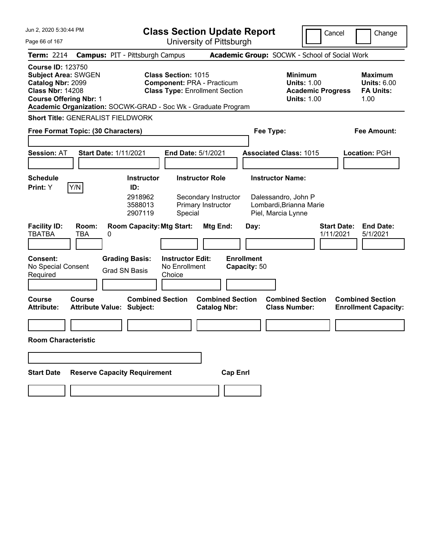| Jun 2, 2020 5:30:44 PM                                                                                                                  |                                                                                                                                                                           | <b>Class Section Update Report</b>                             |                                                                                        | Cancel<br>Change                                                 |
|-----------------------------------------------------------------------------------------------------------------------------------------|---------------------------------------------------------------------------------------------------------------------------------------------------------------------------|----------------------------------------------------------------|----------------------------------------------------------------------------------------|------------------------------------------------------------------|
| Page 66 of 167                                                                                                                          |                                                                                                                                                                           | University of Pittsburgh                                       |                                                                                        |                                                                  |
| <b>Term: 2214</b>                                                                                                                       | <b>Campus: PIT - Pittsburgh Campus</b>                                                                                                                                    |                                                                | Academic Group: SOCWK - School of Social Work                                          |                                                                  |
| <b>Course ID: 123750</b><br><b>Subject Area: SWGEN</b><br>Catalog Nbr: 2099<br><b>Class Nbr: 14208</b><br><b>Course Offering Nbr: 1</b> | <b>Class Section: 1015</b><br><b>Component: PRA - Practicum</b><br><b>Class Type: Enrollment Section</b><br>Academic Organization: SOCWK-GRAD - Soc Wk - Graduate Program |                                                                | <b>Minimum</b><br><b>Units: 1.00</b><br><b>Academic Progress</b><br><b>Units: 1.00</b> | <b>Maximum</b><br><b>Units: 6.00</b><br><b>FA Units:</b><br>1.00 |
| <b>Short Title: GENERALIST FIELDWORK</b>                                                                                                |                                                                                                                                                                           |                                                                |                                                                                        |                                                                  |
| Free Format Topic: (30 Characters)                                                                                                      |                                                                                                                                                                           |                                                                | Fee Type:                                                                              | <b>Fee Amount:</b>                                               |
| <b>Session: AT</b>                                                                                                                      | <b>Start Date: 1/11/2021</b><br>End Date: 5/1/2021                                                                                                                        |                                                                | <b>Associated Class: 1015</b>                                                          | Location: PGH                                                    |
| <b>Schedule</b>                                                                                                                         | <b>Instructor</b>                                                                                                                                                         | <b>Instructor Role</b>                                         | <b>Instructor Name:</b>                                                                |                                                                  |
| Y/N<br>Print: Y                                                                                                                         | ID:                                                                                                                                                                       |                                                                |                                                                                        |                                                                  |
| <b>Facility ID:</b><br>Room:<br><b>TBATBA</b><br>TBA                                                                                    | 2918962<br>3588013<br>2907119<br>Special<br><b>Room Capacity: Mtg Start:</b><br>0                                                                                         | Secondary Instructor<br>Primary Instructor<br>Mtg End:<br>Day: | Dalessandro, John P<br>Lombardi, Brianna Marie<br>Piel, Marcia Lynne                   | <b>End Date:</b><br><b>Start Date:</b><br>1/11/2021<br>5/1/2021  |
| Consent:<br>No Special Consent<br>Required                                                                                              | <b>Grading Basis:</b><br><b>Instructor Edit:</b><br>No Enrollment<br><b>Grad SN Basis</b><br>Choice                                                                       | <b>Enrollment</b><br>Capacity: 50                              |                                                                                        |                                                                  |
| <b>Course</b><br>Course<br><b>Attribute:</b>                                                                                            | <b>Combined Section</b><br><b>Attribute Value: Subject:</b>                                                                                                               | <b>Combined Section</b><br><b>Catalog Nbr:</b>                 | <b>Combined Section</b><br><b>Class Number:</b>                                        | <b>Combined Section</b><br><b>Enrollment Capacity:</b>           |
|                                                                                                                                         |                                                                                                                                                                           |                                                                |                                                                                        |                                                                  |
| <b>Room Characteristic</b>                                                                                                              |                                                                                                                                                                           |                                                                |                                                                                        |                                                                  |
|                                                                                                                                         |                                                                                                                                                                           |                                                                |                                                                                        |                                                                  |
| <b>Start Date</b>                                                                                                                       | <b>Reserve Capacity Requirement</b>                                                                                                                                       | <b>Cap Enrl</b>                                                |                                                                                        |                                                                  |
|                                                                                                                                         |                                                                                                                                                                           |                                                                |                                                                                        |                                                                  |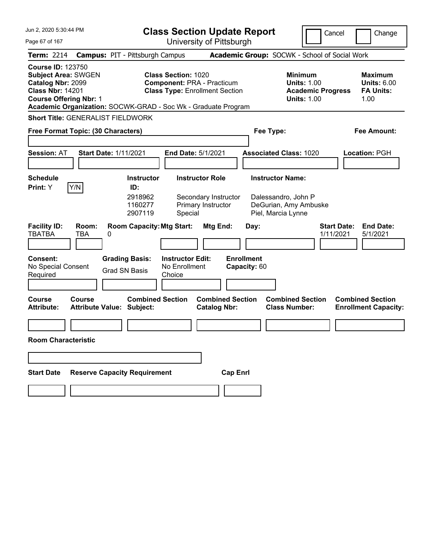| Jun 2, 2020 5:30:44 PM                                                                                                                  |                                                                                                                                  | <b>Class Section Update Report</b>                     |                                                                            | Cancel                                                                                 | Change                                                           |
|-----------------------------------------------------------------------------------------------------------------------------------------|----------------------------------------------------------------------------------------------------------------------------------|--------------------------------------------------------|----------------------------------------------------------------------------|----------------------------------------------------------------------------------------|------------------------------------------------------------------|
| Page 67 of 167                                                                                                                          |                                                                                                                                  | University of Pittsburgh                               |                                                                            |                                                                                        |                                                                  |
| <b>Term: 2214</b>                                                                                                                       | <b>Campus: PIT - Pittsburgh Campus</b>                                                                                           |                                                        | Academic Group: SOCWK - School of Social Work                              |                                                                                        |                                                                  |
| <b>Course ID: 123750</b><br><b>Subject Area: SWGEN</b><br>Catalog Nbr: 2099<br><b>Class Nbr: 14201</b><br><b>Course Offering Nbr: 1</b> | <b>Class Section: 1020</b><br><b>Component: PRA - Practicum</b><br>Academic Organization: SOCWK-GRAD - Soc Wk - Graduate Program | <b>Class Type: Enrollment Section</b>                  |                                                                            | <b>Minimum</b><br><b>Units: 1.00</b><br><b>Academic Progress</b><br><b>Units: 1.00</b> | <b>Maximum</b><br><b>Units: 6.00</b><br><b>FA Units:</b><br>1.00 |
| <b>Short Title: GENERALIST FIELDWORK</b>                                                                                                |                                                                                                                                  |                                                        |                                                                            |                                                                                        |                                                                  |
| Free Format Topic: (30 Characters)                                                                                                      |                                                                                                                                  |                                                        | Fee Type:                                                                  |                                                                                        | <b>Fee Amount:</b>                                               |
| <b>Session: AT</b>                                                                                                                      | <b>Start Date: 1/11/2021</b>                                                                                                     | End Date: 5/1/2021                                     | <b>Associated Class: 1020</b>                                              |                                                                                        | Location: PGH                                                    |
| <b>Schedule</b>                                                                                                                         | <b>Instructor</b>                                                                                                                | <b>Instructor Role</b>                                 | <b>Instructor Name:</b>                                                    |                                                                                        |                                                                  |
| Y/N<br>Print: Y                                                                                                                         | ID:                                                                                                                              |                                                        |                                                                            |                                                                                        |                                                                  |
| <b>Facility ID:</b><br>Room:<br><b>TBATBA</b><br>TBA                                                                                    | 2918962<br>1160277<br>2907119<br>Special<br><b>Room Capacity: Mtg Start:</b><br>0                                                | Secondary Instructor<br>Primary Instructor<br>Mtg End: | Dalessandro, John P<br>DeGurian, Amy Ambuske<br>Piel, Marcia Lynne<br>Day: | <b>Start Date:</b><br>1/11/2021                                                        | <b>End Date:</b><br>5/1/2021                                     |
| Consent:<br>No Special Consent<br>Required                                                                                              | <b>Grading Basis:</b><br><b>Instructor Edit:</b><br>No Enrollment<br><b>Grad SN Basis</b><br>Choice                              |                                                        | <b>Enrollment</b><br>Capacity: 60                                          |                                                                                        |                                                                  |
| <b>Course</b><br>Course<br><b>Attribute:</b>                                                                                            | <b>Combined Section</b><br><b>Attribute Value: Subject:</b>                                                                      | <b>Combined Section</b><br><b>Catalog Nbr:</b>         | <b>Combined Section</b><br><b>Class Number:</b>                            |                                                                                        | <b>Combined Section</b><br><b>Enrollment Capacity:</b>           |
|                                                                                                                                         |                                                                                                                                  |                                                        |                                                                            |                                                                                        |                                                                  |
| <b>Room Characteristic</b>                                                                                                              |                                                                                                                                  |                                                        |                                                                            |                                                                                        |                                                                  |
|                                                                                                                                         |                                                                                                                                  |                                                        |                                                                            |                                                                                        |                                                                  |
| <b>Start Date</b>                                                                                                                       | <b>Reserve Capacity Requirement</b>                                                                                              | <b>Cap Enrl</b>                                        |                                                                            |                                                                                        |                                                                  |
|                                                                                                                                         |                                                                                                                                  |                                                        |                                                                            |                                                                                        |                                                                  |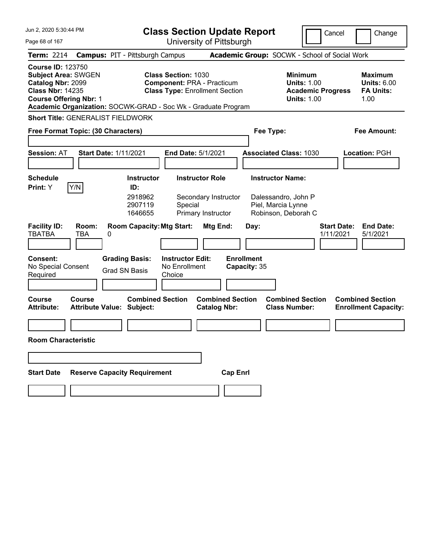| Jun 2, 2020 5:30:44 PM                                                                                                                                                                                   | <b>Class Section Update Report</b>                                                                                                  |                                                                                        | Cancel<br>Change                                                 |
|----------------------------------------------------------------------------------------------------------------------------------------------------------------------------------------------------------|-------------------------------------------------------------------------------------------------------------------------------------|----------------------------------------------------------------------------------------|------------------------------------------------------------------|
| Page 68 of 167                                                                                                                                                                                           | University of Pittsburgh                                                                                                            |                                                                                        |                                                                  |
| <b>Term: 2214</b><br><b>Campus: PIT - Pittsburgh Campus</b>                                                                                                                                              |                                                                                                                                     | Academic Group: SOCWK - School of Social Work                                          |                                                                  |
| <b>Course ID: 123750</b><br><b>Subject Area: SWGEN</b><br>Catalog Nbr: 2099<br><b>Class Nbr: 14235</b><br><b>Course Offering Nbr: 1</b><br>Academic Organization: SOCWK-GRAD - Soc Wk - Graduate Program | <b>Class Section: 1030</b><br><b>Component: PRA - Practicum</b><br><b>Class Type: Enrollment Section</b>                            | <b>Minimum</b><br><b>Units: 1.00</b><br><b>Academic Progress</b><br><b>Units: 1.00</b> | <b>Maximum</b><br><b>Units: 6.00</b><br><b>FA Units:</b><br>1.00 |
| <b>Short Title: GENERALIST FIELDWORK</b>                                                                                                                                                                 |                                                                                                                                     |                                                                                        |                                                                  |
| Free Format Topic: (30 Characters)                                                                                                                                                                       |                                                                                                                                     | Fee Type:                                                                              | <b>Fee Amount:</b>                                               |
| <b>Session: AT</b><br><b>Start Date: 1/11/2021</b>                                                                                                                                                       | End Date: 5/1/2021                                                                                                                  | <b>Associated Class: 1030</b>                                                          | Location: PGH                                                    |
| <b>Schedule</b>                                                                                                                                                                                          | <b>Instructor Role</b><br><b>Instructor</b>                                                                                         | <b>Instructor Name:</b>                                                                |                                                                  |
| Y/N<br>Print: Y<br>ID:                                                                                                                                                                                   | 2918962<br>Secondary Instructor<br>2907119<br>Special                                                                               | Dalessandro, John P<br>Piel, Marcia Lynne                                              |                                                                  |
| <b>Facility ID:</b><br>Room:<br><b>TBATBA</b><br>TBA<br>0<br>Consent:<br><b>Grading Basis:</b><br>No Special Consent<br><b>Grad SN Basis</b><br>Required                                                 | 1646655<br>Primary Instructor<br><b>Room Capacity: Mtg Start:</b><br>Mtg End:<br><b>Instructor Edit:</b><br>No Enrollment<br>Choice | Robinson, Deborah C<br>Day:<br><b>Enrollment</b><br>Capacity: 35                       | <b>End Date:</b><br><b>Start Date:</b><br>1/11/2021<br>5/1/2021  |
| <b>Course</b><br>Course<br><b>Attribute:</b><br><b>Attribute Value: Subject:</b>                                                                                                                         | <b>Combined Section</b><br><b>Combined Section</b><br><b>Catalog Nbr:</b>                                                           | <b>Combined Section</b><br><b>Class Number:</b>                                        | <b>Combined Section</b><br><b>Enrollment Capacity:</b>           |
| <b>Room Characteristic</b>                                                                                                                                                                               |                                                                                                                                     |                                                                                        |                                                                  |
|                                                                                                                                                                                                          |                                                                                                                                     |                                                                                        |                                                                  |
|                                                                                                                                                                                                          |                                                                                                                                     |                                                                                        |                                                                  |
| <b>Start Date</b><br><b>Reserve Capacity Requirement</b>                                                                                                                                                 | <b>Cap Enrl</b>                                                                                                                     |                                                                                        |                                                                  |
|                                                                                                                                                                                                          |                                                                                                                                     |                                                                                        |                                                                  |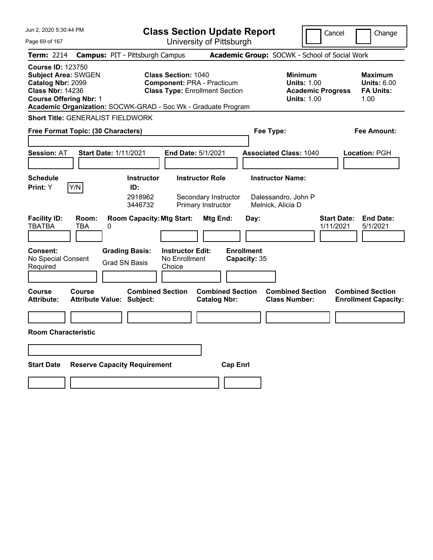| Jun 2, 2020 5:30:44 PM                                                                                                                                                                                   | <b>Class Section Update Report</b>                                                                                            |                                                                      |                                                                     | Cancel                                                                                 | Change                                                    |
|----------------------------------------------------------------------------------------------------------------------------------------------------------------------------------------------------------|-------------------------------------------------------------------------------------------------------------------------------|----------------------------------------------------------------------|---------------------------------------------------------------------|----------------------------------------------------------------------------------------|-----------------------------------------------------------|
| Page 69 of 167                                                                                                                                                                                           |                                                                                                                               | University of Pittsburgh                                             |                                                                     |                                                                                        |                                                           |
| <b>Term: 2214</b>                                                                                                                                                                                        | <b>Campus: PIT - Pittsburgh Campus</b>                                                                                        |                                                                      | Academic Group: SOCWK - School of Social Work                       |                                                                                        |                                                           |
| <b>Course ID: 123750</b><br><b>Subject Area: SWGEN</b><br>Catalog Nbr: 2099<br><b>Class Nbr: 14236</b><br><b>Course Offering Nbr: 1</b><br>Academic Organization: SOCWK-GRAD - Soc Wk - Graduate Program | <b>Class Section: 1040</b><br><b>Component: PRA - Practicum</b>                                                               | <b>Class Type: Enrollment Section</b>                                |                                                                     | <b>Minimum</b><br><b>Units: 1.00</b><br><b>Academic Progress</b><br><b>Units: 1.00</b> | Maximum<br><b>Units: 6.00</b><br><b>FA Units:</b><br>1.00 |
| <b>Short Title: GENERALIST FIELDWORK</b>                                                                                                                                                                 |                                                                                                                               |                                                                      |                                                                     |                                                                                        |                                                           |
| Free Format Topic: (30 Characters)                                                                                                                                                                       |                                                                                                                               |                                                                      | Fee Type:                                                           |                                                                                        | Fee Amount:                                               |
| <b>Session: AT</b><br><b>Start Date: 1/11/2021</b>                                                                                                                                                       |                                                                                                                               | <b>End Date: 5/1/2021</b>                                            | <b>Associated Class: 1040</b>                                       |                                                                                        | Location: PGH                                             |
| <b>Schedule</b><br>Y/N<br>Print: Y                                                                                                                                                                       | <b>Instructor</b><br>ID:<br>2918962<br>3446732                                                                                | <b>Instructor Role</b><br>Secondary Instructor<br>Primary Instructor | <b>Instructor Name:</b><br>Dalessandro, John P<br>Melnick, Alicia D |                                                                                        |                                                           |
| <b>Facility ID:</b><br>Room:<br><b>TBATBA</b><br><b>TBA</b><br>0<br><b>Consent:</b><br>No Special Consent                                                                                                | <b>Room Capacity: Mtg Start:</b><br><b>Grading Basis:</b><br><b>Instructor Edit:</b><br>No Enrollment<br><b>Grad SN Basis</b> | Mtg End:                                                             | Day:<br><b>Enrollment</b><br>Capacity: 35                           | <b>Start Date:</b><br>1/11/2021                                                        | <b>End Date:</b><br>5/1/2021                              |
| Required                                                                                                                                                                                                 | Choice                                                                                                                        |                                                                      |                                                                     |                                                                                        |                                                           |
| <b>Course</b><br>Course<br>Attribute:<br><b>Attribute Value: Subject:</b>                                                                                                                                | <b>Combined Section</b>                                                                                                       | <b>Combined Section</b><br><b>Catalog Nbr:</b>                       | <b>Class Number:</b>                                                | <b>Combined Section</b>                                                                | <b>Combined Section</b><br><b>Enrollment Capacity:</b>    |
| <b>Room Characteristic</b>                                                                                                                                                                               |                                                                                                                               |                                                                      |                                                                     |                                                                                        |                                                           |
|                                                                                                                                                                                                          |                                                                                                                               |                                                                      |                                                                     |                                                                                        |                                                           |
|                                                                                                                                                                                                          |                                                                                                                               |                                                                      |                                                                     |                                                                                        |                                                           |
| <b>Start Date</b>                                                                                                                                                                                        | <b>Reserve Capacity Requirement</b>                                                                                           | <b>Cap Enrl</b>                                                      |                                                                     |                                                                                        |                                                           |
|                                                                                                                                                                                                          |                                                                                                                               |                                                                      |                                                                     |                                                                                        |                                                           |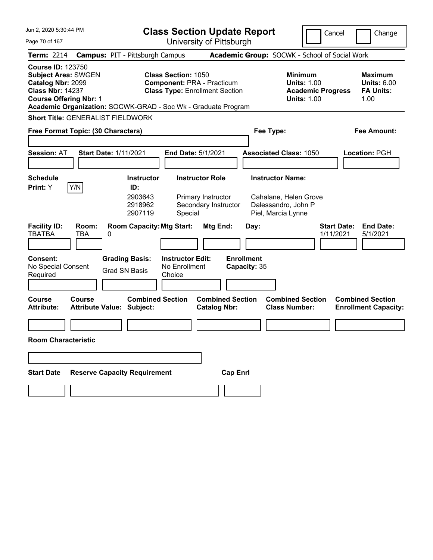| Jun 2, 2020 5:30:44 PM                                                                                                                                                                                   |                                                                               | <b>Class Section Update Report</b>                                                                       |                                                                            | Cancel                                                                          | Change                                                           |
|----------------------------------------------------------------------------------------------------------------------------------------------------------------------------------------------------------|-------------------------------------------------------------------------------|----------------------------------------------------------------------------------------------------------|----------------------------------------------------------------------------|---------------------------------------------------------------------------------|------------------------------------------------------------------|
| Page 70 of 167                                                                                                                                                                                           |                                                                               | University of Pittsburgh                                                                                 |                                                                            |                                                                                 |                                                                  |
| <b>Term: 2214</b>                                                                                                                                                                                        | <b>Campus: PIT - Pittsburgh Campus</b>                                        |                                                                                                          | Academic Group: SOCWK - School of Social Work                              |                                                                                 |                                                                  |
| <b>Course ID: 123750</b><br><b>Subject Area: SWGEN</b><br>Catalog Nbr: 2099<br><b>Class Nbr: 14237</b><br><b>Course Offering Nbr: 1</b><br>Academic Organization: SOCWK-GRAD - Soc Wk - Graduate Program |                                                                               | <b>Class Section: 1050</b><br><b>Component: PRA - Practicum</b><br><b>Class Type: Enrollment Section</b> |                                                                            | Minimum<br><b>Units: 1.00</b><br><b>Academic Progress</b><br><b>Units: 1.00</b> | <b>Maximum</b><br><b>Units: 6.00</b><br><b>FA Units:</b><br>1.00 |
| <b>Short Title: GENERALIST FIELDWORK</b>                                                                                                                                                                 |                                                                               |                                                                                                          |                                                                            |                                                                                 |                                                                  |
| Free Format Topic: (30 Characters)                                                                                                                                                                       |                                                                               |                                                                                                          | Fee Type:                                                                  |                                                                                 | <b>Fee Amount:</b>                                               |
| <b>Session: AT</b>                                                                                                                                                                                       | <b>Start Date: 1/11/2021</b>                                                  | <b>End Date: 5/1/2021</b>                                                                                | <b>Associated Class: 1050</b>                                              |                                                                                 | <b>Location: PGH</b>                                             |
| <b>Schedule</b>                                                                                                                                                                                          | <b>Instructor</b>                                                             | <b>Instructor Role</b>                                                                                   | <b>Instructor Name:</b>                                                    |                                                                                 |                                                                  |
| Y/N<br>Print: Y<br><b>Facility ID:</b><br>Room:<br><b>TBATBA</b><br>TBA                                                                                                                                  | ID:<br>2903643<br>2918962<br>2907119<br><b>Room Capacity: Mtg Start:</b><br>0 | Primary Instructor<br>Secondary Instructor<br>Special<br>Mtg End:                                        | Cahalane, Helen Grove<br>Dalessandro, John P<br>Piel, Marcia Lynne<br>Day: | <b>Start Date:</b><br>1/11/2021                                                 | <b>End Date:</b><br>5/1/2021                                     |
| Consent:<br>No Special Consent<br>Required                                                                                                                                                               | <b>Grading Basis:</b><br><b>Grad SN Basis</b>                                 | <b>Instructor Edit:</b><br>No Enrollment<br>Choice                                                       | <b>Enrollment</b><br>Capacity: 35                                          |                                                                                 |                                                                  |
| <b>Course</b><br>Course<br><b>Attribute:</b>                                                                                                                                                             | <b>Combined Section</b><br><b>Attribute Value: Subject:</b>                   | <b>Combined Section</b><br><b>Catalog Nbr:</b>                                                           | <b>Combined Section</b><br><b>Class Number:</b>                            |                                                                                 | <b>Combined Section</b><br><b>Enrollment Capacity:</b>           |
| <b>Room Characteristic</b>                                                                                                                                                                               |                                                                               |                                                                                                          |                                                                            |                                                                                 |                                                                  |
|                                                                                                                                                                                                          |                                                                               |                                                                                                          |                                                                            |                                                                                 |                                                                  |
| <b>Start Date</b>                                                                                                                                                                                        | <b>Reserve Capacity Requirement</b>                                           | <b>Cap Enrl</b>                                                                                          |                                                                            |                                                                                 |                                                                  |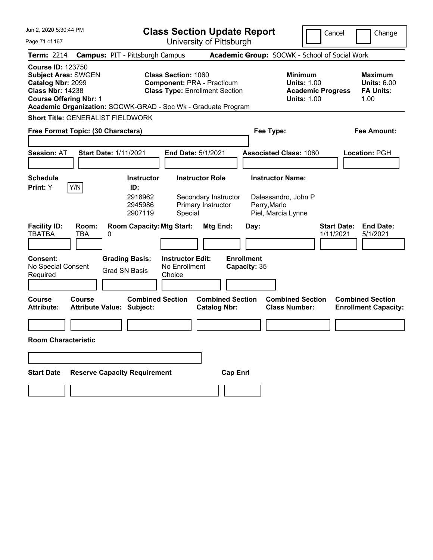| Jun 2, 2020 5:30:44 PM                                                                                                                  | <b>Class Section Update Report</b>                                                                                                                                        |                                                                |                                                           | Cancel                                                               | Change                                                           |
|-----------------------------------------------------------------------------------------------------------------------------------------|---------------------------------------------------------------------------------------------------------------------------------------------------------------------------|----------------------------------------------------------------|-----------------------------------------------------------|----------------------------------------------------------------------|------------------------------------------------------------------|
| Page 71 of 167                                                                                                                          |                                                                                                                                                                           | University of Pittsburgh                                       |                                                           |                                                                      |                                                                  |
| <b>Term: 2214</b>                                                                                                                       | <b>Campus: PIT - Pittsburgh Campus</b>                                                                                                                                    | Academic Group: SOCWK - School of Social Work                  |                                                           |                                                                      |                                                                  |
| <b>Course ID: 123750</b><br><b>Subject Area: SWGEN</b><br>Catalog Nbr: 2099<br><b>Class Nbr: 14238</b><br><b>Course Offering Nbr: 1</b> | <b>Class Section: 1060</b><br><b>Component: PRA - Practicum</b><br><b>Class Type: Enrollment Section</b><br>Academic Organization: SOCWK-GRAD - Soc Wk - Graduate Program |                                                                | <b>Minimum</b>                                            | <b>Units: 1.00</b><br><b>Academic Progress</b><br><b>Units: 1.00</b> | <b>Maximum</b><br><b>Units: 6.00</b><br><b>FA Units:</b><br>1.00 |
| <b>Short Title: GENERALIST FIELDWORK</b>                                                                                                |                                                                                                                                                                           |                                                                |                                                           |                                                                      |                                                                  |
| Free Format Topic: (30 Characters)                                                                                                      |                                                                                                                                                                           |                                                                | Fee Type:                                                 |                                                                      | <b>Fee Amount:</b>                                               |
| <b>Session: AT</b>                                                                                                                      | <b>Start Date: 1/11/2021</b><br><b>End Date: 5/1/2021</b>                                                                                                                 |                                                                | <b>Associated Class: 1060</b>                             |                                                                      | <b>Location: PGH</b>                                             |
| <b>Schedule</b>                                                                                                                         | <b>Instructor</b>                                                                                                                                                         | <b>Instructor Role</b>                                         | <b>Instructor Name:</b>                                   |                                                                      |                                                                  |
| Y/N<br>Print: Y                                                                                                                         | ID:                                                                                                                                                                       |                                                                |                                                           |                                                                      |                                                                  |
| <b>Facility ID:</b><br>Room:                                                                                                            | 2918962<br>2945986<br>2907119<br>Special<br><b>Room Capacity: Mtg Start:</b>                                                                                              | Secondary Instructor<br>Primary Instructor<br>Mtg End:<br>Day: | Dalessandro, John P<br>Perry, Marlo<br>Piel, Marcia Lynne | <b>Start Date:</b>                                                   | <b>End Date:</b>                                                 |
| <b>TBATBA</b><br>TBA                                                                                                                    | 0                                                                                                                                                                         |                                                                |                                                           | 1/11/2021                                                            | 5/1/2021                                                         |
| <b>Consent:</b><br>No Special Consent<br>Required                                                                                       | <b>Grading Basis:</b><br><b>Instructor Edit:</b><br>No Enrollment<br><b>Grad SN Basis</b><br>Choice                                                                       | <b>Enrollment</b><br>Capacity: 35                              |                                                           |                                                                      |                                                                  |
| <b>Course</b><br><b>Course</b><br><b>Attribute:</b>                                                                                     | <b>Combined Section</b><br><b>Attribute Value: Subject:</b>                                                                                                               | <b>Combined Section</b><br><b>Catalog Nbr:</b>                 | <b>Combined Section</b><br><b>Class Number:</b>           |                                                                      | <b>Combined Section</b><br><b>Enrollment Capacity:</b>           |
|                                                                                                                                         |                                                                                                                                                                           |                                                                |                                                           |                                                                      |                                                                  |
| <b>Room Characteristic</b>                                                                                                              |                                                                                                                                                                           |                                                                |                                                           |                                                                      |                                                                  |
|                                                                                                                                         |                                                                                                                                                                           |                                                                |                                                           |                                                                      |                                                                  |
| <b>Start Date</b>                                                                                                                       | <b>Reserve Capacity Requirement</b>                                                                                                                                       | <b>Cap Enrl</b>                                                |                                                           |                                                                      |                                                                  |
|                                                                                                                                         |                                                                                                                                                                           |                                                                |                                                           |                                                                      |                                                                  |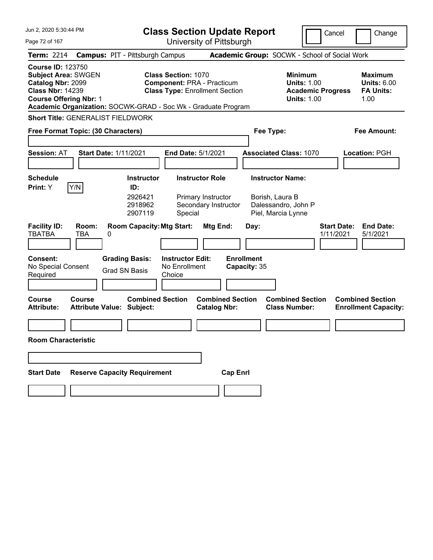| Jun 2, 2020 5:30:44 PM                                                                                                                                                                                   |                                                                               | <b>Class Section Update Report</b>                                                                       |                                                                      | Cancel                                                                          | Change                                                           |
|----------------------------------------------------------------------------------------------------------------------------------------------------------------------------------------------------------|-------------------------------------------------------------------------------|----------------------------------------------------------------------------------------------------------|----------------------------------------------------------------------|---------------------------------------------------------------------------------|------------------------------------------------------------------|
| Page 72 of 167                                                                                                                                                                                           |                                                                               | University of Pittsburgh                                                                                 |                                                                      |                                                                                 |                                                                  |
| <b>Term: 2214</b>                                                                                                                                                                                        | <b>Campus: PIT - Pittsburgh Campus</b>                                        |                                                                                                          | Academic Group: SOCWK - School of Social Work                        |                                                                                 |                                                                  |
| <b>Course ID: 123750</b><br><b>Subject Area: SWGEN</b><br>Catalog Nbr: 2099<br><b>Class Nbr: 14239</b><br><b>Course Offering Nbr: 1</b><br>Academic Organization: SOCWK-GRAD - Soc Wk - Graduate Program |                                                                               | <b>Class Section: 1070</b><br><b>Component: PRA - Practicum</b><br><b>Class Type: Enrollment Section</b> |                                                                      | Minimum<br><b>Units: 1.00</b><br><b>Academic Progress</b><br><b>Units: 1.00</b> | <b>Maximum</b><br><b>Units: 6.00</b><br><b>FA Units:</b><br>1.00 |
| <b>Short Title: GENERALIST FIELDWORK</b>                                                                                                                                                                 |                                                                               |                                                                                                          |                                                                      |                                                                                 |                                                                  |
| Free Format Topic: (30 Characters)                                                                                                                                                                       |                                                                               |                                                                                                          | Fee Type:                                                            |                                                                                 | <b>Fee Amount:</b>                                               |
| <b>Session: AT</b>                                                                                                                                                                                       | <b>Start Date: 1/11/2021</b>                                                  | <b>End Date: 5/1/2021</b>                                                                                | <b>Associated Class: 1070</b>                                        |                                                                                 | <b>Location: PGH</b>                                             |
| <b>Schedule</b>                                                                                                                                                                                          | <b>Instructor</b>                                                             | <b>Instructor Role</b>                                                                                   | <b>Instructor Name:</b>                                              |                                                                                 |                                                                  |
| Y/N<br>Print: Y<br><b>Facility ID:</b><br>Room:<br><b>TBATBA</b><br>TBA                                                                                                                                  | ID:<br>2926421<br>2918962<br>2907119<br><b>Room Capacity: Mtg Start:</b><br>0 | Primary Instructor<br>Secondary Instructor<br>Special<br>Mtg End:                                        | Borish, Laura B<br>Dalessandro, John P<br>Piel, Marcia Lynne<br>Day: | <b>Start Date:</b><br>1/11/2021                                                 | <b>End Date:</b><br>5/1/2021                                     |
| Consent:<br>No Special Consent<br>Required                                                                                                                                                               | <b>Grading Basis:</b><br><b>Grad SN Basis</b><br>Choice                       | <b>Instructor Edit:</b><br>No Enrollment                                                                 | <b>Enrollment</b><br>Capacity: 35                                    |                                                                                 |                                                                  |
| <b>Course</b><br>Course<br><b>Attribute:</b>                                                                                                                                                             | <b>Combined Section</b><br><b>Attribute Value: Subject:</b>                   | <b>Combined Section</b><br><b>Catalog Nbr:</b>                                                           | <b>Combined Section</b><br><b>Class Number:</b>                      |                                                                                 | <b>Combined Section</b><br><b>Enrollment Capacity:</b>           |
| <b>Room Characteristic</b>                                                                                                                                                                               |                                                                               |                                                                                                          |                                                                      |                                                                                 |                                                                  |
|                                                                                                                                                                                                          |                                                                               |                                                                                                          |                                                                      |                                                                                 |                                                                  |
| <b>Start Date</b>                                                                                                                                                                                        | <b>Reserve Capacity Requirement</b>                                           | <b>Cap Enrl</b>                                                                                          |                                                                      |                                                                                 |                                                                  |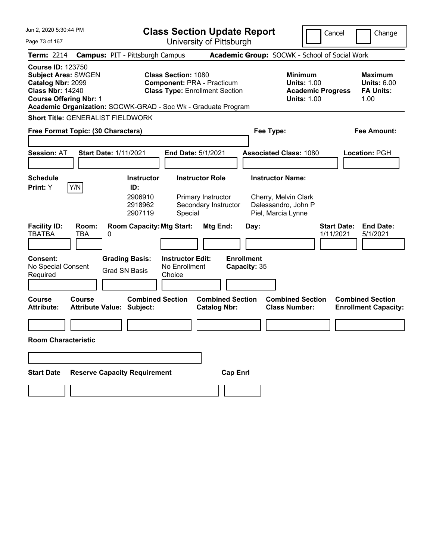| Jun 2, 2020 5:30:44 PM                                                                                                                  |                                                                                                                                                                           | <b>Class Section Update Report</b>                                                                            | Cancel                                                                                 | Change                                                           |
|-----------------------------------------------------------------------------------------------------------------------------------------|---------------------------------------------------------------------------------------------------------------------------------------------------------------------------|---------------------------------------------------------------------------------------------------------------|----------------------------------------------------------------------------------------|------------------------------------------------------------------|
| Page 73 of 167                                                                                                                          |                                                                                                                                                                           | University of Pittsburgh                                                                                      |                                                                                        |                                                                  |
| <b>Term: 2214</b>                                                                                                                       | <b>Campus: PIT - Pittsburgh Campus</b>                                                                                                                                    | Academic Group: SOCWK - School of Social Work                                                                 |                                                                                        |                                                                  |
| <b>Course ID: 123750</b><br><b>Subject Area: SWGEN</b><br>Catalog Nbr: 2099<br><b>Class Nbr: 14240</b><br><b>Course Offering Nbr: 1</b> | <b>Class Section: 1080</b><br><b>Component: PRA - Practicum</b><br><b>Class Type: Enrollment Section</b><br>Academic Organization: SOCWK-GRAD - Soc Wk - Graduate Program |                                                                                                               | <b>Minimum</b><br><b>Units: 1.00</b><br><b>Academic Progress</b><br><b>Units: 1.00</b> | <b>Maximum</b><br><b>Units: 6.00</b><br><b>FA Units:</b><br>1.00 |
| <b>Short Title: GENERALIST FIELDWORK</b>                                                                                                |                                                                                                                                                                           |                                                                                                               |                                                                                        |                                                                  |
| Free Format Topic: (30 Characters)                                                                                                      |                                                                                                                                                                           | Fee Type:                                                                                                     |                                                                                        | <b>Fee Amount:</b>                                               |
| <b>Session: AT</b>                                                                                                                      | <b>Start Date: 1/11/2021</b><br><b>End Date: 5/1/2021</b>                                                                                                                 | <b>Associated Class: 1080</b>                                                                                 |                                                                                        | <b>Location: PGH</b>                                             |
| <b>Schedule</b>                                                                                                                         | <b>Instructor Role</b><br><b>Instructor</b>                                                                                                                               | <b>Instructor Name:</b>                                                                                       |                                                                                        |                                                                  |
| Y/N<br>Print: Y                                                                                                                         | ID:                                                                                                                                                                       |                                                                                                               |                                                                                        |                                                                  |
| <b>Facility ID:</b><br>Room:<br><b>TBATBA</b><br>TBA                                                                                    | 2906910<br>Primary Instructor<br>2918962<br>2907119<br>Special<br><b>Room Capacity: Mtg Start:</b><br>0                                                                   | Cherry, Melvin Clark<br>Dalessandro, John P<br>Secondary Instructor<br>Piel, Marcia Lynne<br>Mtg End:<br>Day: | <b>Start Date:</b><br>1/11/2021                                                        | <b>End Date:</b><br>5/1/2021                                     |
| Consent:<br>No Special Consent<br>Required                                                                                              | <b>Grading Basis:</b><br><b>Instructor Edit:</b><br>No Enrollment<br><b>Grad SN Basis</b><br>Choice                                                                       | <b>Enrollment</b><br>Capacity: 35                                                                             |                                                                                        |                                                                  |
| <b>Course</b><br><b>Course</b><br><b>Attribute:</b>                                                                                     | <b>Combined Section</b><br><b>Attribute Value: Subject:</b>                                                                                                               | <b>Combined Section</b><br><b>Catalog Nbr:</b>                                                                | <b>Combined Section</b><br><b>Class Number:</b>                                        | <b>Combined Section</b><br><b>Enrollment Capacity:</b>           |
|                                                                                                                                         |                                                                                                                                                                           |                                                                                                               |                                                                                        |                                                                  |
| <b>Room Characteristic</b>                                                                                                              |                                                                                                                                                                           |                                                                                                               |                                                                                        |                                                                  |
|                                                                                                                                         |                                                                                                                                                                           |                                                                                                               |                                                                                        |                                                                  |
| <b>Start Date</b>                                                                                                                       | <b>Reserve Capacity Requirement</b>                                                                                                                                       | <b>Cap Enrl</b>                                                                                               |                                                                                        |                                                                  |
|                                                                                                                                         |                                                                                                                                                                           |                                                                                                               |                                                                                        |                                                                  |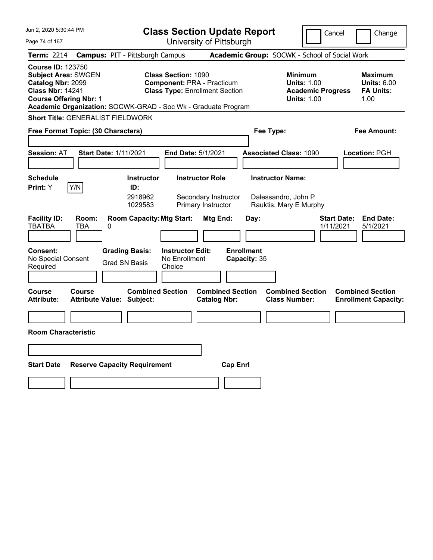| Jun 2, 2020 5:30:44 PM                                                                                                                                                                                   |                                                             | <b>Class Section Update Report</b>                                                                       |                                                |                                                                          | Cancel                          | Change                                                           |
|----------------------------------------------------------------------------------------------------------------------------------------------------------------------------------------------------------|-------------------------------------------------------------|----------------------------------------------------------------------------------------------------------|------------------------------------------------|--------------------------------------------------------------------------|---------------------------------|------------------------------------------------------------------|
| Page 74 of 167                                                                                                                                                                                           |                                                             | University of Pittsburgh                                                                                 |                                                |                                                                          |                                 |                                                                  |
| Term: 2214                                                                                                                                                                                               | <b>Campus: PIT - Pittsburgh Campus</b>                      |                                                                                                          |                                                | Academic Group: SOCWK - School of Social Work                            |                                 |                                                                  |
| <b>Course ID: 123750</b><br><b>Subject Area: SWGEN</b><br>Catalog Nbr: 2099<br><b>Class Nbr: 14241</b><br><b>Course Offering Nbr: 1</b><br>Academic Organization: SOCWK-GRAD - Soc Wk - Graduate Program |                                                             | <b>Class Section: 1090</b><br><b>Component: PRA - Practicum</b><br><b>Class Type: Enrollment Section</b> |                                                | <b>Minimum</b><br><b>Units: 1.00</b><br><b>Units: 1.00</b>               | <b>Academic Progress</b>        | <b>Maximum</b><br><b>Units: 6.00</b><br><b>FA Units:</b><br>1.00 |
| <b>Short Title: GENERALIST FIELDWORK</b>                                                                                                                                                                 |                                                             |                                                                                                          |                                                |                                                                          |                                 |                                                                  |
| Free Format Topic: (30 Characters)                                                                                                                                                                       |                                                             |                                                                                                          |                                                | Fee Type:                                                                |                                 | Fee Amount:                                                      |
| <b>Session: AT</b>                                                                                                                                                                                       | <b>Start Date: 1/11/2021</b>                                | <b>End Date: 5/1/2021</b>                                                                                |                                                | <b>Associated Class: 1090</b>                                            |                                 | Location: PGH                                                    |
| <b>Schedule</b><br>Y/N<br>Print: Y                                                                                                                                                                       | <b>Instructor</b><br>ID:<br>2918962<br>1029583              | <b>Instructor Role</b><br>Secondary Instructor<br>Primary Instructor                                     |                                                | <b>Instructor Name:</b><br>Dalessandro, John P<br>Rauktis, Mary E Murphy |                                 |                                                                  |
| <b>Facility ID:</b><br>Room:<br><b>TBATBA</b><br>TBA                                                                                                                                                     | <b>Room Capacity: Mtg Start:</b><br>0                       |                                                                                                          | Mtg End:<br>Day:                               |                                                                          | <b>Start Date:</b><br>1/11/2021 | <b>End Date:</b><br>5/1/2021                                     |
| <b>Consent:</b><br>No Special Consent<br>Required                                                                                                                                                        | <b>Grading Basis:</b><br><b>Grad SN Basis</b>               | <b>Instructor Edit:</b><br>No Enrollment<br>Choice                                                       | <b>Enrollment</b><br>Capacity: 35              |                                                                          |                                 |                                                                  |
| Course<br>Course<br><b>Attribute:</b>                                                                                                                                                                    | <b>Combined Section</b><br><b>Attribute Value: Subject:</b> |                                                                                                          | <b>Combined Section</b><br><b>Catalog Nbr:</b> | <b>Combined Section</b><br><b>Class Number:</b>                          |                                 | <b>Combined Section</b><br><b>Enrollment Capacity:</b>           |
|                                                                                                                                                                                                          |                                                             |                                                                                                          |                                                |                                                                          |                                 |                                                                  |
| <b>Room Characteristic</b>                                                                                                                                                                               |                                                             |                                                                                                          |                                                |                                                                          |                                 |                                                                  |
|                                                                                                                                                                                                          |                                                             |                                                                                                          |                                                |                                                                          |                                 |                                                                  |
| <b>Start Date</b>                                                                                                                                                                                        | <b>Reserve Capacity Requirement</b>                         |                                                                                                          | <b>Cap Enrl</b>                                |                                                                          |                                 |                                                                  |
|                                                                                                                                                                                                          |                                                             |                                                                                                          |                                                |                                                                          |                                 |                                                                  |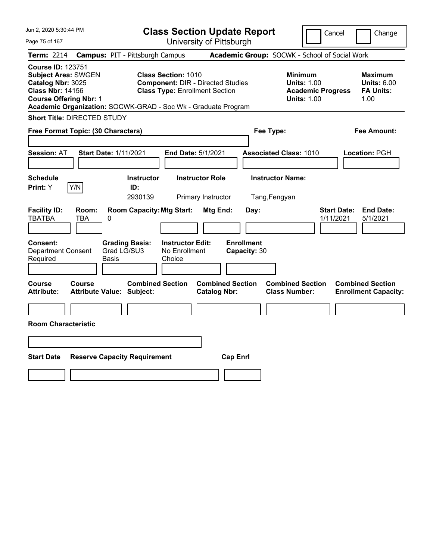| Jun 2, 2020 5:30:44 PM                                                                                                                  |                                                                                                                                                                                  | <b>Class Section Update Report</b>             | Cancel                                                                                 | Change                                                           |
|-----------------------------------------------------------------------------------------------------------------------------------------|----------------------------------------------------------------------------------------------------------------------------------------------------------------------------------|------------------------------------------------|----------------------------------------------------------------------------------------|------------------------------------------------------------------|
| Page 75 of 167                                                                                                                          |                                                                                                                                                                                  | University of Pittsburgh                       |                                                                                        |                                                                  |
| <b>Term: 2214</b>                                                                                                                       | <b>Campus: PIT - Pittsburgh Campus</b>                                                                                                                                           |                                                | Academic Group: SOCWK - School of Social Work                                          |                                                                  |
| <b>Course ID: 123751</b><br><b>Subject Area: SWGEN</b><br>Catalog Nbr: 3025<br><b>Class Nbr: 14156</b><br><b>Course Offering Nbr: 1</b> | <b>Class Section: 1010</b><br><b>Component: DIR - Directed Studies</b><br><b>Class Type: Enrollment Section</b><br>Academic Organization: SOCWK-GRAD - Soc Wk - Graduate Program |                                                | <b>Minimum</b><br><b>Units: 1.00</b><br><b>Academic Progress</b><br><b>Units: 1.00</b> | <b>Maximum</b><br><b>Units: 6.00</b><br><b>FA Units:</b><br>1.00 |
| <b>Short Title: DIRECTED STUDY</b>                                                                                                      |                                                                                                                                                                                  |                                                |                                                                                        |                                                                  |
| Free Format Topic: (30 Characters)                                                                                                      |                                                                                                                                                                                  |                                                | Fee Type:                                                                              | Fee Amount:                                                      |
| <b>Session: AT</b>                                                                                                                      | <b>Start Date: 1/11/2021</b><br>End Date: 5/1/2021                                                                                                                               |                                                | <b>Associated Class: 1010</b>                                                          | Location: PGH                                                    |
| <b>Schedule</b><br>Print: Y<br>Y/N                                                                                                      | <b>Instructor</b><br>ID:<br>2930139                                                                                                                                              | <b>Instructor Role</b><br>Primary Instructor   | <b>Instructor Name:</b><br>Tang, Fengyan                                               |                                                                  |
| <b>Facility ID:</b><br>Room:<br>TBATBA<br>TBA                                                                                           | <b>Room Capacity: Mtg Start:</b><br>0                                                                                                                                            | Mtg End:<br>Day:                               | 1/11/2021                                                                              | <b>End Date:</b><br><b>Start Date:</b><br>5/1/2021               |
| Consent:<br><b>Department Consent</b><br>Required                                                                                       | <b>Instructor Edit:</b><br><b>Grading Basis:</b><br>Grad LG/SU3<br>No Enrollment<br>Basis<br>Choice                                                                              | <b>Enrollment</b><br>Capacity: 30              |                                                                                        |                                                                  |
| Course<br>Course<br><b>Attribute:</b>                                                                                                   | <b>Combined Section</b><br><b>Attribute Value: Subject:</b>                                                                                                                      | <b>Combined Section</b><br><b>Catalog Nbr:</b> | <b>Combined Section</b><br><b>Class Number:</b>                                        | <b>Combined Section</b><br><b>Enrollment Capacity:</b>           |
|                                                                                                                                         |                                                                                                                                                                                  |                                                |                                                                                        |                                                                  |
| <b>Room Characteristic</b>                                                                                                              |                                                                                                                                                                                  |                                                |                                                                                        |                                                                  |
|                                                                                                                                         |                                                                                                                                                                                  |                                                |                                                                                        |                                                                  |
| <b>Start Date</b>                                                                                                                       | <b>Reserve Capacity Requirement</b>                                                                                                                                              | <b>Cap Enrl</b>                                |                                                                                        |                                                                  |
|                                                                                                                                         |                                                                                                                                                                                  |                                                |                                                                                        |                                                                  |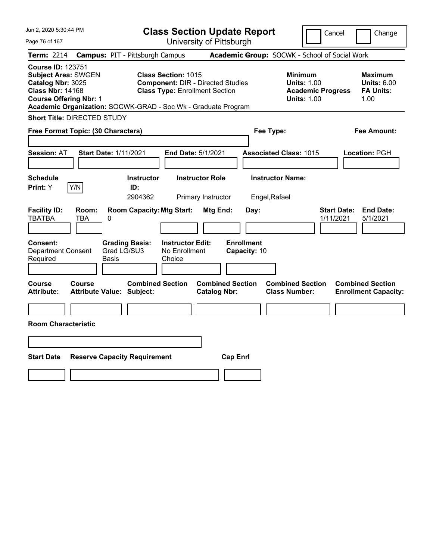| Jun 2, 2020 5:30:44 PM                                                                                                                  |                                                                                                                                                                                  | <b>Class Section Update Report</b>             | Cancel                                                                                 | Change                                                           |
|-----------------------------------------------------------------------------------------------------------------------------------------|----------------------------------------------------------------------------------------------------------------------------------------------------------------------------------|------------------------------------------------|----------------------------------------------------------------------------------------|------------------------------------------------------------------|
| Page 76 of 167                                                                                                                          |                                                                                                                                                                                  | University of Pittsburgh                       |                                                                                        |                                                                  |
| <b>Term: 2214</b>                                                                                                                       | <b>Campus: PIT - Pittsburgh Campus</b>                                                                                                                                           |                                                | Academic Group: SOCWK - School of Social Work                                          |                                                                  |
| <b>Course ID: 123751</b><br><b>Subject Area: SWGEN</b><br>Catalog Nbr: 3025<br><b>Class Nbr: 14168</b><br><b>Course Offering Nbr: 1</b> | <b>Class Section: 1015</b><br><b>Component: DIR - Directed Studies</b><br><b>Class Type: Enrollment Section</b><br>Academic Organization: SOCWK-GRAD - Soc Wk - Graduate Program |                                                | <b>Minimum</b><br><b>Units: 1.00</b><br><b>Academic Progress</b><br><b>Units: 1.00</b> | <b>Maximum</b><br><b>Units: 6.00</b><br><b>FA Units:</b><br>1.00 |
| <b>Short Title: DIRECTED STUDY</b>                                                                                                      |                                                                                                                                                                                  |                                                |                                                                                        |                                                                  |
| Free Format Topic: (30 Characters)                                                                                                      |                                                                                                                                                                                  |                                                | Fee Type:                                                                              | <b>Fee Amount:</b>                                               |
| Session: AT                                                                                                                             | <b>Start Date: 1/11/2021</b>                                                                                                                                                     | End Date: 5/1/2021                             | <b>Associated Class: 1015</b>                                                          | Location: PGH                                                    |
| <b>Schedule</b><br>Print: Y<br>Y/N                                                                                                      | Instructor<br>ID:<br>2904362                                                                                                                                                     | <b>Instructor Role</b><br>Primary Instructor   | <b>Instructor Name:</b><br>Engel, Rafael                                               |                                                                  |
| <b>Facility ID:</b><br>Room:<br><b>TBATBA</b><br>TBA                                                                                    | <b>Room Capacity: Mtg Start:</b><br>0                                                                                                                                            | Mtg End:<br>Day:                               | 1/11/2021                                                                              | <b>Start Date:</b><br><b>End Date:</b><br>5/1/2021               |
| Consent:<br><b>Department Consent</b><br>Required                                                                                       | <b>Instructor Edit:</b><br><b>Grading Basis:</b><br>Grad LG/SU3<br>No Enrollment<br>Basis<br>Choice                                                                              | <b>Enrollment</b><br>Capacity: 10              |                                                                                        |                                                                  |
| Course<br>Course<br><b>Attribute:</b>                                                                                                   | <b>Combined Section</b><br><b>Attribute Value: Subject:</b>                                                                                                                      | <b>Combined Section</b><br><b>Catalog Nbr:</b> | <b>Combined Section</b><br><b>Class Number:</b>                                        | <b>Combined Section</b><br><b>Enrollment Capacity:</b>           |
|                                                                                                                                         |                                                                                                                                                                                  |                                                |                                                                                        |                                                                  |
| <b>Room Characteristic</b>                                                                                                              |                                                                                                                                                                                  |                                                |                                                                                        |                                                                  |
|                                                                                                                                         |                                                                                                                                                                                  |                                                |                                                                                        |                                                                  |
| <b>Start Date</b>                                                                                                                       | <b>Reserve Capacity Requirement</b>                                                                                                                                              | <b>Cap Enrl</b>                                |                                                                                        |                                                                  |
|                                                                                                                                         |                                                                                                                                                                                  |                                                |                                                                                        |                                                                  |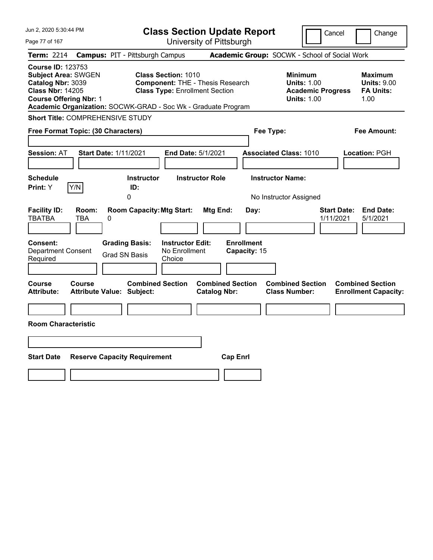| Jun 2, 2020 5:30:44 PM                                                                                                                                                                                   |                                                                                                                | <b>Class Section Update Report</b>             | Cancel                                                                                 | Change                                                    |
|----------------------------------------------------------------------------------------------------------------------------------------------------------------------------------------------------------|----------------------------------------------------------------------------------------------------------------|------------------------------------------------|----------------------------------------------------------------------------------------|-----------------------------------------------------------|
| Page 77 of 167                                                                                                                                                                                           |                                                                                                                | University of Pittsburgh                       |                                                                                        |                                                           |
| <b>Term: 2214</b>                                                                                                                                                                                        | <b>Campus: PIT - Pittsburgh Campus</b>                                                                         |                                                | Academic Group: SOCWK - School of Social Work                                          |                                                           |
| <b>Course ID: 123753</b><br><b>Subject Area: SWGEN</b><br>Catalog Nbr: 3039<br><b>Class Nbr: 14205</b><br><b>Course Offering Nbr: 1</b><br>Academic Organization: SOCWK-GRAD - Soc Wk - Graduate Program | <b>Class Section: 1010</b><br><b>Component: THE - Thesis Research</b><br><b>Class Type: Enrollment Section</b> |                                                | <b>Minimum</b><br><b>Units: 1.00</b><br><b>Academic Progress</b><br><b>Units: 1.00</b> | Maximum<br><b>Units: 9.00</b><br><b>FA Units:</b><br>1.00 |
| Short Title: COMPREHENSIVE STUDY                                                                                                                                                                         |                                                                                                                |                                                |                                                                                        |                                                           |
| Free Format Topic: (30 Characters)                                                                                                                                                                       |                                                                                                                |                                                | Fee Type:                                                                              | Fee Amount:                                               |
| <b>Session: AT</b><br><b>Start Date: 1/11/2021</b>                                                                                                                                                       | End Date: 5/1/2021                                                                                             |                                                | <b>Associated Class: 1010</b>                                                          | Location: PGH                                             |
| <b>Schedule</b><br>Y/N<br>Print: Y                                                                                                                                                                       | <b>Instructor</b><br>ID:<br>0                                                                                  | <b>Instructor Role</b>                         | <b>Instructor Name:</b><br>No Instructor Assigned                                      |                                                           |
| <b>Facility ID:</b><br>Room:<br><b>TBATBA</b><br>TBA<br>0<br><b>Consent:</b>                                                                                                                             | <b>Room Capacity: Mtg Start:</b><br><b>Grading Basis:</b><br><b>Instructor Edit:</b>                           | Mtg End:<br>Day:<br><b>Enrollment</b>          | <b>Start Date:</b><br>1/11/2021                                                        | <b>End Date:</b><br>5/1/2021                              |
| <b>Department Consent</b><br>Required                                                                                                                                                                    | No Enrollment<br><b>Grad SN Basis</b><br>Choice                                                                | Capacity: 15                                   |                                                                                        |                                                           |
| Course<br>Course<br><b>Attribute Value: Subject:</b><br>Attribute:                                                                                                                                       | <b>Combined Section</b>                                                                                        | <b>Combined Section</b><br><b>Catalog Nbr:</b> | <b>Combined Section</b><br><b>Class Number:</b>                                        | <b>Combined Section</b><br><b>Enrollment Capacity:</b>    |
|                                                                                                                                                                                                          |                                                                                                                |                                                |                                                                                        |                                                           |
| <b>Room Characteristic</b>                                                                                                                                                                               |                                                                                                                |                                                |                                                                                        |                                                           |
|                                                                                                                                                                                                          |                                                                                                                |                                                |                                                                                        |                                                           |
| <b>Start Date</b>                                                                                                                                                                                        | <b>Reserve Capacity Requirement</b>                                                                            | <b>Cap Enrl</b>                                |                                                                                        |                                                           |
|                                                                                                                                                                                                          |                                                                                                                |                                                |                                                                                        |                                                           |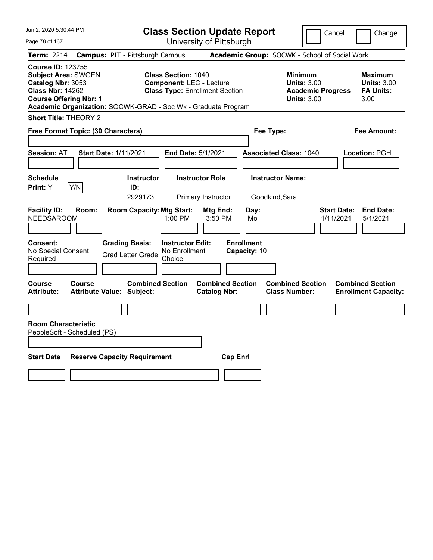| Jun 2, 2020 5:30:44 PM                                                                                                                  |                                                                                                                                                                         | <b>Class Section Update Report</b>             |                                                                                        | Cancel<br>Change                                                 |
|-----------------------------------------------------------------------------------------------------------------------------------------|-------------------------------------------------------------------------------------------------------------------------------------------------------------------------|------------------------------------------------|----------------------------------------------------------------------------------------|------------------------------------------------------------------|
| Page 78 of 167                                                                                                                          |                                                                                                                                                                         | University of Pittsburgh                       |                                                                                        |                                                                  |
| <b>Term: 2214</b>                                                                                                                       | <b>Campus: PIT - Pittsburgh Campus</b>                                                                                                                                  |                                                | Academic Group: SOCWK - School of Social Work                                          |                                                                  |
| <b>Course ID: 123755</b><br><b>Subject Area: SWGEN</b><br>Catalog Nbr: 3053<br><b>Class Nbr: 14262</b><br><b>Course Offering Nbr: 1</b> | <b>Class Section: 1040</b><br><b>Component: LEC - Lecture</b><br><b>Class Type: Enrollment Section</b><br>Academic Organization: SOCWK-GRAD - Soc Wk - Graduate Program |                                                | <b>Minimum</b><br><b>Units: 3.00</b><br><b>Academic Progress</b><br><b>Units: 3.00</b> | <b>Maximum</b><br><b>Units: 3.00</b><br><b>FA Units:</b><br>3.00 |
| <b>Short Title: THEORY 2</b>                                                                                                            |                                                                                                                                                                         |                                                |                                                                                        |                                                                  |
| Free Format Topic: (30 Characters)                                                                                                      |                                                                                                                                                                         |                                                | Fee Type:                                                                              | Fee Amount:                                                      |
| Session: AT                                                                                                                             | <b>Start Date: 1/11/2021</b><br>End Date: 5/1/2021                                                                                                                      |                                                | <b>Associated Class: 1040</b>                                                          | Location: PGH                                                    |
| <b>Schedule</b><br>Y/N<br>Print: Y                                                                                                      | <b>Instructor</b><br>ID:<br>2929173                                                                                                                                     | <b>Instructor Role</b><br>Primary Instructor   | <b>Instructor Name:</b><br>Goodkind, Sara                                              |                                                                  |
| <b>Facility ID:</b><br>Room:<br><b>NEEDSAROOM</b>                                                                                       | <b>Room Capacity: Mtg Start:</b><br>1:00 PM                                                                                                                             | Mtg End:<br>Day:<br>3:50 PM<br>Mo              |                                                                                        | <b>Start Date:</b><br><b>End Date:</b><br>5/1/2021<br>1/11/2021  |
| Consent:<br>No Special Consent<br>Required                                                                                              | <b>Grading Basis:</b><br><b>Instructor Edit:</b><br>No Enrollment<br><b>Grad Letter Grade</b><br>Choice                                                                 | <b>Enrollment</b><br>Capacity: 10              |                                                                                        |                                                                  |
| Course<br>Course<br><b>Attribute:</b>                                                                                                   | <b>Combined Section</b><br><b>Attribute Value: Subject:</b>                                                                                                             | <b>Combined Section</b><br><b>Catalog Nbr:</b> | <b>Combined Section</b><br><b>Class Number:</b>                                        | <b>Combined Section</b><br><b>Enrollment Capacity:</b>           |
|                                                                                                                                         |                                                                                                                                                                         |                                                |                                                                                        |                                                                  |
| <b>Room Characteristic</b><br>PeopleSoft - Scheduled (PS)                                                                               |                                                                                                                                                                         |                                                |                                                                                        |                                                                  |
| <b>Start Date</b>                                                                                                                       | <b>Reserve Capacity Requirement</b>                                                                                                                                     | <b>Cap Enrl</b>                                |                                                                                        |                                                                  |
|                                                                                                                                         |                                                                                                                                                                         |                                                |                                                                                        |                                                                  |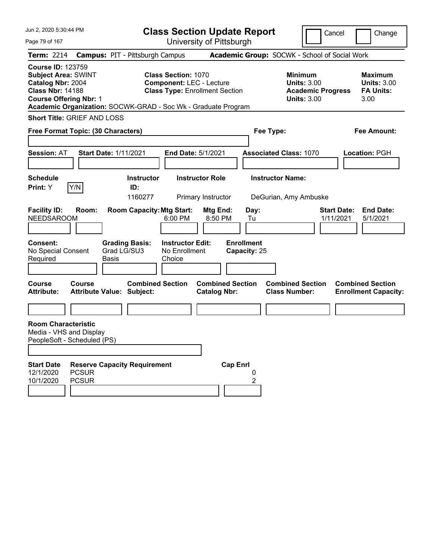| Jun 2, 2020 5:30:44 PM<br>Page 79 of 167                                                                                                |                              |                                                                                          |                                                               | <b>Class Section Update Report</b>             |                                                 |                                                                                        | Cancel                          | Change                                                           |
|-----------------------------------------------------------------------------------------------------------------------------------------|------------------------------|------------------------------------------------------------------------------------------|---------------------------------------------------------------|------------------------------------------------|-------------------------------------------------|----------------------------------------------------------------------------------------|---------------------------------|------------------------------------------------------------------|
| <b>Term: 2214</b>                                                                                                                       |                              | <b>Campus: PIT - Pittsburgh Campus</b>                                                   |                                                               | University of Pittsburgh                       |                                                 | Academic Group: SOCWK - School of Social Work                                          |                                 |                                                                  |
| <b>Course ID: 123759</b><br><b>Subject Area: SWINT</b><br>Catalog Nbr: 2004<br><b>Class Nbr: 14188</b><br><b>Course Offering Nbr: 1</b> |                              | Academic Organization: SOCWK-GRAD - Soc Wk - Graduate Program                            | <b>Class Section: 1070</b><br><b>Component: LEC - Lecture</b> | <b>Class Type: Enrollment Section</b>          |                                                 | <b>Minimum</b><br><b>Units: 3.00</b><br><b>Academic Progress</b><br><b>Units: 3.00</b> |                                 | <b>Maximum</b><br><b>Units: 3.00</b><br><b>FA Units:</b><br>3.00 |
| <b>Short Title: GRIEF AND LOSS</b><br>Free Format Topic: (30 Characters)                                                                |                              |                                                                                          |                                                               |                                                | Fee Type:                                       |                                                                                        |                                 | <b>Fee Amount:</b>                                               |
| <b>Session: AT</b>                                                                                                                      |                              | <b>Start Date: 1/11/2021</b>                                                             | End Date: 5/1/2021                                            |                                                |                                                 | <b>Associated Class: 1070</b>                                                          |                                 | Location: PGH                                                    |
| <b>Schedule</b><br>Print: Y                                                                                                             | Y/N                          | <b>Instructor</b><br>ID:<br>1160277                                                      |                                                               | <b>Instructor Role</b><br>Primary Instructor   |                                                 | <b>Instructor Name:</b><br>DeGurian, Amy Ambuske                                       |                                 |                                                                  |
| <b>Facility ID:</b><br><b>NEEDSAROOM</b><br>Consent:<br>No Special Consent<br>Required                                                  | Room:                        | <b>Room Capacity: Mtg Start:</b><br><b>Grading Basis:</b><br>Grad LG/SU3<br><b>Basis</b> | 6:00 PM<br><b>Instructor Edit:</b><br>No Enrollment<br>Choice | Mtg End:<br>8:50 PM                            | Day:<br>Tu<br><b>Enrollment</b><br>Capacity: 25 |                                                                                        | <b>Start Date:</b><br>1/11/2021 | <b>End Date:</b><br>5/1/2021                                     |
| <b>Course</b><br><b>Attribute:</b>                                                                                                      | <b>Course</b>                | <b>Combined Section</b><br><b>Attribute Value: Subject:</b>                              |                                                               | <b>Combined Section</b><br><b>Catalog Nbr:</b> |                                                 | <b>Combined Section</b><br><b>Class Number:</b>                                        |                                 | <b>Combined Section</b><br><b>Enrollment Capacity:</b>           |
| <b>Room Characteristic</b><br>Media - VHS and Display<br>PeopleSoft - Scheduled (PS)                                                    |                              |                                                                                          |                                                               |                                                |                                                 |                                                                                        |                                 |                                                                  |
| <b>Start Date</b><br>12/1/2020<br>10/1/2020                                                                                             | <b>PCSUR</b><br><b>PCSUR</b> | <b>Reserve Capacity Requirement</b>                                                      |                                                               | <b>Cap Enrl</b>                                | 0<br>2                                          |                                                                                        |                                 |                                                                  |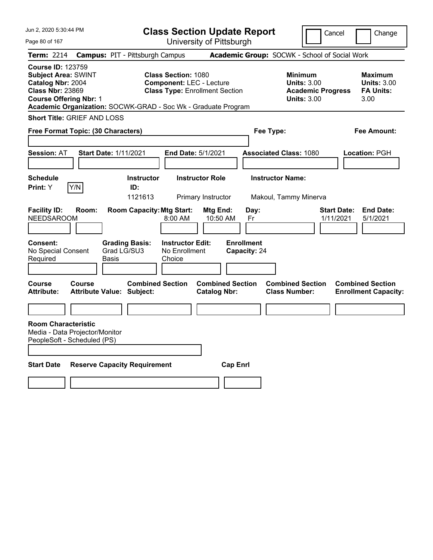| Jun 2, 2020 5:30:44 PM                                                                                                                  |                                                               | <b>Class Section Update Report</b>                                                                     |                                                |                                   |                                                                                 | Cancel<br>Change                                                |
|-----------------------------------------------------------------------------------------------------------------------------------------|---------------------------------------------------------------|--------------------------------------------------------------------------------------------------------|------------------------------------------------|-----------------------------------|---------------------------------------------------------------------------------|-----------------------------------------------------------------|
| Page 80 of 167                                                                                                                          |                                                               |                                                                                                        | University of Pittsburgh                       |                                   |                                                                                 |                                                                 |
| Term: 2214                                                                                                                              | <b>Campus: PIT - Pittsburgh Campus</b>                        |                                                                                                        |                                                |                                   | Academic Group: SOCWK - School of Social Work                                   |                                                                 |
| <b>Course ID: 123759</b><br><b>Subject Area: SWINT</b><br>Catalog Nbr: 2004<br><b>Class Nbr: 23869</b><br><b>Course Offering Nbr: 1</b> | Academic Organization: SOCWK-GRAD - Soc Wk - Graduate Program | <b>Class Section: 1080</b><br><b>Component: LEC - Lecture</b><br><b>Class Type: Enrollment Section</b> |                                                |                                   | Minimum<br><b>Units: 3.00</b><br><b>Academic Progress</b><br><b>Units: 3.00</b> | Maximum<br><b>Units: 3.00</b><br><b>FA Units:</b><br>3.00       |
| <b>Short Title: GRIEF AND LOSS</b>                                                                                                      |                                                               |                                                                                                        |                                                |                                   |                                                                                 |                                                                 |
| Free Format Topic: (30 Characters)                                                                                                      |                                                               |                                                                                                        |                                                | Fee Type:                         |                                                                                 | Fee Amount:                                                     |
|                                                                                                                                         |                                                               |                                                                                                        |                                                |                                   |                                                                                 |                                                                 |
| <b>Session: AT</b>                                                                                                                      | <b>Start Date: 1/11/2021</b>                                  | <b>End Date: 5/1/2021</b>                                                                              |                                                |                                   | <b>Associated Class: 1080</b>                                                   | Location: PGH                                                   |
| <b>Schedule</b>                                                                                                                         | <b>Instructor</b>                                             |                                                                                                        | <b>Instructor Role</b>                         | <b>Instructor Name:</b>           |                                                                                 |                                                                 |
| Y/N<br>Print: Y                                                                                                                         | ID:                                                           |                                                                                                        |                                                |                                   |                                                                                 |                                                                 |
|                                                                                                                                         | 1121613                                                       |                                                                                                        | Primary Instructor                             |                                   | Makoul, Tammy Minerva                                                           |                                                                 |
| <b>Facility ID:</b><br>Room:<br><b>NEEDSAROOM</b>                                                                                       | <b>Room Capacity: Mtg Start:</b>                              | 8:00 AM                                                                                                | Mtg End:<br>10:50 AM                           | Day:<br>Fr                        |                                                                                 | <b>Start Date:</b><br><b>End Date:</b><br>1/11/2021<br>5/1/2021 |
| <b>Consent:</b><br>No Special Consent<br>Required                                                                                       | <b>Grading Basis:</b><br>Grad LG/SU3<br>Basis                 | <b>Instructor Edit:</b><br>No Enrollment<br>Choice                                                     |                                                | <b>Enrollment</b><br>Capacity: 24 |                                                                                 |                                                                 |
| <b>Course</b><br>Course<br><b>Attribute:</b>                                                                                            | <b>Combined Section</b><br><b>Attribute Value: Subject:</b>   |                                                                                                        | <b>Combined Section</b><br><b>Catalog Nbr:</b> |                                   | <b>Combined Section</b><br><b>Class Number:</b>                                 | <b>Combined Section</b><br><b>Enrollment Capacity:</b>          |
|                                                                                                                                         |                                                               |                                                                                                        |                                                |                                   |                                                                                 |                                                                 |
| <b>Room Characteristic</b><br>Media - Data Projector/Monitor<br>PeopleSoft - Scheduled (PS)                                             |                                                               |                                                                                                        |                                                |                                   |                                                                                 |                                                                 |
| <b>Start Date</b>                                                                                                                       | <b>Reserve Capacity Requirement</b>                           |                                                                                                        | <b>Cap Enri</b>                                |                                   |                                                                                 |                                                                 |
|                                                                                                                                         |                                                               |                                                                                                        |                                                |                                   |                                                                                 |                                                                 |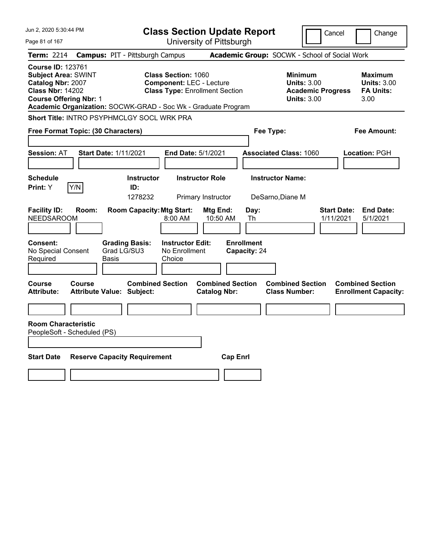| Jun 2, 2020 5:30:44 PM                                                                                                                  |                                                                                   | <b>Class Section Update Report</b>                                                                     |                                                                 |                                                            | Cancel                          | Change                                                           |
|-----------------------------------------------------------------------------------------------------------------------------------------|-----------------------------------------------------------------------------------|--------------------------------------------------------------------------------------------------------|-----------------------------------------------------------------|------------------------------------------------------------|---------------------------------|------------------------------------------------------------------|
| Page 81 of 167                                                                                                                          |                                                                                   |                                                                                                        | University of Pittsburgh                                        |                                                            |                                 |                                                                  |
| <b>Term: 2214</b>                                                                                                                       | <b>Campus: PIT - Pittsburgh Campus</b>                                            |                                                                                                        |                                                                 | Academic Group: SOCWK - School of Social Work              |                                 |                                                                  |
| <b>Course ID: 123761</b><br><b>Subject Area: SWINT</b><br>Catalog Nbr: 2007<br><b>Class Nbr: 14202</b><br><b>Course Offering Nbr: 1</b> | Academic Organization: SOCWK-GRAD - Soc Wk - Graduate Program                     | <b>Class Section: 1060</b><br><b>Component: LEC - Lecture</b><br><b>Class Type: Enrollment Section</b> |                                                                 | <b>Minimum</b><br><b>Units: 3.00</b><br><b>Units: 3.00</b> | <b>Academic Progress</b>        | <b>Maximum</b><br><b>Units: 3.00</b><br><b>FA Units:</b><br>3.00 |
|                                                                                                                                         | Short Title: INTRO PSYPHMCLGY SOCL WRK PRA                                        |                                                                                                        |                                                                 |                                                            |                                 |                                                                  |
| Free Format Topic: (30 Characters)                                                                                                      |                                                                                   |                                                                                                        |                                                                 | Fee Type:                                                  |                                 | Fee Amount:                                                      |
| <b>Session: AT</b>                                                                                                                      | <b>Start Date: 1/11/2021</b>                                                      | End Date: 5/1/2021                                                                                     |                                                                 | <b>Associated Class: 1060</b>                              |                                 | Location: PGH                                                    |
| <b>Schedule</b><br>Y/N<br><b>Print:</b> Y                                                                                               | <b>Instructor</b><br>ID:<br>1278232                                               | <b>Instructor Role</b><br>Primary Instructor                                                           |                                                                 | <b>Instructor Name:</b><br>DeSarno, Diane M                |                                 |                                                                  |
| <b>Facility ID:</b><br>Room:<br><b>NEEDSAROOM</b><br>Consent:<br>No Special Consent<br>Required                                         | <b>Room Capacity: Mtg Start:</b><br><b>Grading Basis:</b><br>Grad LG/SU3<br>Basis | 8:00 AM<br><b>Instructor Edit:</b><br>No Enrollment<br>Choice                                          | Mtg End:<br>10:50 AM<br>Th<br><b>Enrollment</b><br>Capacity: 24 | Day:                                                       | <b>Start Date:</b><br>1/11/2021 | <b>End Date:</b><br>5/1/2021                                     |
| Course<br>Course<br><b>Attribute:</b><br><b>Room Characteristic</b>                                                                     | <b>Attribute Value: Subject:</b>                                                  | <b>Combined Section</b>                                                                                | <b>Combined Section</b><br><b>Catalog Nbr:</b>                  | <b>Combined Section</b><br><b>Class Number:</b>            |                                 | <b>Combined Section</b><br><b>Enrollment Capacity:</b>           |
| PeopleSoft - Scheduled (PS)                                                                                                             |                                                                                   |                                                                                                        |                                                                 |                                                            |                                 |                                                                  |
| <b>Start Date</b>                                                                                                                       | <b>Reserve Capacity Requirement</b>                                               |                                                                                                        | <b>Cap Enrl</b>                                                 |                                                            |                                 |                                                                  |
|                                                                                                                                         |                                                                                   |                                                                                                        |                                                                 |                                                            |                                 |                                                                  |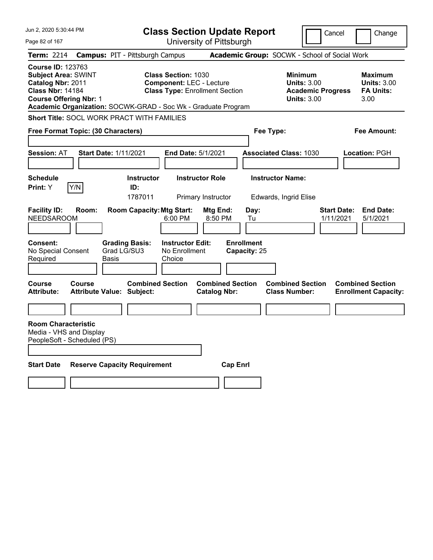| Jun 2, 2020 5:30:44 PM                                                                                                                                                                                   |                                                             | <b>Class Section Update Report</b>                                                                     |                                   | Cancel                                                                                 | Change                                                           |
|----------------------------------------------------------------------------------------------------------------------------------------------------------------------------------------------------------|-------------------------------------------------------------|--------------------------------------------------------------------------------------------------------|-----------------------------------|----------------------------------------------------------------------------------------|------------------------------------------------------------------|
| Page 82 of 167                                                                                                                                                                                           |                                                             | University of Pittsburgh                                                                               |                                   |                                                                                        |                                                                  |
| <b>Term: 2214</b>                                                                                                                                                                                        | <b>Campus: PIT - Pittsburgh Campus</b>                      |                                                                                                        |                                   | Academic Group: SOCWK - School of Social Work                                          |                                                                  |
| <b>Course ID: 123763</b><br><b>Subject Area: SWINT</b><br>Catalog Nbr: 2011<br><b>Class Nbr: 14184</b><br><b>Course Offering Nbr: 1</b><br>Academic Organization: SOCWK-GRAD - Soc Wk - Graduate Program |                                                             | <b>Class Section: 1030</b><br><b>Component: LEC - Lecture</b><br><b>Class Type: Enrollment Section</b> |                                   | <b>Minimum</b><br><b>Units: 3.00</b><br><b>Academic Progress</b><br><b>Units: 3.00</b> | <b>Maximum</b><br><b>Units: 3.00</b><br><b>FA Units:</b><br>3.00 |
| <b>Short Title: SOCL WORK PRACT WITH FAMILIES</b>                                                                                                                                                        |                                                             |                                                                                                        |                                   |                                                                                        |                                                                  |
| Free Format Topic: (30 Characters)                                                                                                                                                                       |                                                             |                                                                                                        | Fee Type:                         |                                                                                        | Fee Amount:                                                      |
| <b>Session: AT</b>                                                                                                                                                                                       | <b>Start Date: 1/11/2021</b>                                | <b>End Date: 5/1/2021</b>                                                                              |                                   | <b>Associated Class: 1030</b>                                                          | <b>Location: PGH</b>                                             |
| <b>Schedule</b><br>Y/N<br><b>Print:</b> Y                                                                                                                                                                | <b>Instructor</b><br>ID:<br>1787011                         | <b>Instructor Role</b><br>Primary Instructor                                                           |                                   | <b>Instructor Name:</b><br>Edwards, Ingrid Elise                                       |                                                                  |
| <b>Facility ID:</b><br>Room:<br><b>NEEDSAROOM</b>                                                                                                                                                        | <b>Room Capacity: Mtg Start:</b>                            | Mtg End:<br>6:00 PM<br>8:50 PM                                                                         | Day:<br>Tu                        |                                                                                        | <b>End Date:</b><br><b>Start Date:</b><br>1/11/2021<br>5/1/2021  |
| <b>Consent:</b><br>No Special Consent<br>Required                                                                                                                                                        | <b>Grading Basis:</b><br>Grad LG/SU3<br>Basis               | <b>Instructor Edit:</b><br>No Enrollment<br>Choice                                                     | <b>Enrollment</b><br>Capacity: 25 |                                                                                        |                                                                  |
| <b>Course</b><br>Course<br><b>Attribute:</b>                                                                                                                                                             | <b>Combined Section</b><br><b>Attribute Value: Subject:</b> | <b>Catalog Nbr:</b>                                                                                    | <b>Combined Section</b>           | <b>Combined Section</b><br><b>Class Number:</b>                                        | <b>Combined Section</b><br><b>Enrollment Capacity:</b>           |
|                                                                                                                                                                                                          |                                                             |                                                                                                        |                                   |                                                                                        |                                                                  |
| <b>Room Characteristic</b><br>Media - VHS and Display<br>PeopleSoft - Scheduled (PS)                                                                                                                     |                                                             |                                                                                                        |                                   |                                                                                        |                                                                  |
| <b>Start Date</b>                                                                                                                                                                                        | <b>Reserve Capacity Requirement</b>                         |                                                                                                        | <b>Cap Enrl</b>                   |                                                                                        |                                                                  |
|                                                                                                                                                                                                          |                                                             |                                                                                                        |                                   |                                                                                        |                                                                  |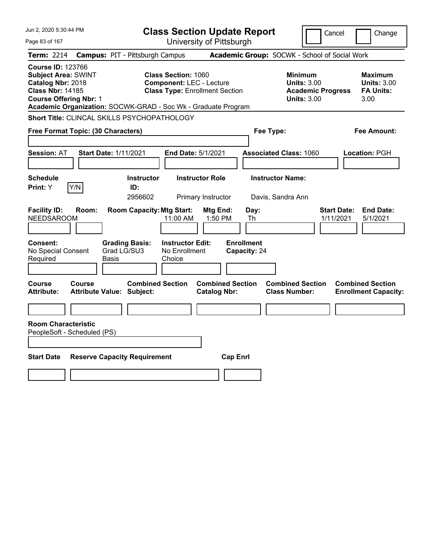| Jun 2, 2020 5:30:44 PM                                                                                                                  | <b>Class Section Update Report</b>                                                                                                                                      |                                                                                                   | Cancel<br>Change                                                                                                                                           |
|-----------------------------------------------------------------------------------------------------------------------------------------|-------------------------------------------------------------------------------------------------------------------------------------------------------------------------|---------------------------------------------------------------------------------------------------|------------------------------------------------------------------------------------------------------------------------------------------------------------|
| Page 83 of 167                                                                                                                          | University of Pittsburgh                                                                                                                                                |                                                                                                   |                                                                                                                                                            |
| <b>Term: 2214</b>                                                                                                                       | <b>Campus: PIT - Pittsburgh Campus</b>                                                                                                                                  | Academic Group: SOCWK - School of Social Work                                                     |                                                                                                                                                            |
| <b>Course ID: 123766</b><br><b>Subject Area: SWINT</b><br>Catalog Nbr: 2018<br><b>Class Nbr: 14185</b><br><b>Course Offering Nbr: 1</b> | <b>Class Section: 1060</b><br><b>Component: LEC - Lecture</b><br><b>Class Type: Enrollment Section</b><br>Academic Organization: SOCWK-GRAD - Soc Wk - Graduate Program |                                                                                                   | <b>Minimum</b><br><b>Maximum</b><br><b>Units: 3.00</b><br><b>Units: 3.00</b><br><b>Academic Progress</b><br><b>FA Units:</b><br><b>Units: 3.00</b><br>3.00 |
|                                                                                                                                         | Short Title: CLINCAL SKILLS PSYCHOPATHOLOGY                                                                                                                             |                                                                                                   |                                                                                                                                                            |
| Free Format Topic: (30 Characters)                                                                                                      |                                                                                                                                                                         | Fee Type:                                                                                         | <b>Fee Amount:</b>                                                                                                                                         |
| <b>Session: AT</b>                                                                                                                      | <b>Start Date: 1/11/2021</b><br>End Date: 5/1/2021                                                                                                                      | <b>Associated Class: 1060</b>                                                                     | Location: PGH                                                                                                                                              |
| <b>Schedule</b><br>Y/N<br>Print: Y                                                                                                      | <b>Instructor Role</b><br><b>Instructor</b><br>ID:<br>2956602<br>Primary Instructor                                                                                     | <b>Instructor Name:</b><br>Davis, Sandra Ann                                                      |                                                                                                                                                            |
| <b>Facility ID:</b><br>Room:<br><b>NEEDSAROOM</b>                                                                                       | <b>Room Capacity: Mtg Start:</b><br>11:00 AM                                                                                                                            | Mtg End:<br>Day:<br>1:50 PM<br>Th                                                                 | <b>End Date:</b><br><b>Start Date:</b><br>1/11/2021<br>5/1/2021                                                                                            |
| Consent:<br>No Special Consent<br>Required                                                                                              | <b>Grading Basis:</b><br><b>Instructor Edit:</b><br>Grad LG/SU3<br>No Enrollment<br>Basis<br>Choice                                                                     | <b>Enrollment</b><br>Capacity: 24                                                                 |                                                                                                                                                            |
| Course<br>Course<br>Attribute:                                                                                                          | <b>Combined Section</b><br><b>Attribute Value: Subject:</b>                                                                                                             | <b>Combined Section</b><br><b>Combined Section</b><br><b>Class Number:</b><br><b>Catalog Nbr:</b> | <b>Combined Section</b><br><b>Enrollment Capacity:</b>                                                                                                     |
| <b>Room Characteristic</b><br>PeopleSoft - Scheduled (PS)                                                                               |                                                                                                                                                                         |                                                                                                   |                                                                                                                                                            |
| <b>Start Date</b>                                                                                                                       | <b>Reserve Capacity Requirement</b>                                                                                                                                     | <b>Cap Enrl</b>                                                                                   |                                                                                                                                                            |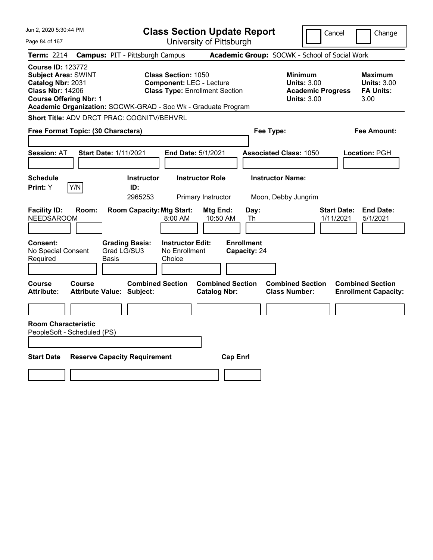| Jun 2, 2020 5:30:44 PM                                                                                                                  |                                                                                                                                                                         | <b>Class Section Update Report</b>             | Cancel                                                                                 | Change                                                           |
|-----------------------------------------------------------------------------------------------------------------------------------------|-------------------------------------------------------------------------------------------------------------------------------------------------------------------------|------------------------------------------------|----------------------------------------------------------------------------------------|------------------------------------------------------------------|
| Page 84 of 167                                                                                                                          |                                                                                                                                                                         | University of Pittsburgh                       |                                                                                        |                                                                  |
| <b>Term: 2214</b>                                                                                                                       | <b>Campus: PIT - Pittsburgh Campus</b>                                                                                                                                  |                                                | Academic Group: SOCWK - School of Social Work                                          |                                                                  |
| <b>Course ID: 123772</b><br><b>Subject Area: SWINT</b><br>Catalog Nbr: 2031<br><b>Class Nbr: 14206</b><br><b>Course Offering Nbr: 1</b> | <b>Class Section: 1050</b><br><b>Component: LEC - Lecture</b><br><b>Class Type: Enrollment Section</b><br>Academic Organization: SOCWK-GRAD - Soc Wk - Graduate Program |                                                | <b>Minimum</b><br><b>Units: 3.00</b><br><b>Academic Progress</b><br><b>Units: 3.00</b> | <b>Maximum</b><br><b>Units: 3.00</b><br><b>FA Units:</b><br>3.00 |
|                                                                                                                                         | <b>Short Title: ADV DRCT PRAC: COGNITV/BEHVRL</b>                                                                                                                       |                                                |                                                                                        |                                                                  |
| Free Format Topic: (30 Characters)                                                                                                      |                                                                                                                                                                         | Fee Type:                                      |                                                                                        | <b>Fee Amount:</b>                                               |
| <b>Session: AT</b>                                                                                                                      | <b>Start Date: 1/11/2021</b><br>End Date: 5/1/2021                                                                                                                      |                                                | <b>Associated Class: 1050</b>                                                          | Location: PGH                                                    |
| <b>Schedule</b><br>Print: Y<br>Y/N                                                                                                      | <b>Instructor</b><br>ID:<br>2965253                                                                                                                                     | <b>Instructor Role</b><br>Primary Instructor   | <b>Instructor Name:</b><br>Moon, Debby Jungrim                                         |                                                                  |
| <b>Facility ID:</b><br>Room:<br><b>NEEDSAROOM</b>                                                                                       | <b>Room Capacity: Mtg Start:</b><br>8:00 AM                                                                                                                             | Mtg End:<br>Day:<br>10:50 AM<br>Th             |                                                                                        | <b>End Date:</b><br><b>Start Date:</b><br>1/11/2021<br>5/1/2021  |
| Consent:<br>No Special Consent<br>Required                                                                                              | <b>Grading Basis:</b><br><b>Instructor Edit:</b><br>Grad LG/SU3<br>No Enrollment<br>Basis<br>Choice                                                                     | <b>Enrollment</b><br>Capacity: 24              |                                                                                        |                                                                  |
| Course<br>Course<br>Attribute:                                                                                                          | <b>Combined Section</b><br><b>Attribute Value: Subject:</b>                                                                                                             | <b>Combined Section</b><br><b>Catalog Nbr:</b> | <b>Combined Section</b><br><b>Class Number:</b>                                        | <b>Combined Section</b><br><b>Enrollment Capacity:</b>           |
| <b>Room Characteristic</b><br>PeopleSoft - Scheduled (PS)<br><b>Start Date</b>                                                          | <b>Reserve Capacity Requirement</b>                                                                                                                                     | <b>Cap Enrl</b>                                |                                                                                        |                                                                  |
|                                                                                                                                         |                                                                                                                                                                         |                                                |                                                                                        |                                                                  |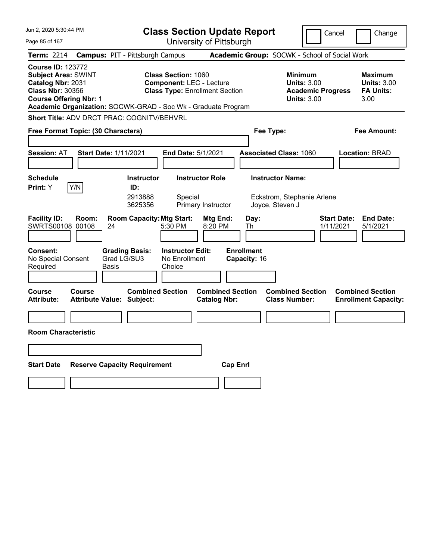| Jun 2, 2020 5:30:44 PM                                                                                                                                                                                   |                                                             | <b>Class Section Update Report</b>                                                                     |                                   |                                                                                        | Cancel                                                           | Change |
|----------------------------------------------------------------------------------------------------------------------------------------------------------------------------------------------------------|-------------------------------------------------------------|--------------------------------------------------------------------------------------------------------|-----------------------------------|----------------------------------------------------------------------------------------|------------------------------------------------------------------|--------|
| Page 85 of 167                                                                                                                                                                                           |                                                             | University of Pittsburgh                                                                               |                                   |                                                                                        |                                                                  |        |
| <b>Term: 2214</b>                                                                                                                                                                                        | <b>Campus: PIT - Pittsburgh Campus</b>                      |                                                                                                        |                                   | Academic Group: SOCWK - School of Social Work                                          |                                                                  |        |
| <b>Course ID: 123772</b><br><b>Subject Area: SWINT</b><br>Catalog Nbr: 2031<br><b>Class Nbr: 30356</b><br><b>Course Offering Nbr: 1</b><br>Academic Organization: SOCWK-GRAD - Soc Wk - Graduate Program |                                                             | <b>Class Section: 1060</b><br><b>Component: LEC - Lecture</b><br><b>Class Type: Enrollment Section</b> |                                   | <b>Minimum</b><br><b>Units: 3.00</b><br><b>Academic Progress</b><br><b>Units: 3.00</b> | <b>Maximum</b><br><b>Units: 3.00</b><br><b>FA Units:</b><br>3.00 |        |
| Short Title: ADV DRCT PRAC: COGNITV/BEHVRL                                                                                                                                                               |                                                             |                                                                                                        |                                   |                                                                                        |                                                                  |        |
| Free Format Topic: (30 Characters)                                                                                                                                                                       |                                                             |                                                                                                        |                                   | Fee Type:                                                                              | Fee Amount:                                                      |        |
| <b>Session: AT</b>                                                                                                                                                                                       | <b>Start Date: 1/11/2021</b>                                | <b>End Date: 5/1/2021</b>                                                                              |                                   | <b>Associated Class: 1060</b>                                                          | <b>Location: BRAD</b>                                            |        |
| <b>Schedule</b><br>Y/N<br>Print: Y                                                                                                                                                                       | <b>Instructor</b><br>ID:<br>2913888<br>3625356              | <b>Instructor Role</b><br>Special<br>Primary Instructor                                                |                                   | <b>Instructor Name:</b><br>Eckstrom, Stephanie Arlene<br>Joyce, Steven J               |                                                                  |        |
| <b>Facility ID:</b><br>Room:<br>SWRTS00108 00108                                                                                                                                                         | <b>Room Capacity: Mtg Start:</b><br>24                      | Mtg End:<br>5:30 PM<br>8:20 PM                                                                         | Day:<br>Th                        |                                                                                        | <b>Start Date:</b><br><b>End Date:</b><br>1/11/2021<br>5/1/2021  |        |
| <b>Consent:</b><br>No Special Consent<br>Required                                                                                                                                                        | <b>Grading Basis:</b><br>Grad LG/SU3<br>Basis               | <b>Instructor Edit:</b><br>No Enrollment<br>Choice                                                     | <b>Enrollment</b><br>Capacity: 16 |                                                                                        |                                                                  |        |
| Course<br>Course<br><b>Attribute:</b>                                                                                                                                                                    | <b>Combined Section</b><br><b>Attribute Value: Subject:</b> | <b>Catalog Nbr:</b>                                                                                    | <b>Combined Section</b>           | <b>Combined Section</b><br><b>Class Number:</b>                                        | <b>Combined Section</b><br><b>Enrollment Capacity:</b>           |        |
|                                                                                                                                                                                                          |                                                             |                                                                                                        |                                   |                                                                                        |                                                                  |        |
| <b>Room Characteristic</b>                                                                                                                                                                               |                                                             |                                                                                                        |                                   |                                                                                        |                                                                  |        |
|                                                                                                                                                                                                          |                                                             |                                                                                                        |                                   |                                                                                        |                                                                  |        |
| <b>Start Date</b>                                                                                                                                                                                        | <b>Reserve Capacity Requirement</b>                         |                                                                                                        | <b>Cap Enri</b>                   |                                                                                        |                                                                  |        |
|                                                                                                                                                                                                          |                                                             |                                                                                                        |                                   |                                                                                        |                                                                  |        |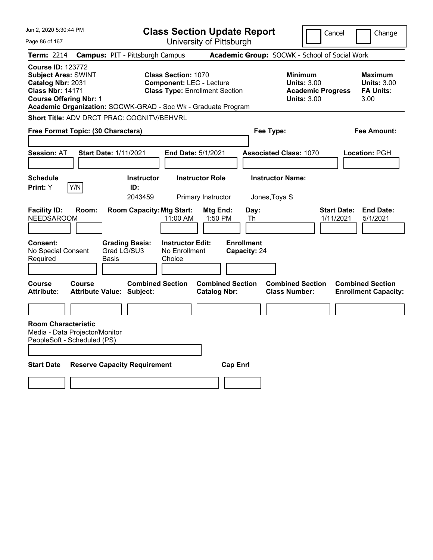| Jun 2, 2020 5:30:44 PM                                                                                                                  |        |                                                               | <b>Class Section Update Report</b>                                                                     |                                                |                                   |                                                            | Cancel                          |                                                        | Change                                                   |
|-----------------------------------------------------------------------------------------------------------------------------------------|--------|---------------------------------------------------------------|--------------------------------------------------------------------------------------------------------|------------------------------------------------|-----------------------------------|------------------------------------------------------------|---------------------------------|--------------------------------------------------------|----------------------------------------------------------|
| Page 86 of 167                                                                                                                          |        |                                                               |                                                                                                        | University of Pittsburgh                       |                                   |                                                            |                                 |                                                        |                                                          |
| <b>Term: 2214</b>                                                                                                                       |        | <b>Campus: PIT - Pittsburgh Campus</b>                        |                                                                                                        |                                                |                                   | Academic Group: SOCWK - School of Social Work              |                                 |                                                        |                                                          |
| <b>Course ID: 123772</b><br><b>Subject Area: SWINT</b><br>Catalog Nbr: 2031<br><b>Class Nbr: 14171</b><br><b>Course Offering Nbr: 1</b> |        | Academic Organization: SOCWK-GRAD - Soc Wk - Graduate Program | <b>Class Section: 1070</b><br><b>Component: LEC - Lecture</b><br><b>Class Type: Enrollment Section</b> |                                                |                                   | <b>Minimum</b><br><b>Units: 3.00</b><br><b>Units: 3.00</b> | <b>Academic Progress</b>        | 3.00                                                   | <b>Maximum</b><br><b>Units: 3.00</b><br><b>FA Units:</b> |
|                                                                                                                                         |        | <b>Short Title: ADV DRCT PRAC: COGNITV/BEHVRL</b>             |                                                                                                        |                                                |                                   |                                                            |                                 |                                                        |                                                          |
| Free Format Topic: (30 Characters)                                                                                                      |        |                                                               |                                                                                                        |                                                | Fee Type:                         |                                                            |                                 |                                                        | <b>Fee Amount:</b>                                       |
| <b>Session: AT</b>                                                                                                                      |        | <b>Start Date: 1/11/2021</b>                                  | <b>End Date: 5/1/2021</b>                                                                              |                                                |                                   | <b>Associated Class: 1070</b>                              |                                 | Location: PGH                                          |                                                          |
| <b>Schedule</b><br><b>Print:</b> Y                                                                                                      | Y/N    | <b>Instructor</b><br>ID:<br>2043459                           | <b>Instructor Role</b>                                                                                 | Primary Instructor                             |                                   | <b>Instructor Name:</b><br>Jones, Toya S                   |                                 |                                                        |                                                          |
| <b>Facility ID:</b><br><b>NEEDSAROOM</b>                                                                                                | Room:  | <b>Room Capacity: Mtg Start:</b>                              | 11:00 AM                                                                                               | Mtg End:<br>1:50 PM                            | Day:<br>Th                        |                                                            | <b>Start Date:</b><br>1/11/2021 |                                                        | <b>End Date:</b><br>5/1/2021                             |
| <b>Consent:</b><br>No Special Consent<br>Required                                                                                       |        | <b>Grading Basis:</b><br>Grad LG/SU3<br>Basis                 | <b>Instructor Edit:</b><br>No Enrollment<br>Choice                                                     |                                                | <b>Enrollment</b><br>Capacity: 24 |                                                            |                                 |                                                        |                                                          |
| Course<br><b>Attribute:</b>                                                                                                             | Course | <b>Combined Section</b><br><b>Attribute Value: Subject:</b>   |                                                                                                        | <b>Combined Section</b><br><b>Catalog Nbr:</b> |                                   | <b>Combined Section</b><br><b>Class Number:</b>            |                                 | <b>Combined Section</b><br><b>Enrollment Capacity:</b> |                                                          |
|                                                                                                                                         |        |                                                               |                                                                                                        |                                                |                                   |                                                            |                                 |                                                        |                                                          |
| <b>Room Characteristic</b><br>Media - Data Projector/Monitor<br>PeopleSoft - Scheduled (PS)                                             |        |                                                               |                                                                                                        |                                                |                                   |                                                            |                                 |                                                        |                                                          |
| <b>Start Date</b>                                                                                                                       |        | <b>Reserve Capacity Requirement</b>                           |                                                                                                        | <b>Cap Enrl</b>                                |                                   |                                                            |                                 |                                                        |                                                          |
|                                                                                                                                         |        |                                                               |                                                                                                        |                                                |                                   |                                                            |                                 |                                                        |                                                          |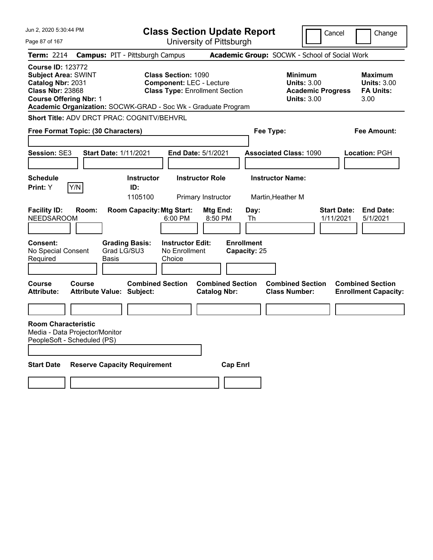| Jun 2, 2020 5:30:44 PM                             |                                                                                                        |                                                               |                      |                                                               | <b>Class Section Update Report</b>                                                                     |                           |                                                |                                                 |                         |                                                                                        | Cancel                          | Change                                                    |
|----------------------------------------------------|--------------------------------------------------------------------------------------------------------|---------------------------------------------------------------|----------------------|---------------------------------------------------------------|--------------------------------------------------------------------------------------------------------|---------------------------|------------------------------------------------|-------------------------------------------------|-------------------------|----------------------------------------------------------------------------------------|---------------------------------|-----------------------------------------------------------|
| Page 87 of 167                                     |                                                                                                        |                                                               |                      |                                                               | University of Pittsburgh                                                                               |                           |                                                |                                                 |                         |                                                                                        |                                 |                                                           |
| Term: 2214                                         |                                                                                                        |                                                               |                      | <b>Campus: PIT - Pittsburgh Campus</b>                        |                                                                                                        |                           |                                                |                                                 |                         | Academic Group: SOCWK - School of Social Work                                          |                                 |                                                           |
|                                                    | <b>Course ID: 123772</b><br><b>Subject Area: SWINT</b><br>Catalog Nbr: 2031<br><b>Class Nbr: 23868</b> | <b>Course Offering Nbr: 1</b>                                 |                      | Academic Organization: SOCWK-GRAD - Soc Wk - Graduate Program | <b>Class Section: 1090</b><br><b>Component: LEC - Lecture</b><br><b>Class Type: Enrollment Section</b> |                           |                                                |                                                 |                         | <b>Minimum</b><br><b>Units: 3.00</b><br><b>Academic Progress</b><br><b>Units: 3.00</b> |                                 | Maximum<br><b>Units: 3.00</b><br><b>FA Units:</b><br>3.00 |
|                                                    |                                                                                                        |                                                               |                      | Short Title: ADV DRCT PRAC: COGNITV/BEHVRL                    |                                                                                                        |                           |                                                |                                                 |                         |                                                                                        |                                 |                                                           |
|                                                    |                                                                                                        | Free Format Topic: (30 Characters)                            |                      |                                                               |                                                                                                        |                           |                                                |                                                 | Fee Type:               |                                                                                        |                                 | Fee Amount:                                               |
|                                                    |                                                                                                        |                                                               |                      |                                                               |                                                                                                        |                           |                                                |                                                 |                         |                                                                                        |                                 |                                                           |
| Session: SE3                                       |                                                                                                        |                                                               |                      | Start Date: 1/11/2021                                         |                                                                                                        | <b>End Date: 5/1/2021</b> |                                                |                                                 |                         | <b>Associated Class: 1090</b>                                                          |                                 | <b>Location: PGH</b>                                      |
|                                                    |                                                                                                        |                                                               |                      |                                                               |                                                                                                        |                           |                                                |                                                 |                         |                                                                                        |                                 |                                                           |
| <b>Schedule</b><br><b>Print:</b> Y                 |                                                                                                        | Y/N                                                           |                      | <b>Instructor</b><br>ID:                                      |                                                                                                        | <b>Instructor Role</b>    |                                                |                                                 | <b>Instructor Name:</b> |                                                                                        |                                 |                                                           |
|                                                    |                                                                                                        |                                                               |                      | 1105100                                                       |                                                                                                        | Primary Instructor        |                                                |                                                 | Martin, Heather M       |                                                                                        |                                 |                                                           |
| <b>Facility ID:</b><br><b>Consent:</b><br>Required | <b>NEEDSAROOM</b><br>No Special Consent                                                                | Room:                                                         | Grad LG/SU3<br>Basis | <b>Room Capacity: Mtg Start:</b><br><b>Grading Basis:</b>     | 6:00 PM<br><b>Instructor Edit:</b><br>No Enrollment<br>Choice                                          |                           | Mtg End:<br>8:50 PM                            | Day:<br>Th<br><b>Enrollment</b><br>Capacity: 25 |                         |                                                                                        | <b>Start Date:</b><br>1/11/2021 | <b>End Date:</b><br>5/1/2021                              |
|                                                    |                                                                                                        |                                                               |                      |                                                               |                                                                                                        |                           |                                                |                                                 |                         |                                                                                        |                                 |                                                           |
| Course<br><b>Attribute:</b>                        |                                                                                                        | <b>Course</b>                                                 |                      | <b>Combined Section</b><br><b>Attribute Value: Subject:</b>   |                                                                                                        |                           | <b>Combined Section</b><br><b>Catalog Nbr:</b> |                                                 |                         | <b>Combined Section</b><br><b>Class Number:</b>                                        |                                 | <b>Combined Section</b><br><b>Enrollment Capacity:</b>    |
|                                                    |                                                                                                        |                                                               |                      |                                                               |                                                                                                        |                           |                                                |                                                 |                         |                                                                                        |                                 |                                                           |
|                                                    | <b>Room Characteristic</b>                                                                             | Media - Data Projector/Monitor<br>PeopleSoft - Scheduled (PS) |                      |                                                               |                                                                                                        |                           |                                                |                                                 |                         |                                                                                        |                                 |                                                           |
| <b>Start Date</b>                                  |                                                                                                        |                                                               |                      | <b>Reserve Capacity Requirement</b>                           |                                                                                                        |                           | <b>Cap Enri</b>                                |                                                 |                         |                                                                                        |                                 |                                                           |
|                                                    |                                                                                                        |                                                               |                      |                                                               |                                                                                                        |                           |                                                |                                                 |                         |                                                                                        |                                 |                                                           |
|                                                    |                                                                                                        |                                                               |                      |                                                               |                                                                                                        |                           |                                                |                                                 |                         |                                                                                        |                                 |                                                           |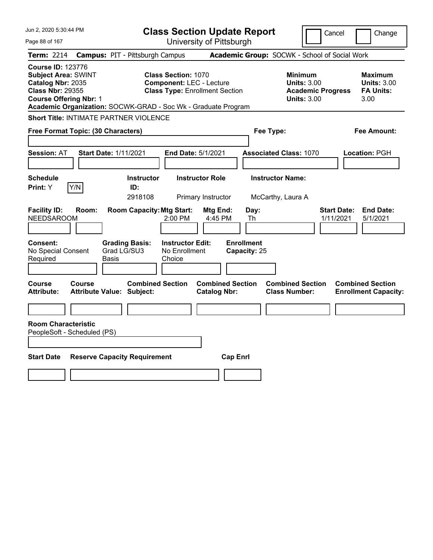| Jun 2, 2020 5:30:44 PM                                                                                                                  | <b>Class Section Update Report</b>                                                                                                                                      |                                                                                        | Cancel<br>Change                                                 |
|-----------------------------------------------------------------------------------------------------------------------------------------|-------------------------------------------------------------------------------------------------------------------------------------------------------------------------|----------------------------------------------------------------------------------------|------------------------------------------------------------------|
| Page 88 of 167                                                                                                                          | University of Pittsburgh                                                                                                                                                |                                                                                        |                                                                  |
| <b>Term: 2214</b>                                                                                                                       | <b>Campus: PIT - Pittsburgh Campus</b>                                                                                                                                  | Academic Group: SOCWK - School of Social Work                                          |                                                                  |
| <b>Course ID: 123776</b><br><b>Subject Area: SWINT</b><br>Catalog Nbr: 2035<br><b>Class Nbr: 29355</b><br><b>Course Offering Nbr: 1</b> | <b>Class Section: 1070</b><br><b>Component: LEC - Lecture</b><br><b>Class Type: Enrollment Section</b><br>Academic Organization: SOCWK-GRAD - Soc Wk - Graduate Program | <b>Minimum</b><br><b>Units: 3.00</b><br><b>Academic Progress</b><br><b>Units: 3.00</b> | <b>Maximum</b><br><b>Units: 3.00</b><br><b>FA Units:</b><br>3.00 |
| <b>Short Title: INTIMATE PARTNER VIOLENCE</b>                                                                                           |                                                                                                                                                                         |                                                                                        |                                                                  |
| Free Format Topic: (30 Characters)                                                                                                      |                                                                                                                                                                         | Fee Type:                                                                              | <b>Fee Amount:</b>                                               |
| <b>Session: AT</b>                                                                                                                      | <b>Start Date: 1/11/2021</b><br>End Date: 5/1/2021                                                                                                                      | <b>Associated Class: 1070</b>                                                          | Location: PGH                                                    |
| <b>Schedule</b><br>Print: Y<br>Y/N                                                                                                      | <b>Instructor Role</b><br>Instructor<br>ID:<br>2918108<br>Primary Instructor                                                                                            | <b>Instructor Name:</b><br>McCarthy, Laura A                                           |                                                                  |
| <b>Facility ID:</b><br>Room:<br><b>NEEDSAROOM</b>                                                                                       | <b>Room Capacity: Mtg Start:</b><br>Mtg End:<br>2:00 PM<br>4:45 PM                                                                                                      | Day:<br>Th                                                                             | <b>End Date:</b><br><b>Start Date:</b><br>1/11/2021<br>5/1/2021  |
| Consent:<br>No Special Consent<br>Required                                                                                              | <b>Instructor Edit:</b><br><b>Grading Basis:</b><br>Grad LG/SU3<br>No Enrollment<br>Basis<br>Choice                                                                     | <b>Enrollment</b><br>Capacity: 25                                                      |                                                                  |
| Course<br>Course<br><b>Attribute:</b>                                                                                                   | <b>Combined Section</b><br><b>Combined Section</b><br><b>Attribute Value: Subject:</b><br><b>Catalog Nbr:</b>                                                           | <b>Combined Section</b><br><b>Class Number:</b>                                        | <b>Combined Section</b><br><b>Enrollment Capacity:</b>           |
|                                                                                                                                         |                                                                                                                                                                         |                                                                                        |                                                                  |
| <b>Room Characteristic</b><br>PeopleSoft - Scheduled (PS)                                                                               |                                                                                                                                                                         |                                                                                        |                                                                  |
|                                                                                                                                         |                                                                                                                                                                         |                                                                                        |                                                                  |
| <b>Start Date</b>                                                                                                                       | <b>Reserve Capacity Requirement</b>                                                                                                                                     | <b>Cap Enrl</b>                                                                        |                                                                  |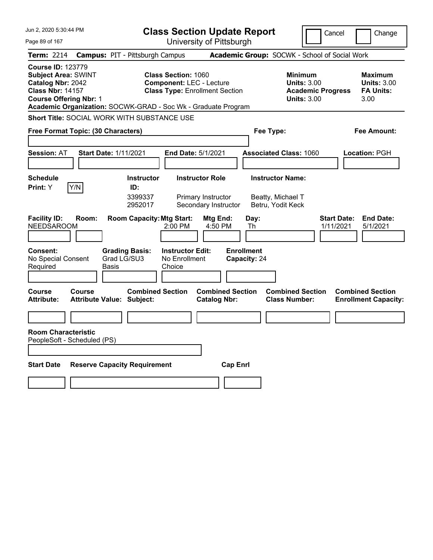| Jun 2, 2020 5:30:44 PM                                                                                                                                                                                   | <b>Class Section Update Report</b>                                                                     |                                                |                                                                                        | Cancel<br>Change                                                 |
|----------------------------------------------------------------------------------------------------------------------------------------------------------------------------------------------------------|--------------------------------------------------------------------------------------------------------|------------------------------------------------|----------------------------------------------------------------------------------------|------------------------------------------------------------------|
| Page 89 of 167                                                                                                                                                                                           |                                                                                                        | University of Pittsburgh                       |                                                                                        |                                                                  |
| <b>Term: 2214</b>                                                                                                                                                                                        | <b>Campus: PIT - Pittsburgh Campus</b>                                                                 |                                                | Academic Group: SOCWK - School of Social Work                                          |                                                                  |
| <b>Course ID: 123779</b><br><b>Subject Area: SWINT</b><br>Catalog Nbr: 2042<br><b>Class Nbr: 14157</b><br><b>Course Offering Nbr: 1</b><br>Academic Organization: SOCWK-GRAD - Soc Wk - Graduate Program | <b>Class Section: 1060</b><br><b>Component: LEC - Lecture</b><br><b>Class Type: Enrollment Section</b> |                                                | <b>Minimum</b><br><b>Units: 3.00</b><br><b>Academic Progress</b><br><b>Units: 3.00</b> | <b>Maximum</b><br><b>Units: 3.00</b><br><b>FA Units:</b><br>3.00 |
| Short Title: SOCIAL WORK WITH SUBSTANCE USE                                                                                                                                                              |                                                                                                        |                                                |                                                                                        |                                                                  |
| Free Format Topic: (30 Characters)                                                                                                                                                                       |                                                                                                        |                                                | Fee Type:                                                                              | Fee Amount:                                                      |
| <b>Session: AT</b><br><b>Start Date: 1/11/2021</b>                                                                                                                                                       | End Date: 5/1/2021                                                                                     |                                                | <b>Associated Class: 1060</b>                                                          | <b>Location: PGH</b>                                             |
| <b>Schedule</b><br>Y/N<br><b>Print:</b> Y                                                                                                                                                                | <b>Instructor Role</b><br><b>Instructor</b><br>ID:<br>3399337<br>Primary Instructor<br>2952017         | Secondary Instructor                           | <b>Instructor Name:</b><br>Beatty, Michael T<br>Betru, Yodit Keck                      |                                                                  |
| <b>Facility ID:</b><br>Room:<br><b>NEEDSAROOM</b>                                                                                                                                                        | <b>Room Capacity: Mtg Start:</b><br>2:00 PM                                                            | Mtg End:<br>Day:<br>4:50 PM<br>Th              |                                                                                        | <b>Start Date:</b><br><b>End Date:</b><br>1/11/2021<br>5/1/2021  |
| <b>Consent:</b><br>Grad LG/SU3<br>No Special Consent<br>Required<br>Basis                                                                                                                                | <b>Instructor Edit:</b><br><b>Grading Basis:</b><br>No Enrollment<br>Choice                            | <b>Enrollment</b><br>Capacity: 24              |                                                                                        |                                                                  |
| <b>Course</b><br>Course<br><b>Attribute:</b><br><b>Attribute Value: Subject:</b>                                                                                                                         | <b>Combined Section</b>                                                                                | <b>Combined Section</b><br><b>Catalog Nbr:</b> | <b>Combined Section</b><br><b>Class Number:</b>                                        | <b>Combined Section</b><br><b>Enrollment Capacity:</b>           |
| <b>Room Characteristic</b>                                                                                                                                                                               |                                                                                                        |                                                |                                                                                        |                                                                  |
| PeopleSoft - Scheduled (PS)                                                                                                                                                                              |                                                                                                        |                                                |                                                                                        |                                                                  |
| <b>Start Date</b><br><b>Reserve Capacity Requirement</b>                                                                                                                                                 |                                                                                                        | <b>Cap Enrl</b>                                |                                                                                        |                                                                  |
|                                                                                                                                                                                                          |                                                                                                        |                                                |                                                                                        |                                                                  |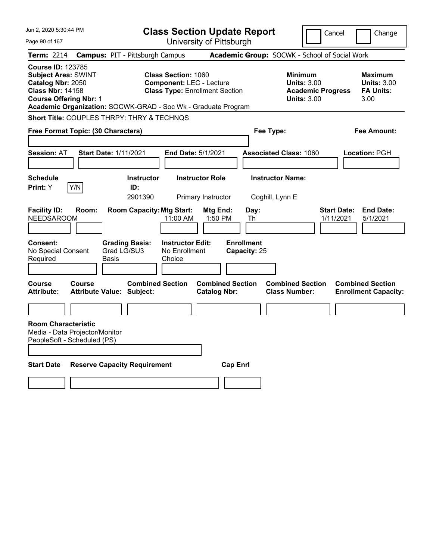| Jun 2, 2020 5:30:44 PM                                                                                                                  |                                                   | <b>Class Section Update Report</b>                                                                                                                                      |                                               | Cancel                                                                                 | Change                                                           |
|-----------------------------------------------------------------------------------------------------------------------------------------|---------------------------------------------------|-------------------------------------------------------------------------------------------------------------------------------------------------------------------------|-----------------------------------------------|----------------------------------------------------------------------------------------|------------------------------------------------------------------|
| Page 90 of 167                                                                                                                          |                                                   | University of Pittsburgh                                                                                                                                                |                                               |                                                                                        |                                                                  |
| Term: 2214                                                                                                                              | <b>Campus: PIT - Pittsburgh Campus</b>            |                                                                                                                                                                         | Academic Group: SOCWK - School of Social Work |                                                                                        |                                                                  |
| <b>Course ID: 123785</b><br><b>Subject Area: SWINT</b><br>Catalog Nbr: 2050<br><b>Class Nbr: 14158</b><br><b>Course Offering Nbr: 1</b> |                                                   | <b>Class Section: 1060</b><br><b>Component: LEC - Lecture</b><br><b>Class Type: Enrollment Section</b><br>Academic Organization: SOCWK-GRAD - Soc Wk - Graduate Program |                                               | <b>Minimum</b><br><b>Units: 3.00</b><br><b>Academic Progress</b><br><b>Units: 3.00</b> | <b>Maximum</b><br><b>Units: 3.00</b><br><b>FA Units:</b><br>3.00 |
|                                                                                                                                         | Short Title: COUPLES THRPY: THRY & TECHNQS        |                                                                                                                                                                         |                                               |                                                                                        |                                                                  |
|                                                                                                                                         | Free Format Topic: (30 Characters)                |                                                                                                                                                                         | Fee Type:                                     |                                                                                        | Fee Amount:                                                      |
| <b>Session: AT</b>                                                                                                                      | <b>Start Date: 1/11/2021</b>                      | End Date: 5/1/2021                                                                                                                                                      |                                               | <b>Associated Class: 1060</b>                                                          | Location: PGH                                                    |
| <b>Schedule</b><br>Y/N<br>Print: Y                                                                                                      | ID:<br>2901390                                    | <b>Instructor Role</b><br><b>Instructor</b><br>Primary Instructor                                                                                                       | <b>Instructor Name:</b><br>Coghill, Lynn E    |                                                                                        |                                                                  |
| <b>Facility ID:</b><br><b>NEEDSAROOM</b>                                                                                                | Room:                                             | <b>Room Capacity: Mtg Start:</b><br>11:00 AM                                                                                                                            | Day:<br>Mtg End:<br>1:50 PM<br>Th             | <b>Start Date:</b><br>1/11/2021                                                        | <b>End Date:</b><br>5/1/2021                                     |
| Consent:<br>No Special Consent<br>Required                                                                                              | <b>Grading Basis:</b><br>Grad LG/SU3<br>Basis     | <b>Instructor Edit:</b><br>No Enrollment<br>Choice                                                                                                                      | <b>Enrollment</b><br>Capacity: 25             |                                                                                        |                                                                  |
| Course<br><b>Attribute:</b>                                                                                                             | <b>Course</b><br><b>Attribute Value: Subject:</b> | <b>Combined Section</b><br><b>Catalog Nbr:</b>                                                                                                                          | <b>Combined Section</b>                       | <b>Combined Section</b><br><b>Class Number:</b>                                        | <b>Combined Section</b><br><b>Enrollment Capacity:</b>           |
|                                                                                                                                         |                                                   |                                                                                                                                                                         |                                               |                                                                                        |                                                                  |
| <b>Room Characteristic</b><br>Media - Data Projector/Monitor<br>PeopleSoft - Scheduled (PS)                                             |                                                   |                                                                                                                                                                         |                                               |                                                                                        |                                                                  |
| <b>Start Date</b>                                                                                                                       | <b>Reserve Capacity Requirement</b>               |                                                                                                                                                                         | <b>Cap Enrl</b>                               |                                                                                        |                                                                  |
|                                                                                                                                         |                                                   |                                                                                                                                                                         |                                               |                                                                                        |                                                                  |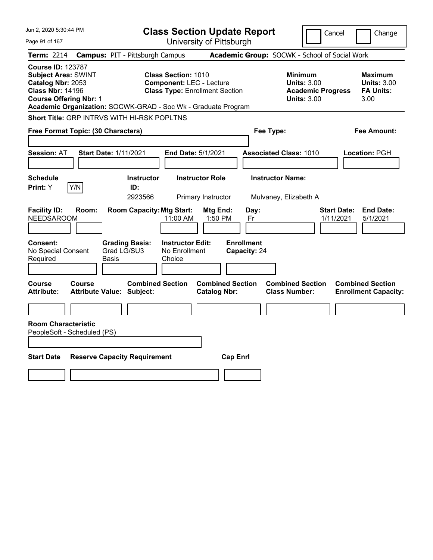| Jun 2, 2020 5:30:44 PM                                                                                                                  | <b>Class Section Update Report</b>                                                                                                                                      | Cancel<br>Change                                                                                                                                           |
|-----------------------------------------------------------------------------------------------------------------------------------------|-------------------------------------------------------------------------------------------------------------------------------------------------------------------------|------------------------------------------------------------------------------------------------------------------------------------------------------------|
| Page 91 of 167                                                                                                                          | University of Pittsburgh                                                                                                                                                |                                                                                                                                                            |
| <b>Term: 2214</b>                                                                                                                       | <b>Campus: PIT - Pittsburgh Campus</b>                                                                                                                                  | Academic Group: SOCWK - School of Social Work                                                                                                              |
| <b>Course ID: 123787</b><br><b>Subject Area: SWINT</b><br>Catalog Nbr: 2053<br><b>Class Nbr: 14196</b><br><b>Course Offering Nbr: 1</b> | <b>Class Section: 1010</b><br><b>Component: LEC - Lecture</b><br><b>Class Type: Enrollment Section</b><br>Academic Organization: SOCWK-GRAD - Soc Wk - Graduate Program | <b>Minimum</b><br><b>Maximum</b><br><b>Units: 3.00</b><br><b>Units: 3.00</b><br><b>Academic Progress</b><br><b>FA Units:</b><br><b>Units: 3.00</b><br>3.00 |
|                                                                                                                                         | Short Title: GRP INTRVS WITH HI-RSK POPLTNS                                                                                                                             |                                                                                                                                                            |
| Free Format Topic: (30 Characters)                                                                                                      |                                                                                                                                                                         | Fee Type:<br>Fee Amount:                                                                                                                                   |
| <b>Session: AT</b>                                                                                                                      | <b>Start Date: 1/11/2021</b><br>End Date: 5/1/2021                                                                                                                      | <b>Associated Class: 1010</b><br>Location: PGH                                                                                                             |
| <b>Schedule</b><br>Print: Y<br>Y/N                                                                                                      | <b>Instructor Role</b><br><b>Instructor</b><br>ID:<br>2923566<br>Primary Instructor                                                                                     | <b>Instructor Name:</b><br>Mulvaney, Elizabeth A                                                                                                           |
| <b>Facility ID:</b><br>Room:<br><b>NEEDSAROOM</b>                                                                                       | <b>Room Capacity: Mtg Start:</b><br>Mtg End:<br>11:00 AM<br>1:50 PM                                                                                                     | <b>End Date:</b><br>Day:<br><b>Start Date:</b><br>1/11/2021<br>5/1/2021<br>Fr                                                                              |
| Consent:<br>No Special Consent<br>Required                                                                                              | <b>Grading Basis:</b><br><b>Instructor Edit:</b><br>Grad LG/SU3<br>No Enrollment<br>Basis<br>Choice                                                                     | <b>Enrollment</b><br>Capacity: 24                                                                                                                          |
| Course<br>Course<br><b>Attribute:</b>                                                                                                   | <b>Combined Section</b><br><b>Combined Section</b><br><b>Attribute Value: Subject:</b><br><b>Catalog Nbr:</b>                                                           | <b>Combined Section</b><br><b>Combined Section</b><br><b>Class Number:</b><br><b>Enrollment Capacity:</b>                                                  |
|                                                                                                                                         |                                                                                                                                                                         |                                                                                                                                                            |
| <b>Room Characteristic</b><br>PeopleSoft - Scheduled (PS)                                                                               |                                                                                                                                                                         |                                                                                                                                                            |
| <b>Start Date</b>                                                                                                                       | <b>Reserve Capacity Requirement</b>                                                                                                                                     | <b>Cap Enrl</b>                                                                                                                                            |
|                                                                                                                                         |                                                                                                                                                                         |                                                                                                                                                            |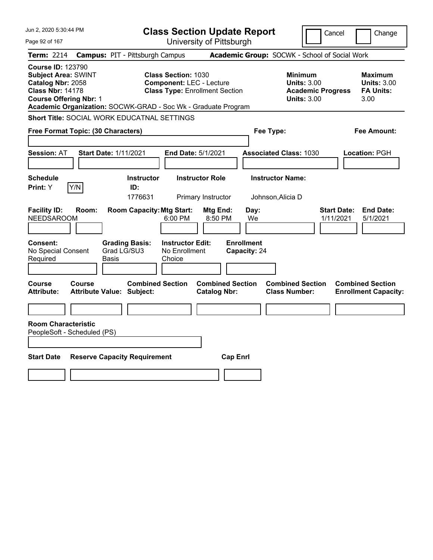| Jun 2, 2020 5:30:44 PM                                                                                                                  |                                                                                                                                                                         | <b>Class Section Update Report</b>             | Cancel                                                                                 | Change                                                           |
|-----------------------------------------------------------------------------------------------------------------------------------------|-------------------------------------------------------------------------------------------------------------------------------------------------------------------------|------------------------------------------------|----------------------------------------------------------------------------------------|------------------------------------------------------------------|
| Page 92 of 167                                                                                                                          |                                                                                                                                                                         | University of Pittsburgh                       |                                                                                        |                                                                  |
| <b>Term: 2214</b>                                                                                                                       | <b>Campus: PIT - Pittsburgh Campus</b>                                                                                                                                  |                                                | Academic Group: SOCWK - School of Social Work                                          |                                                                  |
| <b>Course ID: 123790</b><br><b>Subject Area: SWINT</b><br>Catalog Nbr: 2058<br><b>Class Nbr: 14178</b><br><b>Course Offering Nbr: 1</b> | <b>Class Section: 1030</b><br><b>Component: LEC - Lecture</b><br><b>Class Type: Enrollment Section</b><br>Academic Organization: SOCWK-GRAD - Soc Wk - Graduate Program |                                                | <b>Minimum</b><br><b>Units: 3.00</b><br><b>Academic Progress</b><br><b>Units: 3.00</b> | <b>Maximum</b><br><b>Units: 3.00</b><br><b>FA Units:</b><br>3.00 |
|                                                                                                                                         | <b>Short Title: SOCIAL WORK EDUCATNAL SETTINGS</b>                                                                                                                      |                                                |                                                                                        |                                                                  |
| Free Format Topic: (30 Characters)                                                                                                      |                                                                                                                                                                         |                                                | Fee Type:                                                                              | Fee Amount:                                                      |
| <b>Session: AT</b>                                                                                                                      | <b>Start Date: 1/11/2021</b><br>End Date: 5/1/2021                                                                                                                      |                                                | <b>Associated Class: 1030</b>                                                          | Location: PGH                                                    |
| <b>Schedule</b><br>Y/N<br>Print: Y                                                                                                      | <b>Instructor</b><br>ID:<br>1776631                                                                                                                                     | <b>Instructor Role</b><br>Primary Instructor   | <b>Instructor Name:</b><br>Johnson, Alicia D                                           |                                                                  |
| <b>Facility ID:</b><br>Room:<br><b>NEEDSAROOM</b>                                                                                       | <b>Room Capacity: Mtg Start:</b><br>$6:00$ PM                                                                                                                           | Mtg End:<br>Day:<br>8:50 PM<br>We              |                                                                                        | <b>Start Date:</b><br><b>End Date:</b><br>1/11/2021<br>5/1/2021  |
| <b>Consent:</b><br>No Special Consent<br>Required                                                                                       | <b>Instructor Edit:</b><br><b>Grading Basis:</b><br>Grad LG/SU3<br>No Enrollment<br>Choice<br>Basis                                                                     | <b>Enrollment</b><br>Capacity: 24              |                                                                                        |                                                                  |
| Course<br>Course<br><b>Attribute:</b>                                                                                                   | <b>Combined Section</b><br><b>Attribute Value: Subject:</b>                                                                                                             | <b>Combined Section</b><br><b>Catalog Nbr:</b> | <b>Combined Section</b><br><b>Class Number:</b>                                        | <b>Combined Section</b><br><b>Enrollment Capacity:</b>           |
|                                                                                                                                         |                                                                                                                                                                         |                                                |                                                                                        |                                                                  |
| <b>Room Characteristic</b><br>PeopleSoft - Scheduled (PS)                                                                               |                                                                                                                                                                         |                                                |                                                                                        |                                                                  |
|                                                                                                                                         |                                                                                                                                                                         |                                                |                                                                                        |                                                                  |
| <b>Start Date</b>                                                                                                                       | <b>Reserve Capacity Requirement</b>                                                                                                                                     | <b>Cap Enrl</b>                                |                                                                                        |                                                                  |
|                                                                                                                                         |                                                                                                                                                                         |                                                |                                                                                        |                                                                  |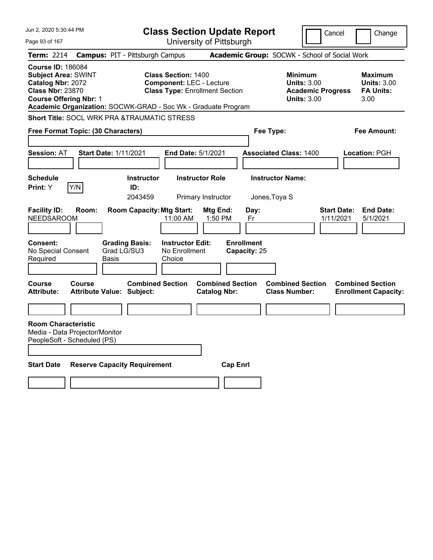| Jun 2, 2020 5:30:44 PM                                                                                                                                                                                   | <b>Class Section Update Report</b>                                                                                        |                                                                                        | Cancel<br>Change                                                 |
|----------------------------------------------------------------------------------------------------------------------------------------------------------------------------------------------------------|---------------------------------------------------------------------------------------------------------------------------|----------------------------------------------------------------------------------------|------------------------------------------------------------------|
| Page 93 of 167                                                                                                                                                                                           | University of Pittsburgh                                                                                                  |                                                                                        |                                                                  |
| <b>Campus: PIT - Pittsburgh Campus</b><br>Term: 2214                                                                                                                                                     |                                                                                                                           | Academic Group: SOCWK - School of Social Work                                          |                                                                  |
| <b>Course ID: 186084</b><br><b>Subject Area: SWINT</b><br>Catalog Nbr: 2072<br><b>Class Nbr: 23870</b><br><b>Course Offering Nbr: 1</b><br>Academic Organization: SOCWK-GRAD - Soc Wk - Graduate Program | <b>Class Section: 1400</b><br><b>Component: LEC - Lecture</b><br><b>Class Type: Enrollment Section</b>                    | <b>Minimum</b><br><b>Units: 3.00</b><br><b>Academic Progress</b><br><b>Units: 3.00</b> | <b>Maximum</b><br><b>Units: 3.00</b><br><b>FA Units:</b><br>3.00 |
| <b>Short Title: SOCL WRK PRA &amp;TRAUMATIC STRESS</b>                                                                                                                                                   |                                                                                                                           |                                                                                        |                                                                  |
| Free Format Topic: (30 Characters)                                                                                                                                                                       |                                                                                                                           | Fee Type:                                                                              | Fee Amount:                                                      |
| <b>Session: AT</b><br><b>Start Date: 1/11/2021</b>                                                                                                                                                       | <b>End Date: 5/1/2021</b>                                                                                                 | <b>Associated Class: 1400</b>                                                          | <b>Location: PGH</b>                                             |
| <b>Schedule</b>                                                                                                                                                                                          | <b>Instructor Role</b><br><b>Instructor</b>                                                                               | <b>Instructor Name:</b>                                                                |                                                                  |
| Y/N<br>Print: Y<br>ID:                                                                                                                                                                                   | 2043459<br>Primary Instructor                                                                                             | Jones, Toya S                                                                          |                                                                  |
| <b>Facility ID:</b><br>Room:<br><b>NEEDSAROOM</b><br><b>Consent:</b><br><b>Grading Basis:</b><br>No Special Consent<br>Grad LG/SU3<br>Required<br>Basis                                                  | <b>Room Capacity: Mtg Start:</b><br>Mtg End:<br>11:00 AM<br>1:50 PM<br><b>Instructor Edit:</b><br>No Enrollment<br>Choice | Day:<br>Fr<br><b>Enrollment</b><br>Capacity: 25                                        | <b>Start Date:</b><br><b>End Date:</b><br>1/11/2021<br>5/1/2021  |
| Course<br><b>Course</b><br><b>Attribute:</b><br><b>Attribute Value: Subject:</b>                                                                                                                         | <b>Combined Section</b><br><b>Combined Section</b><br><b>Catalog Nbr:</b>                                                 | <b>Combined Section</b><br><b>Class Number:</b>                                        | <b>Combined Section</b><br><b>Enrollment Capacity:</b>           |
|                                                                                                                                                                                                          |                                                                                                                           |                                                                                        |                                                                  |
| <b>Room Characteristic</b><br>Media - Data Projector/Monitor<br>PeopleSoft - Scheduled (PS)                                                                                                              |                                                                                                                           |                                                                                        |                                                                  |
| <b>Start Date</b><br><b>Reserve Capacity Requirement</b>                                                                                                                                                 | <b>Cap Enrl</b>                                                                                                           |                                                                                        |                                                                  |
|                                                                                                                                                                                                          |                                                                                                                           |                                                                                        |                                                                  |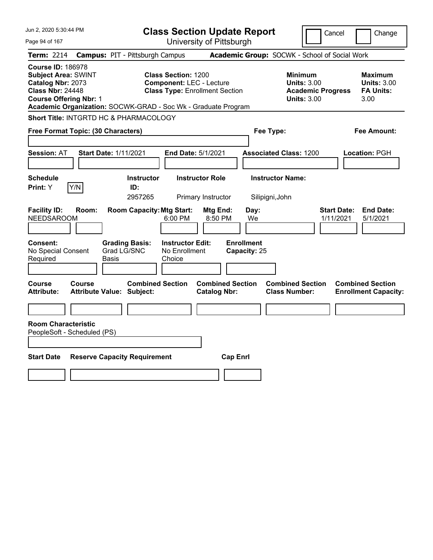| Jun 2, 2020 5:30:44 PM                                                                                                                  |                                                                                                                                                                         | <b>Class Section Update Report</b>             | Cancel                                                                                 | Change                                                           |
|-----------------------------------------------------------------------------------------------------------------------------------------|-------------------------------------------------------------------------------------------------------------------------------------------------------------------------|------------------------------------------------|----------------------------------------------------------------------------------------|------------------------------------------------------------------|
| Page 94 of 167                                                                                                                          |                                                                                                                                                                         | University of Pittsburgh                       |                                                                                        |                                                                  |
| <b>Term: 2214</b>                                                                                                                       | <b>Campus: PIT - Pittsburgh Campus</b>                                                                                                                                  |                                                | Academic Group: SOCWK - School of Social Work                                          |                                                                  |
| <b>Course ID: 186978</b><br><b>Subject Area: SWINT</b><br>Catalog Nbr: 2073<br><b>Class Nbr: 24448</b><br><b>Course Offering Nbr: 1</b> | <b>Class Section: 1200</b><br><b>Component: LEC - Lecture</b><br><b>Class Type: Enrollment Section</b><br>Academic Organization: SOCWK-GRAD - Soc Wk - Graduate Program |                                                | <b>Minimum</b><br><b>Units: 3.00</b><br><b>Academic Progress</b><br><b>Units: 3.00</b> | <b>Maximum</b><br><b>Units: 3.00</b><br><b>FA Units:</b><br>3.00 |
| Short Title: INTGRTD HC & PHARMACOLOGY                                                                                                  |                                                                                                                                                                         |                                                |                                                                                        |                                                                  |
| Free Format Topic: (30 Characters)                                                                                                      |                                                                                                                                                                         |                                                | Fee Type:                                                                              | Fee Amount:                                                      |
| Session: AT                                                                                                                             | <b>Start Date: 1/11/2021</b><br>End Date: 5/1/2021                                                                                                                      |                                                | <b>Associated Class: 1200</b>                                                          | Location: PGH                                                    |
| <b>Schedule</b><br>Print: Y<br> Y/N                                                                                                     | <b>Instructor</b><br>ID:<br>2957265                                                                                                                                     | <b>Instructor Role</b><br>Primary Instructor   | <b>Instructor Name:</b><br>Silipigni, John                                             |                                                                  |
| <b>Facility ID:</b><br>Room:<br>NEEDSAROOM                                                                                              | <b>Room Capacity: Mtg Start:</b><br>6:00 PM                                                                                                                             | Mtg End:<br>Day:<br>8:50 PM<br>We              |                                                                                        | <b>Start Date:</b><br><b>End Date:</b><br>1/11/2021<br>5/1/2021  |
| Consent:<br>No Special Consent<br>Required                                                                                              | <b>Grading Basis:</b><br><b>Instructor Edit:</b><br>Grad LG/SNC<br>No Enrollment<br>Basis<br>Choice                                                                     | <b>Enrollment</b><br>Capacity: 25              |                                                                                        |                                                                  |
| Course<br><b>Course</b><br><b>Attribute:</b>                                                                                            | <b>Combined Section</b><br><b>Attribute Value: Subject:</b>                                                                                                             | <b>Combined Section</b><br><b>Catalog Nbr:</b> | <b>Combined Section</b><br><b>Class Number:</b>                                        | <b>Combined Section</b><br><b>Enrollment Capacity:</b>           |
| <b>Room Characteristic</b><br>PeopleSoft - Scheduled (PS)<br><b>Start Date</b>                                                          | <b>Reserve Capacity Requirement</b>                                                                                                                                     | <b>Cap Enrl</b>                                |                                                                                        |                                                                  |
|                                                                                                                                         |                                                                                                                                                                         |                                                |                                                                                        |                                                                  |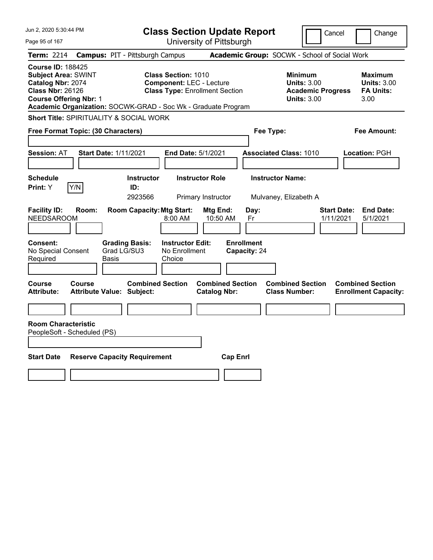| Jun 2, 2020 5:30:44 PM                                                                                                                  |                                                                                                                                | <b>Class Section Update Report</b>             |                                                                                        | Cancel<br>Change                                                 |
|-----------------------------------------------------------------------------------------------------------------------------------------|--------------------------------------------------------------------------------------------------------------------------------|------------------------------------------------|----------------------------------------------------------------------------------------|------------------------------------------------------------------|
| Page 95 of 167                                                                                                                          |                                                                                                                                | University of Pittsburgh                       |                                                                                        |                                                                  |
| <b>Term: 2214</b>                                                                                                                       | <b>Campus: PIT - Pittsburgh Campus</b>                                                                                         |                                                | Academic Group: SOCWK - School of Social Work                                          |                                                                  |
| <b>Course ID: 188425</b><br><b>Subject Area: SWINT</b><br>Catalog Nbr: 2074<br><b>Class Nbr: 26126</b><br><b>Course Offering Nbr: 1</b> | <b>Class Section: 1010</b><br><b>Component: LEC - Lecture</b><br>Academic Organization: SOCWK-GRAD - Soc Wk - Graduate Program | <b>Class Type: Enrollment Section</b>          | <b>Minimum</b><br><b>Units: 3.00</b><br><b>Academic Progress</b><br><b>Units: 3.00</b> | <b>Maximum</b><br><b>Units: 3.00</b><br><b>FA Units:</b><br>3.00 |
| Short Title: SPIRITUALITY & SOCIAL WORK                                                                                                 |                                                                                                                                |                                                |                                                                                        |                                                                  |
| Free Format Topic: (30 Characters)                                                                                                      |                                                                                                                                |                                                | Fee Type:                                                                              | Fee Amount:                                                      |
| <b>Session: AT</b>                                                                                                                      | <b>Start Date: 1/11/2021</b>                                                                                                   | End Date: 5/1/2021                             | <b>Associated Class: 1010</b>                                                          | Location: PGH                                                    |
| <b>Schedule</b><br>Print: Y<br>Y/N                                                                                                      | <b>Instructor</b><br>ID:<br>2923566                                                                                            | <b>Instructor Role</b><br>Primary Instructor   | <b>Instructor Name:</b><br>Mulvaney, Elizabeth A                                       |                                                                  |
| <b>Facility ID:</b><br>Room:<br><b>NEEDSAROOM</b>                                                                                       | <b>Room Capacity: Mtg Start:</b><br>8:00 AM                                                                                    | Mtg End:<br>Day:<br>10:50 AM<br>Fr             |                                                                                        | <b>End Date:</b><br><b>Start Date:</b><br>1/11/2021<br>5/1/2021  |
| <b>Consent:</b><br>No Special Consent<br>Required                                                                                       | <b>Instructor Edit:</b><br><b>Grading Basis:</b><br>Grad LG/SU3<br>No Enrollment<br>Basis<br>Choice                            | <b>Enrollment</b><br>Capacity: 24              |                                                                                        |                                                                  |
| <b>Course</b><br>Course<br><b>Attribute:</b>                                                                                            | <b>Combined Section</b><br><b>Attribute Value: Subject:</b>                                                                    | <b>Combined Section</b><br><b>Catalog Nbr:</b> | <b>Combined Section</b><br><b>Class Number:</b>                                        | <b>Combined Section</b><br><b>Enrollment Capacity:</b>           |
| <b>Room Characteristic</b><br>PeopleSoft - Scheduled (PS)                                                                               |                                                                                                                                |                                                |                                                                                        |                                                                  |
| <b>Start Date</b>                                                                                                                       | <b>Reserve Capacity Requirement</b>                                                                                            | <b>Cap Enrl</b>                                |                                                                                        |                                                                  |
|                                                                                                                                         |                                                                                                                                |                                                |                                                                                        |                                                                  |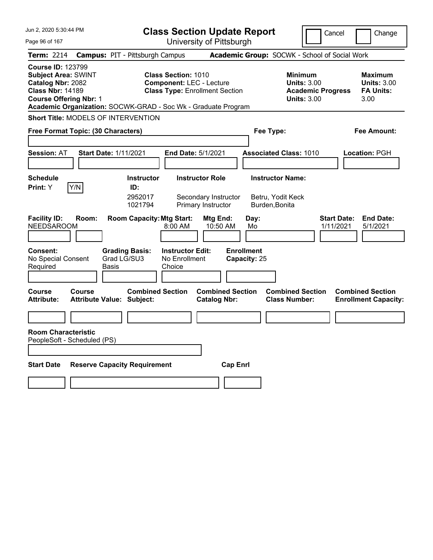| Jun 2, 2020 5:30:44 PM                                                                                                                                                                                   |                                            |                                                |                                                               | <b>Class Section Update Report</b>                                   |                                   |                                                                | Cancel                                                               | Change                                                           |
|----------------------------------------------------------------------------------------------------------------------------------------------------------------------------------------------------------|--------------------------------------------|------------------------------------------------|---------------------------------------------------------------|----------------------------------------------------------------------|-----------------------------------|----------------------------------------------------------------|----------------------------------------------------------------------|------------------------------------------------------------------|
| Page 96 of 167                                                                                                                                                                                           |                                            |                                                |                                                               | University of Pittsburgh                                             |                                   |                                                                |                                                                      |                                                                  |
| <b>Term: 2214</b>                                                                                                                                                                                        | <b>Campus: PIT - Pittsburgh Campus</b>     |                                                |                                                               |                                                                      |                                   | Academic Group: SOCWK - School of Social Work                  |                                                                      |                                                                  |
| <b>Course ID: 123799</b><br><b>Subject Area: SWINT</b><br>Catalog Nbr: 2082<br><b>Class Nbr: 14189</b><br><b>Course Offering Nbr: 1</b><br>Academic Organization: SOCWK-GRAD - Soc Wk - Graduate Program |                                            |                                                | <b>Class Section: 1010</b><br><b>Component: LEC - Lecture</b> | <b>Class Type: Enrollment Section</b>                                |                                   | <b>Minimum</b>                                                 | <b>Units: 3.00</b><br><b>Academic Progress</b><br><b>Units: 3.00</b> | <b>Maximum</b><br><b>Units: 3.00</b><br><b>FA Units:</b><br>3.00 |
| <b>Short Title: MODELS OF INTERVENTION</b>                                                                                                                                                               |                                            |                                                |                                                               |                                                                      |                                   |                                                                |                                                                      |                                                                  |
| Free Format Topic: (30 Characters)                                                                                                                                                                       |                                            |                                                |                                                               |                                                                      |                                   | Fee Type:                                                      |                                                                      | Fee Amount:                                                      |
| <b>Session: AT</b>                                                                                                                                                                                       | <b>Start Date: 1/11/2021</b>               |                                                | End Date: 5/1/2021                                            |                                                                      |                                   | <b>Associated Class: 1010</b>                                  |                                                                      | Location: PGH                                                    |
| <b>Schedule</b><br>Y/N<br>Print: Y                                                                                                                                                                       |                                            | <b>Instructor</b><br>ID:<br>2952017<br>1021794 |                                                               | <b>Instructor Role</b><br>Secondary Instructor<br>Primary Instructor |                                   | <b>Instructor Name:</b><br>Betru, Yodit Keck<br>Burden, Bonita |                                                                      |                                                                  |
| <b>Facility ID:</b><br><b>NEEDSAROOM</b>                                                                                                                                                                 | Room:                                      | <b>Room Capacity: Mtg Start:</b>               | 8:00 AM                                                       | Mtg End:<br>10:50 AM                                                 | Day:<br>Mo                        |                                                                | 1/11/2021                                                            | <b>Start Date:</b><br><b>End Date:</b><br>5/1/2021               |
| <b>Consent:</b><br>No Special Consent<br>Required                                                                                                                                                        | Grad LG/SU3<br>Basis                       | <b>Grading Basis:</b>                          | <b>Instructor Edit:</b><br>No Enrollment<br>Choice            |                                                                      | <b>Enrollment</b><br>Capacity: 25 |                                                                |                                                                      |                                                                  |
| Course<br><b>Attribute:</b>                                                                                                                                                                              | Course<br><b>Attribute Value: Subject:</b> | <b>Combined Section</b>                        |                                                               | <b>Combined Section</b><br><b>Catalog Nbr:</b>                       |                                   | <b>Combined Section</b><br><b>Class Number:</b>                |                                                                      | <b>Combined Section</b><br><b>Enrollment Capacity:</b>           |
|                                                                                                                                                                                                          |                                            |                                                |                                                               |                                                                      |                                   |                                                                |                                                                      |                                                                  |
| <b>Room Characteristic</b><br>PeopleSoft - Scheduled (PS)                                                                                                                                                |                                            |                                                |                                                               |                                                                      |                                   |                                                                |                                                                      |                                                                  |
| <b>Start Date</b>                                                                                                                                                                                        | <b>Reserve Capacity Requirement</b>        |                                                |                                                               | <b>Cap Enrl</b>                                                      |                                   |                                                                |                                                                      |                                                                  |
|                                                                                                                                                                                                          |                                            |                                                |                                                               |                                                                      |                                   |                                                                |                                                                      |                                                                  |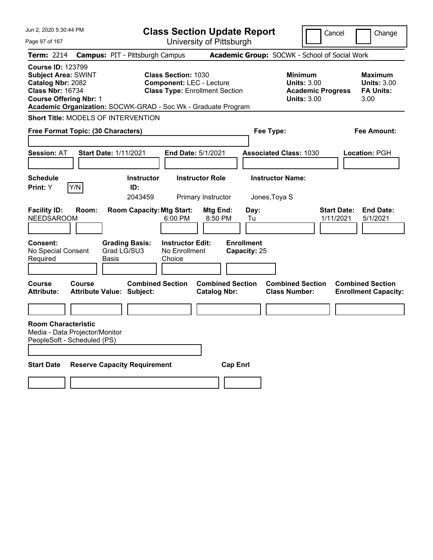| Jun 2, 2020 5:30:44 PM                                                                                                                  |               |                                                               | <b>Class Section Update Report</b>                                                                     |                                                |                                   |                                                                                 | Cancel                          | Change                                                    |
|-----------------------------------------------------------------------------------------------------------------------------------------|---------------|---------------------------------------------------------------|--------------------------------------------------------------------------------------------------------|------------------------------------------------|-----------------------------------|---------------------------------------------------------------------------------|---------------------------------|-----------------------------------------------------------|
| Page 97 of 167                                                                                                                          |               |                                                               |                                                                                                        | University of Pittsburgh                       |                                   |                                                                                 |                                 |                                                           |
| Term: 2214                                                                                                                              |               | <b>Campus: PIT - Pittsburgh Campus</b>                        |                                                                                                        |                                                |                                   | Academic Group: SOCWK - School of Social Work                                   |                                 |                                                           |
| <b>Course ID: 123799</b><br><b>Subject Area: SWINT</b><br>Catalog Nbr: 2082<br><b>Class Nbr: 16734</b><br><b>Course Offering Nbr: 1</b> |               | Academic Organization: SOCWK-GRAD - Soc Wk - Graduate Program | <b>Class Section: 1030</b><br><b>Component: LEC - Lecture</b><br><b>Class Type: Enrollment Section</b> |                                                |                                   | Minimum<br><b>Units: 3.00</b><br><b>Academic Progress</b><br><b>Units: 3.00</b> |                                 | Maximum<br><b>Units: 3.00</b><br><b>FA Units:</b><br>3.00 |
|                                                                                                                                         |               | Short Title: MODELS OF INTERVENTION                           |                                                                                                        |                                                |                                   |                                                                                 |                                 |                                                           |
| Free Format Topic: (30 Characters)                                                                                                      |               |                                                               |                                                                                                        |                                                | Fee Type:                         |                                                                                 |                                 | Fee Amount:                                               |
| <b>Session: AT</b>                                                                                                                      |               | <b>Start Date: 1/11/2021</b>                                  | <b>End Date: 5/1/2021</b>                                                                              |                                                |                                   | <b>Associated Class: 1030</b>                                                   |                                 | Location: PGH                                             |
| <b>Schedule</b><br><b>Print:</b> Y                                                                                                      | Y/N           | <b>Instructor</b><br>ID:<br>2043459                           |                                                                                                        | <b>Instructor Role</b><br>Primary Instructor   | Jones, Toya S                     | <b>Instructor Name:</b>                                                         |                                 |                                                           |
| <b>Facility ID:</b><br><b>NEEDSAROOM</b>                                                                                                | Room:         | <b>Room Capacity: Mtg Start:</b>                              | 6:00 PM                                                                                                | Mtg End:<br>8:50 PM                            | Day:<br>Tu                        |                                                                                 | <b>Start Date:</b><br>1/11/2021 | <b>End Date:</b><br>5/1/2021                              |
| Consent:<br>No Special Consent<br>Required                                                                                              |               | <b>Grading Basis:</b><br>Grad LG/SU3<br>Basis                 | <b>Instructor Edit:</b><br>No Enrollment<br>Choice                                                     |                                                | <b>Enrollment</b><br>Capacity: 25 |                                                                                 |                                 |                                                           |
| Course<br><b>Attribute:</b>                                                                                                             | <b>Course</b> | <b>Combined Section</b><br><b>Attribute Value: Subject:</b>   |                                                                                                        | <b>Combined Section</b><br><b>Catalog Nbr:</b> |                                   | <b>Combined Section</b><br><b>Class Number:</b>                                 |                                 | <b>Combined Section</b><br><b>Enrollment Capacity:</b>    |
|                                                                                                                                         |               |                                                               |                                                                                                        |                                                |                                   |                                                                                 |                                 |                                                           |
| <b>Room Characteristic</b><br>Media - Data Projector/Monitor<br>PeopleSoft - Scheduled (PS)                                             |               |                                                               |                                                                                                        |                                                |                                   |                                                                                 |                                 |                                                           |
| <b>Start Date</b>                                                                                                                       |               | <b>Reserve Capacity Requirement</b>                           |                                                                                                        | <b>Cap Enri</b>                                |                                   |                                                                                 |                                 |                                                           |
|                                                                                                                                         |               |                                                               |                                                                                                        |                                                |                                   |                                                                                 |                                 |                                                           |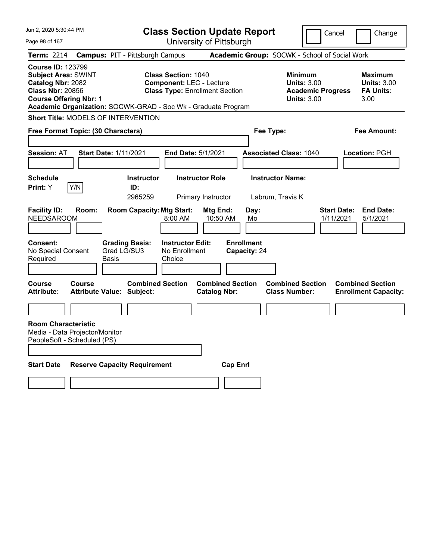| Jun 2, 2020 5:30:44 PM                                                                                                                                                                                   |                                                                                   | <b>Class Section Update Report</b>                                                                     |                                                |                                                 |                                                                                        | Cancel                          | Change                                                    |
|----------------------------------------------------------------------------------------------------------------------------------------------------------------------------------------------------------|-----------------------------------------------------------------------------------|--------------------------------------------------------------------------------------------------------|------------------------------------------------|-------------------------------------------------|----------------------------------------------------------------------------------------|---------------------------------|-----------------------------------------------------------|
| Page 98 of 167                                                                                                                                                                                           |                                                                                   | University of Pittsburgh                                                                               |                                                |                                                 |                                                                                        |                                 |                                                           |
| <b>Term: 2214</b>                                                                                                                                                                                        | <b>Campus: PIT - Pittsburgh Campus</b>                                            |                                                                                                        |                                                |                                                 | Academic Group: SOCWK - School of Social Work                                          |                                 |                                                           |
| <b>Course ID: 123799</b><br><b>Subject Area: SWINT</b><br>Catalog Nbr: 2082<br><b>Class Nbr: 20856</b><br><b>Course Offering Nbr: 1</b><br>Academic Organization: SOCWK-GRAD - Soc Wk - Graduate Program |                                                                                   | <b>Class Section: 1040</b><br><b>Component: LEC - Lecture</b><br><b>Class Type: Enrollment Section</b> |                                                |                                                 | <b>Minimum</b><br><b>Units: 3.00</b><br><b>Academic Progress</b><br><b>Units: 3.00</b> |                                 | Maximum<br><b>Units: 3.00</b><br><b>FA Units:</b><br>3.00 |
| <b>Short Title: MODELS OF INTERVENTION</b>                                                                                                                                                               |                                                                                   |                                                                                                        |                                                |                                                 |                                                                                        |                                 |                                                           |
| Free Format Topic: (30 Characters)                                                                                                                                                                       |                                                                                   |                                                                                                        |                                                | Fee Type:                                       |                                                                                        |                                 | Fee Amount:                                               |
| <b>Session: AT</b>                                                                                                                                                                                       | <b>Start Date: 1/11/2021</b>                                                      | End Date: 5/1/2021                                                                                     |                                                |                                                 | <b>Associated Class: 1040</b>                                                          |                                 | <b>Location: PGH</b>                                      |
| <b>Schedule</b>                                                                                                                                                                                          | <b>Instructor</b>                                                                 | <b>Instructor Role</b>                                                                                 |                                                |                                                 | <b>Instructor Name:</b>                                                                |                                 |                                                           |
| Y/N<br><b>Print:</b> Y                                                                                                                                                                                   | ID:<br>2965259                                                                    | Primary Instructor                                                                                     |                                                |                                                 | Labrum, Travis K                                                                       |                                 |                                                           |
| <b>Facility ID:</b><br>Room:<br><b>NEEDSAROOM</b><br>Consent:<br>No Special Consent<br>Required                                                                                                          | <b>Room Capacity: Mtg Start:</b><br><b>Grading Basis:</b><br>Grad LG/SU3<br>Basis | $8:00 \, \text{AM}$<br><b>Instructor Edit:</b><br>No Enrollment<br>Choice                              | Mtg End:<br>10:50 AM                           | Day:<br>Mo<br><b>Enrollment</b><br>Capacity: 24 |                                                                                        | <b>Start Date:</b><br>1/11/2021 | <b>End Date:</b><br>5/1/2021                              |
| Course<br>Course<br><b>Attribute:</b>                                                                                                                                                                    | <b>Combined Section</b><br><b>Attribute Value: Subject:</b>                       |                                                                                                        | <b>Combined Section</b><br><b>Catalog Nbr:</b> |                                                 | <b>Combined Section</b><br><b>Class Number:</b>                                        |                                 | <b>Combined Section</b><br><b>Enrollment Capacity:</b>    |
| <b>Room Characteristic</b><br>Media - Data Projector/Monitor<br>PeopleSoft - Scheduled (PS)                                                                                                              |                                                                                   |                                                                                                        |                                                |                                                 |                                                                                        |                                 |                                                           |
| <b>Start Date</b>                                                                                                                                                                                        | <b>Reserve Capacity Requirement</b>                                               |                                                                                                        | <b>Cap Enri</b>                                |                                                 |                                                                                        |                                 |                                                           |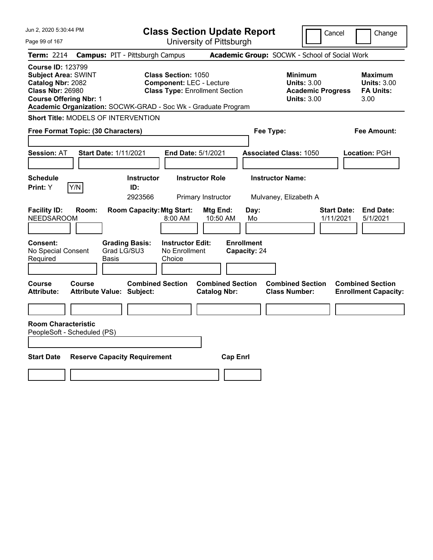| Jun 2, 2020 5:30:44 PM                                                                                                                  |                                                                                                                                | <b>Class Section Update Report</b>             |                                                                                        | Cancel<br>Change                                                 |
|-----------------------------------------------------------------------------------------------------------------------------------------|--------------------------------------------------------------------------------------------------------------------------------|------------------------------------------------|----------------------------------------------------------------------------------------|------------------------------------------------------------------|
| Page 99 of 167                                                                                                                          |                                                                                                                                | University of Pittsburgh                       |                                                                                        |                                                                  |
| <b>Term: 2214</b>                                                                                                                       | <b>Campus: PIT - Pittsburgh Campus</b>                                                                                         |                                                | Academic Group: SOCWK - School of Social Work                                          |                                                                  |
| <b>Course ID: 123799</b><br><b>Subject Area: SWINT</b><br>Catalog Nbr: 2082<br><b>Class Nbr: 26980</b><br><b>Course Offering Nbr: 1</b> | <b>Class Section: 1050</b><br><b>Component: LEC - Lecture</b><br>Academic Organization: SOCWK-GRAD - Soc Wk - Graduate Program | <b>Class Type: Enrollment Section</b>          | <b>Minimum</b><br><b>Units: 3.00</b><br><b>Academic Progress</b><br><b>Units: 3.00</b> | <b>Maximum</b><br><b>Units: 3.00</b><br><b>FA Units:</b><br>3.00 |
| Short Title: MODELS OF INTERVENTION                                                                                                     |                                                                                                                                |                                                |                                                                                        |                                                                  |
| Free Format Topic: (30 Characters)                                                                                                      |                                                                                                                                |                                                | Fee Type:                                                                              | <b>Fee Amount:</b>                                               |
| Session: AT                                                                                                                             | <b>Start Date: 1/11/2021</b>                                                                                                   | End Date: 5/1/2021                             | <b>Associated Class: 1050</b>                                                          | Location: PGH                                                    |
| <b>Schedule</b><br>Print: Y<br> Y/N                                                                                                     | <b>Instructor</b><br>ID:<br>2923566                                                                                            | <b>Instructor Role</b><br>Primary Instructor   | <b>Instructor Name:</b><br>Mulvaney, Elizabeth A                                       |                                                                  |
| <b>Facility ID:</b><br>Room:<br><b>NEEDSAROOM</b>                                                                                       | <b>Room Capacity: Mtg Start:</b><br>8:00 AM                                                                                    | Mtg End:<br>Day:<br>10:50 AM<br>Mo             |                                                                                        | <b>End Date:</b><br><b>Start Date:</b><br>1/11/2021<br>5/1/2021  |
| Consent:<br>No Special Consent<br>Required                                                                                              | <b>Instructor Edit:</b><br><b>Grading Basis:</b><br>Grad LG/SU3<br>No Enrollment<br>Basis<br>Choice                            | <b>Enrollment</b><br>Capacity: 24              |                                                                                        |                                                                  |
| <b>Course</b><br><b>Course</b><br><b>Attribute:</b>                                                                                     | <b>Combined Section</b><br><b>Attribute Value: Subject:</b>                                                                    | <b>Combined Section</b><br><b>Catalog Nbr:</b> | <b>Combined Section</b><br><b>Class Number:</b>                                        | <b>Combined Section</b><br><b>Enrollment Capacity:</b>           |
|                                                                                                                                         |                                                                                                                                |                                                |                                                                                        |                                                                  |
| <b>Room Characteristic</b><br>PeopleSoft - Scheduled (PS)                                                                               |                                                                                                                                |                                                |                                                                                        |                                                                  |
| <b>Start Date</b>                                                                                                                       | <b>Reserve Capacity Requirement</b>                                                                                            | <b>Cap Enrl</b>                                |                                                                                        |                                                                  |
|                                                                                                                                         |                                                                                                                                |                                                |                                                                                        |                                                                  |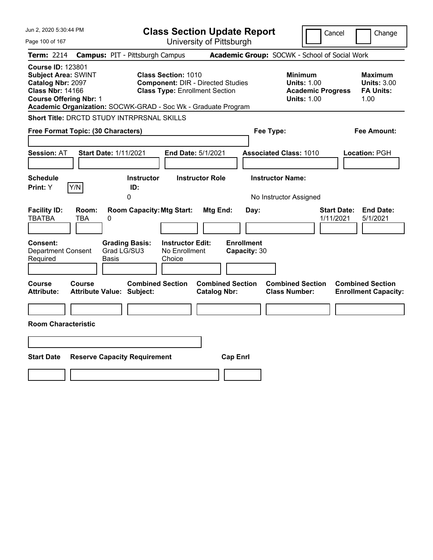| Jun 2, 2020 5:30:44 PM                                                                                                                                                                                   |                                                                                                                 | <b>Class Section Update Report</b>             |                                                                                        | Cancel<br>Change                                                 |
|----------------------------------------------------------------------------------------------------------------------------------------------------------------------------------------------------------|-----------------------------------------------------------------------------------------------------------------|------------------------------------------------|----------------------------------------------------------------------------------------|------------------------------------------------------------------|
| Page 100 of 167                                                                                                                                                                                          |                                                                                                                 | University of Pittsburgh                       |                                                                                        |                                                                  |
| <b>Term: 2214</b>                                                                                                                                                                                        | <b>Campus: PIT - Pittsburgh Campus</b>                                                                          |                                                | Academic Group: SOCWK - School of Social Work                                          |                                                                  |
| <b>Course ID: 123801</b><br><b>Subject Area: SWINT</b><br>Catalog Nbr: 2097<br><b>Class Nbr: 14166</b><br><b>Course Offering Nbr: 1</b><br>Academic Organization: SOCWK-GRAD - Soc Wk - Graduate Program | <b>Class Section: 1010</b><br><b>Component: DIR - Directed Studies</b><br><b>Class Type: Enrollment Section</b> |                                                | <b>Minimum</b><br><b>Units: 1.00</b><br><b>Academic Progress</b><br><b>Units: 1.00</b> | <b>Maximum</b><br><b>Units: 3.00</b><br><b>FA Units:</b><br>1.00 |
| <b>Short Title: DRCTD STUDY INTRPRSNAL SKILLS</b>                                                                                                                                                        |                                                                                                                 |                                                |                                                                                        |                                                                  |
| Free Format Topic: (30 Characters)                                                                                                                                                                       |                                                                                                                 |                                                | Fee Type:                                                                              | Fee Amount:                                                      |
| <b>Start Date: 1/11/2021</b><br><b>Session: AT</b>                                                                                                                                                       | End Date: 5/1/2021                                                                                              |                                                | <b>Associated Class: 1010</b>                                                          | Location: PGH                                                    |
| <b>Schedule</b><br>Y/N<br><b>Print:</b> Y                                                                                                                                                                | <b>Instructor</b><br>ID:<br>0                                                                                   | <b>Instructor Role</b>                         | <b>Instructor Name:</b><br>No Instructor Assigned                                      |                                                                  |
| <b>Facility ID:</b><br>Room:<br><b>TBATBA</b><br>TBA<br>0                                                                                                                                                | <b>Room Capacity: Mtg Start:</b>                                                                                | Mtg End:<br>Day:                               |                                                                                        | <b>Start Date:</b><br><b>End Date:</b><br>1/11/2021<br>5/1/2021  |
| Consent:<br>Grad LG/SU3<br><b>Department Consent</b><br>Required<br>Basis                                                                                                                                | <b>Grading Basis:</b><br><b>Instructor Edit:</b><br>No Enrollment<br>Choice                                     | <b>Enrollment</b><br>Capacity: 30              |                                                                                        |                                                                  |
| Course<br>Course<br><b>Attribute Value: Subject:</b><br><b>Attribute:</b>                                                                                                                                | <b>Combined Section</b>                                                                                         | <b>Combined Section</b><br><b>Catalog Nbr:</b> | <b>Combined Section</b><br><b>Class Number:</b>                                        | <b>Combined Section</b><br><b>Enrollment Capacity:</b>           |
|                                                                                                                                                                                                          |                                                                                                                 |                                                |                                                                                        |                                                                  |
| <b>Room Characteristic</b>                                                                                                                                                                               |                                                                                                                 |                                                |                                                                                        |                                                                  |
|                                                                                                                                                                                                          |                                                                                                                 |                                                |                                                                                        |                                                                  |
| <b>Start Date</b><br><b>Reserve Capacity Requirement</b>                                                                                                                                                 |                                                                                                                 | <b>Cap Enrl</b>                                |                                                                                        |                                                                  |
|                                                                                                                                                                                                          |                                                                                                                 |                                                |                                                                                        |                                                                  |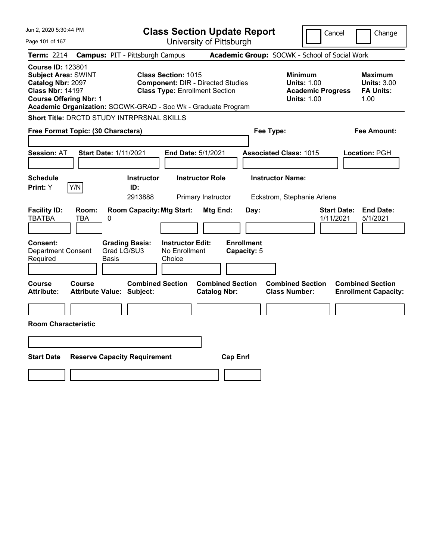| Jun 2, 2020 5:30:44 PM                                                                                                                                                                                   |                                                                                                                 | <b>Class Section Update Report</b>             |                                                                                        | Cancel<br>Change                                                |
|----------------------------------------------------------------------------------------------------------------------------------------------------------------------------------------------------------|-----------------------------------------------------------------------------------------------------------------|------------------------------------------------|----------------------------------------------------------------------------------------|-----------------------------------------------------------------|
| Page 101 of 167                                                                                                                                                                                          |                                                                                                                 | University of Pittsburgh                       |                                                                                        |                                                                 |
| <b>Term: 2214</b>                                                                                                                                                                                        | <b>Campus: PIT - Pittsburgh Campus</b>                                                                          |                                                | Academic Group: SOCWK - School of Social Work                                          |                                                                 |
| <b>Course ID: 123801</b><br><b>Subject Area: SWINT</b><br>Catalog Nbr: 2097<br><b>Class Nbr: 14197</b><br><b>Course Offering Nbr: 1</b><br>Academic Organization: SOCWK-GRAD - Soc Wk - Graduate Program | <b>Class Section: 1015</b><br><b>Component: DIR - Directed Studies</b><br><b>Class Type: Enrollment Section</b> |                                                | <b>Minimum</b><br><b>Units: 1.00</b><br><b>Academic Progress</b><br><b>Units: 1.00</b> | Maximum<br><b>Units: 3.00</b><br><b>FA Units:</b><br>1.00       |
| Short Title: DRCTD STUDY INTRPRSNAL SKILLS                                                                                                                                                               |                                                                                                                 |                                                |                                                                                        |                                                                 |
| Free Format Topic: (30 Characters)                                                                                                                                                                       |                                                                                                                 |                                                | Fee Type:                                                                              | Fee Amount:                                                     |
| <b>Session: AT</b><br><b>Start Date: 1/11/2021</b>                                                                                                                                                       | End Date: 5/1/2021                                                                                              |                                                | <b>Associated Class: 1015</b>                                                          | Location: PGH                                                   |
| <b>Schedule</b><br>Y/N<br>Print: Y                                                                                                                                                                       | <b>Instructor</b><br>ID:<br>2913888                                                                             | <b>Instructor Role</b><br>Primary Instructor   | <b>Instructor Name:</b><br>Eckstrom, Stephanie Arlene                                  |                                                                 |
| <b>Facility ID:</b><br>Room:<br><b>TBATBA</b><br>TBA<br>0<br><b>Consent:</b>                                                                                                                             | <b>Room Capacity: Mtg Start:</b><br><b>Grading Basis:</b><br><b>Instructor Edit:</b>                            | Mtg End:<br>Day:<br><b>Enrollment</b>          |                                                                                        | <b>End Date:</b><br><b>Start Date:</b><br>1/11/2021<br>5/1/2021 |
| Grad LG/SU3<br><b>Department Consent</b><br>Required<br>Basis                                                                                                                                            | No Enrollment<br>Choice                                                                                         | Capacity: 5                                    |                                                                                        |                                                                 |
| Course<br>Course<br><b>Attribute Value: Subject:</b><br>Attribute:                                                                                                                                       | <b>Combined Section</b>                                                                                         | <b>Combined Section</b><br><b>Catalog Nbr:</b> | <b>Combined Section</b><br><b>Class Number:</b>                                        | <b>Combined Section</b><br><b>Enrollment Capacity:</b>          |
|                                                                                                                                                                                                          |                                                                                                                 |                                                |                                                                                        |                                                                 |
| <b>Room Characteristic</b>                                                                                                                                                                               |                                                                                                                 |                                                |                                                                                        |                                                                 |
|                                                                                                                                                                                                          |                                                                                                                 |                                                |                                                                                        |                                                                 |
| <b>Start Date</b><br><b>Reserve Capacity Requirement</b>                                                                                                                                                 |                                                                                                                 | <b>Cap Enrl</b>                                |                                                                                        |                                                                 |
|                                                                                                                                                                                                          |                                                                                                                 |                                                |                                                                                        |                                                                 |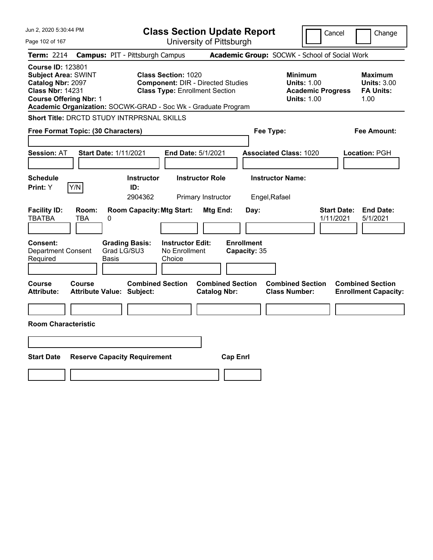| Jun 2, 2020 5:30:44 PM                                                                                                                                                                                          |                                                                                                                 | <b>Class Section Update Report</b>             |                                                                                        | Cancel<br>Change                                                 |
|-----------------------------------------------------------------------------------------------------------------------------------------------------------------------------------------------------------------|-----------------------------------------------------------------------------------------------------------------|------------------------------------------------|----------------------------------------------------------------------------------------|------------------------------------------------------------------|
| Page 102 of 167                                                                                                                                                                                                 |                                                                                                                 | University of Pittsburgh                       |                                                                                        |                                                                  |
| <b>Term: 2214</b>                                                                                                                                                                                               | <b>Campus: PIT - Pittsburgh Campus</b>                                                                          |                                                | Academic Group: SOCWK - School of Social Work                                          |                                                                  |
| <b>Course ID: 123801</b><br><b>Subject Area: SWINT</b><br><b>Catalog Nbr: 2097</b><br><b>Class Nbr: 14231</b><br><b>Course Offering Nbr: 1</b><br>Academic Organization: SOCWK-GRAD - Soc Wk - Graduate Program | <b>Class Section: 1020</b><br><b>Component: DIR - Directed Studies</b><br><b>Class Type: Enrollment Section</b> |                                                | <b>Minimum</b><br><b>Units: 1.00</b><br><b>Academic Progress</b><br><b>Units: 1.00</b> | <b>Maximum</b><br><b>Units: 3.00</b><br><b>FA Units:</b><br>1.00 |
| Short Title: DRCTD STUDY INTRPRSNAL SKILLS                                                                                                                                                                      |                                                                                                                 |                                                |                                                                                        |                                                                  |
| Free Format Topic: (30 Characters)                                                                                                                                                                              |                                                                                                                 |                                                | Fee Type:                                                                              | Fee Amount:                                                      |
| <b>Session: AT</b><br><b>Start Date: 1/11/2021</b>                                                                                                                                                              | <b>End Date: 5/1/2021</b>                                                                                       |                                                | <b>Associated Class: 1020</b>                                                          | Location: PGH                                                    |
| <b>Schedule</b><br>Y/N<br>Print: Y                                                                                                                                                                              | <b>Instructor</b><br>ID:<br>2904362                                                                             | <b>Instructor Role</b><br>Primary Instructor   | <b>Instructor Name:</b><br>Engel, Rafael                                               |                                                                  |
| <b>Facility ID:</b><br>Room:<br><b>TBATBA</b><br>TBA<br>0                                                                                                                                                       | <b>Room Capacity: Mtg Start:</b>                                                                                | Mtg End:<br>Day:                               |                                                                                        | <b>Start Date:</b><br><b>End Date:</b><br>5/1/2021<br>1/11/2021  |
| Consent:<br>Grad LG/SU3<br><b>Department Consent</b><br>Required<br>Basis                                                                                                                                       | <b>Instructor Edit:</b><br><b>Grading Basis:</b><br>No Enrollment<br>Choice                                     | <b>Enrollment</b><br>Capacity: 35              |                                                                                        |                                                                  |
| Course<br>Course<br><b>Attribute:</b><br><b>Attribute Value: Subject:</b>                                                                                                                                       | <b>Combined Section</b>                                                                                         | <b>Combined Section</b><br><b>Catalog Nbr:</b> | <b>Combined Section</b><br><b>Class Number:</b>                                        | <b>Combined Section</b><br><b>Enrollment Capacity:</b>           |
| <b>Room Characteristic</b>                                                                                                                                                                                      |                                                                                                                 |                                                |                                                                                        |                                                                  |
|                                                                                                                                                                                                                 |                                                                                                                 |                                                |                                                                                        |                                                                  |
| <b>Start Date</b><br><b>Reserve Capacity Requirement</b>                                                                                                                                                        |                                                                                                                 | <b>Cap Enrl</b>                                |                                                                                        |                                                                  |
|                                                                                                                                                                                                                 |                                                                                                                 |                                                |                                                                                        |                                                                  |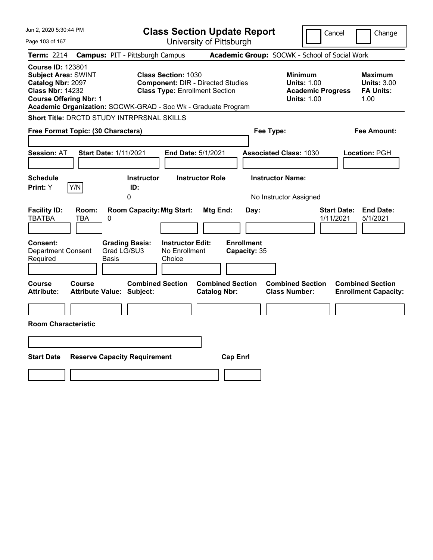| Jun 2, 2020 5:30:44 PM                                                                                                                                                                                   |                                                                                                                 | <b>Class Section Update Report</b>             | Cancel                                                                                 | Change                                                    |
|----------------------------------------------------------------------------------------------------------------------------------------------------------------------------------------------------------|-----------------------------------------------------------------------------------------------------------------|------------------------------------------------|----------------------------------------------------------------------------------------|-----------------------------------------------------------|
| Page 103 of 167                                                                                                                                                                                          |                                                                                                                 | University of Pittsburgh                       |                                                                                        |                                                           |
| <b>Term: 2214</b>                                                                                                                                                                                        | <b>Campus: PIT - Pittsburgh Campus</b>                                                                          |                                                | Academic Group: SOCWK - School of Social Work                                          |                                                           |
| <b>Course ID: 123801</b><br><b>Subject Area: SWINT</b><br>Catalog Nbr: 2097<br><b>Class Nbr: 14232</b><br><b>Course Offering Nbr: 1</b><br>Academic Organization: SOCWK-GRAD - Soc Wk - Graduate Program | <b>Class Section: 1030</b><br><b>Component: DIR - Directed Studies</b><br><b>Class Type: Enrollment Section</b> |                                                | <b>Minimum</b><br><b>Units: 1.00</b><br><b>Academic Progress</b><br><b>Units: 1.00</b> | Maximum<br><b>Units: 3.00</b><br><b>FA Units:</b><br>1.00 |
| <b>Short Title: DRCTD STUDY INTRPRSNAL SKILLS</b>                                                                                                                                                        |                                                                                                                 |                                                |                                                                                        |                                                           |
| Free Format Topic: (30 Characters)                                                                                                                                                                       |                                                                                                                 |                                                | Fee Type:                                                                              | Fee Amount:                                               |
| <b>Start Date: 1/11/2021</b><br><b>Session: AT</b>                                                                                                                                                       | End Date: 5/1/2021                                                                                              |                                                | <b>Associated Class: 1030</b>                                                          | Location: PGH                                             |
| <b>Schedule</b><br>Y/N<br><b>Print:</b> Y                                                                                                                                                                | <b>Instructor</b><br>ID:<br>0                                                                                   | <b>Instructor Role</b>                         | <b>Instructor Name:</b><br>No Instructor Assigned                                      |                                                           |
| <b>Facility ID:</b><br>Room:<br><b>TBATBA</b><br>TBA<br>0                                                                                                                                                | <b>Room Capacity: Mtg Start:</b>                                                                                | Mtg End:<br>Day:                               | 1/11/2021                                                                              | <b>Start Date:</b><br><b>End Date:</b><br>5/1/2021        |
| Consent:<br><b>Department Consent</b><br>Required<br>Basis                                                                                                                                               | <b>Grading Basis:</b><br><b>Instructor Edit:</b><br>Grad LG/SU3<br>No Enrollment<br>Choice                      | <b>Enrollment</b><br>Capacity: 35              |                                                                                        |                                                           |
| Course<br>Course<br><b>Attribute Value: Subject:</b><br><b>Attribute:</b>                                                                                                                                | <b>Combined Section</b>                                                                                         | <b>Combined Section</b><br><b>Catalog Nbr:</b> | <b>Combined Section</b><br><b>Class Number:</b>                                        | <b>Combined Section</b><br><b>Enrollment Capacity:</b>    |
| <b>Room Characteristic</b>                                                                                                                                                                               |                                                                                                                 |                                                |                                                                                        |                                                           |
|                                                                                                                                                                                                          |                                                                                                                 |                                                |                                                                                        |                                                           |
| <b>Start Date</b>                                                                                                                                                                                        | <b>Reserve Capacity Requirement</b>                                                                             | <b>Cap Enrl</b>                                |                                                                                        |                                                           |
|                                                                                                                                                                                                          |                                                                                                                 |                                                |                                                                                        |                                                           |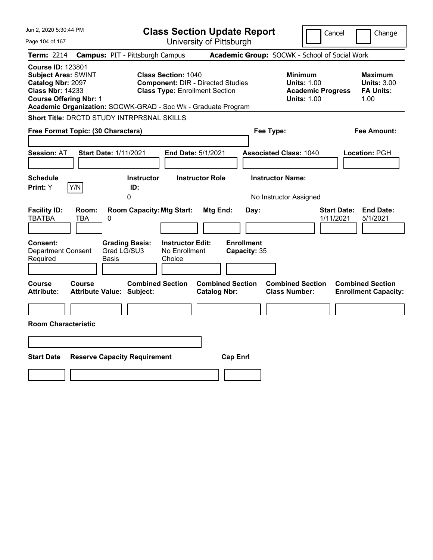| Jun 2, 2020 5:30:44 PM                                                                                                                                                                                   |                                                                                                                 | <b>Class Section Update Report</b>             |                                                                                        | Cancel<br>Change                                                |
|----------------------------------------------------------------------------------------------------------------------------------------------------------------------------------------------------------|-----------------------------------------------------------------------------------------------------------------|------------------------------------------------|----------------------------------------------------------------------------------------|-----------------------------------------------------------------|
| Page 104 of 167                                                                                                                                                                                          |                                                                                                                 | University of Pittsburgh                       |                                                                                        |                                                                 |
| <b>Term: 2214</b>                                                                                                                                                                                        | <b>Campus: PIT - Pittsburgh Campus</b>                                                                          |                                                | Academic Group: SOCWK - School of Social Work                                          |                                                                 |
| <b>Course ID: 123801</b><br><b>Subject Area: SWINT</b><br>Catalog Nbr: 2097<br><b>Class Nbr: 14233</b><br><b>Course Offering Nbr: 1</b><br>Academic Organization: SOCWK-GRAD - Soc Wk - Graduate Program | <b>Class Section: 1040</b><br><b>Component: DIR - Directed Studies</b><br><b>Class Type: Enrollment Section</b> |                                                | <b>Minimum</b><br><b>Units: 1.00</b><br><b>Academic Progress</b><br><b>Units: 1.00</b> | Maximum<br><b>Units: 3.00</b><br><b>FA Units:</b><br>1.00       |
| <b>Short Title: DRCTD STUDY INTRPRSNAL SKILLS</b>                                                                                                                                                        |                                                                                                                 |                                                |                                                                                        |                                                                 |
| Free Format Topic: (30 Characters)                                                                                                                                                                       |                                                                                                                 |                                                | Fee Type:                                                                              | Fee Amount:                                                     |
| <b>Start Date: 1/11/2021</b><br><b>Session: AT</b>                                                                                                                                                       | End Date: 5/1/2021                                                                                              |                                                | <b>Associated Class: 1040</b>                                                          | Location: PGH                                                   |
| <b>Schedule</b><br>Y/N<br><b>Print:</b> Y                                                                                                                                                                | <b>Instructor</b><br>ID:<br>0                                                                                   | <b>Instructor Role</b>                         | <b>Instructor Name:</b><br>No Instructor Assigned                                      |                                                                 |
| <b>Facility ID:</b><br>Room:<br><b>TBATBA</b><br>TBA<br>0                                                                                                                                                | <b>Room Capacity: Mtg Start:</b>                                                                                | Mtg End:<br>Day:                               |                                                                                        | <b>Start Date:</b><br><b>End Date:</b><br>1/11/2021<br>5/1/2021 |
| Consent:<br><b>Department Consent</b><br>Required<br>Basis                                                                                                                                               | <b>Grading Basis:</b><br><b>Instructor Edit:</b><br>Grad LG/SU3<br>No Enrollment<br>Choice                      | <b>Enrollment</b><br>Capacity: 35              |                                                                                        |                                                                 |
| Course<br>Course<br><b>Attribute Value: Subject:</b><br><b>Attribute:</b>                                                                                                                                | <b>Combined Section</b>                                                                                         | <b>Combined Section</b><br><b>Catalog Nbr:</b> | <b>Combined Section</b><br><b>Class Number:</b>                                        | <b>Combined Section</b><br><b>Enrollment Capacity:</b>          |
| <b>Room Characteristic</b>                                                                                                                                                                               |                                                                                                                 |                                                |                                                                                        |                                                                 |
|                                                                                                                                                                                                          |                                                                                                                 |                                                |                                                                                        |                                                                 |
| <b>Start Date</b>                                                                                                                                                                                        | <b>Reserve Capacity Requirement</b>                                                                             | <b>Cap Enrl</b>                                |                                                                                        |                                                                 |
|                                                                                                                                                                                                          |                                                                                                                 |                                                |                                                                                        |                                                                 |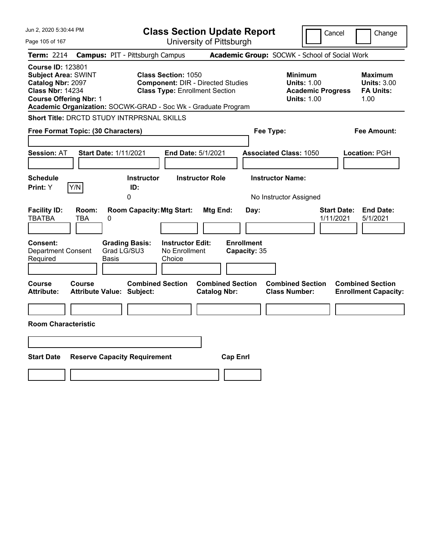| Jun 2, 2020 5:30:44 PM                                                                                                                  |                                                                                                                                                                                  | <b>Class Section Update Report</b>                    | Cancel                                                                                 | Change                                                    |
|-----------------------------------------------------------------------------------------------------------------------------------------|----------------------------------------------------------------------------------------------------------------------------------------------------------------------------------|-------------------------------------------------------|----------------------------------------------------------------------------------------|-----------------------------------------------------------|
| Page 105 of 167                                                                                                                         |                                                                                                                                                                                  | University of Pittsburgh                              |                                                                                        |                                                           |
| <b>Term: 2214</b>                                                                                                                       | <b>Campus: PIT - Pittsburgh Campus</b>                                                                                                                                           |                                                       | Academic Group: SOCWK - School of Social Work                                          |                                                           |
| <b>Course ID: 123801</b><br><b>Subject Area: SWINT</b><br>Catalog Nbr: 2097<br><b>Class Nbr: 14234</b><br><b>Course Offering Nbr: 1</b> | <b>Class Section: 1050</b><br><b>Component: DIR - Directed Studies</b><br><b>Class Type: Enrollment Section</b><br>Academic Organization: SOCWK-GRAD - Soc Wk - Graduate Program |                                                       | <b>Minimum</b><br><b>Units: 1.00</b><br><b>Academic Progress</b><br><b>Units: 1.00</b> | Maximum<br><b>Units: 3.00</b><br><b>FA Units:</b><br>1.00 |
| Short Title: DRCTD STUDY INTRPRSNAL SKILLS                                                                                              |                                                                                                                                                                                  |                                                       |                                                                                        |                                                           |
| Free Format Topic: (30 Characters)                                                                                                      |                                                                                                                                                                                  |                                                       | Fee Type:                                                                              | Fee Amount:                                               |
| <b>Session: AT</b>                                                                                                                      | <b>Start Date: 1/11/2021</b>                                                                                                                                                     | End Date: 5/1/2021                                    | <b>Associated Class: 1050</b>                                                          | Location: PGH                                             |
| <b>Schedule</b><br>Y/N<br>Print: Y                                                                                                      | <b>Instructor</b><br>ID:<br>0                                                                                                                                                    | <b>Instructor Role</b>                                | <b>Instructor Name:</b><br>No Instructor Assigned                                      |                                                           |
| <b>Facility ID:</b><br>Room:<br><b>TBATBA</b><br>TBA<br>0<br><b>Consent:</b><br><b>Department Consent</b><br>Required                   | <b>Room Capacity: Mtg Start:</b><br><b>Grading Basis:</b><br><b>Instructor Edit:</b><br>Grad LG/SU3<br>No Enrollment<br>Basis<br>Choice                                          | Mtg End:<br>Day:<br><b>Enrollment</b><br>Capacity: 35 | <b>Start Date:</b><br>1/11/2021                                                        | <b>End Date:</b><br>5/1/2021                              |
| Course<br>Course<br>Attribute:<br><b>Room Characteristic</b>                                                                            | <b>Combined Section</b><br><b>Attribute Value: Subject:</b>                                                                                                                      | <b>Combined Section</b><br><b>Catalog Nbr:</b>        | <b>Combined Section</b><br><b>Class Number:</b>                                        | <b>Combined Section</b><br><b>Enrollment Capacity:</b>    |
| <b>Start Date</b>                                                                                                                       | <b>Reserve Capacity Requirement</b>                                                                                                                                              | <b>Cap Enrl</b>                                       |                                                                                        |                                                           |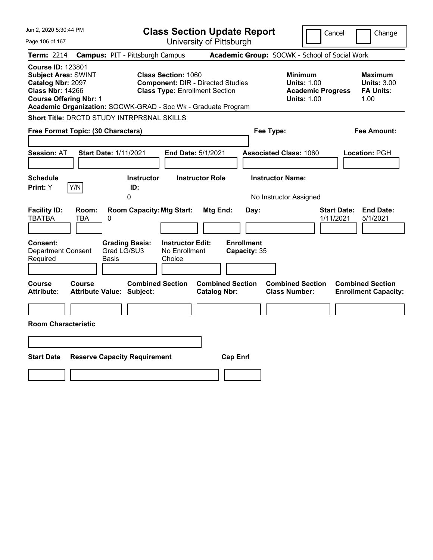| Jun 2, 2020 5:30:44 PM                                                                                                                                                                                   |                                                                                                                                | <b>Class Section Update Report</b>                    | Cancel                                                                                 | Change                                                    |
|----------------------------------------------------------------------------------------------------------------------------------------------------------------------------------------------------------|--------------------------------------------------------------------------------------------------------------------------------|-------------------------------------------------------|----------------------------------------------------------------------------------------|-----------------------------------------------------------|
| Page 106 of 167                                                                                                                                                                                          |                                                                                                                                | University of Pittsburgh                              |                                                                                        |                                                           |
| <b>Term: 2214</b>                                                                                                                                                                                        | <b>Campus: PIT - Pittsburgh Campus</b>                                                                                         |                                                       | Academic Group: SOCWK - School of Social Work                                          |                                                           |
| <b>Course ID: 123801</b><br><b>Subject Area: SWINT</b><br>Catalog Nbr: 2097<br><b>Class Nbr: 14266</b><br><b>Course Offering Nbr: 1</b><br>Academic Organization: SOCWK-GRAD - Soc Wk - Graduate Program | <b>Class Section: 1060</b><br><b>Component: DIR - Directed Studies</b><br><b>Class Type: Enrollment Section</b>                |                                                       | <b>Minimum</b><br><b>Units: 1.00</b><br><b>Academic Progress</b><br><b>Units: 1.00</b> | Maximum<br><b>Units: 3.00</b><br><b>FA Units:</b><br>1.00 |
| Short Title: DRCTD STUDY INTRPRSNAL SKILLS                                                                                                                                                               |                                                                                                                                |                                                       |                                                                                        |                                                           |
| Free Format Topic: (30 Characters)                                                                                                                                                                       |                                                                                                                                |                                                       | Fee Type:                                                                              | Fee Amount:                                               |
| <b>Session: AT</b><br><b>Start Date: 1/11/2021</b>                                                                                                                                                       | End Date: 5/1/2021                                                                                                             |                                                       | <b>Associated Class: 1060</b>                                                          | Location: PGH                                             |
| <b>Schedule</b><br>Y/N<br>Print: Y                                                                                                                                                                       | <b>Instructor</b><br>ID:<br>0                                                                                                  | <b>Instructor Role</b>                                | <b>Instructor Name:</b><br>No Instructor Assigned                                      |                                                           |
| <b>Facility ID:</b><br>Room:<br><b>TBATBA</b><br>TBA<br>0<br><b>Consent:</b><br><b>Department Consent</b><br>Required<br>Basis                                                                           | <b>Room Capacity: Mtg Start:</b><br><b>Grading Basis:</b><br><b>Instructor Edit:</b><br>Grad LG/SU3<br>No Enrollment<br>Choice | Mtg End:<br>Day:<br><b>Enrollment</b><br>Capacity: 35 | 1/11/2021                                                                              | <b>End Date:</b><br><b>Start Date:</b><br>5/1/2021        |
| Course<br>Course<br><b>Attribute Value: Subject:</b><br>Attribute:<br><b>Room Characteristic</b>                                                                                                         | <b>Combined Section</b>                                                                                                        | <b>Combined Section</b><br><b>Catalog Nbr:</b>        | <b>Combined Section</b><br><b>Class Number:</b>                                        | <b>Combined Section</b><br><b>Enrollment Capacity:</b>    |
| <b>Start Date</b><br><b>Reserve Capacity Requirement</b>                                                                                                                                                 |                                                                                                                                | <b>Cap Enrl</b>                                       |                                                                                        |                                                           |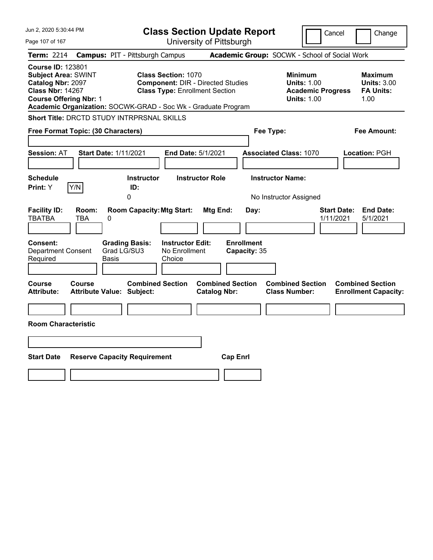| Jun 2, 2020 5:30:44 PM                                                                                                                  |                                                                                                                                                                                  | <b>Class Section Update Report</b>                    | Cancel                                                                                 | Change                                                    |
|-----------------------------------------------------------------------------------------------------------------------------------------|----------------------------------------------------------------------------------------------------------------------------------------------------------------------------------|-------------------------------------------------------|----------------------------------------------------------------------------------------|-----------------------------------------------------------|
| Page 107 of 167                                                                                                                         |                                                                                                                                                                                  | University of Pittsburgh                              |                                                                                        |                                                           |
| <b>Term: 2214</b>                                                                                                                       | <b>Campus: PIT - Pittsburgh Campus</b>                                                                                                                                           |                                                       | Academic Group: SOCWK - School of Social Work                                          |                                                           |
| <b>Course ID: 123801</b><br><b>Subject Area: SWINT</b><br>Catalog Nbr: 2097<br><b>Class Nbr: 14267</b><br><b>Course Offering Nbr: 1</b> | <b>Class Section: 1070</b><br><b>Component: DIR - Directed Studies</b><br><b>Class Type: Enrollment Section</b><br>Academic Organization: SOCWK-GRAD - Soc Wk - Graduate Program |                                                       | <b>Minimum</b><br><b>Units: 1.00</b><br><b>Academic Progress</b><br><b>Units: 1.00</b> | Maximum<br><b>Units: 3.00</b><br><b>FA Units:</b><br>1.00 |
| <b>Short Title: DRCTD STUDY INTRPRSNAL SKILLS</b>                                                                                       |                                                                                                                                                                                  |                                                       |                                                                                        |                                                           |
| Free Format Topic: (30 Characters)                                                                                                      |                                                                                                                                                                                  |                                                       | Fee Type:                                                                              | Fee Amount:                                               |
| <b>Session: AT</b>                                                                                                                      | <b>Start Date: 1/11/2021</b>                                                                                                                                                     | End Date: 5/1/2021                                    | <b>Associated Class: 1070</b>                                                          | Location: PGH                                             |
| <b>Schedule</b><br>Y/N<br>Print: Y                                                                                                      | <b>Instructor</b><br>ID:<br>0                                                                                                                                                    | <b>Instructor Role</b>                                | <b>Instructor Name:</b><br>No Instructor Assigned                                      |                                                           |
| <b>Facility ID:</b><br>Room:<br><b>TBATBA</b><br>TBA<br>0<br><b>Consent:</b><br><b>Department Consent</b><br>Required                   | <b>Room Capacity: Mtg Start:</b><br><b>Instructor Edit:</b><br><b>Grading Basis:</b><br>Grad LG/SU3<br>No Enrollment<br>Basis<br>Choice                                          | Mtg End:<br>Day:<br><b>Enrollment</b><br>Capacity: 35 | <b>Start Date:</b><br>1/11/2021                                                        | <b>End Date:</b><br>5/1/2021                              |
| <b>Course</b><br><b>Course</b><br><b>Attribute:</b><br><b>Room Characteristic</b>                                                       | <b>Combined Section</b><br><b>Attribute Value: Subject:</b>                                                                                                                      | <b>Combined Section</b><br><b>Catalog Nbr:</b>        | <b>Combined Section</b><br><b>Class Number:</b>                                        | <b>Combined Section</b><br><b>Enrollment Capacity:</b>    |
| <b>Start Date</b>                                                                                                                       | <b>Reserve Capacity Requirement</b>                                                                                                                                              | <b>Cap Enrl</b>                                       |                                                                                        |                                                           |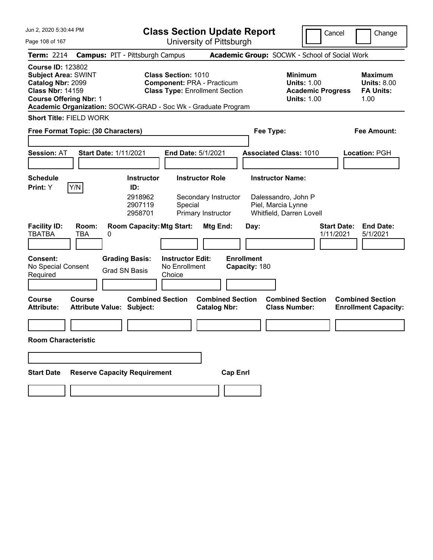| Jun 2, 2020 5:30:44 PM                                                                                                                  |                            |                                                                                                        | <b>Class Section Update Report</b>                                                                       |                                                |                                                 |                                                                                        | Cancel                          | Change                                                           |
|-----------------------------------------------------------------------------------------------------------------------------------------|----------------------------|--------------------------------------------------------------------------------------------------------|----------------------------------------------------------------------------------------------------------|------------------------------------------------|-------------------------------------------------|----------------------------------------------------------------------------------------|---------------------------------|------------------------------------------------------------------|
| Page 108 of 167                                                                                                                         |                            |                                                                                                        | University of Pittsburgh                                                                                 |                                                |                                                 |                                                                                        |                                 |                                                                  |
| <b>Term: 2214</b>                                                                                                                       |                            | <b>Campus: PIT - Pittsburgh Campus</b>                                                                 |                                                                                                          |                                                |                                                 | Academic Group: SOCWK - School of Social Work                                          |                                 |                                                                  |
| <b>Course ID: 123802</b><br><b>Subject Area: SWINT</b><br>Catalog Nbr: 2099<br><b>Class Nbr: 14159</b><br><b>Course Offering Nbr: 1</b> |                            | Academic Organization: SOCWK-GRAD - Soc Wk - Graduate Program                                          | <b>Class Section: 1010</b><br><b>Component: PRA - Practicum</b><br><b>Class Type: Enrollment Section</b> |                                                |                                                 | <b>Minimum</b><br><b>Units: 1.00</b><br><b>Academic Progress</b><br><b>Units: 1.00</b> |                                 | <b>Maximum</b><br><b>Units: 8.00</b><br><b>FA Units:</b><br>1.00 |
| <b>Short Title: FIELD WORK</b>                                                                                                          |                            |                                                                                                        |                                                                                                          |                                                |                                                 |                                                                                        |                                 |                                                                  |
| Free Format Topic: (30 Characters)                                                                                                      |                            |                                                                                                        |                                                                                                          |                                                | Fee Type:                                       |                                                                                        |                                 | <b>Fee Amount:</b>                                               |
| <b>Session: AT</b>                                                                                                                      |                            | <b>Start Date: 1/11/2021</b>                                                                           | End Date: 5/1/2021                                                                                       |                                                |                                                 | <b>Associated Class: 1010</b>                                                          |                                 | Location: PGH                                                    |
| <b>Schedule</b>                                                                                                                         |                            | <b>Instructor</b>                                                                                      | <b>Instructor Role</b>                                                                                   |                                                | <b>Instructor Name:</b>                         |                                                                                        |                                 |                                                                  |
| Print: Y<br><b>Facility ID:</b><br><b>TBATBA</b><br>Consent:                                                                            | Y/N<br>Room:<br><b>TBA</b> | ID:<br>2918962<br>2907119<br>2958701<br><b>Room Capacity: Mtg Start:</b><br>0<br><b>Grading Basis:</b> | Special<br>Primary Instructor<br><b>Instructor Edit:</b>                                                 | Secondary Instructor<br>Mtg End:               | Piel, Marcia Lynne<br>Day:<br><b>Enrollment</b> | Dalessandro, John P<br>Whitfield, Darren Lovell                                        | <b>Start Date:</b><br>1/11/2021 | <b>End Date:</b><br>5/1/2021                                     |
| No Special Consent<br>Required                                                                                                          |                            | <b>Grad SN Basis</b>                                                                                   | No Enrollment<br>Choice                                                                                  |                                                | Capacity: 180                                   |                                                                                        |                                 |                                                                  |
| <b>Course</b><br><b>Attribute:</b>                                                                                                      | <b>Course</b>              | <b>Combined Section</b><br><b>Attribute Value: Subject:</b>                                            |                                                                                                          | <b>Combined Section</b><br><b>Catalog Nbr:</b> |                                                 | <b>Combined Section</b><br><b>Class Number:</b>                                        |                                 | <b>Combined Section</b><br><b>Enrollment Capacity:</b>           |
| <b>Room Characteristic</b>                                                                                                              |                            |                                                                                                        |                                                                                                          |                                                |                                                 |                                                                                        |                                 |                                                                  |
|                                                                                                                                         |                            |                                                                                                        |                                                                                                          |                                                |                                                 |                                                                                        |                                 |                                                                  |
| <b>Start Date</b>                                                                                                                       |                            | <b>Reserve Capacity Requirement</b>                                                                    |                                                                                                          | <b>Cap Enrl</b>                                |                                                 |                                                                                        |                                 |                                                                  |
|                                                                                                                                         |                            |                                                                                                        |                                                                                                          |                                                |                                                 |                                                                                        |                                 |                                                                  |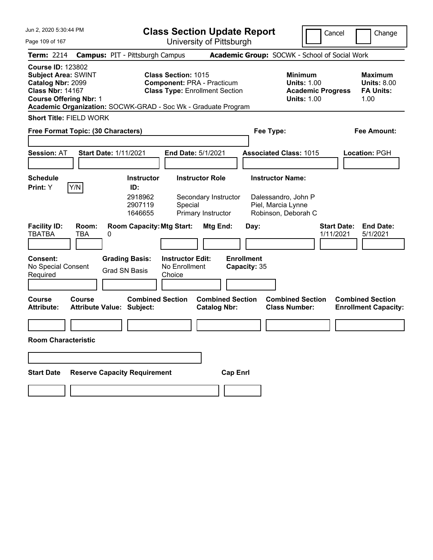| Page 109 of 167<br><b>Term: 2214</b><br><b>Course ID: 123802</b><br><b>Subject Area: SWINT</b><br>Catalog Nbr: 2099<br><b>Class Nbr: 14167</b><br><b>Course Offering Nbr: 1</b><br><b>Short Title: FIELD WORK</b><br>Free Format Topic: (30 Characters)<br><b>Session: AT</b><br><b>Schedule</b><br>Y/N<br>Print: Y |                          | <b>Campus: PIT - Pittsburgh Campus</b><br>Academic Organization: SOCWK-GRAD - Soc Wk - Graduate Program<br><b>Start Date: 1/11/2021</b><br><b>Instructor</b><br>ID: | <b>Class Section: 1015</b><br><b>Component: PRA - Practicum</b><br><b>Class Type: Enrollment Section</b><br>End Date: 5/1/2021<br><b>Instructor Role</b> | University of Pittsburgh                               | Academic Group: SOCWK - School of Social Work<br>Fee Type: | <b>Minimum</b><br><b>Units: 1.00</b><br><b>Units: 1.00</b><br><b>Associated Class: 1015</b> | <b>Academic Progress</b>        | Change<br><b>Maximum</b><br><b>Units: 8.00</b><br><b>FA Units:</b><br>1.00<br><b>Fee Amount:</b><br>Location: PGH |
|---------------------------------------------------------------------------------------------------------------------------------------------------------------------------------------------------------------------------------------------------------------------------------------------------------------------|--------------------------|---------------------------------------------------------------------------------------------------------------------------------------------------------------------|----------------------------------------------------------------------------------------------------------------------------------------------------------|--------------------------------------------------------|------------------------------------------------------------|---------------------------------------------------------------------------------------------|---------------------------------|-------------------------------------------------------------------------------------------------------------------|
|                                                                                                                                                                                                                                                                                                                     |                          |                                                                                                                                                                     |                                                                                                                                                          |                                                        |                                                            |                                                                                             |                                 |                                                                                                                   |
|                                                                                                                                                                                                                                                                                                                     |                          |                                                                                                                                                                     |                                                                                                                                                          |                                                        |                                                            |                                                                                             |                                 |                                                                                                                   |
|                                                                                                                                                                                                                                                                                                                     |                          |                                                                                                                                                                     |                                                                                                                                                          |                                                        |                                                            |                                                                                             |                                 |                                                                                                                   |
|                                                                                                                                                                                                                                                                                                                     |                          |                                                                                                                                                                     |                                                                                                                                                          |                                                        |                                                            |                                                                                             |                                 |                                                                                                                   |
|                                                                                                                                                                                                                                                                                                                     |                          |                                                                                                                                                                     |                                                                                                                                                          |                                                        |                                                            |                                                                                             |                                 |                                                                                                                   |
|                                                                                                                                                                                                                                                                                                                     |                          |                                                                                                                                                                     |                                                                                                                                                          |                                                        |                                                            |                                                                                             |                                 |                                                                                                                   |
|                                                                                                                                                                                                                                                                                                                     |                          |                                                                                                                                                                     |                                                                                                                                                          |                                                        |                                                            | <b>Instructor Name:</b>                                                                     |                                 |                                                                                                                   |
| <b>Facility ID:</b><br><b>TBATBA</b><br>Consent:<br>No Special Consent                                                                                                                                                                                                                                              | Room:<br><b>TBA</b><br>0 | 2918962<br>2907119<br>1646655<br><b>Room Capacity: Mtg Start:</b><br><b>Grading Basis:</b>                                                                          | Special<br><b>Instructor Edit:</b><br>No Enrollment                                                                                                      | Secondary Instructor<br>Primary Instructor<br>Mtg End: | Day:<br><b>Enrollment</b><br>Capacity: 35                  | Dalessandro, John P<br>Piel, Marcia Lynne<br>Robinson, Deborah C                            | <b>Start Date:</b><br>1/11/2021 | <b>End Date:</b><br>5/1/2021                                                                                      |
| Required                                                                                                                                                                                                                                                                                                            |                          | <b>Grad SN Basis</b>                                                                                                                                                | Choice                                                                                                                                                   |                                                        |                                                            |                                                                                             |                                 |                                                                                                                   |
| <b>Course</b><br><b>Attribute:</b><br><b>Room Characteristic</b>                                                                                                                                                                                                                                                    | <b>Course</b>            | <b>Combined Section</b><br><b>Attribute Value: Subject:</b>                                                                                                         |                                                                                                                                                          | <b>Combined Section</b><br><b>Catalog Nbr:</b>         |                                                            | <b>Combined Section</b><br><b>Class Number:</b>                                             |                                 | <b>Combined Section</b><br><b>Enrollment Capacity:</b>                                                            |
|                                                                                                                                                                                                                                                                                                                     |                          |                                                                                                                                                                     |                                                                                                                                                          |                                                        |                                                            |                                                                                             |                                 |                                                                                                                   |
| <b>Start Date</b>                                                                                                                                                                                                                                                                                                   |                          | <b>Reserve Capacity Requirement</b>                                                                                                                                 |                                                                                                                                                          | <b>Cap Enrl</b>                                        |                                                            |                                                                                             |                                 |                                                                                                                   |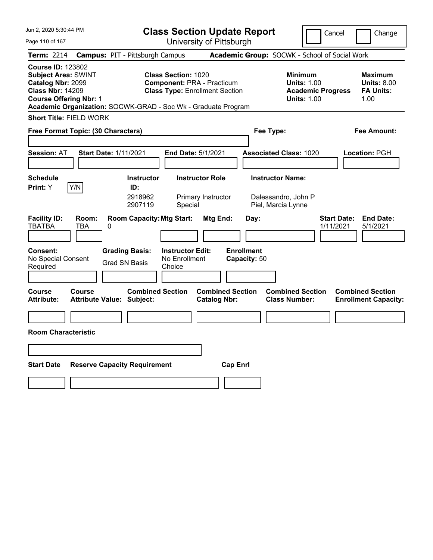| Jun 2, 2020 5:30:44 PM                                                                                                                                                                                   |                                                      | <b>Class Section Update Report</b><br>Cancel<br>Change                                                   |                                                |                                   |                                                                                        |                                 |                                                           |  |
|----------------------------------------------------------------------------------------------------------------------------------------------------------------------------------------------------------|------------------------------------------------------|----------------------------------------------------------------------------------------------------------|------------------------------------------------|-----------------------------------|----------------------------------------------------------------------------------------|---------------------------------|-----------------------------------------------------------|--|
| Page 110 of 167                                                                                                                                                                                          |                                                      |                                                                                                          | University of Pittsburgh                       |                                   |                                                                                        |                                 |                                                           |  |
| <b>Term: 2214</b>                                                                                                                                                                                        | <b>Campus: PIT - Pittsburgh Campus</b>               |                                                                                                          |                                                |                                   | Academic Group: SOCWK - School of Social Work                                          |                                 |                                                           |  |
| <b>Course ID: 123802</b><br><b>Subject Area: SWINT</b><br>Catalog Nbr: 2099<br><b>Class Nbr: 14209</b><br><b>Course Offering Nbr: 1</b><br>Academic Organization: SOCWK-GRAD - Soc Wk - Graduate Program |                                                      | <b>Class Section: 1020</b><br><b>Component: PRA - Practicum</b><br><b>Class Type: Enrollment Section</b> |                                                |                                   | <b>Minimum</b><br><b>Units: 1.00</b><br><b>Academic Progress</b><br><b>Units: 1.00</b> |                                 | Maximum<br><b>Units: 8.00</b><br><b>FA Units:</b><br>1.00 |  |
| <b>Short Title: FIELD WORK</b>                                                                                                                                                                           |                                                      |                                                                                                          |                                                |                                   |                                                                                        |                                 |                                                           |  |
| Free Format Topic: (30 Characters)                                                                                                                                                                       |                                                      |                                                                                                          |                                                |                                   | Fee Type:                                                                              |                                 | Fee Amount:                                               |  |
|                                                                                                                                                                                                          |                                                      |                                                                                                          |                                                |                                   |                                                                                        |                                 |                                                           |  |
| <b>Session: AT</b>                                                                                                                                                                                       | <b>Start Date: 1/11/2021</b>                         | <b>End Date: 5/1/2021</b>                                                                                |                                                |                                   | <b>Associated Class: 1020</b>                                                          |                                 | Location: PGH                                             |  |
|                                                                                                                                                                                                          |                                                      |                                                                                                          |                                                |                                   |                                                                                        |                                 |                                                           |  |
| <b>Schedule</b>                                                                                                                                                                                          | <b>Instructor</b>                                    | <b>Instructor Role</b>                                                                                   |                                                |                                   | <b>Instructor Name:</b>                                                                |                                 |                                                           |  |
| Y/N<br>Print: Y                                                                                                                                                                                          | ID:<br>2918962<br>2907119                            | Special                                                                                                  | Primary Instructor                             |                                   | Dalessandro, John P<br>Piel, Marcia Lynne                                              |                                 |                                                           |  |
| <b>Facility ID:</b><br>Room:<br><b>TBATBA</b><br><b>TBA</b>                                                                                                                                              | <b>Room Capacity: Mtg Start:</b><br>0                |                                                                                                          | Mtg End:                                       | Day:                              |                                                                                        | <b>Start Date:</b><br>1/11/2021 | <b>End Date:</b><br>5/1/2021                              |  |
| <b>Consent:</b><br>No Special Consent<br>Required                                                                                                                                                        | <b>Grading Basis:</b><br><b>Grad SN Basis</b>        | <b>Instructor Edit:</b><br>No Enrollment<br>Choice                                                       |                                                | <b>Enrollment</b><br>Capacity: 50 |                                                                                        |                                 |                                                           |  |
| Course<br>Course<br><b>Attribute:</b>                                                                                                                                                                    | <b>Combined Section</b><br>Attribute Value: Subject: |                                                                                                          | <b>Combined Section</b><br><b>Catalog Nbr:</b> |                                   | <b>Combined Section</b><br><b>Class Number:</b>                                        |                                 | <b>Combined Section</b><br><b>Enrollment Capacity:</b>    |  |
|                                                                                                                                                                                                          |                                                      |                                                                                                          |                                                |                                   |                                                                                        |                                 |                                                           |  |
| <b>Room Characteristic</b>                                                                                                                                                                               |                                                      |                                                                                                          |                                                |                                   |                                                                                        |                                 |                                                           |  |
|                                                                                                                                                                                                          |                                                      |                                                                                                          |                                                |                                   |                                                                                        |                                 |                                                           |  |
| <b>Start Date</b>                                                                                                                                                                                        | <b>Reserve Capacity Requirement</b>                  |                                                                                                          | <b>Cap Enri</b>                                |                                   |                                                                                        |                                 |                                                           |  |
|                                                                                                                                                                                                          |                                                      |                                                                                                          |                                                |                                   |                                                                                        |                                 |                                                           |  |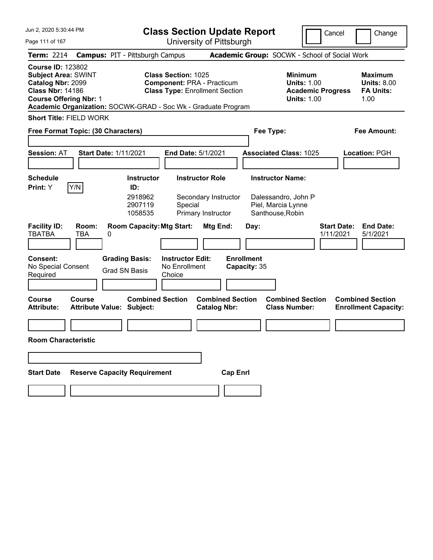| Jun 2, 2020 5:30:44 PM                                                                                                                  |                            |                                                                                                        | <b>Class Section Update Report</b>                                                                       |                                                |                                                                                            |                                                                                        | Cancel<br>Change                                                 |
|-----------------------------------------------------------------------------------------------------------------------------------------|----------------------------|--------------------------------------------------------------------------------------------------------|----------------------------------------------------------------------------------------------------------|------------------------------------------------|--------------------------------------------------------------------------------------------|----------------------------------------------------------------------------------------|------------------------------------------------------------------|
| Page 111 of 167                                                                                                                         |                            |                                                                                                        | University of Pittsburgh                                                                                 |                                                |                                                                                            |                                                                                        |                                                                  |
| <b>Term: 2214</b>                                                                                                                       |                            | <b>Campus: PIT - Pittsburgh Campus</b>                                                                 |                                                                                                          |                                                |                                                                                            | Academic Group: SOCWK - School of Social Work                                          |                                                                  |
| <b>Course ID: 123802</b><br><b>Subject Area: SWINT</b><br>Catalog Nbr: 2099<br><b>Class Nbr: 14186</b><br><b>Course Offering Nbr: 1</b> |                            | Academic Organization: SOCWK-GRAD - Soc Wk - Graduate Program                                          | <b>Class Section: 1025</b><br><b>Component: PRA - Practicum</b><br><b>Class Type: Enrollment Section</b> |                                                |                                                                                            | <b>Minimum</b><br><b>Units: 1.00</b><br><b>Academic Progress</b><br><b>Units: 1.00</b> | <b>Maximum</b><br><b>Units: 8.00</b><br><b>FA Units:</b><br>1.00 |
| <b>Short Title: FIELD WORK</b>                                                                                                          |                            |                                                                                                        |                                                                                                          |                                                |                                                                                            |                                                                                        |                                                                  |
| Free Format Topic: (30 Characters)                                                                                                      |                            |                                                                                                        |                                                                                                          |                                                | Fee Type:                                                                                  |                                                                                        | <b>Fee Amount:</b>                                               |
| <b>Session: AT</b>                                                                                                                      |                            | <b>Start Date: 1/11/2021</b>                                                                           | End Date: 5/1/2021                                                                                       |                                                | <b>Associated Class: 1025</b>                                                              |                                                                                        | Location: PGH                                                    |
| <b>Schedule</b>                                                                                                                         |                            | <b>Instructor</b>                                                                                      | <b>Instructor Role</b>                                                                                   |                                                | <b>Instructor Name:</b>                                                                    |                                                                                        |                                                                  |
| Print: Y<br><b>Facility ID:</b><br><b>TBATBA</b><br>Consent:                                                                            | Y/N<br>Room:<br><b>TBA</b> | ID:<br>2918962<br>2907119<br>1058535<br><b>Room Capacity: Mtg Start:</b><br>0<br><b>Grading Basis:</b> | Special<br>Primary Instructor<br><b>Instructor Edit:</b>                                                 | Secondary Instructor<br>Mtg End:               | Dalessandro, John P<br>Piel, Marcia Lynne<br>Santhouse, Robin<br>Day:<br><b>Enrollment</b> |                                                                                        | <b>Start Date:</b><br><b>End Date:</b><br>1/11/2021<br>5/1/2021  |
| No Special Consent<br>Required                                                                                                          |                            | <b>Grad SN Basis</b>                                                                                   | No Enrollment<br>Choice                                                                                  |                                                | Capacity: 35                                                                               |                                                                                        |                                                                  |
| <b>Course</b><br><b>Attribute:</b>                                                                                                      | <b>Course</b>              | <b>Combined Section</b><br><b>Attribute Value: Subject:</b>                                            |                                                                                                          | <b>Combined Section</b><br><b>Catalog Nbr:</b> |                                                                                            | <b>Combined Section</b><br><b>Class Number:</b>                                        | <b>Combined Section</b><br><b>Enrollment Capacity:</b>           |
| <b>Room Characteristic</b>                                                                                                              |                            |                                                                                                        |                                                                                                          |                                                |                                                                                            |                                                                                        |                                                                  |
|                                                                                                                                         |                            |                                                                                                        |                                                                                                          |                                                |                                                                                            |                                                                                        |                                                                  |
| <b>Start Date</b>                                                                                                                       |                            | <b>Reserve Capacity Requirement</b>                                                                    |                                                                                                          | <b>Cap Enrl</b>                                |                                                                                            |                                                                                        |                                                                  |
|                                                                                                                                         |                            |                                                                                                        |                                                                                                          |                                                |                                                                                            |                                                                                        |                                                                  |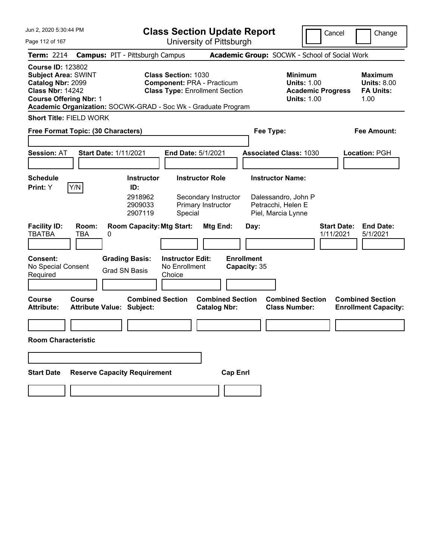| Jun 2, 2020 5:30:44 PM                                                                                                                  |                     |                                                                        |                                                                 | <b>Class Section Update Report</b>                     |                                                  |                                                                                        | Cancel                          | Change                                                           |
|-----------------------------------------------------------------------------------------------------------------------------------------|---------------------|------------------------------------------------------------------------|-----------------------------------------------------------------|--------------------------------------------------------|--------------------------------------------------|----------------------------------------------------------------------------------------|---------------------------------|------------------------------------------------------------------|
| Page 112 of 167                                                                                                                         |                     |                                                                        |                                                                 | University of Pittsburgh                               |                                                  |                                                                                        |                                 |                                                                  |
| <b>Term: 2214</b>                                                                                                                       |                     | <b>Campus: PIT - Pittsburgh Campus</b>                                 |                                                                 |                                                        |                                                  | Academic Group: SOCWK - School of Social Work                                          |                                 |                                                                  |
| <b>Course ID: 123802</b><br><b>Subject Area: SWINT</b><br>Catalog Nbr: 2099<br><b>Class Nbr: 14242</b><br><b>Course Offering Nbr: 1</b> |                     | Academic Organization: SOCWK-GRAD - Soc Wk - Graduate Program          | <b>Class Section: 1030</b><br><b>Component: PRA - Practicum</b> | <b>Class Type: Enrollment Section</b>                  |                                                  | <b>Minimum</b><br><b>Units: 1.00</b><br><b>Academic Progress</b><br><b>Units: 1.00</b> |                                 | <b>Maximum</b><br><b>Units: 8.00</b><br><b>FA Units:</b><br>1.00 |
| <b>Short Title: FIELD WORK</b>                                                                                                          |                     |                                                                        |                                                                 |                                                        |                                                  |                                                                                        |                                 |                                                                  |
| Free Format Topic: (30 Characters)                                                                                                      |                     |                                                                        |                                                                 |                                                        | Fee Type:                                        |                                                                                        |                                 | <b>Fee Amount:</b>                                               |
| <b>Session: AT</b>                                                                                                                      |                     | <b>Start Date: 1/11/2021</b>                                           | End Date: 5/1/2021                                              |                                                        |                                                  | <b>Associated Class: 1030</b>                                                          |                                 | <b>Location: PGH</b>                                             |
| <b>Schedule</b>                                                                                                                         |                     | <b>Instructor</b>                                                      |                                                                 | <b>Instructor Role</b>                                 | <b>Instructor Name:</b>                          |                                                                                        |                                 |                                                                  |
| Print: Y                                                                                                                                | Y/N                 | ID:                                                                    |                                                                 |                                                        |                                                  |                                                                                        |                                 |                                                                  |
| <b>Facility ID:</b><br><b>TBATBA</b>                                                                                                    | Room:<br><b>TBA</b> | 2918962<br>2909033<br>2907119<br><b>Room Capacity: Mtg Start:</b><br>0 | Special                                                         | Secondary Instructor<br>Primary Instructor<br>Mtg End: | Petracchi, Helen E<br>Piel, Marcia Lynne<br>Day: | Dalessandro, John P                                                                    | <b>Start Date:</b><br>1/11/2021 | <b>End Date:</b><br>5/1/2021                                     |
| <b>Consent:</b>                                                                                                                         |                     | <b>Grading Basis:</b>                                                  | <b>Instructor Edit:</b>                                         |                                                        | <b>Enrollment</b>                                |                                                                                        |                                 |                                                                  |
| No Special Consent<br>Required                                                                                                          |                     | <b>Grad SN Basis</b>                                                   | No Enrollment<br>Choice                                         |                                                        | Capacity: 35                                     |                                                                                        |                                 |                                                                  |
|                                                                                                                                         |                     |                                                                        |                                                                 |                                                        |                                                  |                                                                                        |                                 |                                                                  |
| <b>Course</b><br><b>Attribute:</b>                                                                                                      | Course              | <b>Combined Section</b><br><b>Attribute Value: Subject:</b>            |                                                                 | <b>Combined Section</b><br><b>Catalog Nbr:</b>         |                                                  | <b>Combined Section</b><br><b>Class Number:</b>                                        |                                 | <b>Combined Section</b><br><b>Enrollment Capacity:</b>           |
| <b>Room Characteristic</b>                                                                                                              |                     |                                                                        |                                                                 |                                                        |                                                  |                                                                                        |                                 |                                                                  |
|                                                                                                                                         |                     |                                                                        |                                                                 |                                                        |                                                  |                                                                                        |                                 |                                                                  |
| <b>Start Date</b>                                                                                                                       |                     | <b>Reserve Capacity Requirement</b>                                    |                                                                 | <b>Cap Enrl</b>                                        |                                                  |                                                                                        |                                 |                                                                  |
|                                                                                                                                         |                     |                                                                        |                                                                 |                                                        |                                                  |                                                                                        |                                 |                                                                  |
|                                                                                                                                         |                     |                                                                        |                                                                 |                                                        |                                                  |                                                                                        |                                 |                                                                  |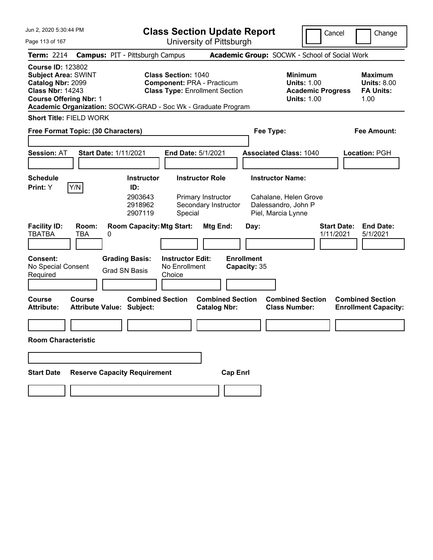| Jun 2, 2020 5:30:44 PM                                                                                                                  |                                                                                                                                                                           | <b>Class Section Update Report</b>                             |                                                                                        | Cancel<br>Change                                                 |
|-----------------------------------------------------------------------------------------------------------------------------------------|---------------------------------------------------------------------------------------------------------------------------------------------------------------------------|----------------------------------------------------------------|----------------------------------------------------------------------------------------|------------------------------------------------------------------|
| Page 113 of 167                                                                                                                         | University of Pittsburgh                                                                                                                                                  |                                                                |                                                                                        |                                                                  |
| <b>Term: 2214</b>                                                                                                                       | <b>Campus: PIT - Pittsburgh Campus</b>                                                                                                                                    |                                                                | Academic Group: SOCWK - School of Social Work                                          |                                                                  |
| <b>Course ID: 123802</b><br><b>Subject Area: SWINT</b><br>Catalog Nbr: 2099<br><b>Class Nbr: 14243</b><br><b>Course Offering Nbr: 1</b> | <b>Class Section: 1040</b><br><b>Component: PRA - Practicum</b><br><b>Class Type: Enrollment Section</b><br>Academic Organization: SOCWK-GRAD - Soc Wk - Graduate Program |                                                                | <b>Minimum</b><br><b>Units: 1.00</b><br><b>Academic Progress</b><br><b>Units: 1.00</b> | <b>Maximum</b><br><b>Units: 8.00</b><br><b>FA Units:</b><br>1.00 |
| <b>Short Title: FIELD WORK</b>                                                                                                          |                                                                                                                                                                           |                                                                |                                                                                        |                                                                  |
| Free Format Topic: (30 Characters)                                                                                                      |                                                                                                                                                                           |                                                                | Fee Type:                                                                              | <b>Fee Amount:</b>                                               |
| <b>Session: AT</b>                                                                                                                      | <b>Start Date: 1/11/2021</b><br>End Date: 5/1/2021                                                                                                                        |                                                                | <b>Associated Class: 1040</b>                                                          | <b>Location: PGH</b>                                             |
| <b>Schedule</b>                                                                                                                         | <b>Instructor</b>                                                                                                                                                         | <b>Instructor Role</b>                                         | <b>Instructor Name:</b>                                                                |                                                                  |
| Y/N<br>Print: Y                                                                                                                         | ID:                                                                                                                                                                       |                                                                |                                                                                        |                                                                  |
| <b>Facility ID:</b><br>Room:<br><b>TBATBA</b><br><b>TBA</b>                                                                             | 2903643<br>2918962<br>2907119<br>Special<br><b>Room Capacity: Mtg Start:</b><br>0                                                                                         | Primary Instructor<br>Secondary Instructor<br>Mtg End:<br>Day: | Cahalane, Helen Grove<br>Dalessandro, John P<br>Piel, Marcia Lynne                     | <b>Start Date:</b><br><b>End Date:</b><br>1/11/2021<br>5/1/2021  |
| <b>Consent:</b>                                                                                                                         | <b>Grading Basis:</b><br><b>Instructor Edit:</b>                                                                                                                          | <b>Enrollment</b>                                              |                                                                                        |                                                                  |
| No Special Consent                                                                                                                      | No Enrollment<br><b>Grad SN Basis</b>                                                                                                                                     | Capacity: 35                                                   |                                                                                        |                                                                  |
| Required                                                                                                                                | Choice                                                                                                                                                                    |                                                                |                                                                                        |                                                                  |
| Course<br><b>Course</b><br><b>Attribute:</b>                                                                                            | <b>Combined Section</b><br><b>Attribute Value: Subject:</b>                                                                                                               | <b>Combined Section</b><br><b>Catalog Nbr:</b>                 | <b>Combined Section</b><br><b>Class Number:</b>                                        | <b>Combined Section</b><br><b>Enrollment Capacity:</b>           |
| <b>Room Characteristic</b>                                                                                                              |                                                                                                                                                                           |                                                                |                                                                                        |                                                                  |
|                                                                                                                                         |                                                                                                                                                                           |                                                                |                                                                                        |                                                                  |
| <b>Start Date</b>                                                                                                                       | <b>Reserve Capacity Requirement</b>                                                                                                                                       | <b>Cap Enrl</b>                                                |                                                                                        |                                                                  |
|                                                                                                                                         |                                                                                                                                                                           |                                                                |                                                                                        |                                                                  |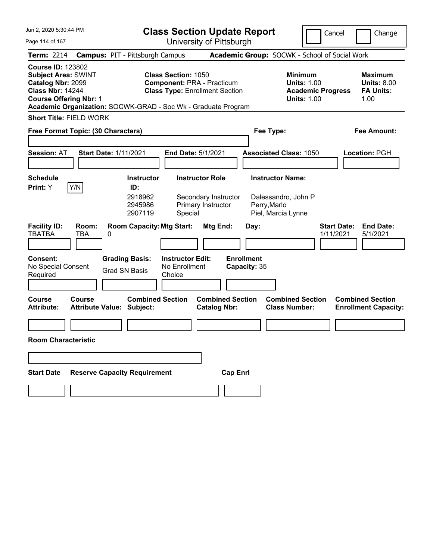| Jun 2, 2020 5:30:44 PM                                                                                                                  |                     |                                                               | <b>Class Section Update Report</b>                                                                       |                                                |                                    |                                                                                        | Cancel                          | Change                                                           |
|-----------------------------------------------------------------------------------------------------------------------------------------|---------------------|---------------------------------------------------------------|----------------------------------------------------------------------------------------------------------|------------------------------------------------|------------------------------------|----------------------------------------------------------------------------------------|---------------------------------|------------------------------------------------------------------|
| Page 114 of 167                                                                                                                         |                     |                                                               | University of Pittsburgh                                                                                 |                                                |                                    |                                                                                        |                                 |                                                                  |
| <b>Term: 2214</b>                                                                                                                       |                     | <b>Campus: PIT - Pittsburgh Campus</b>                        |                                                                                                          |                                                |                                    | Academic Group: SOCWK - School of Social Work                                          |                                 |                                                                  |
| <b>Course ID: 123802</b><br><b>Subject Area: SWINT</b><br>Catalog Nbr: 2099<br><b>Class Nbr: 14244</b><br><b>Course Offering Nbr: 1</b> |                     | Academic Organization: SOCWK-GRAD - Soc Wk - Graduate Program | <b>Class Section: 1050</b><br><b>Component: PRA - Practicum</b><br><b>Class Type: Enrollment Section</b> |                                                |                                    | <b>Minimum</b><br><b>Units: 1.00</b><br><b>Academic Progress</b><br><b>Units: 1.00</b> |                                 | <b>Maximum</b><br><b>Units: 8.00</b><br><b>FA Units:</b><br>1.00 |
| <b>Short Title: FIELD WORK</b>                                                                                                          |                     |                                                               |                                                                                                          |                                                |                                    |                                                                                        |                                 |                                                                  |
| Free Format Topic: (30 Characters)                                                                                                      |                     |                                                               |                                                                                                          |                                                | Fee Type:                          |                                                                                        |                                 | <b>Fee Amount:</b>                                               |
| <b>Session: AT</b>                                                                                                                      |                     | <b>Start Date: 1/11/2021</b>                                  | End Date: 5/1/2021                                                                                       |                                                |                                    | <b>Associated Class: 1050</b>                                                          |                                 | Location: PGH                                                    |
| <b>Schedule</b>                                                                                                                         |                     | <b>Instructor</b>                                             | <b>Instructor Role</b>                                                                                   |                                                | <b>Instructor Name:</b>            |                                                                                        |                                 |                                                                  |
| Print: Y                                                                                                                                | Y/N                 | ID:<br>2918962<br>2945986<br>2907119                          | Special                                                                                                  | Secondary Instructor<br>Primary Instructor     | Perry, Marlo<br>Piel, Marcia Lynne | Dalessandro, John P                                                                    |                                 |                                                                  |
| <b>Facility ID:</b><br><b>TBATBA</b>                                                                                                    | Room:<br><b>TBA</b> | <b>Room Capacity: Mtg Start:</b><br>0                         |                                                                                                          | Mtg End:                                       | Day:                               |                                                                                        | <b>Start Date:</b><br>1/11/2021 | <b>End Date:</b><br>5/1/2021                                     |
| Consent:<br>No Special Consent<br>Required                                                                                              |                     | <b>Grading Basis:</b><br><b>Grad SN Basis</b>                 | <b>Instructor Edit:</b><br>No Enrollment<br>Choice                                                       |                                                | <b>Enrollment</b><br>Capacity: 35  |                                                                                        |                                 |                                                                  |
| <b>Course</b><br><b>Attribute:</b>                                                                                                      | <b>Course</b>       | <b>Combined Section</b><br><b>Attribute Value: Subject:</b>   |                                                                                                          | <b>Combined Section</b><br><b>Catalog Nbr:</b> |                                    | <b>Combined Section</b><br><b>Class Number:</b>                                        |                                 | <b>Combined Section</b><br><b>Enrollment Capacity:</b>           |
|                                                                                                                                         |                     |                                                               |                                                                                                          |                                                |                                    |                                                                                        |                                 |                                                                  |
| <b>Room Characteristic</b>                                                                                                              |                     |                                                               |                                                                                                          |                                                |                                    |                                                                                        |                                 |                                                                  |
|                                                                                                                                         |                     |                                                               |                                                                                                          |                                                |                                    |                                                                                        |                                 |                                                                  |
| <b>Start Date</b>                                                                                                                       |                     | <b>Reserve Capacity Requirement</b>                           |                                                                                                          | <b>Cap Enrl</b>                                |                                    |                                                                                        |                                 |                                                                  |
|                                                                                                                                         |                     |                                                               |                                                                                                          |                                                |                                    |                                                                                        |                                 |                                                                  |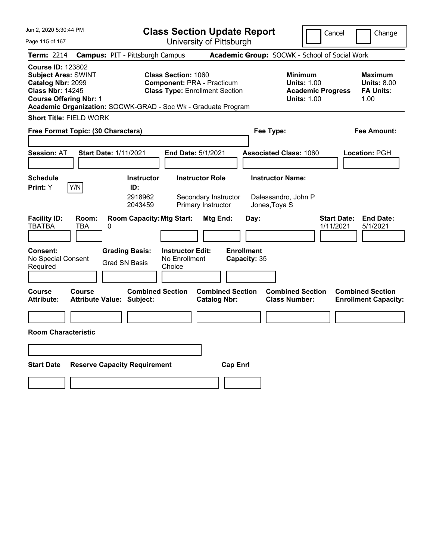| Jun 2, 2020 5:30:44 PM                                                                                                                                                                                   | <b>Class Section Update Report</b><br>Cancel<br>Change                                                                 |                                                                                 |                                               |                                                                                        |                                                                               |  |  |
|----------------------------------------------------------------------------------------------------------------------------------------------------------------------------------------------------------|------------------------------------------------------------------------------------------------------------------------|---------------------------------------------------------------------------------|-----------------------------------------------|----------------------------------------------------------------------------------------|-------------------------------------------------------------------------------|--|--|
| Page 115 of 167                                                                                                                                                                                          |                                                                                                                        | University of Pittsburgh                                                        |                                               |                                                                                        |                                                                               |  |  |
| Term: 2214                                                                                                                                                                                               | <b>Campus: PIT - Pittsburgh Campus</b>                                                                                 |                                                                                 | Academic Group: SOCWK - School of Social Work |                                                                                        |                                                                               |  |  |
| <b>Course ID: 123802</b><br><b>Subject Area: SWINT</b><br>Catalog Nbr: 2099<br><b>Class Nbr: 14245</b><br><b>Course Offering Nbr: 1</b><br>Academic Organization: SOCWK-GRAD - Soc Wk - Graduate Program | <b>Class Section: 1060</b>                                                                                             | <b>Component: PRA - Practicum</b><br><b>Class Type: Enrollment Section</b>      |                                               | <b>Minimum</b><br><b>Units: 1.00</b><br><b>Academic Progress</b><br><b>Units: 1.00</b> | Maximum<br><b>Units: 8.00</b><br><b>FA Units:</b><br>1.00                     |  |  |
| <b>Short Title: FIELD WORK</b>                                                                                                                                                                           |                                                                                                                        |                                                                                 |                                               |                                                                                        |                                                                               |  |  |
| Free Format Topic: (30 Characters)                                                                                                                                                                       |                                                                                                                        |                                                                                 | Fee Type:                                     |                                                                                        | Fee Amount:                                                                   |  |  |
|                                                                                                                                                                                                          |                                                                                                                        |                                                                                 |                                               |                                                                                        |                                                                               |  |  |
| <b>Session: AT</b><br><b>Start Date: 1/11/2021</b>                                                                                                                                                       |                                                                                                                        | <b>End Date: 5/1/2021</b>                                                       | <b>Associated Class: 1060</b>                 |                                                                                        | Location: PGH                                                                 |  |  |
|                                                                                                                                                                                                          |                                                                                                                        |                                                                                 |                                               |                                                                                        |                                                                               |  |  |
| <b>Schedule</b>                                                                                                                                                                                          | <b>Instructor</b>                                                                                                      | <b>Instructor Role</b>                                                          | <b>Instructor Name:</b>                       |                                                                                        |                                                                               |  |  |
| Y/N<br>Print: Y                                                                                                                                                                                          | ID:<br>2918962<br>2043459                                                                                              | Secondary Instructor<br>Primary Instructor                                      | Dalessandro, John P<br>Jones, Toya S          |                                                                                        |                                                                               |  |  |
| <b>Facility ID:</b><br>Room:<br><b>TBATBA</b><br><b>TBA</b><br>0<br><b>Consent:</b><br>No Special Consent<br>Required<br>Course<br>Course                                                                | <b>Room Capacity: Mtg Start:</b><br><b>Grading Basis:</b><br><b>Grad SN Basis</b><br>Choice<br><b>Combined Section</b> | Mtg End:<br><b>Instructor Edit:</b><br>No Enrollment<br><b>Combined Section</b> | Day:<br><b>Enrollment</b><br>Capacity: 35     | 1/11/2021<br><b>Combined Section</b>                                                   | <b>Start Date:</b><br><b>End Date:</b><br>5/1/2021<br><b>Combined Section</b> |  |  |
| <b>Attribute:</b><br>Attribute Value: Subject:                                                                                                                                                           |                                                                                                                        | <b>Catalog Nbr:</b>                                                             | <b>Class Number:</b>                          |                                                                                        | <b>Enrollment Capacity:</b>                                                   |  |  |
|                                                                                                                                                                                                          |                                                                                                                        |                                                                                 |                                               |                                                                                        |                                                                               |  |  |
| <b>Room Characteristic</b>                                                                                                                                                                               |                                                                                                                        |                                                                                 |                                               |                                                                                        |                                                                               |  |  |
|                                                                                                                                                                                                          |                                                                                                                        |                                                                                 |                                               |                                                                                        |                                                                               |  |  |
| <b>Start Date</b>                                                                                                                                                                                        | <b>Reserve Capacity Requirement</b>                                                                                    |                                                                                 | <b>Cap Enrl</b>                               |                                                                                        |                                                                               |  |  |
|                                                                                                                                                                                                          |                                                                                                                        |                                                                                 |                                               |                                                                                        |                                                                               |  |  |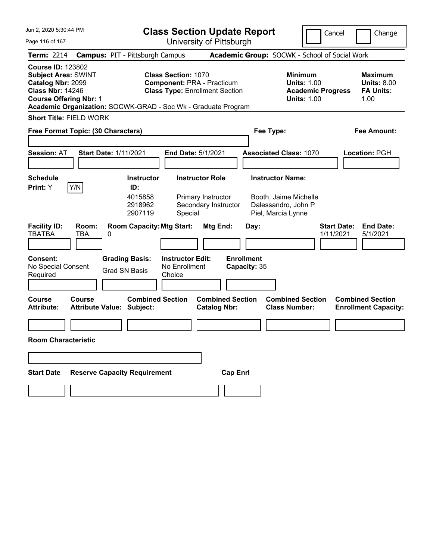| Jun 2, 2020 5:30:44 PM                                                                                                                  |                            |                                                                                                        |                                                                 | <b>Class Section Update Report</b>                     |                           |                                                                                        | Cancel                          | Change                                                           |
|-----------------------------------------------------------------------------------------------------------------------------------------|----------------------------|--------------------------------------------------------------------------------------------------------|-----------------------------------------------------------------|--------------------------------------------------------|---------------------------|----------------------------------------------------------------------------------------|---------------------------------|------------------------------------------------------------------|
| Page 116 of 167                                                                                                                         |                            |                                                                                                        | University of Pittsburgh                                        |                                                        |                           |                                                                                        |                                 |                                                                  |
| <b>Term: 2214</b>                                                                                                                       |                            | <b>Campus: PIT - Pittsburgh Campus</b>                                                                 |                                                                 |                                                        |                           | Academic Group: SOCWK - School of Social Work                                          |                                 |                                                                  |
| <b>Course ID: 123802</b><br><b>Subject Area: SWINT</b><br>Catalog Nbr: 2099<br><b>Class Nbr: 14246</b><br><b>Course Offering Nbr: 1</b> |                            | Academic Organization: SOCWK-GRAD - Soc Wk - Graduate Program                                          | <b>Class Section: 1070</b><br><b>Component: PRA - Practicum</b> | <b>Class Type: Enrollment Section</b>                  |                           | <b>Minimum</b><br><b>Units: 1.00</b><br><b>Academic Progress</b><br><b>Units: 1.00</b> |                                 | <b>Maximum</b><br><b>Units: 8.00</b><br><b>FA Units:</b><br>1.00 |
| <b>Short Title: FIELD WORK</b>                                                                                                          |                            |                                                                                                        |                                                                 |                                                        |                           |                                                                                        |                                 |                                                                  |
| Free Format Topic: (30 Characters)                                                                                                      |                            |                                                                                                        |                                                                 |                                                        | Fee Type:                 |                                                                                        |                                 | <b>Fee Amount:</b>                                               |
| <b>Session: AT</b>                                                                                                                      |                            | <b>Start Date: 1/11/2021</b>                                                                           | End Date: 5/1/2021                                              |                                                        |                           | <b>Associated Class: 1070</b>                                                          |                                 | Location: PGH                                                    |
| <b>Schedule</b>                                                                                                                         |                            | <b>Instructor</b>                                                                                      |                                                                 | <b>Instructor Role</b>                                 |                           | <b>Instructor Name:</b>                                                                |                                 |                                                                  |
| Print: Y<br><b>Facility ID:</b><br><b>TBATBA</b><br>Consent:                                                                            | Y/N<br>Room:<br><b>TBA</b> | ID:<br>4015858<br>2918962<br>2907119<br><b>Room Capacity: Mtg Start:</b><br>0<br><b>Grading Basis:</b> | Special<br><b>Instructor Edit:</b>                              | Primary Instructor<br>Secondary Instructor<br>Mtg End: | Day:<br><b>Enrollment</b> | Booth, Jaime Michelle<br>Dalessandro, John P<br>Piel, Marcia Lynne                     | <b>Start Date:</b><br>1/11/2021 | <b>End Date:</b><br>5/1/2021                                     |
| No Special Consent<br>Required                                                                                                          |                            | <b>Grad SN Basis</b>                                                                                   | No Enrollment<br>Choice                                         |                                                        | Capacity: 35              |                                                                                        |                                 |                                                                  |
| <b>Course</b><br><b>Attribute:</b>                                                                                                      | <b>Course</b>              | <b>Combined Section</b><br><b>Attribute Value: Subject:</b>                                            |                                                                 | <b>Combined Section</b><br><b>Catalog Nbr:</b>         |                           | <b>Combined Section</b><br><b>Class Number:</b>                                        |                                 | <b>Combined Section</b><br><b>Enrollment Capacity:</b>           |
| <b>Room Characteristic</b>                                                                                                              |                            |                                                                                                        |                                                                 |                                                        |                           |                                                                                        |                                 |                                                                  |
|                                                                                                                                         |                            |                                                                                                        |                                                                 |                                                        |                           |                                                                                        |                                 |                                                                  |
| <b>Start Date</b>                                                                                                                       |                            | <b>Reserve Capacity Requirement</b>                                                                    |                                                                 | <b>Cap Enrl</b>                                        |                           |                                                                                        |                                 |                                                                  |
|                                                                                                                                         |                            |                                                                                                        |                                                                 |                                                        |                           |                                                                                        |                                 |                                                                  |
|                                                                                                                                         |                            |                                                                                                        |                                                                 |                                                        |                           |                                                                                        |                                 |                                                                  |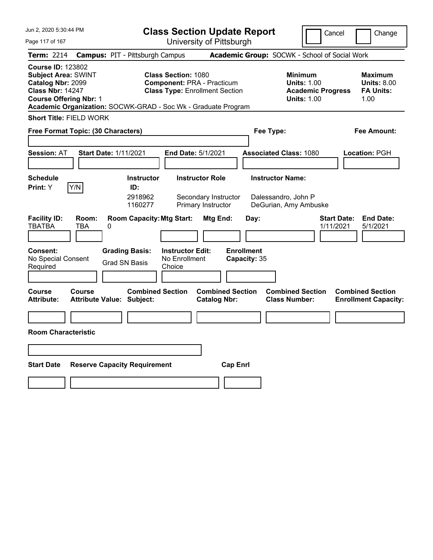| Jun 2, 2020 5:30:44 PM                                                                                                                                                                                   |                                                                                                              | <b>Class Section Update Report</b><br>Cancel<br>Change                                                   |                                                                      |                                               |                                                                      |                                                           |  |  |
|----------------------------------------------------------------------------------------------------------------------------------------------------------------------------------------------------------|--------------------------------------------------------------------------------------------------------------|----------------------------------------------------------------------------------------------------------|----------------------------------------------------------------------|-----------------------------------------------|----------------------------------------------------------------------|-----------------------------------------------------------|--|--|
| Page 117 of 167                                                                                                                                                                                          |                                                                                                              | University of Pittsburgh                                                                                 |                                                                      |                                               |                                                                      |                                                           |  |  |
| Term: 2214                                                                                                                                                                                               | <b>Campus: PIT - Pittsburgh Campus</b>                                                                       |                                                                                                          |                                                                      | Academic Group: SOCWK - School of Social Work |                                                                      |                                                           |  |  |
| <b>Course ID: 123802</b><br><b>Subject Area: SWINT</b><br>Catalog Nbr: 2099<br><b>Class Nbr: 14247</b><br><b>Course Offering Nbr: 1</b><br>Academic Organization: SOCWK-GRAD - Soc Wk - Graduate Program |                                                                                                              | <b>Class Section: 1080</b><br><b>Component: PRA - Practicum</b><br><b>Class Type: Enrollment Section</b> |                                                                      | <b>Minimum</b>                                | <b>Units: 1.00</b><br><b>Academic Progress</b><br><b>Units: 1.00</b> | Maximum<br><b>Units: 8.00</b><br><b>FA Units:</b><br>1.00 |  |  |
| <b>Short Title: FIELD WORK</b>                                                                                                                                                                           |                                                                                                              |                                                                                                          |                                                                      |                                               |                                                                      |                                                           |  |  |
| Free Format Topic: (30 Characters)                                                                                                                                                                       |                                                                                                              |                                                                                                          |                                                                      | Fee Type:                                     |                                                                      | Fee Amount:                                               |  |  |
|                                                                                                                                                                                                          |                                                                                                              |                                                                                                          |                                                                      |                                               |                                                                      |                                                           |  |  |
| <b>Session: AT</b>                                                                                                                                                                                       | <b>Start Date: 1/11/2021</b>                                                                                 | <b>End Date: 5/1/2021</b>                                                                                |                                                                      | <b>Associated Class: 1080</b>                 |                                                                      | Location: PGH                                             |  |  |
|                                                                                                                                                                                                          |                                                                                                              |                                                                                                          |                                                                      |                                               |                                                                      |                                                           |  |  |
| <b>Schedule</b>                                                                                                                                                                                          | <b>Instructor</b>                                                                                            | <b>Instructor Role</b>                                                                                   |                                                                      | <b>Instructor Name:</b>                       |                                                                      |                                                           |  |  |
| Y/N<br>Print: Y                                                                                                                                                                                          | ID:                                                                                                          |                                                                                                          |                                                                      |                                               |                                                                      |                                                           |  |  |
|                                                                                                                                                                                                          | 2918962<br>1160277                                                                                           | Secondary Instructor<br>Primary Instructor                                                               |                                                                      | Dalessandro, John P<br>DeGurian, Amy Ambuske  |                                                                      |                                                           |  |  |
| <b>Facility ID:</b><br>Room:<br><b>TBATBA</b><br><b>TBA</b><br>0<br><b>Consent:</b><br>No Special Consent<br>Required<br>Course<br>Course                                                                | <b>Room Capacity: Mtg Start:</b><br><b>Grading Basis:</b><br><b>Grad SN Basis</b><br><b>Combined Section</b> | Mtg End:<br><b>Instructor Edit:</b><br>No Enrollment<br>Choice                                           | Day:<br><b>Enrollment</b><br>Capacity: 35<br><b>Combined Section</b> | <b>Combined Section</b>                       | <b>Start Date:</b><br>1/11/2021                                      | <b>End Date:</b><br>5/1/2021<br><b>Combined Section</b>   |  |  |
| <b>Attribute:</b>                                                                                                                                                                                        | Attribute Value: Subject:                                                                                    | <b>Catalog Nbr:</b>                                                                                      |                                                                      | <b>Class Number:</b>                          |                                                                      | <b>Enrollment Capacity:</b>                               |  |  |
|                                                                                                                                                                                                          |                                                                                                              |                                                                                                          |                                                                      |                                               |                                                                      |                                                           |  |  |
| <b>Room Characteristic</b>                                                                                                                                                                               |                                                                                                              |                                                                                                          |                                                                      |                                               |                                                                      |                                                           |  |  |
|                                                                                                                                                                                                          |                                                                                                              |                                                                                                          |                                                                      |                                               |                                                                      |                                                           |  |  |
| <b>Start Date</b>                                                                                                                                                                                        | <b>Reserve Capacity Requirement</b>                                                                          |                                                                                                          | <b>Cap Enrl</b>                                                      |                                               |                                                                      |                                                           |  |  |
|                                                                                                                                                                                                          |                                                                                                              |                                                                                                          |                                                                      |                                               |                                                                      |                                                           |  |  |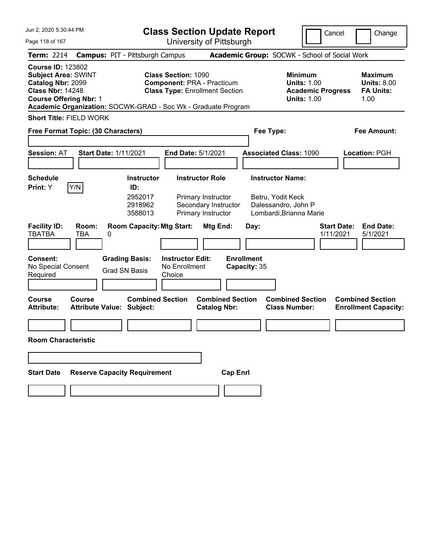| Jun 2, 2020 5:30:44 PM                                                                                                                  | <b>Class Section Update Report</b>                                                                                                                                                   |                                                                                                                           |                                                                     | Cancel<br>Change                                                                             |  |  |  |
|-----------------------------------------------------------------------------------------------------------------------------------------|--------------------------------------------------------------------------------------------------------------------------------------------------------------------------------------|---------------------------------------------------------------------------------------------------------------------------|---------------------------------------------------------------------|----------------------------------------------------------------------------------------------|--|--|--|
| Page 118 of 167                                                                                                                         |                                                                                                                                                                                      | University of Pittsburgh                                                                                                  |                                                                     |                                                                                              |  |  |  |
| <b>Term: 2214</b>                                                                                                                       | <b>Campus: PIT - Pittsburgh Campus</b>                                                                                                                                               |                                                                                                                           | Academic Group: SOCWK - School of Social Work                       |                                                                                              |  |  |  |
| <b>Course ID: 123802</b><br><b>Subject Area: SWINT</b><br>Catalog Nbr: 2099<br><b>Class Nbr: 14248</b><br><b>Course Offering Nbr: 1</b> | Class Section: 1090<br><b>Component: PRA - Practicum</b><br><b>Class Type: Enrollment Section</b><br>Academic Organization: SOCWK-GRAD - Soc Wk - Graduate Program                   |                                                                                                                           | <b>Minimum</b><br><b>Units: 1.00</b><br><b>Units: 1.00</b>          | <b>Maximum</b><br><b>Units: 8.00</b><br><b>FA Units:</b><br><b>Academic Progress</b><br>1.00 |  |  |  |
| <b>Short Title: FIELD WORK</b>                                                                                                          |                                                                                                                                                                                      |                                                                                                                           |                                                                     |                                                                                              |  |  |  |
| Free Format Topic: (30 Characters)                                                                                                      |                                                                                                                                                                                      |                                                                                                                           | Fee Type:                                                           | <b>Fee Amount:</b>                                                                           |  |  |  |
| <b>Session: AT</b>                                                                                                                      | <b>Start Date: 1/11/2021</b><br>End Date: 5/1/2021                                                                                                                                   |                                                                                                                           | <b>Associated Class: 1090</b>                                       | <b>Location: PGH</b>                                                                         |  |  |  |
| <b>Schedule</b>                                                                                                                         | <b>Instructor</b>                                                                                                                                                                    | <b>Instructor Role</b>                                                                                                    | <b>Instructor Name:</b>                                             |                                                                                              |  |  |  |
| Y/N<br>Print: Y<br><b>Facility ID:</b><br>Room:<br><b>TBATBA</b><br><b>TBA</b><br><b>Consent:</b><br>No Special Consent<br>Required     | ID:<br>2952017<br>2918962<br>3588013<br><b>Room Capacity: Mtg Start:</b><br>0<br><b>Grading Basis:</b><br><b>Instructor Edit:</b><br>No Enrollment<br><b>Grad SN Basis</b><br>Choice | Primary Instructor<br>Secondary Instructor<br>Primary Instructor<br>Mtg End:<br>Day:<br><b>Enrollment</b><br>Capacity: 35 | Betru, Yodit Keck<br>Dalessandro, John P<br>Lombardi, Brianna Marie | <b>Start Date:</b><br><b>End Date:</b><br>1/11/2021<br>5/1/2021                              |  |  |  |
| Course<br><b>Course</b><br><b>Attribute:</b>                                                                                            | <b>Combined Section</b><br><b>Attribute Value: Subject:</b>                                                                                                                          | <b>Combined Section</b><br><b>Catalog Nbr:</b>                                                                            | <b>Combined Section</b><br><b>Class Number:</b>                     | <b>Combined Section</b><br><b>Enrollment Capacity:</b>                                       |  |  |  |
| <b>Room Characteristic</b>                                                                                                              |                                                                                                                                                                                      |                                                                                                                           |                                                                     |                                                                                              |  |  |  |
| <b>Start Date</b>                                                                                                                       | <b>Reserve Capacity Requirement</b>                                                                                                                                                  | <b>Cap Enrl</b>                                                                                                           |                                                                     |                                                                                              |  |  |  |
|                                                                                                                                         |                                                                                                                                                                                      |                                                                                                                           |                                                                     |                                                                                              |  |  |  |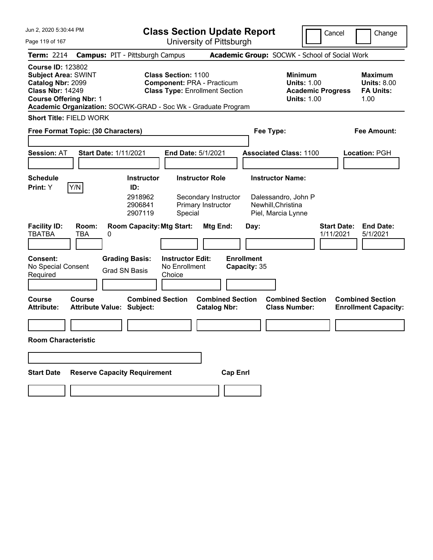| Jun 2, 2020 5:30:44 PM                                                                                                                  |                            |                                                                                                                                |                                                                 | <b>Class Section Update Report</b>                     |                                           |                                                                                        | Cancel                          | Change                                                           |
|-----------------------------------------------------------------------------------------------------------------------------------------|----------------------------|--------------------------------------------------------------------------------------------------------------------------------|-----------------------------------------------------------------|--------------------------------------------------------|-------------------------------------------|----------------------------------------------------------------------------------------|---------------------------------|------------------------------------------------------------------|
| Page 119 of 167                                                                                                                         |                            |                                                                                                                                | University of Pittsburgh                                        |                                                        |                                           |                                                                                        |                                 |                                                                  |
| <b>Term: 2214</b>                                                                                                                       |                            | <b>Campus: PIT - Pittsburgh Campus</b>                                                                                         |                                                                 |                                                        |                                           | Academic Group: SOCWK - School of Social Work                                          |                                 |                                                                  |
| <b>Course ID: 123802</b><br><b>Subject Area: SWINT</b><br>Catalog Nbr: 2099<br><b>Class Nbr: 14249</b><br><b>Course Offering Nbr: 1</b> |                            | Academic Organization: SOCWK-GRAD - Soc Wk - Graduate Program                                                                  | <b>Class Section: 1100</b><br><b>Component: PRA - Practicum</b> | <b>Class Type: Enrollment Section</b>                  |                                           | <b>Minimum</b><br><b>Units: 1.00</b><br><b>Academic Progress</b><br><b>Units: 1.00</b> |                                 | <b>Maximum</b><br><b>Units: 8.00</b><br><b>FA Units:</b><br>1.00 |
| <b>Short Title: FIELD WORK</b>                                                                                                          |                            |                                                                                                                                |                                                                 |                                                        |                                           |                                                                                        |                                 |                                                                  |
| Free Format Topic: (30 Characters)                                                                                                      |                            |                                                                                                                                |                                                                 |                                                        | Fee Type:                                 |                                                                                        |                                 | <b>Fee Amount:</b>                                               |
| <b>Session: AT</b>                                                                                                                      |                            | <b>Start Date: 1/11/2021</b>                                                                                                   | End Date: 5/1/2021                                              |                                                        |                                           | <b>Associated Class: 1100</b>                                                          |                                 | Location: PGH                                                    |
| <b>Schedule</b>                                                                                                                         |                            | <b>Instructor</b>                                                                                                              | <b>Instructor Role</b>                                          |                                                        |                                           | <b>Instructor Name:</b>                                                                |                                 |                                                                  |
| Print: Y<br><b>Facility ID:</b><br><b>TBATBA</b><br>Consent:<br>No Special Consent                                                      | Y/N<br>Room:<br><b>TBA</b> | ID:<br>2918962<br>2906841<br>2907119<br><b>Room Capacity: Mtg Start:</b><br>0<br><b>Grading Basis:</b><br><b>Grad SN Basis</b> | Special<br><b>Instructor Edit:</b><br>No Enrollment             | Secondary Instructor<br>Primary Instructor<br>Mtg End: | Day:<br><b>Enrollment</b><br>Capacity: 35 | Dalessandro, John P<br>Newhill, Christina<br>Piel, Marcia Lynne                        | <b>Start Date:</b><br>1/11/2021 | <b>End Date:</b><br>5/1/2021                                     |
| Required                                                                                                                                |                            |                                                                                                                                | Choice                                                          |                                                        |                                           |                                                                                        |                                 |                                                                  |
| <b>Course</b><br><b>Attribute:</b><br><b>Room Characteristic</b>                                                                        | <b>Course</b>              | <b>Combined Section</b><br><b>Attribute Value: Subject:</b>                                                                    |                                                                 | <b>Combined Section</b><br><b>Catalog Nbr:</b>         |                                           | <b>Combined Section</b><br><b>Class Number:</b>                                        |                                 | <b>Combined Section</b><br><b>Enrollment Capacity:</b>           |
|                                                                                                                                         |                            |                                                                                                                                |                                                                 |                                                        |                                           |                                                                                        |                                 |                                                                  |
|                                                                                                                                         |                            |                                                                                                                                |                                                                 |                                                        |                                           |                                                                                        |                                 |                                                                  |
| <b>Start Date</b>                                                                                                                       |                            | <b>Reserve Capacity Requirement</b>                                                                                            |                                                                 | <b>Cap Enrl</b>                                        |                                           |                                                                                        |                                 |                                                                  |
|                                                                                                                                         |                            |                                                                                                                                |                                                                 |                                                        |                                           |                                                                                        |                                 |                                                                  |
|                                                                                                                                         |                            |                                                                                                                                |                                                                 |                                                        |                                           |                                                                                        |                                 |                                                                  |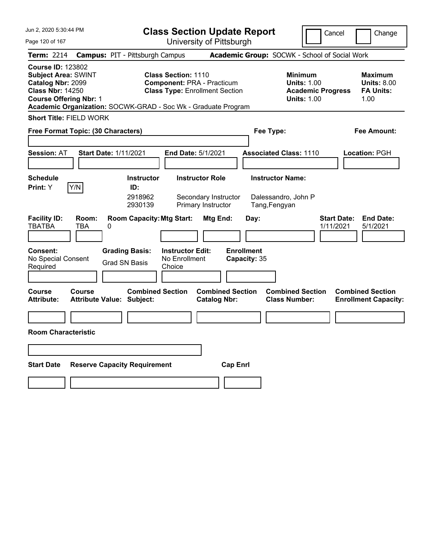| Jun 2, 2020 5:30:44 PM                                                                                                                                                                                   |                                                                                                     | <b>Class Section Update Report</b>                                         |                                                                 | Cancel                                                                                 | Change                                                    |
|----------------------------------------------------------------------------------------------------------------------------------------------------------------------------------------------------------|-----------------------------------------------------------------------------------------------------|----------------------------------------------------------------------------|-----------------------------------------------------------------|----------------------------------------------------------------------------------------|-----------------------------------------------------------|
| Page 120 of 167                                                                                                                                                                                          |                                                                                                     | University of Pittsburgh                                                   |                                                                 |                                                                                        |                                                           |
| Term: 2214                                                                                                                                                                                               | <b>Campus: PIT - Pittsburgh Campus</b>                                                              |                                                                            | Academic Group: SOCWK - School of Social Work                   |                                                                                        |                                                           |
| <b>Course ID: 123802</b><br><b>Subject Area: SWINT</b><br>Catalog Nbr: 2099<br><b>Class Nbr: 14250</b><br><b>Course Offering Nbr: 1</b><br>Academic Organization: SOCWK-GRAD - Soc Wk - Graduate Program | <b>Class Section: 1110</b>                                                                          | <b>Component: PRA - Practicum</b><br><b>Class Type: Enrollment Section</b> |                                                                 | <b>Minimum</b><br><b>Units: 1.00</b><br><b>Academic Progress</b><br><b>Units: 1.00</b> | Maximum<br><b>Units: 8.00</b><br><b>FA Units:</b><br>1.00 |
| <b>Short Title: FIELD WORK</b>                                                                                                                                                                           |                                                                                                     |                                                                            |                                                                 |                                                                                        |                                                           |
| Free Format Topic: (30 Characters)                                                                                                                                                                       |                                                                                                     |                                                                            | Fee Type:                                                       |                                                                                        | Fee Amount:                                               |
| <b>Session: AT</b><br><b>Start Date: 1/11/2021</b>                                                                                                                                                       |                                                                                                     | <b>End Date: 5/1/2021</b>                                                  | <b>Associated Class: 1110</b>                                   |                                                                                        | Location: PGH                                             |
| <b>Schedule</b><br>Y/N<br>Print: Y                                                                                                                                                                       | <b>Instructor</b><br>ID:<br>2918962<br>2930139                                                      | <b>Instructor Role</b><br>Secondary Instructor<br>Primary Instructor       | <b>Instructor Name:</b><br>Dalessandro, John P<br>Tang, Fengyan |                                                                                        |                                                           |
| <b>Facility ID:</b><br>Room:<br><b>TBATBA</b><br><b>TBA</b><br>0                                                                                                                                         | <b>Room Capacity: Mtg Start:</b>                                                                    | Mtg End:                                                                   | Day:                                                            | <b>Start Date:</b><br>1/11/2021                                                        | <b>End Date:</b><br>5/1/2021                              |
| <b>Consent:</b><br>No Special Consent<br>Required                                                                                                                                                        | <b>Grading Basis:</b><br><b>Instructor Edit:</b><br>No Enrollment<br><b>Grad SN Basis</b><br>Choice |                                                                            | <b>Enrollment</b><br>Capacity: 35                               |                                                                                        |                                                           |
| Course<br>Course<br><b>Attribute:</b><br>Attribute Value: Subject:                                                                                                                                       | <b>Combined Section</b>                                                                             | <b>Combined Section</b><br><b>Catalog Nbr:</b>                             | <b>Class Number:</b>                                            | <b>Combined Section</b>                                                                | <b>Combined Section</b><br><b>Enrollment Capacity:</b>    |
|                                                                                                                                                                                                          |                                                                                                     |                                                                            |                                                                 |                                                                                        |                                                           |
| <b>Room Characteristic</b>                                                                                                                                                                               |                                                                                                     |                                                                            |                                                                 |                                                                                        |                                                           |
|                                                                                                                                                                                                          |                                                                                                     |                                                                            |                                                                 |                                                                                        |                                                           |
| <b>Start Date</b>                                                                                                                                                                                        | <b>Reserve Capacity Requirement</b>                                                                 | <b>Cap Enrl</b>                                                            |                                                                 |                                                                                        |                                                           |
|                                                                                                                                                                                                          |                                                                                                     |                                                                            |                                                                 |                                                                                        |                                                           |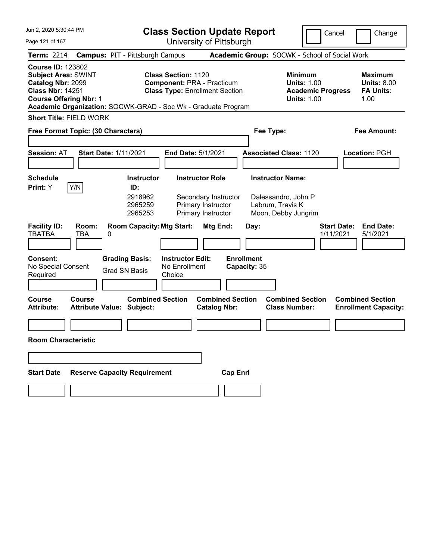| Jun 2, 2020 5:30:44 PM                                                                                                                                                                                   |                                               | <b>Class Section Update Report</b>                                                                       |                                                                              |                                   |                                                                                        | Cancel<br>Change                                                 |
|----------------------------------------------------------------------------------------------------------------------------------------------------------------------------------------------------------|-----------------------------------------------|----------------------------------------------------------------------------------------------------------|------------------------------------------------------------------------------|-----------------------------------|----------------------------------------------------------------------------------------|------------------------------------------------------------------|
| Page 121 of 167                                                                                                                                                                                          |                                               |                                                                                                          | University of Pittsburgh                                                     |                                   |                                                                                        |                                                                  |
| <b>Term: 2214</b>                                                                                                                                                                                        | <b>Campus: PIT - Pittsburgh Campus</b>        |                                                                                                          |                                                                              |                                   | Academic Group: SOCWK - School of Social Work                                          |                                                                  |
| <b>Course ID: 123802</b><br><b>Subject Area: SWINT</b><br>Catalog Nbr: 2099<br><b>Class Nbr: 14251</b><br><b>Course Offering Nbr: 1</b><br>Academic Organization: SOCWK-GRAD - Soc Wk - Graduate Program |                                               | <b>Class Section: 1120</b><br><b>Component: PRA - Practicum</b><br><b>Class Type: Enrollment Section</b> |                                                                              |                                   | <b>Minimum</b><br><b>Units: 1.00</b><br><b>Academic Progress</b><br><b>Units: 1.00</b> | <b>Maximum</b><br><b>Units: 8.00</b><br><b>FA Units:</b><br>1.00 |
| <b>Short Title: FIELD WORK</b>                                                                                                                                                                           |                                               |                                                                                                          |                                                                              |                                   |                                                                                        |                                                                  |
| Free Format Topic: (30 Characters)                                                                                                                                                                       |                                               |                                                                                                          |                                                                              | Fee Type:                         |                                                                                        | <b>Fee Amount:</b>                                               |
| <b>Session: AT</b>                                                                                                                                                                                       | <b>Start Date: 1/11/2021</b>                  | End Date: 5/1/2021                                                                                       |                                                                              | <b>Associated Class: 1120</b>     |                                                                                        | Location: PGH                                                    |
| <b>Schedule</b>                                                                                                                                                                                          | <b>Instructor</b>                             |                                                                                                          | <b>Instructor Role</b>                                                       | <b>Instructor Name:</b>           |                                                                                        |                                                                  |
| Y/N<br>Print: Y<br>Room:                                                                                                                                                                                 | ID:<br>2918962<br>2965259<br>2965253          |                                                                                                          | Secondary Instructor<br>Primary Instructor<br>Primary Instructor<br>Mtg End: | Labrum, Travis K                  | Dalessandro, John P<br>Moon, Debby Jungrim                                             | <b>Start Date:</b><br><b>End Date:</b>                           |
| <b>Facility ID:</b><br><b>TBATBA</b><br><b>TBA</b>                                                                                                                                                       | <b>Room Capacity: Mtg Start:</b><br>0         |                                                                                                          |                                                                              | Day:                              |                                                                                        | 1/11/2021<br>5/1/2021                                            |
| Consent:<br>No Special Consent<br>Required                                                                                                                                                               | <b>Grading Basis:</b><br><b>Grad SN Basis</b> | <b>Instructor Edit:</b><br>No Enrollment<br>Choice                                                       |                                                                              | <b>Enrollment</b><br>Capacity: 35 |                                                                                        |                                                                  |
| <b>Course</b><br><b>Course</b><br><b>Attribute:</b>                                                                                                                                                      | <b>Attribute Value: Subject:</b>              | <b>Combined Section</b>                                                                                  | <b>Combined Section</b><br><b>Catalog Nbr:</b>                               |                                   | <b>Combined Section</b><br><b>Class Number:</b>                                        | <b>Combined Section</b><br><b>Enrollment Capacity:</b>           |
|                                                                                                                                                                                                          |                                               |                                                                                                          |                                                                              |                                   |                                                                                        |                                                                  |
| <b>Room Characteristic</b>                                                                                                                                                                               |                                               |                                                                                                          |                                                                              |                                   |                                                                                        |                                                                  |
|                                                                                                                                                                                                          |                                               |                                                                                                          |                                                                              |                                   |                                                                                        |                                                                  |
| <b>Start Date</b>                                                                                                                                                                                        | <b>Reserve Capacity Requirement</b>           |                                                                                                          | <b>Cap Enrl</b>                                                              |                                   |                                                                                        |                                                                  |
|                                                                                                                                                                                                          |                                               |                                                                                                          |                                                                              |                                   |                                                                                        |                                                                  |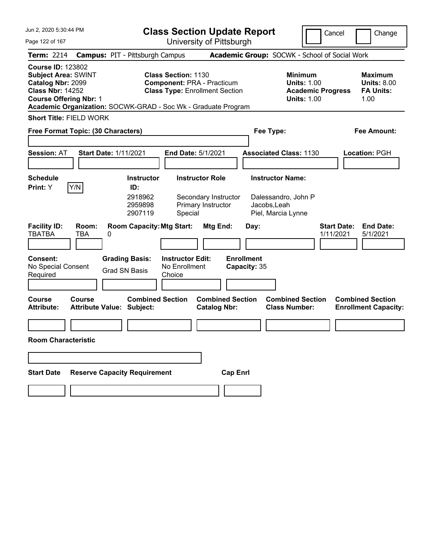| Jun 2, 2020 5:30:44 PM                                                                                                                  |                                                                                                                                                                           | <b>Class Section Update Report</b>                             |                                                                                        | Cancel<br>Change                                                 |
|-----------------------------------------------------------------------------------------------------------------------------------------|---------------------------------------------------------------------------------------------------------------------------------------------------------------------------|----------------------------------------------------------------|----------------------------------------------------------------------------------------|------------------------------------------------------------------|
| Page 122 of 167                                                                                                                         |                                                                                                                                                                           | University of Pittsburgh                                       |                                                                                        |                                                                  |
| <b>Term: 2214</b>                                                                                                                       | <b>Campus: PIT - Pittsburgh Campus</b>                                                                                                                                    |                                                                | Academic Group: SOCWK - School of Social Work                                          |                                                                  |
| <b>Course ID: 123802</b><br><b>Subject Area: SWINT</b><br>Catalog Nbr: 2099<br><b>Class Nbr: 14252</b><br><b>Course Offering Nbr: 1</b> | <b>Class Section: 1130</b><br><b>Component: PRA - Practicum</b><br><b>Class Type: Enrollment Section</b><br>Academic Organization: SOCWK-GRAD - Soc Wk - Graduate Program |                                                                | <b>Minimum</b><br><b>Units: 1.00</b><br><b>Academic Progress</b><br><b>Units: 1.00</b> | <b>Maximum</b><br><b>Units: 8.00</b><br><b>FA Units:</b><br>1.00 |
| <b>Short Title: FIELD WORK</b>                                                                                                          |                                                                                                                                                                           |                                                                |                                                                                        |                                                                  |
| Free Format Topic: (30 Characters)                                                                                                      |                                                                                                                                                                           |                                                                | Fee Type:                                                                              | <b>Fee Amount:</b>                                               |
| <b>Session: AT</b>                                                                                                                      | <b>Start Date: 1/11/2021</b><br>End Date: 5/1/2021                                                                                                                        |                                                                | <b>Associated Class: 1130</b>                                                          | <b>Location: PGH</b>                                             |
| <b>Schedule</b>                                                                                                                         | <b>Instructor</b>                                                                                                                                                         | <b>Instructor Role</b>                                         | <b>Instructor Name:</b>                                                                |                                                                  |
| Y/N<br>Print: Y                                                                                                                         | ID:                                                                                                                                                                       |                                                                |                                                                                        |                                                                  |
| <b>Facility ID:</b><br>Room:<br><b>TBATBA</b><br><b>TBA</b>                                                                             | 2918962<br>2959898<br>2907119<br>Special<br><b>Room Capacity: Mtg Start:</b><br>0                                                                                         | Secondary Instructor<br>Primary Instructor<br>Mtg End:<br>Day: | Dalessandro, John P<br>Jacobs, Leah<br>Piel, Marcia Lynne                              | <b>Start Date:</b><br><b>End Date:</b><br>1/11/2021<br>5/1/2021  |
|                                                                                                                                         |                                                                                                                                                                           |                                                                |                                                                                        |                                                                  |
| <b>Consent:</b><br>No Special Consent<br>Required                                                                                       | <b>Grading Basis:</b><br><b>Instructor Edit:</b><br>No Enrollment<br><b>Grad SN Basis</b><br>Choice                                                                       | <b>Enrollment</b><br>Capacity: 35                              |                                                                                        |                                                                  |
| Course<br><b>Course</b><br><b>Attribute:</b>                                                                                            | <b>Combined Section</b><br><b>Attribute Value: Subject:</b>                                                                                                               | <b>Combined Section</b><br><b>Catalog Nbr:</b>                 | <b>Combined Section</b><br><b>Class Number:</b>                                        | <b>Combined Section</b><br><b>Enrollment Capacity:</b>           |
|                                                                                                                                         |                                                                                                                                                                           |                                                                |                                                                                        |                                                                  |
| <b>Room Characteristic</b>                                                                                                              |                                                                                                                                                                           |                                                                |                                                                                        |                                                                  |
|                                                                                                                                         |                                                                                                                                                                           |                                                                |                                                                                        |                                                                  |
| <b>Start Date</b>                                                                                                                       | <b>Reserve Capacity Requirement</b>                                                                                                                                       | <b>Cap Enrl</b>                                                |                                                                                        |                                                                  |
|                                                                                                                                         |                                                                                                                                                                           |                                                                |                                                                                        |                                                                  |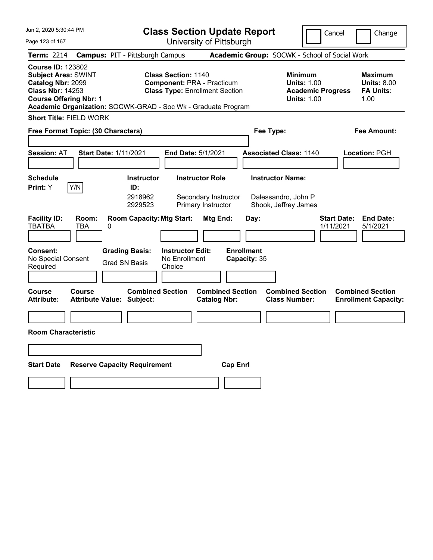| Jun 2, 2020 5:30:44 PM                                                                                                                                                                                   |                                                         | <b>Class Section Update Report</b>                                         |                                                                        | Cancel                                                                                 | Change                                                    |
|----------------------------------------------------------------------------------------------------------------------------------------------------------------------------------------------------------|---------------------------------------------------------|----------------------------------------------------------------------------|------------------------------------------------------------------------|----------------------------------------------------------------------------------------|-----------------------------------------------------------|
| Page 123 of 167                                                                                                                                                                                          |                                                         | University of Pittsburgh                                                   |                                                                        |                                                                                        |                                                           |
| Term: 2214                                                                                                                                                                                               | <b>Campus: PIT - Pittsburgh Campus</b>                  |                                                                            | Academic Group: SOCWK - School of Social Work                          |                                                                                        |                                                           |
| <b>Course ID: 123802</b><br><b>Subject Area: SWINT</b><br>Catalog Nbr: 2099<br><b>Class Nbr: 14253</b><br><b>Course Offering Nbr: 1</b><br>Academic Organization: SOCWK-GRAD - Soc Wk - Graduate Program | <b>Class Section: 1140</b>                              | <b>Component: PRA - Practicum</b><br><b>Class Type: Enrollment Section</b> |                                                                        | <b>Minimum</b><br><b>Units: 1.00</b><br><b>Academic Progress</b><br><b>Units: 1.00</b> | Maximum<br><b>Units: 8.00</b><br><b>FA Units:</b><br>1.00 |
| <b>Short Title: FIELD WORK</b>                                                                                                                                                                           |                                                         |                                                                            |                                                                        |                                                                                        |                                                           |
| Free Format Topic: (30 Characters)                                                                                                                                                                       |                                                         |                                                                            | Fee Type:                                                              |                                                                                        | Fee Amount:                                               |
| <b>Session: AT</b><br><b>Start Date: 1/11/2021</b>                                                                                                                                                       |                                                         | <b>End Date: 5/1/2021</b>                                                  | <b>Associated Class: 1140</b>                                          |                                                                                        | Location: PGH                                             |
| <b>Schedule</b><br>Y/N<br>Print: Y                                                                                                                                                                       | <b>Instructor</b><br>ID:<br>2918962<br>2929523          | <b>Instructor Role</b><br>Secondary Instructor<br>Primary Instructor       | <b>Instructor Name:</b><br>Dalessandro, John P<br>Shook, Jeffrey James |                                                                                        |                                                           |
| <b>Facility ID:</b><br>Room:<br><b>TBATBA</b><br><b>TBA</b><br>0                                                                                                                                         | <b>Room Capacity: Mtg Start:</b>                        | Mtg End:                                                                   | Day:                                                                   | <b>Start Date:</b><br>1/11/2021                                                        | <b>End Date:</b><br>5/1/2021                              |
| <b>Consent:</b><br>No Special Consent<br>Required                                                                                                                                                        | <b>Grading Basis:</b><br><b>Grad SN Basis</b><br>Choice | <b>Instructor Edit:</b><br>No Enrollment                                   | <b>Enrollment</b><br>Capacity: 35                                      |                                                                                        |                                                           |
| Course<br>Course<br><b>Attribute:</b><br>Attribute Value: Subject:                                                                                                                                       | <b>Combined Section</b>                                 | <b>Combined Section</b><br><b>Catalog Nbr:</b>                             | <b>Class Number:</b>                                                   | <b>Combined Section</b>                                                                | <b>Combined Section</b><br><b>Enrollment Capacity:</b>    |
|                                                                                                                                                                                                          |                                                         |                                                                            |                                                                        |                                                                                        |                                                           |
| <b>Room Characteristic</b>                                                                                                                                                                               |                                                         |                                                                            |                                                                        |                                                                                        |                                                           |
|                                                                                                                                                                                                          |                                                         |                                                                            |                                                                        |                                                                                        |                                                           |
| <b>Start Date</b>                                                                                                                                                                                        | <b>Reserve Capacity Requirement</b>                     | <b>Cap Enrl</b>                                                            |                                                                        |                                                                                        |                                                           |
|                                                                                                                                                                                                          |                                                         |                                                                            |                                                                        |                                                                                        |                                                           |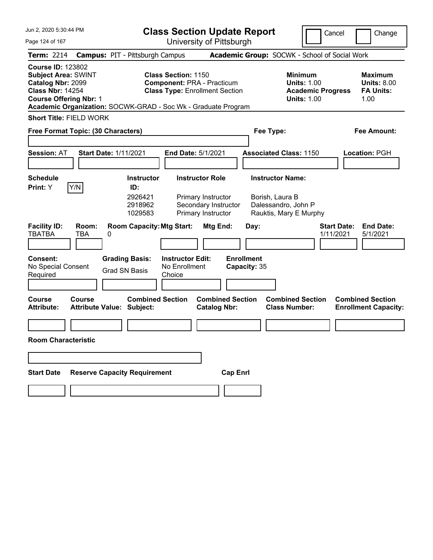| Jun 2, 2020 5:30:44 PM                                                                                                                  |                            |                                                                                                                                |                                          | <b>Class Section Update Report</b>                                           |                                           |                                                                                        | Cancel                          | Change                                                           |
|-----------------------------------------------------------------------------------------------------------------------------------------|----------------------------|--------------------------------------------------------------------------------------------------------------------------------|------------------------------------------|------------------------------------------------------------------------------|-------------------------------------------|----------------------------------------------------------------------------------------|---------------------------------|------------------------------------------------------------------|
| Page 124 of 167                                                                                                                         |                            |                                                                                                                                |                                          | University of Pittsburgh                                                     |                                           |                                                                                        |                                 |                                                                  |
| <b>Term: 2214</b>                                                                                                                       |                            | <b>Campus: PIT - Pittsburgh Campus</b>                                                                                         |                                          |                                                                              |                                           | Academic Group: SOCWK - School of Social Work                                          |                                 |                                                                  |
| <b>Course ID: 123802</b><br><b>Subject Area: SWINT</b><br>Catalog Nbr: 2099<br><b>Class Nbr: 14254</b><br><b>Course Offering Nbr: 1</b> |                            | Academic Organization: SOCWK-GRAD - Soc Wk - Graduate Program                                                                  | <b>Class Section: 1150</b>               | <b>Component: PRA - Practicum</b><br><b>Class Type: Enrollment Section</b>   |                                           | <b>Minimum</b><br><b>Units: 1.00</b><br><b>Academic Progress</b><br><b>Units: 1.00</b> |                                 | <b>Maximum</b><br><b>Units: 8.00</b><br><b>FA Units:</b><br>1.00 |
| <b>Short Title: FIELD WORK</b>                                                                                                          |                            |                                                                                                                                |                                          |                                                                              |                                           |                                                                                        |                                 |                                                                  |
| Free Format Topic: (30 Characters)                                                                                                      |                            |                                                                                                                                |                                          |                                                                              | Fee Type:                                 |                                                                                        |                                 | <b>Fee Amount:</b>                                               |
| <b>Session: AT</b>                                                                                                                      |                            | <b>Start Date: 1/11/2021</b>                                                                                                   | End Date: 5/1/2021                       |                                                                              |                                           | <b>Associated Class: 1150</b>                                                          |                                 | Location: PGH                                                    |
| <b>Schedule</b>                                                                                                                         |                            | <b>Instructor</b>                                                                                                              |                                          | <b>Instructor Role</b>                                                       |                                           | <b>Instructor Name:</b>                                                                |                                 |                                                                  |
| Print: Y<br><b>Facility ID:</b><br><b>TBATBA</b><br>Consent:<br>No Special Consent                                                      | Y/N<br>Room:<br><b>TBA</b> | ID:<br>2926421<br>2918962<br>1029583<br><b>Room Capacity: Mtg Start:</b><br>0<br><b>Grading Basis:</b><br><b>Grad SN Basis</b> | <b>Instructor Edit:</b><br>No Enrollment | Primary Instructor<br>Secondary Instructor<br>Primary Instructor<br>Mtg End: | Day:<br><b>Enrollment</b><br>Capacity: 35 | Borish, Laura B<br>Dalessandro, John P<br>Rauktis, Mary E Murphy                       | <b>Start Date:</b><br>1/11/2021 | <b>End Date:</b><br>5/1/2021                                     |
| Required                                                                                                                                |                            |                                                                                                                                | Choice                                   |                                                                              |                                           |                                                                                        |                                 |                                                                  |
| <b>Course</b><br><b>Attribute:</b><br><b>Room Characteristic</b>                                                                        | <b>Course</b>              | <b>Combined Section</b><br><b>Attribute Value: Subject:</b>                                                                    |                                          | <b>Combined Section</b><br><b>Catalog Nbr:</b>                               |                                           | <b>Combined Section</b><br><b>Class Number:</b>                                        |                                 | <b>Combined Section</b><br><b>Enrollment Capacity:</b>           |
|                                                                                                                                         |                            |                                                                                                                                |                                          |                                                                              |                                           |                                                                                        |                                 |                                                                  |
|                                                                                                                                         |                            |                                                                                                                                |                                          |                                                                              |                                           |                                                                                        |                                 |                                                                  |
| <b>Start Date</b>                                                                                                                       |                            | <b>Reserve Capacity Requirement</b>                                                                                            |                                          | <b>Cap Enrl</b>                                                              |                                           |                                                                                        |                                 |                                                                  |
|                                                                                                                                         |                            |                                                                                                                                |                                          |                                                                              |                                           |                                                                                        |                                 |                                                                  |
|                                                                                                                                         |                            |                                                                                                                                |                                          |                                                                              |                                           |                                                                                        |                                 |                                                                  |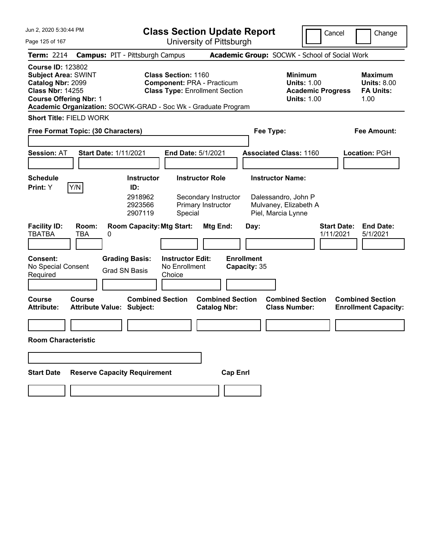| Jun 2, 2020 5:30:44 PM                                                                                                                  |                                                                                                                                                                           | <b>Class Section Update Report</b>                                                  |                                                                                        | Cancel<br>Change                                                 |
|-----------------------------------------------------------------------------------------------------------------------------------------|---------------------------------------------------------------------------------------------------------------------------------------------------------------------------|-------------------------------------------------------------------------------------|----------------------------------------------------------------------------------------|------------------------------------------------------------------|
| Page 125 of 167                                                                                                                         |                                                                                                                                                                           | University of Pittsburgh                                                            |                                                                                        |                                                                  |
| <b>Term: 2214</b>                                                                                                                       | <b>Campus: PIT - Pittsburgh Campus</b>                                                                                                                                    | Academic Group: SOCWK - School of Social Work                                       |                                                                                        |                                                                  |
| <b>Course ID: 123802</b><br><b>Subject Area: SWINT</b><br>Catalog Nbr: 2099<br><b>Class Nbr: 14255</b><br><b>Course Offering Nbr: 1</b> | <b>Class Section: 1160</b><br><b>Component: PRA - Practicum</b><br><b>Class Type: Enrollment Section</b><br>Academic Organization: SOCWK-GRAD - Soc Wk - Graduate Program |                                                                                     | <b>Minimum</b><br><b>Units: 1.00</b><br><b>Academic Progress</b><br><b>Units: 1.00</b> | <b>Maximum</b><br><b>Units: 8.00</b><br><b>FA Units:</b><br>1.00 |
| <b>Short Title: FIELD WORK</b>                                                                                                          |                                                                                                                                                                           |                                                                                     |                                                                                        |                                                                  |
| Free Format Topic: (30 Characters)                                                                                                      |                                                                                                                                                                           | Fee Type:                                                                           |                                                                                        | <b>Fee Amount:</b>                                               |
| <b>Session: AT</b>                                                                                                                      | <b>Start Date: 1/11/2021</b><br>End Date: 5/1/2021                                                                                                                        |                                                                                     | <b>Associated Class: 1160</b>                                                          | Location: PGH                                                    |
| <b>Schedule</b>                                                                                                                         | <b>Instructor</b>                                                                                                                                                         | <b>Instructor Role</b>                                                              | <b>Instructor Name:</b>                                                                |                                                                  |
| Y/N<br>Print: Y<br><b>Facility ID:</b><br>Room:<br><b>TBATBA</b><br><b>TBA</b><br>Consent:                                              | ID:<br>2918962<br>2923566<br>2907119<br>Special<br><b>Room Capacity: Mtg Start:</b><br>0<br><b>Grading Basis:</b><br><b>Instructor Edit:</b>                              | Secondary Instructor<br>Primary Instructor<br>Mtg End:<br>Day:<br><b>Enrollment</b> | Dalessandro, John P<br>Mulvaney, Elizabeth A<br>Piel, Marcia Lynne                     | <b>Start Date:</b><br><b>End Date:</b><br>1/11/2021<br>5/1/2021  |
| No Special Consent<br>Required                                                                                                          | No Enrollment<br><b>Grad SN Basis</b><br>Choice                                                                                                                           | Capacity: 35                                                                        |                                                                                        |                                                                  |
| <b>Course</b><br><b>Course</b><br><b>Attribute:</b>                                                                                     | <b>Combined Section</b><br><b>Attribute Value: Subject:</b>                                                                                                               | <b>Combined Section</b><br><b>Catalog Nbr:</b>                                      | <b>Combined Section</b><br><b>Class Number:</b>                                        | <b>Combined Section</b><br><b>Enrollment Capacity:</b>           |
|                                                                                                                                         |                                                                                                                                                                           |                                                                                     |                                                                                        |                                                                  |
| <b>Room Characteristic</b>                                                                                                              |                                                                                                                                                                           |                                                                                     |                                                                                        |                                                                  |
|                                                                                                                                         |                                                                                                                                                                           |                                                                                     |                                                                                        |                                                                  |
| <b>Start Date</b>                                                                                                                       | <b>Reserve Capacity Requirement</b>                                                                                                                                       | <b>Cap Enrl</b>                                                                     |                                                                                        |                                                                  |
|                                                                                                                                         |                                                                                                                                                                           |                                                                                     |                                                                                        |                                                                  |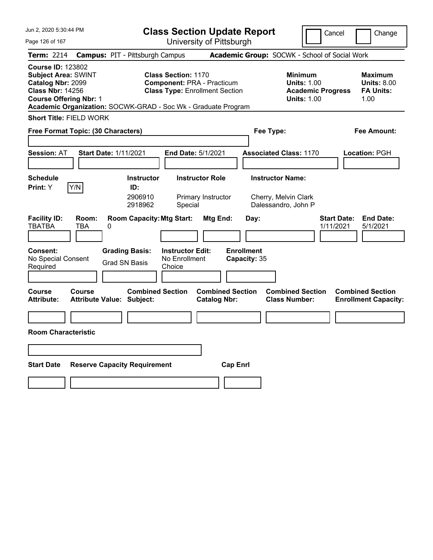| Jun 2, 2020 5:30:44 PM                                                                                                                  |                     |                                                               |                                                    | <b>Class Section Update Report</b>                                         |                                   |                                                                        | Cancel                          |                                                                  | Change |
|-----------------------------------------------------------------------------------------------------------------------------------------|---------------------|---------------------------------------------------------------|----------------------------------------------------|----------------------------------------------------------------------------|-----------------------------------|------------------------------------------------------------------------|---------------------------------|------------------------------------------------------------------|--------|
| Page 126 of 167                                                                                                                         |                     |                                                               |                                                    | University of Pittsburgh                                                   |                                   |                                                                        |                                 |                                                                  |        |
| <b>Term: 2214</b>                                                                                                                       |                     | <b>Campus: PIT - Pittsburgh Campus</b>                        |                                                    |                                                                            |                                   | Academic Group: SOCWK - School of Social Work                          |                                 |                                                                  |        |
| <b>Course ID: 123802</b><br><b>Subject Area: SWINT</b><br>Catalog Nbr: 2099<br><b>Class Nbr: 14256</b><br><b>Course Offering Nbr: 1</b> |                     | Academic Organization: SOCWK-GRAD - Soc Wk - Graduate Program | <b>Class Section: 1170</b>                         | <b>Component: PRA - Practicum</b><br><b>Class Type: Enrollment Section</b> |                                   | Minimum<br><b>Units: 1.00</b><br><b>Units: 1.00</b>                    | <b>Academic Progress</b>        | <b>Maximum</b><br><b>Units: 8.00</b><br><b>FA Units:</b><br>1.00 |        |
| <b>Short Title: FIELD WORK</b>                                                                                                          |                     |                                                               |                                                    |                                                                            |                                   |                                                                        |                                 |                                                                  |        |
| Free Format Topic: (30 Characters)                                                                                                      |                     |                                                               |                                                    |                                                                            |                                   | Fee Type:                                                              |                                 | Fee Amount:                                                      |        |
| <b>Session: AT</b>                                                                                                                      |                     | <b>Start Date: 1/11/2021</b>                                  |                                                    | End Date: 5/1/2021                                                         |                                   | <b>Associated Class: 1170</b>                                          |                                 | <b>Location: PGH</b>                                             |        |
| <b>Schedule</b><br><b>Print:</b> Y                                                                                                      | Y/N                 | <b>Instructor</b><br>ID:<br>2906910<br>2918962                | Special                                            | <b>Instructor Role</b><br>Primary Instructor                               |                                   | <b>Instructor Name:</b><br>Cherry, Melvin Clark<br>Dalessandro, John P |                                 |                                                                  |        |
| <b>Facility ID:</b><br><b>TBATBA</b>                                                                                                    | Room:<br><b>TBA</b> | <b>Room Capacity: Mtg Start:</b><br>0                         |                                                    | Mtg End:                                                                   | Day:                              |                                                                        | <b>Start Date:</b><br>1/11/2021 | <b>End Date:</b><br>5/1/2021                                     |        |
| <b>Consent:</b><br>No Special Consent<br>Required                                                                                       |                     | <b>Grading Basis:</b><br><b>Grad SN Basis</b>                 | <b>Instructor Edit:</b><br>No Enrollment<br>Choice |                                                                            | <b>Enrollment</b><br>Capacity: 35 |                                                                        |                                 |                                                                  |        |
| <b>Course</b><br><b>Attribute:</b>                                                                                                      | <b>Course</b>       | <b>Combined Section</b><br><b>Attribute Value: Subject:</b>   |                                                    | <b>Combined Section</b><br><b>Catalog Nbr:</b>                             |                                   | <b>Combined Section</b><br><b>Class Number:</b>                        |                                 | <b>Combined Section</b><br><b>Enrollment Capacity:</b>           |        |
|                                                                                                                                         |                     |                                                               |                                                    |                                                                            |                                   |                                                                        |                                 |                                                                  |        |
| <b>Room Characteristic</b>                                                                                                              |                     |                                                               |                                                    |                                                                            |                                   |                                                                        |                                 |                                                                  |        |
|                                                                                                                                         |                     |                                                               |                                                    |                                                                            |                                   |                                                                        |                                 |                                                                  |        |
| <b>Start Date</b>                                                                                                                       |                     | <b>Reserve Capacity Requirement</b>                           |                                                    | <b>Cap Enrl</b>                                                            |                                   |                                                                        |                                 |                                                                  |        |
|                                                                                                                                         |                     |                                                               |                                                    |                                                                            |                                   |                                                                        |                                 |                                                                  |        |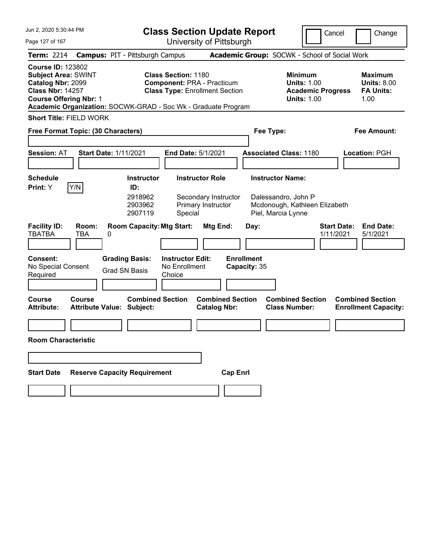| Jun 2, 2020 5:30:44 PM                                                                                                                                                                                   |                                  |                                                                          | <b>Class Section Update Report</b>                                                                       |                                                |                                   |                                                                                        | Cancel<br>Change                                                 |
|----------------------------------------------------------------------------------------------------------------------------------------------------------------------------------------------------------|----------------------------------|--------------------------------------------------------------------------|----------------------------------------------------------------------------------------------------------|------------------------------------------------|-----------------------------------|----------------------------------------------------------------------------------------|------------------------------------------------------------------|
| Page 127 of 167                                                                                                                                                                                          |                                  |                                                                          | University of Pittsburgh                                                                                 |                                                |                                   |                                                                                        |                                                                  |
| <b>Term: 2214</b>                                                                                                                                                                                        |                                  | <b>Campus: PIT - Pittsburgh Campus</b>                                   |                                                                                                          |                                                |                                   | Academic Group: SOCWK - School of Social Work                                          |                                                                  |
| <b>Course ID: 123802</b><br><b>Subject Area: SWINT</b><br>Catalog Nbr: 2099<br><b>Class Nbr: 14257</b><br><b>Course Offering Nbr: 1</b><br>Academic Organization: SOCWK-GRAD - Soc Wk - Graduate Program |                                  |                                                                          | <b>Class Section: 1180</b><br><b>Component: PRA - Practicum</b><br><b>Class Type: Enrollment Section</b> |                                                |                                   | <b>Minimum</b><br><b>Units: 1.00</b><br><b>Academic Progress</b><br><b>Units: 1.00</b> | <b>Maximum</b><br><b>Units: 8.00</b><br><b>FA Units:</b><br>1.00 |
| <b>Short Title: FIELD WORK</b>                                                                                                                                                                           |                                  |                                                                          |                                                                                                          |                                                |                                   |                                                                                        |                                                                  |
| Free Format Topic: (30 Characters)                                                                                                                                                                       |                                  |                                                                          |                                                                                                          |                                                | Fee Type:                         |                                                                                        | <b>Fee Amount:</b>                                               |
| <b>Session: AT</b>                                                                                                                                                                                       | <b>Start Date: 1/11/2021</b>     |                                                                          | End Date: 5/1/2021                                                                                       |                                                | <b>Associated Class: 1180</b>     |                                                                                        | Location: PGH                                                    |
| <b>Schedule</b>                                                                                                                                                                                          |                                  | <b>Instructor</b>                                                        | <b>Instructor Role</b>                                                                                   |                                                | <b>Instructor Name:</b>           |                                                                                        |                                                                  |
| Y/N<br>Print: Y<br><b>Facility ID:</b><br><b>TBATBA</b><br><b>TBA</b>                                                                                                                                    | Room:<br>0                       | ID:<br>2918962<br>2903962<br>2907119<br><b>Room Capacity: Mtg Start:</b> | <b>Primary Instructor</b><br>Special                                                                     | Secondary Instructor<br>Mtg End:               | Piel, Marcia Lynne<br>Day:        | Dalessandro, John P<br>Mcdonough, Kathleen Elizabeth                                   | <b>Start Date:</b><br><b>End Date:</b><br>1/11/2021<br>5/1/2021  |
| Consent:<br>No Special Consent<br>Required                                                                                                                                                               |                                  | <b>Grading Basis:</b><br><b>Grad SN Basis</b>                            | <b>Instructor Edit:</b><br>No Enrollment<br>Choice                                                       |                                                | <b>Enrollment</b><br>Capacity: 35 |                                                                                        |                                                                  |
| <b>Course</b><br><b>Course</b><br><b>Attribute:</b>                                                                                                                                                      | <b>Attribute Value: Subject:</b> | <b>Combined Section</b>                                                  |                                                                                                          | <b>Combined Section</b><br><b>Catalog Nbr:</b> |                                   | <b>Combined Section</b><br><b>Class Number:</b>                                        | <b>Combined Section</b><br><b>Enrollment Capacity:</b>           |
|                                                                                                                                                                                                          |                                  |                                                                          |                                                                                                          |                                                |                                   |                                                                                        |                                                                  |
| <b>Room Characteristic</b>                                                                                                                                                                               |                                  |                                                                          |                                                                                                          |                                                |                                   |                                                                                        |                                                                  |
|                                                                                                                                                                                                          |                                  |                                                                          |                                                                                                          |                                                |                                   |                                                                                        |                                                                  |
| <b>Start Date</b>                                                                                                                                                                                        |                                  | <b>Reserve Capacity Requirement</b>                                      |                                                                                                          | <b>Cap Enrl</b>                                |                                   |                                                                                        |                                                                  |
|                                                                                                                                                                                                          |                                  |                                                                          |                                                                                                          |                                                |                                   |                                                                                        |                                                                  |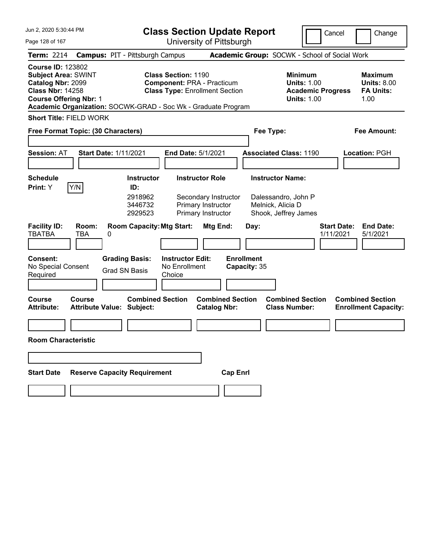| Jun 2, 2020 5:30:44 PM                                                                                                                  |                          |                                                                                                   | <b>Class Section Update Report</b>                                                                       |                                                                              |                                                |                                                                                        | Cancel<br>Change                                                 |
|-----------------------------------------------------------------------------------------------------------------------------------------|--------------------------|---------------------------------------------------------------------------------------------------|----------------------------------------------------------------------------------------------------------|------------------------------------------------------------------------------|------------------------------------------------|----------------------------------------------------------------------------------------|------------------------------------------------------------------|
| Page 128 of 167                                                                                                                         |                          |                                                                                                   | University of Pittsburgh                                                                                 |                                                                              |                                                |                                                                                        |                                                                  |
| <b>Term: 2214</b>                                                                                                                       |                          | <b>Campus: PIT - Pittsburgh Campus</b>                                                            |                                                                                                          |                                                                              |                                                | Academic Group: SOCWK - School of Social Work                                          |                                                                  |
| <b>Course ID: 123802</b><br><b>Subject Area: SWINT</b><br>Catalog Nbr: 2099<br><b>Class Nbr: 14258</b><br><b>Course Offering Nbr: 1</b> |                          | Academic Organization: SOCWK-GRAD - Soc Wk - Graduate Program                                     | <b>Class Section: 1190</b><br><b>Component: PRA - Practicum</b><br><b>Class Type: Enrollment Section</b> |                                                                              |                                                | <b>Minimum</b><br><b>Units: 1.00</b><br><b>Academic Progress</b><br><b>Units: 1.00</b> | <b>Maximum</b><br><b>Units: 8.00</b><br><b>FA Units:</b><br>1.00 |
| <b>Short Title: FIELD WORK</b>                                                                                                          |                          |                                                                                                   |                                                                                                          |                                                                              |                                                |                                                                                        |                                                                  |
| Free Format Topic: (30 Characters)                                                                                                      |                          |                                                                                                   |                                                                                                          |                                                                              | Fee Type:                                      |                                                                                        | <b>Fee Amount:</b>                                               |
| <b>Session: AT</b>                                                                                                                      |                          | <b>Start Date: 1/11/2021</b>                                                                      | End Date: 5/1/2021                                                                                       |                                                                              | <b>Associated Class: 1190</b>                  |                                                                                        | Location: PGH                                                    |
| <b>Schedule</b>                                                                                                                         |                          | <b>Instructor</b>                                                                                 | <b>Instructor Role</b>                                                                                   |                                                                              | <b>Instructor Name:</b>                        |                                                                                        |                                                                  |
| Y/N<br>Print: Y<br><b>Facility ID:</b><br><b>TBATBA</b><br>Consent:                                                                     | Room:<br><b>TBA</b><br>0 | ID:<br>2918962<br>3446732<br>2929523<br><b>Room Capacity: Mtg Start:</b><br><b>Grading Basis:</b> | <b>Instructor Edit:</b>                                                                                  | Secondary Instructor<br>Primary Instructor<br>Primary Instructor<br>Mtg End: | Melnick, Alicia D<br>Day:<br><b>Enrollment</b> | Dalessandro, John P<br>Shook, Jeffrey James                                            | <b>End Date:</b><br><b>Start Date:</b><br>1/11/2021<br>5/1/2021  |
| No Special Consent<br>Required                                                                                                          |                          | <b>Grad SN Basis</b>                                                                              | No Enrollment<br>Choice                                                                                  |                                                                              | Capacity: 35                                   |                                                                                        |                                                                  |
| <b>Course</b><br><b>Attribute:</b>                                                                                                      | <b>Course</b>            | <b>Combined Section</b><br><b>Attribute Value: Subject:</b>                                       |                                                                                                          | <b>Combined Section</b><br><b>Catalog Nbr:</b>                               |                                                | <b>Combined Section</b><br><b>Class Number:</b>                                        | <b>Combined Section</b><br><b>Enrollment Capacity:</b>           |
|                                                                                                                                         |                          |                                                                                                   |                                                                                                          |                                                                              |                                                |                                                                                        |                                                                  |
| <b>Room Characteristic</b>                                                                                                              |                          |                                                                                                   |                                                                                                          |                                                                              |                                                |                                                                                        |                                                                  |
|                                                                                                                                         |                          |                                                                                                   |                                                                                                          |                                                                              |                                                |                                                                                        |                                                                  |
| <b>Start Date</b>                                                                                                                       |                          | <b>Reserve Capacity Requirement</b>                                                               |                                                                                                          | <b>Cap Enrl</b>                                                              |                                                |                                                                                        |                                                                  |
|                                                                                                                                         |                          |                                                                                                   |                                                                                                          |                                                                              |                                                |                                                                                        |                                                                  |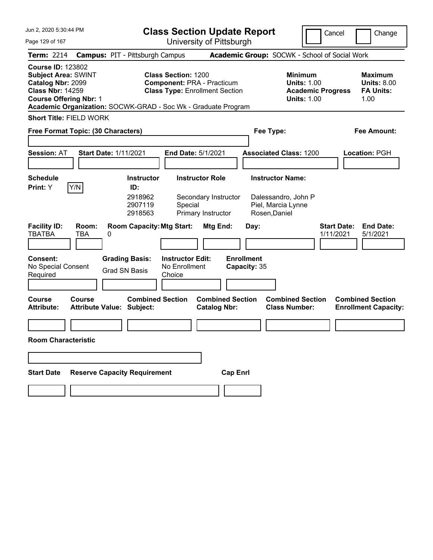| Jun 2, 2020 5:30:44 PM                                                                                                                  |                                                                                                                                                                    | <b>Class Section Update Report</b>                             |                                                                                        | Cancel<br>Change                                                 |
|-----------------------------------------------------------------------------------------------------------------------------------------|--------------------------------------------------------------------------------------------------------------------------------------------------------------------|----------------------------------------------------------------|----------------------------------------------------------------------------------------|------------------------------------------------------------------|
| Page 129 of 167                                                                                                                         |                                                                                                                                                                    | University of Pittsburgh                                       |                                                                                        |                                                                  |
| <b>Term: 2214</b>                                                                                                                       | <b>Campus: PIT - Pittsburgh Campus</b>                                                                                                                             |                                                                | Academic Group: SOCWK - School of Social Work                                          |                                                                  |
| <b>Course ID: 123802</b><br><b>Subject Area: SWINT</b><br>Catalog Nbr: 2099<br><b>Class Nbr: 14259</b><br><b>Course Offering Nbr: 1</b> | Class Section: 1200<br><b>Component: PRA - Practicum</b><br><b>Class Type: Enrollment Section</b><br>Academic Organization: SOCWK-GRAD - Soc Wk - Graduate Program |                                                                | <b>Minimum</b><br><b>Units: 1.00</b><br><b>Academic Progress</b><br><b>Units: 1.00</b> | <b>Maximum</b><br><b>Units: 8.00</b><br><b>FA Units:</b><br>1.00 |
| <b>Short Title: FIELD WORK</b>                                                                                                          |                                                                                                                                                                    |                                                                |                                                                                        |                                                                  |
| Free Format Topic: (30 Characters)                                                                                                      |                                                                                                                                                                    | Fee Type:                                                      |                                                                                        | <b>Fee Amount:</b>                                               |
| <b>Session: AT</b>                                                                                                                      | <b>Start Date: 1/11/2021</b><br>End Date: 5/1/2021                                                                                                                 |                                                                | <b>Associated Class: 1200</b>                                                          | <b>Location: PGH</b>                                             |
| <b>Schedule</b>                                                                                                                         | <b>Instructor</b>                                                                                                                                                  | <b>Instructor Role</b>                                         | <b>Instructor Name:</b>                                                                |                                                                  |
| Y/N<br>Print: Y<br><b>Facility ID:</b><br>Room:<br><b>TBATBA</b><br><b>TBA</b>                                                          | ID:<br>2918962<br>2907119<br>Special<br>2918563<br><b>Room Capacity: Mtg Start:</b><br>0                                                                           | Secondary Instructor<br>Primary Instructor<br>Mtg End:<br>Day: | Dalessandro, John P<br>Piel, Marcia Lynne<br>Rosen, Daniel                             | <b>Start Date:</b><br><b>End Date:</b><br>1/11/2021<br>5/1/2021  |
| <b>Consent:</b><br>No Special Consent<br>Required                                                                                       | <b>Grading Basis:</b><br><b>Instructor Edit:</b><br>No Enrollment<br><b>Grad SN Basis</b><br>Choice                                                                | <b>Enrollment</b><br>Capacity: 35                              |                                                                                        |                                                                  |
| Course<br><b>Course</b><br><b>Attribute:</b>                                                                                            | <b>Combined Section</b><br><b>Attribute Value: Subject:</b>                                                                                                        | <b>Combined Section</b><br><b>Catalog Nbr:</b>                 | <b>Combined Section</b><br><b>Class Number:</b>                                        | <b>Combined Section</b><br><b>Enrollment Capacity:</b>           |
| <b>Room Characteristic</b>                                                                                                              |                                                                                                                                                                    |                                                                |                                                                                        |                                                                  |
|                                                                                                                                         |                                                                                                                                                                    |                                                                |                                                                                        |                                                                  |
| <b>Start Date</b>                                                                                                                       | <b>Reserve Capacity Requirement</b>                                                                                                                                | <b>Cap Enrl</b>                                                |                                                                                        |                                                                  |
|                                                                                                                                         |                                                                                                                                                                    |                                                                |                                                                                        |                                                                  |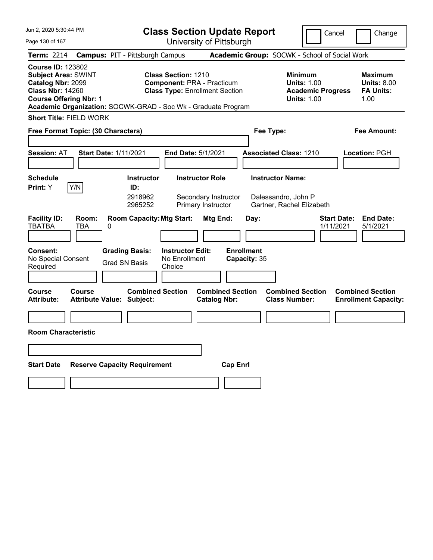| Jun 2, 2020 5:30:44 PM                                                                                                                                                                                   |                                                             |                                                                                                          | <b>Class Section Update Report</b> |                                                                                 | Cancel<br>Change                                                |
|----------------------------------------------------------------------------------------------------------------------------------------------------------------------------------------------------------|-------------------------------------------------------------|----------------------------------------------------------------------------------------------------------|------------------------------------|---------------------------------------------------------------------------------|-----------------------------------------------------------------|
| Page 130 of 167                                                                                                                                                                                          |                                                             | University of Pittsburgh                                                                                 |                                    |                                                                                 |                                                                 |
| <b>Term: 2214</b>                                                                                                                                                                                        | <b>Campus: PIT - Pittsburgh Campus</b>                      |                                                                                                          |                                    | Academic Group: SOCWK - School of Social Work                                   |                                                                 |
| <b>Course ID: 123802</b><br><b>Subject Area: SWINT</b><br>Catalog Nbr: 2099<br><b>Class Nbr: 14260</b><br><b>Course Offering Nbr: 1</b><br>Academic Organization: SOCWK-GRAD - Soc Wk - Graduate Program |                                                             | <b>Class Section: 1210</b><br><b>Component: PRA - Practicum</b><br><b>Class Type: Enrollment Section</b> |                                    | Minimum<br><b>Units: 1.00</b><br><b>Academic Progress</b><br><b>Units: 1.00</b> | Maximum<br><b>Units: 8.00</b><br><b>FA Units:</b><br>1.00       |
| <b>Short Title: FIELD WORK</b>                                                                                                                                                                           |                                                             |                                                                                                          |                                    |                                                                                 |                                                                 |
| Free Format Topic: (30 Characters)                                                                                                                                                                       |                                                             |                                                                                                          | Fee Type:                          |                                                                                 | Fee Amount:                                                     |
| <b>Session: AT</b>                                                                                                                                                                                       | <b>Start Date: 1/11/2021</b>                                | End Date: 5/1/2021                                                                                       |                                    | <b>Associated Class: 1210</b>                                                   | <b>Location: PGH</b>                                            |
| <b>Schedule</b><br>Y/N<br><b>Print:</b> Y                                                                                                                                                                | <b>Instructor</b><br>ID:<br>2918962<br>2965252              | <b>Instructor Role</b><br>Secondary Instructor<br>Primary Instructor                                     |                                    | <b>Instructor Name:</b><br>Dalessandro, John P<br>Gartner, Rachel Elizabeth     |                                                                 |
| <b>Facility ID:</b><br>Room:<br><b>TBATBA</b><br><b>TBA</b>                                                                                                                                              | <b>Room Capacity: Mtg Start:</b><br>0                       | Mtg End:                                                                                                 | Day:                               |                                                                                 | <b>Start Date:</b><br><b>End Date:</b><br>1/11/2021<br>5/1/2021 |
| <b>Consent:</b><br>No Special Consent<br>Required                                                                                                                                                        | <b>Grading Basis:</b><br><b>Grad SN Basis</b><br>Choice     | <b>Instructor Edit:</b><br>No Enrollment                                                                 | <b>Enrollment</b><br>Capacity: 35  |                                                                                 |                                                                 |
| <b>Course</b><br><b>Course</b><br><b>Attribute:</b>                                                                                                                                                      | <b>Combined Section</b><br><b>Attribute Value: Subject:</b> | <b>Catalog Nbr:</b>                                                                                      | <b>Combined Section</b>            | <b>Combined Section</b><br><b>Class Number:</b>                                 | <b>Combined Section</b><br><b>Enrollment Capacity:</b>          |
|                                                                                                                                                                                                          |                                                             |                                                                                                          |                                    |                                                                                 |                                                                 |
| <b>Room Characteristic</b>                                                                                                                                                                               |                                                             |                                                                                                          |                                    |                                                                                 |                                                                 |
|                                                                                                                                                                                                          |                                                             |                                                                                                          |                                    |                                                                                 |                                                                 |
| <b>Start Date</b>                                                                                                                                                                                        | <b>Reserve Capacity Requirement</b>                         |                                                                                                          | <b>Cap Enrl</b>                    |                                                                                 |                                                                 |
|                                                                                                                                                                                                          |                                                             |                                                                                                          |                                    |                                                                                 |                                                                 |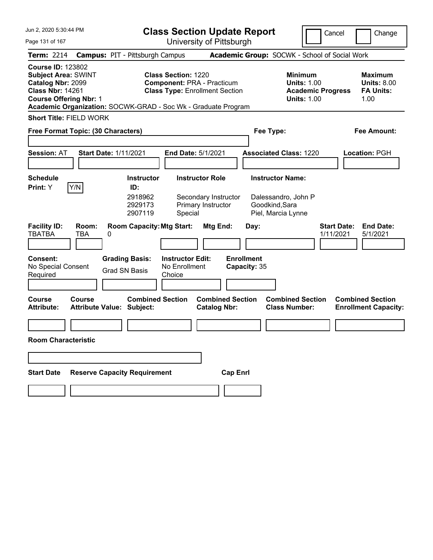| Jun 2, 2020 5:30:44 PM                                                                                                                  |                            |                                                                                                                                |                                                     | <b>Class Section Update Report</b>                                         |                                           |                                                             | Cancel                   |                    | Change                                                           |
|-----------------------------------------------------------------------------------------------------------------------------------------|----------------------------|--------------------------------------------------------------------------------------------------------------------------------|-----------------------------------------------------|----------------------------------------------------------------------------|-------------------------------------------|-------------------------------------------------------------|--------------------------|--------------------|------------------------------------------------------------------|
| Page 131 of 167                                                                                                                         |                            |                                                                                                                                |                                                     | University of Pittsburgh                                                   |                                           |                                                             |                          |                    |                                                                  |
| <b>Term: 2214</b>                                                                                                                       |                            | <b>Campus: PIT - Pittsburgh Campus</b>                                                                                         |                                                     |                                                                            |                                           | Academic Group: SOCWK - School of Social Work               |                          |                    |                                                                  |
| <b>Course ID: 123802</b><br><b>Subject Area: SWINT</b><br>Catalog Nbr: 2099<br><b>Class Nbr: 14261</b><br><b>Course Offering Nbr: 1</b> |                            | Academic Organization: SOCWK-GRAD - Soc Wk - Graduate Program                                                                  | Class Section: 1220                                 | <b>Component: PRA - Practicum</b><br><b>Class Type: Enrollment Section</b> |                                           | <b>Minimum</b><br><b>Units: 1.00</b><br><b>Units: 1.00</b>  | <b>Academic Progress</b> |                    | <b>Maximum</b><br><b>Units: 8.00</b><br><b>FA Units:</b><br>1.00 |
| <b>Short Title: FIELD WORK</b>                                                                                                          |                            |                                                                                                                                |                                                     |                                                                            |                                           |                                                             |                          |                    |                                                                  |
| Free Format Topic: (30 Characters)                                                                                                      |                            |                                                                                                                                |                                                     |                                                                            | Fee Type:                                 |                                                             |                          |                    | <b>Fee Amount:</b>                                               |
| <b>Session: AT</b>                                                                                                                      |                            | <b>Start Date: 1/11/2021</b>                                                                                                   | End Date: 5/1/2021                                  |                                                                            |                                           | <b>Associated Class: 1220</b>                               |                          |                    | <b>Location: PGH</b>                                             |
| <b>Schedule</b>                                                                                                                         |                            | <b>Instructor</b>                                                                                                              |                                                     | <b>Instructor Role</b>                                                     |                                           | <b>Instructor Name:</b>                                     |                          |                    |                                                                  |
| Print: Y<br><b>Facility ID:</b><br><b>TBATBA</b><br><b>Consent:</b><br>No Special Consent                                               | Y/N<br>Room:<br><b>TBA</b> | ID:<br>2918962<br>2929173<br>2907119<br><b>Room Capacity: Mtg Start:</b><br>0<br><b>Grading Basis:</b><br><b>Grad SN Basis</b> | Special<br><b>Instructor Edit:</b><br>No Enrollment | Secondary Instructor<br>Primary Instructor<br>Mtg End:                     | Day:<br><b>Enrollment</b><br>Capacity: 35 | Dalessandro, John P<br>Goodkind, Sara<br>Piel, Marcia Lynne | 1/11/2021                | <b>Start Date:</b> | <b>End Date:</b><br>5/1/2021                                     |
| Required                                                                                                                                |                            |                                                                                                                                | Choice                                              |                                                                            |                                           |                                                             |                          |                    |                                                                  |
| <b>Course</b><br><b>Attribute:</b><br><b>Room Characteristic</b>                                                                        | Course                     | <b>Combined Section</b><br><b>Attribute Value: Subject:</b>                                                                    |                                                     | <b>Combined Section</b><br><b>Catalog Nbr:</b>                             |                                           | <b>Combined Section</b><br><b>Class Number:</b>             |                          |                    | <b>Combined Section</b><br><b>Enrollment Capacity:</b>           |
|                                                                                                                                         |                            |                                                                                                                                |                                                     |                                                                            |                                           |                                                             |                          |                    |                                                                  |
|                                                                                                                                         |                            |                                                                                                                                |                                                     |                                                                            |                                           |                                                             |                          |                    |                                                                  |
| <b>Start Date</b>                                                                                                                       |                            | <b>Reserve Capacity Requirement</b>                                                                                            |                                                     | <b>Cap Enrl</b>                                                            |                                           |                                                             |                          |                    |                                                                  |
|                                                                                                                                         |                            |                                                                                                                                |                                                     |                                                                            |                                           |                                                             |                          |                    |                                                                  |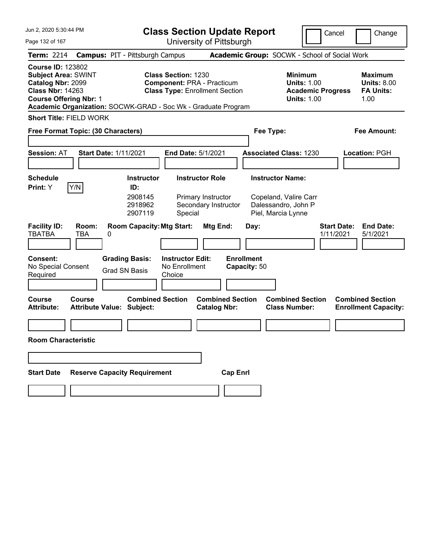| Jun 2, 2020 5:30:44 PM                                                                                                                  |                                                                                                                                                                           | <b>Class Section Update Report</b>                                                  |                                                                                        | Cancel<br>Change                                                 |
|-----------------------------------------------------------------------------------------------------------------------------------------|---------------------------------------------------------------------------------------------------------------------------------------------------------------------------|-------------------------------------------------------------------------------------|----------------------------------------------------------------------------------------|------------------------------------------------------------------|
| Page 132 of 167                                                                                                                         | University of Pittsburgh                                                                                                                                                  |                                                                                     |                                                                                        |                                                                  |
| <b>Term: 2214</b>                                                                                                                       | <b>Campus: PIT - Pittsburgh Campus</b>                                                                                                                                    |                                                                                     | Academic Group: SOCWK - School of Social Work                                          |                                                                  |
| <b>Course ID: 123802</b><br><b>Subject Area: SWINT</b><br>Catalog Nbr: 2099<br><b>Class Nbr: 14263</b><br><b>Course Offering Nbr: 1</b> | <b>Class Section: 1230</b><br><b>Component: PRA - Practicum</b><br><b>Class Type: Enrollment Section</b><br>Academic Organization: SOCWK-GRAD - Soc Wk - Graduate Program |                                                                                     | <b>Minimum</b><br><b>Units: 1.00</b><br><b>Academic Progress</b><br><b>Units: 1.00</b> | <b>Maximum</b><br><b>Units: 8.00</b><br><b>FA Units:</b><br>1.00 |
| <b>Short Title: FIELD WORK</b>                                                                                                          |                                                                                                                                                                           |                                                                                     |                                                                                        |                                                                  |
| Free Format Topic: (30 Characters)                                                                                                      |                                                                                                                                                                           |                                                                                     | Fee Type:                                                                              | <b>Fee Amount:</b>                                               |
| <b>Session: AT</b>                                                                                                                      | <b>Start Date: 1/11/2021</b><br>End Date: 5/1/2021                                                                                                                        |                                                                                     | <b>Associated Class: 1230</b>                                                          | Location: PGH                                                    |
| <b>Schedule</b>                                                                                                                         | <b>Instructor</b>                                                                                                                                                         | <b>Instructor Role</b>                                                              | <b>Instructor Name:</b>                                                                |                                                                  |
| Y/N<br>Print: Y<br><b>Facility ID:</b><br>Room:<br><b>TBATBA</b><br><b>TBA</b><br>Consent:                                              | ID:<br>2908145<br>2918962<br>2907119<br>Special<br><b>Room Capacity: Mtg Start:</b><br>0<br><b>Grading Basis:</b><br><b>Instructor Edit:</b>                              | Primary Instructor<br>Secondary Instructor<br>Mtg End:<br>Day:<br><b>Enrollment</b> | Copeland, Valire Carr<br>Dalessandro, John P<br>Piel, Marcia Lynne                     | <b>Start Date:</b><br><b>End Date:</b><br>1/11/2021<br>5/1/2021  |
| No Special Consent<br>Required                                                                                                          | No Enrollment<br><b>Grad SN Basis</b><br>Choice                                                                                                                           | Capacity: 50                                                                        |                                                                                        |                                                                  |
| <b>Course</b><br><b>Course</b><br><b>Attribute:</b>                                                                                     | <b>Combined Section</b><br><b>Attribute Value: Subject:</b>                                                                                                               | <b>Combined Section</b><br><b>Catalog Nbr:</b>                                      | <b>Combined Section</b><br><b>Class Number:</b>                                        | <b>Combined Section</b><br><b>Enrollment Capacity:</b>           |
|                                                                                                                                         |                                                                                                                                                                           |                                                                                     |                                                                                        |                                                                  |
| <b>Room Characteristic</b>                                                                                                              |                                                                                                                                                                           |                                                                                     |                                                                                        |                                                                  |
|                                                                                                                                         |                                                                                                                                                                           |                                                                                     |                                                                                        |                                                                  |
| <b>Start Date</b>                                                                                                                       | <b>Reserve Capacity Requirement</b>                                                                                                                                       | <b>Cap Enrl</b>                                                                     |                                                                                        |                                                                  |
|                                                                                                                                         |                                                                                                                                                                           |                                                                                     |                                                                                        |                                                                  |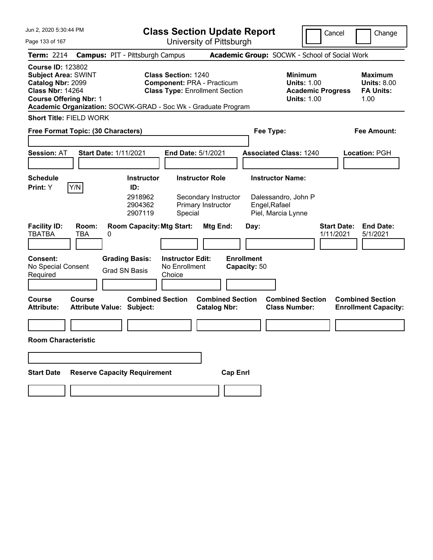| Jun 2, 2020 5:30:44 PM                                                                                                                  |                                                                                                                                                                           | <b>Class Section Update Report</b>             |                                                                                        | Cancel<br>Change                                                 |
|-----------------------------------------------------------------------------------------------------------------------------------------|---------------------------------------------------------------------------------------------------------------------------------------------------------------------------|------------------------------------------------|----------------------------------------------------------------------------------------|------------------------------------------------------------------|
| Page 133 of 167                                                                                                                         | University of Pittsburgh                                                                                                                                                  |                                                |                                                                                        |                                                                  |
| <b>Term: 2214</b>                                                                                                                       | <b>Campus: PIT - Pittsburgh Campus</b>                                                                                                                                    |                                                | Academic Group: SOCWK - School of Social Work                                          |                                                                  |
| <b>Course ID: 123802</b><br><b>Subject Area: SWINT</b><br>Catalog Nbr: 2099<br><b>Class Nbr: 14264</b><br><b>Course Offering Nbr: 1</b> | <b>Class Section: 1240</b><br><b>Component: PRA - Practicum</b><br><b>Class Type: Enrollment Section</b><br>Academic Organization: SOCWK-GRAD - Soc Wk - Graduate Program |                                                | <b>Minimum</b><br><b>Units: 1.00</b><br><b>Academic Progress</b><br><b>Units: 1.00</b> | <b>Maximum</b><br><b>Units: 8.00</b><br><b>FA Units:</b><br>1.00 |
| <b>Short Title: FIELD WORK</b>                                                                                                          |                                                                                                                                                                           |                                                |                                                                                        |                                                                  |
| Free Format Topic: (30 Characters)                                                                                                      |                                                                                                                                                                           |                                                | Fee Type:                                                                              | <b>Fee Amount:</b>                                               |
| <b>Session: AT</b>                                                                                                                      | <b>Start Date: 1/11/2021</b><br>End Date: 5/1/2021                                                                                                                        |                                                | <b>Associated Class: 1240</b>                                                          | Location: PGH                                                    |
| <b>Schedule</b>                                                                                                                         | <b>Instructor</b>                                                                                                                                                         | <b>Instructor Role</b>                         | <b>Instructor Name:</b>                                                                |                                                                  |
| Y/N<br>Print: Y                                                                                                                         | ID:<br>2918962<br>2904362<br>2907119<br>Special                                                                                                                           | Secondary Instructor<br>Primary Instructor     | Dalessandro, John P<br>Engel, Rafael<br>Piel, Marcia Lynne                             |                                                                  |
| <b>Facility ID:</b><br>Room:<br><b>TBATBA</b><br><b>TBA</b>                                                                             | <b>Room Capacity: Mtg Start:</b><br>0                                                                                                                                     | Mtg End:<br>Day:                               |                                                                                        | <b>Start Date:</b><br><b>End Date:</b><br>1/11/2021<br>5/1/2021  |
| Consent:<br>No Special Consent<br>Required                                                                                              | <b>Grading Basis:</b><br><b>Instructor Edit:</b><br>No Enrollment<br><b>Grad SN Basis</b><br>Choice                                                                       | <b>Enrollment</b><br>Capacity: 50              |                                                                                        |                                                                  |
| <b>Course</b><br><b>Course</b><br><b>Attribute:</b>                                                                                     | <b>Combined Section</b><br><b>Attribute Value: Subject:</b>                                                                                                               | <b>Combined Section</b><br><b>Catalog Nbr:</b> | <b>Combined Section</b><br><b>Class Number:</b>                                        | <b>Combined Section</b><br><b>Enrollment Capacity:</b>           |
|                                                                                                                                         |                                                                                                                                                                           |                                                |                                                                                        |                                                                  |
| <b>Room Characteristic</b>                                                                                                              |                                                                                                                                                                           |                                                |                                                                                        |                                                                  |
|                                                                                                                                         |                                                                                                                                                                           |                                                |                                                                                        |                                                                  |
| <b>Start Date</b>                                                                                                                       | <b>Reserve Capacity Requirement</b>                                                                                                                                       | <b>Cap Enrl</b>                                |                                                                                        |                                                                  |
|                                                                                                                                         |                                                                                                                                                                           |                                                |                                                                                        |                                                                  |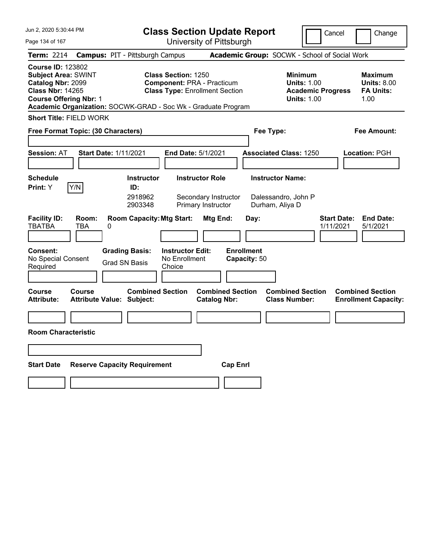| Jun 2, 2020 5:30:44 PM                                                                                                                                                                                   |                                                             | <b>Class Section Update Report</b>                                                                       |                                               |                                                                                 | Cancel<br>Change                                                |
|----------------------------------------------------------------------------------------------------------------------------------------------------------------------------------------------------------|-------------------------------------------------------------|----------------------------------------------------------------------------------------------------------|-----------------------------------------------|---------------------------------------------------------------------------------|-----------------------------------------------------------------|
| Page 134 of 167                                                                                                                                                                                          |                                                             | University of Pittsburgh                                                                                 |                                               |                                                                                 |                                                                 |
| <b>Term: 2214</b>                                                                                                                                                                                        | <b>Campus: PIT - Pittsburgh Campus</b>                      |                                                                                                          | Academic Group: SOCWK - School of Social Work |                                                                                 |                                                                 |
| <b>Course ID: 123802</b><br><b>Subject Area: SWINT</b><br>Catalog Nbr: 2099<br><b>Class Nbr: 14265</b><br><b>Course Offering Nbr: 1</b><br>Academic Organization: SOCWK-GRAD - Soc Wk - Graduate Program |                                                             | <b>Class Section: 1250</b><br><b>Component: PRA - Practicum</b><br><b>Class Type: Enrollment Section</b> |                                               | Minimum<br><b>Units: 1.00</b><br><b>Academic Progress</b><br><b>Units: 1.00</b> | Maximum<br><b>Units: 8.00</b><br><b>FA Units:</b><br>1.00       |
| <b>Short Title: FIELD WORK</b>                                                                                                                                                                           |                                                             |                                                                                                          |                                               |                                                                                 |                                                                 |
| Free Format Topic: (30 Characters)                                                                                                                                                                       |                                                             |                                                                                                          | Fee Type:                                     |                                                                                 | Fee Amount:                                                     |
| <b>Session: AT</b>                                                                                                                                                                                       | <b>Start Date: 1/11/2021</b>                                | End Date: 5/1/2021                                                                                       | <b>Associated Class: 1250</b>                 |                                                                                 | <b>Location: PGH</b>                                            |
| <b>Schedule</b><br>Y/N<br><b>Print:</b> Y                                                                                                                                                                | <b>Instructor</b><br>ID:<br>2918962<br>2903348              | <b>Instructor Role</b><br>Secondary Instructor<br>Primary Instructor                                     | <b>Instructor Name:</b><br>Durham, Aliya D    | Dalessandro, John P                                                             |                                                                 |
| <b>Facility ID:</b><br>Room:<br><b>TBATBA</b><br><b>TBA</b>                                                                                                                                              | <b>Room Capacity: Mtg Start:</b><br>0                       | Mtg End:                                                                                                 | Day:                                          |                                                                                 | <b>Start Date:</b><br><b>End Date:</b><br>1/11/2021<br>5/1/2021 |
| <b>Consent:</b><br>No Special Consent<br>Required                                                                                                                                                        | <b>Grading Basis:</b><br><b>Grad SN Basis</b>               | <b>Instructor Edit:</b><br>No Enrollment<br>Choice                                                       | <b>Enrollment</b><br>Capacity: 50             |                                                                                 |                                                                 |
| <b>Course</b><br><b>Course</b><br><b>Attribute:</b>                                                                                                                                                      | <b>Combined Section</b><br><b>Attribute Value: Subject:</b> | <b>Catalog Nbr:</b>                                                                                      | <b>Combined Section</b>                       | <b>Combined Section</b><br><b>Class Number:</b>                                 | <b>Combined Section</b><br><b>Enrollment Capacity:</b>          |
|                                                                                                                                                                                                          |                                                             |                                                                                                          |                                               |                                                                                 |                                                                 |
| <b>Room Characteristic</b>                                                                                                                                                                               |                                                             |                                                                                                          |                                               |                                                                                 |                                                                 |
|                                                                                                                                                                                                          |                                                             |                                                                                                          |                                               |                                                                                 |                                                                 |
| <b>Start Date</b>                                                                                                                                                                                        | <b>Reserve Capacity Requirement</b>                         |                                                                                                          | <b>Cap Enrl</b>                               |                                                                                 |                                                                 |
|                                                                                                                                                                                                          |                                                             |                                                                                                          |                                               |                                                                                 |                                                                 |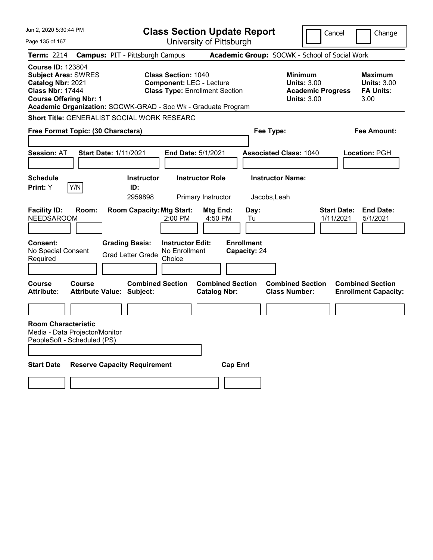| Jun 2, 2020 5:30:44 PM                                                                                                                  |               |                                                               |                                                               | <b>Class Section Update Report</b>             |                                   |                                                                                        | Cancel                          | Change                                                           |
|-----------------------------------------------------------------------------------------------------------------------------------------|---------------|---------------------------------------------------------------|---------------------------------------------------------------|------------------------------------------------|-----------------------------------|----------------------------------------------------------------------------------------|---------------------------------|------------------------------------------------------------------|
| Page 135 of 167                                                                                                                         |               |                                                               |                                                               | University of Pittsburgh                       |                                   |                                                                                        |                                 |                                                                  |
| <b>Term: 2214</b>                                                                                                                       |               | <b>Campus: PIT - Pittsburgh Campus</b>                        |                                                               |                                                |                                   | Academic Group: SOCWK - School of Social Work                                          |                                 |                                                                  |
| <b>Course ID: 123804</b><br><b>Subject Area: SWRES</b><br>Catalog Nbr: 2021<br><b>Class Nbr: 17444</b><br><b>Course Offering Nbr: 1</b> |               | Academic Organization: SOCWK-GRAD - Soc Wk - Graduate Program | <b>Class Section: 1040</b><br><b>Component: LEC - Lecture</b> | <b>Class Type: Enrollment Section</b>          |                                   | <b>Minimum</b><br><b>Units: 3.00</b><br><b>Academic Progress</b><br><b>Units: 3.00</b> |                                 | <b>Maximum</b><br><b>Units: 3.00</b><br><b>FA Units:</b><br>3.00 |
|                                                                                                                                         |               | Short Title: GENERALIST SOCIAL WORK RESEARC                   |                                                               |                                                |                                   |                                                                                        |                                 |                                                                  |
| Free Format Topic: (30 Characters)                                                                                                      |               |                                                               |                                                               |                                                | Fee Type:                         |                                                                                        |                                 | Fee Amount:                                                      |
|                                                                                                                                         |               |                                                               |                                                               |                                                |                                   |                                                                                        |                                 |                                                                  |
| <b>Session: AT</b>                                                                                                                      |               | <b>Start Date: 1/11/2021</b>                                  | End Date: 5/1/2021                                            |                                                |                                   | <b>Associated Class: 1040</b>                                                          |                                 | Location: PGH                                                    |
|                                                                                                                                         |               |                                                               |                                                               |                                                |                                   |                                                                                        |                                 |                                                                  |
| <b>Schedule</b>                                                                                                                         |               | <b>Instructor</b>                                             |                                                               | <b>Instructor Role</b>                         |                                   | <b>Instructor Name:</b>                                                                |                                 |                                                                  |
| <b>Print:</b> Y                                                                                                                         | Y/N           | ID:                                                           |                                                               |                                                |                                   |                                                                                        |                                 |                                                                  |
|                                                                                                                                         |               | 2959898                                                       |                                                               | Primary Instructor                             | Jacobs, Leah                      |                                                                                        |                                 |                                                                  |
| <b>Facility ID:</b><br><b>NEEDSAROOM</b>                                                                                                | Room:         | <b>Room Capacity: Mtg Start:</b>                              | 2:00 PM                                                       | Mtg End:<br>4:50 PM                            | Day:<br>Tu                        |                                                                                        | <b>Start Date:</b><br>1/11/2021 | <b>End Date:</b><br>5/1/2021                                     |
| Consent:<br>No Special Consent<br>Required                                                                                              |               | <b>Grading Basis:</b><br><b>Grad Letter Grade</b>             | <b>Instructor Edit:</b><br>No Enrollment<br>Choice            |                                                | <b>Enrollment</b><br>Capacity: 24 |                                                                                        |                                 |                                                                  |
|                                                                                                                                         |               |                                                               |                                                               |                                                |                                   |                                                                                        |                                 |                                                                  |
| Course<br><b>Attribute:</b>                                                                                                             | <b>Course</b> | <b>Combined Section</b><br><b>Attribute Value: Subject:</b>   |                                                               | <b>Combined Section</b><br><b>Catalog Nbr:</b> |                                   | <b>Combined Section</b><br><b>Class Number:</b>                                        |                                 | <b>Combined Section</b><br><b>Enrollment Capacity:</b>           |
|                                                                                                                                         |               |                                                               |                                                               |                                                |                                   |                                                                                        |                                 |                                                                  |
| <b>Room Characteristic</b><br>Media - Data Projector/Monitor<br>PeopleSoft - Scheduled (PS)                                             |               |                                                               |                                                               |                                                |                                   |                                                                                        |                                 |                                                                  |
| <b>Start Date</b>                                                                                                                       |               | <b>Reserve Capacity Requirement</b>                           |                                                               | <b>Cap Enrl</b>                                |                                   |                                                                                        |                                 |                                                                  |
|                                                                                                                                         |               |                                                               |                                                               |                                                |                                   |                                                                                        |                                 |                                                                  |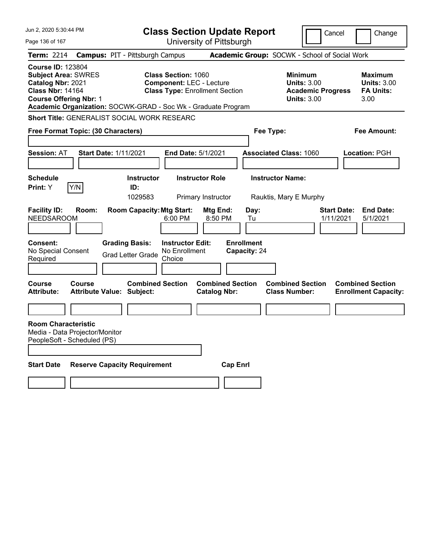| Jun 2, 2020 5:30:44 PM                                                                                                                  | <b>Class Section Update Report</b>                                                                                                                                      |                                                                               | Cancel                                                                                 | Change                                                           |
|-----------------------------------------------------------------------------------------------------------------------------------------|-------------------------------------------------------------------------------------------------------------------------------------------------------------------------|-------------------------------------------------------------------------------|----------------------------------------------------------------------------------------|------------------------------------------------------------------|
| Page 136 of 167                                                                                                                         |                                                                                                                                                                         | University of Pittsburgh                                                      |                                                                                        |                                                                  |
| <b>Term: 2214</b>                                                                                                                       | <b>Campus: PIT - Pittsburgh Campus</b>                                                                                                                                  |                                                                               | Academic Group: SOCWK - School of Social Work                                          |                                                                  |
| <b>Course ID: 123804</b><br><b>Subject Area: SWRES</b><br>Catalog Nbr: 2021<br><b>Class Nbr: 14164</b><br><b>Course Offering Nbr: 1</b> | <b>Class Section: 1060</b><br><b>Component: LEC - Lecture</b><br><b>Class Type: Enrollment Section</b><br>Academic Organization: SOCWK-GRAD - Soc Wk - Graduate Program |                                                                               | <b>Minimum</b><br><b>Units: 3.00</b><br><b>Academic Progress</b><br><b>Units: 3.00</b> | <b>Maximum</b><br><b>Units: 3.00</b><br><b>FA Units:</b><br>3.00 |
|                                                                                                                                         | Short Title: GENERALIST SOCIAL WORK RESEARC                                                                                                                             |                                                                               |                                                                                        |                                                                  |
| Free Format Topic: (30 Characters)                                                                                                      |                                                                                                                                                                         |                                                                               | Fee Type:                                                                              | Fee Amount:                                                      |
|                                                                                                                                         |                                                                                                                                                                         |                                                                               |                                                                                        |                                                                  |
| <b>Session: AT</b>                                                                                                                      | <b>Start Date: 1/11/2021</b><br>End Date: 5/1/2021                                                                                                                      |                                                                               | <b>Associated Class: 1060</b>                                                          | Location: PGH                                                    |
|                                                                                                                                         |                                                                                                                                                                         |                                                                               |                                                                                        |                                                                  |
| <b>Schedule</b>                                                                                                                         | <b>Instructor Role</b><br><b>Instructor</b>                                                                                                                             |                                                                               | <b>Instructor Name:</b>                                                                |                                                                  |
| Y/N<br><b>Print:</b> Y                                                                                                                  | ID:<br>1029583<br>Primary Instructor                                                                                                                                    |                                                                               | Rauktis, Mary E Murphy                                                                 |                                                                  |
| <b>Facility ID:</b><br>Room:<br><b>NEEDSAROOM</b><br>Consent:<br>No Special Consent<br>Required                                         | <b>Room Capacity: Mtg Start:</b><br>6:00 PM<br><b>Grading Basis:</b><br><b>Instructor Edit:</b><br>No Enrollment<br><b>Grad Letter Grade</b><br>Choice                  | <b>Mtg End:</b><br>Day:<br>8:50 PM<br>Tu<br><b>Enrollment</b><br>Capacity: 24 | <b>Start Date:</b><br>1/11/2021                                                        | <b>End Date:</b><br>5/1/2021                                     |
| <b>Course</b><br>Course<br><b>Attribute:</b>                                                                                            | <b>Combined Section</b><br><b>Attribute Value: Subject:</b>                                                                                                             | <b>Combined Section</b><br><b>Catalog Nbr:</b>                                | <b>Combined Section</b><br><b>Class Number:</b>                                        | <b>Combined Section</b><br><b>Enrollment Capacity:</b>           |
|                                                                                                                                         |                                                                                                                                                                         |                                                                               |                                                                                        |                                                                  |
| <b>Room Characteristic</b><br>Media - Data Projector/Monitor<br>PeopleSoft - Scheduled (PS)                                             |                                                                                                                                                                         |                                                                               |                                                                                        |                                                                  |
| <b>Start Date</b>                                                                                                                       | <b>Reserve Capacity Requirement</b>                                                                                                                                     | <b>Cap Enrl</b>                                                               |                                                                                        |                                                                  |
|                                                                                                                                         |                                                                                                                                                                         |                                                                               |                                                                                        |                                                                  |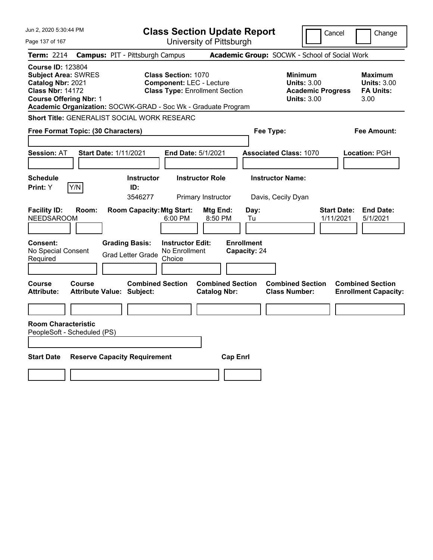| Jun 2, 2020 5:30:44 PM                                                                                                                  | <b>Class Section Update Report</b>                                                                                                                                      |                                                                                                   | Cancel<br>Change                                                                                                                                           |
|-----------------------------------------------------------------------------------------------------------------------------------------|-------------------------------------------------------------------------------------------------------------------------------------------------------------------------|---------------------------------------------------------------------------------------------------|------------------------------------------------------------------------------------------------------------------------------------------------------------|
| Page 137 of 167                                                                                                                         | University of Pittsburgh                                                                                                                                                |                                                                                                   |                                                                                                                                                            |
| <b>Term: 2214</b>                                                                                                                       | <b>Campus: PIT - Pittsburgh Campus</b>                                                                                                                                  | Academic Group: SOCWK - School of Social Work                                                     |                                                                                                                                                            |
| <b>Course ID: 123804</b><br><b>Subject Area: SWRES</b><br>Catalog Nbr: 2021<br><b>Class Nbr: 14172</b><br><b>Course Offering Nbr: 1</b> | <b>Class Section: 1070</b><br><b>Component: LEC - Lecture</b><br><b>Class Type: Enrollment Section</b><br>Academic Organization: SOCWK-GRAD - Soc Wk - Graduate Program |                                                                                                   | <b>Minimum</b><br><b>Maximum</b><br><b>Units: 3.00</b><br><b>Units: 3.00</b><br><b>Academic Progress</b><br><b>FA Units:</b><br><b>Units: 3.00</b><br>3.00 |
|                                                                                                                                         | Short Title: GENERALIST SOCIAL WORK RESEARC                                                                                                                             |                                                                                                   |                                                                                                                                                            |
| Free Format Topic: (30 Characters)                                                                                                      |                                                                                                                                                                         | Fee Type:                                                                                         | Fee Amount:                                                                                                                                                |
| <b>Session: AT</b>                                                                                                                      | <b>Start Date: 1/11/2021</b><br>End Date: 5/1/2021                                                                                                                      | <b>Associated Class: 1070</b>                                                                     | Location: PGH                                                                                                                                              |
| <b>Schedule</b><br>Print: Y<br>Y/N                                                                                                      | <b>Instructor Role</b><br><b>Instructor</b><br>ID:<br>3546277<br>Primary Instructor                                                                                     | <b>Instructor Name:</b><br>Davis, Cecily Dyan                                                     |                                                                                                                                                            |
| <b>Facility ID:</b><br>Room:<br><b>NEEDSAROOM</b>                                                                                       | <b>Room Capacity: Mtg Start:</b><br>6:00 PM                                                                                                                             | Mtg End:<br>Day:<br>8:50 PM<br>Tu                                                                 | <b>Start Date:</b><br><b>End Date:</b><br>1/11/2021<br>5/1/2021                                                                                            |
| <b>Consent:</b><br>No Special Consent<br>Required                                                                                       | <b>Grading Basis:</b><br><b>Instructor Edit:</b><br>No Enrollment<br><b>Grad Letter Grade</b><br>Choice                                                                 | <b>Enrollment</b><br>Capacity: 24                                                                 |                                                                                                                                                            |
| <b>Course</b><br>Course<br><b>Attribute:</b>                                                                                            | <b>Combined Section</b><br><b>Attribute Value: Subject:</b>                                                                                                             | <b>Combined Section</b><br><b>Combined Section</b><br><b>Catalog Nbr:</b><br><b>Class Number:</b> | <b>Combined Section</b><br><b>Enrollment Capacity:</b>                                                                                                     |
|                                                                                                                                         |                                                                                                                                                                         |                                                                                                   |                                                                                                                                                            |
| <b>Room Characteristic</b><br>PeopleSoft - Scheduled (PS)                                                                               |                                                                                                                                                                         |                                                                                                   |                                                                                                                                                            |
| <b>Start Date</b>                                                                                                                       | <b>Reserve Capacity Requirement</b>                                                                                                                                     | <b>Cap Enrl</b>                                                                                   |                                                                                                                                                            |
|                                                                                                                                         |                                                                                                                                                                         |                                                                                                   |                                                                                                                                                            |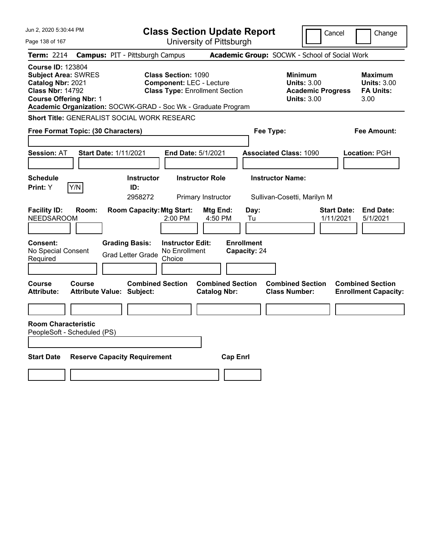| Jun 2, 2020 5:30:44 PM                                                                                                                  | <b>Class Section Update Report</b>                                                                                                                                      |                                                                                                   | Cancel<br>Change                                                                                                                                           |
|-----------------------------------------------------------------------------------------------------------------------------------------|-------------------------------------------------------------------------------------------------------------------------------------------------------------------------|---------------------------------------------------------------------------------------------------|------------------------------------------------------------------------------------------------------------------------------------------------------------|
| Page 138 of 167                                                                                                                         | University of Pittsburgh                                                                                                                                                |                                                                                                   |                                                                                                                                                            |
| <b>Term: 2214</b>                                                                                                                       | <b>Campus: PIT - Pittsburgh Campus</b>                                                                                                                                  | Academic Group: SOCWK - School of Social Work                                                     |                                                                                                                                                            |
| <b>Course ID: 123804</b><br><b>Subject Area: SWRES</b><br>Catalog Nbr: 2021<br><b>Class Nbr: 14792</b><br><b>Course Offering Nbr: 1</b> | <b>Class Section: 1090</b><br><b>Component: LEC - Lecture</b><br><b>Class Type: Enrollment Section</b><br>Academic Organization: SOCWK-GRAD - Soc Wk - Graduate Program |                                                                                                   | <b>Minimum</b><br><b>Maximum</b><br><b>Units: 3.00</b><br><b>Units: 3.00</b><br><b>Academic Progress</b><br><b>FA Units:</b><br><b>Units: 3.00</b><br>3.00 |
|                                                                                                                                         | Short Title: GENERALIST SOCIAL WORK RESEARC                                                                                                                             |                                                                                                   |                                                                                                                                                            |
| Free Format Topic: (30 Characters)                                                                                                      |                                                                                                                                                                         | Fee Type:                                                                                         | Fee Amount:                                                                                                                                                |
| <b>Session: AT</b>                                                                                                                      | <b>Start Date: 1/11/2021</b><br>End Date: 5/1/2021                                                                                                                      | <b>Associated Class: 1090</b>                                                                     | Location: PGH                                                                                                                                              |
| <b>Schedule</b><br>Print: Y<br>Y/N                                                                                                      | <b>Instructor Role</b><br><b>Instructor</b><br>ID:<br>2958272<br>Primary Instructor                                                                                     | <b>Instructor Name:</b><br>Sullivan-Cosetti, Marilyn M                                            |                                                                                                                                                            |
| <b>Facility ID:</b><br>Room:<br><b>NEEDSAROOM</b><br>Consent:                                                                           | <b>Room Capacity: Mtg Start:</b><br>2:00 PM<br><b>Grading Basis:</b><br><b>Instructor Edit:</b>                                                                         | Mtg End:<br>Day:<br>4:50 PM<br>Tu<br><b>Enrollment</b>                                            | <b>End Date:</b><br><b>Start Date:</b><br>1/11/2021<br>5/1/2021                                                                                            |
| No Special Consent<br>Required                                                                                                          | No Enrollment<br><b>Grad Letter Grade</b><br>Choice                                                                                                                     | Capacity: 24                                                                                      |                                                                                                                                                            |
| Course<br>Course<br><b>Attribute:</b>                                                                                                   | <b>Combined Section</b><br><b>Attribute Value: Subject:</b>                                                                                                             | <b>Combined Section</b><br><b>Combined Section</b><br><b>Catalog Nbr:</b><br><b>Class Number:</b> | <b>Combined Section</b><br><b>Enrollment Capacity:</b>                                                                                                     |
|                                                                                                                                         |                                                                                                                                                                         |                                                                                                   |                                                                                                                                                            |
| <b>Room Characteristic</b><br>PeopleSoft - Scheduled (PS)                                                                               |                                                                                                                                                                         |                                                                                                   |                                                                                                                                                            |
|                                                                                                                                         |                                                                                                                                                                         |                                                                                                   |                                                                                                                                                            |
| <b>Start Date</b>                                                                                                                       | <b>Reserve Capacity Requirement</b>                                                                                                                                     | <b>Cap Enrl</b>                                                                                   |                                                                                                                                                            |
|                                                                                                                                         |                                                                                                                                                                         |                                                                                                   |                                                                                                                                                            |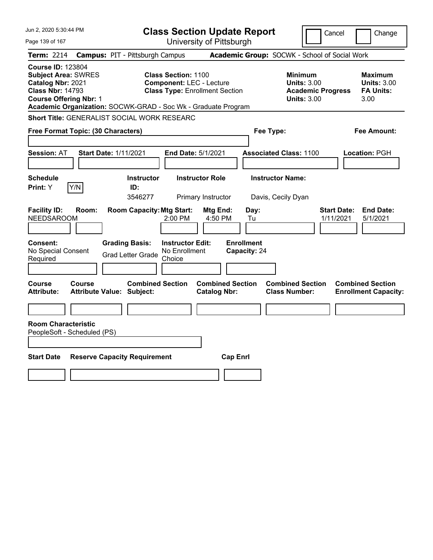| Jun 2, 2020 5:30:44 PM                                                                                                                  | <b>Class Section Update Report</b>                                                                                                                                      | Cancel<br>Change                                                                                                                                           |
|-----------------------------------------------------------------------------------------------------------------------------------------|-------------------------------------------------------------------------------------------------------------------------------------------------------------------------|------------------------------------------------------------------------------------------------------------------------------------------------------------|
| Page 139 of 167                                                                                                                         | University of Pittsburgh                                                                                                                                                |                                                                                                                                                            |
| <b>Term: 2214</b>                                                                                                                       | <b>Campus: PIT - Pittsburgh Campus</b>                                                                                                                                  | Academic Group: SOCWK - School of Social Work                                                                                                              |
| <b>Course ID: 123804</b><br><b>Subject Area: SWRES</b><br>Catalog Nbr: 2021<br><b>Class Nbr: 14793</b><br><b>Course Offering Nbr: 1</b> | <b>Class Section: 1100</b><br><b>Component: LEC - Lecture</b><br><b>Class Type: Enrollment Section</b><br>Academic Organization: SOCWK-GRAD - Soc Wk - Graduate Program | <b>Minimum</b><br><b>Maximum</b><br><b>Units: 3.00</b><br><b>Units: 3.00</b><br><b>Academic Progress</b><br><b>FA Units:</b><br><b>Units: 3.00</b><br>3.00 |
|                                                                                                                                         | Short Title: GENERALIST SOCIAL WORK RESEARC                                                                                                                             |                                                                                                                                                            |
| <b>Free Format Topic: (30 Characters)</b>                                                                                               | Fee Type:                                                                                                                                                               | Fee Amount:                                                                                                                                                |
| <b>Session: AT</b>                                                                                                                      | <b>Start Date: 1/11/2021</b><br>End Date: 5/1/2021<br><b>Associated Class: 1100</b>                                                                                     | <b>Location: PGH</b>                                                                                                                                       |
| <b>Schedule</b><br>Y/N<br>Print: Y                                                                                                      | <b>Instructor Role</b><br><b>Instructor Name:</b><br><b>Instructor</b><br>ID:<br>3546277<br>Primary Instructor<br>Davis, Cecily Dyan                                    |                                                                                                                                                            |
| <b>Facility ID:</b><br>Room:<br><b>NEEDSAROOM</b>                                                                                       | <b>Room Capacity: Mtg Start:</b><br>Mtg End:<br>Day:<br>2:00 PM<br>4:50 PM<br>Tu                                                                                        | <b>Start Date:</b><br><b>End Date:</b><br>5/1/2021<br>1/11/2021                                                                                            |
| Consent:<br>No Special Consent<br>Required                                                                                              | <b>Enrollment</b><br><b>Grading Basis:</b><br><b>Instructor Edit:</b><br>Capacity: 24<br>No Enrollment<br><b>Grad Letter Grade</b><br>Choice                            |                                                                                                                                                            |
| Course<br>Course<br><b>Attribute:</b>                                                                                                   | <b>Combined Section</b><br><b>Combined Section</b><br><b>Attribute Value: Subject:</b><br><b>Catalog Nbr:</b>                                                           | <b>Combined Section</b><br><b>Combined Section</b><br><b>Class Number:</b><br><b>Enrollment Capacity:</b>                                                  |
|                                                                                                                                         |                                                                                                                                                                         |                                                                                                                                                            |
| <b>Room Characteristic</b><br>PeopleSoft - Scheduled (PS)<br><b>Start Date</b>                                                          | <b>Reserve Capacity Requirement</b><br><b>Cap Enrl</b>                                                                                                                  |                                                                                                                                                            |
|                                                                                                                                         |                                                                                                                                                                         |                                                                                                                                                            |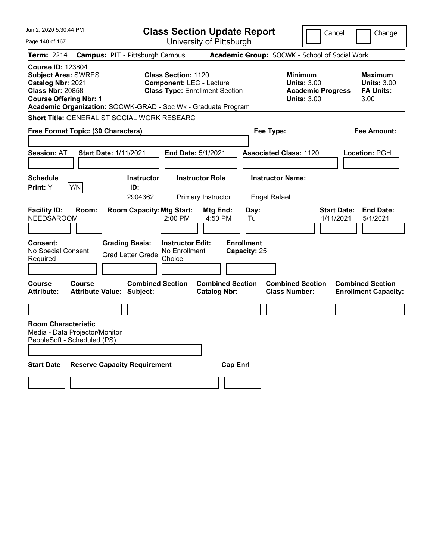| Jun 2, 2020 5:30:44 PM                                                                                                                  |                                                               | <b>Class Section Update Report</b>                                                                     |                                                |                                   | Cancel                                                                                 | Change                                                           |
|-----------------------------------------------------------------------------------------------------------------------------------------|---------------------------------------------------------------|--------------------------------------------------------------------------------------------------------|------------------------------------------------|-----------------------------------|----------------------------------------------------------------------------------------|------------------------------------------------------------------|
| Page 140 of 167                                                                                                                         |                                                               | University of Pittsburgh                                                                               |                                                |                                   |                                                                                        |                                                                  |
| <b>Term: 2214</b>                                                                                                                       | <b>Campus: PIT - Pittsburgh Campus</b>                        |                                                                                                        |                                                |                                   | Academic Group: SOCWK - School of Social Work                                          |                                                                  |
| <b>Course ID: 123804</b><br><b>Subject Area: SWRES</b><br>Catalog Nbr: 2021<br><b>Class Nbr: 20858</b><br><b>Course Offering Nbr: 1</b> | Academic Organization: SOCWK-GRAD - Soc Wk - Graduate Program | <b>Class Section: 1120</b><br><b>Component: LEC - Lecture</b><br><b>Class Type: Enrollment Section</b> |                                                |                                   | <b>Minimum</b><br><b>Units: 3.00</b><br><b>Academic Progress</b><br><b>Units: 3.00</b> | <b>Maximum</b><br><b>Units: 3.00</b><br><b>FA Units:</b><br>3.00 |
|                                                                                                                                         | Short Title: GENERALIST SOCIAL WORK RESEARC                   |                                                                                                        |                                                |                                   |                                                                                        |                                                                  |
| Free Format Topic: (30 Characters)                                                                                                      |                                                               |                                                                                                        |                                                | Fee Type:                         |                                                                                        | Fee Amount:                                                      |
|                                                                                                                                         |                                                               |                                                                                                        |                                                |                                   |                                                                                        |                                                                  |
| <b>Session: AT</b>                                                                                                                      | <b>Start Date: 1/11/2021</b>                                  | End Date: 5/1/2021                                                                                     |                                                |                                   | <b>Associated Class: 1120</b>                                                          | Location: PGH                                                    |
|                                                                                                                                         |                                                               |                                                                                                        |                                                |                                   |                                                                                        |                                                                  |
| <b>Schedule</b>                                                                                                                         | <b>Instructor</b>                                             | <b>Instructor Role</b>                                                                                 |                                                | <b>Instructor Name:</b>           |                                                                                        |                                                                  |
| Y/N<br><b>Print:</b> Y                                                                                                                  | ID:                                                           |                                                                                                        |                                                |                                   |                                                                                        |                                                                  |
|                                                                                                                                         | 2904362                                                       | Primary Instructor                                                                                     |                                                | Engel, Rafael                     |                                                                                        |                                                                  |
| <b>Facility ID:</b><br>Room:<br><b>NEEDSAROOM</b>                                                                                       | <b>Room Capacity: Mtg Start:</b>                              | 2:00 PM                                                                                                | <b>Mtg End:</b><br>4:50 PM                     | Day:<br>Tu                        | 1/11/2021                                                                              | <b>Start Date:</b><br><b>End Date:</b><br>5/1/2021               |
| Consent:<br>No Special Consent<br>Required                                                                                              | <b>Grading Basis:</b><br><b>Grad Letter Grade</b>             | <b>Instructor Edit:</b><br>No Enrollment<br>Choice                                                     |                                                | <b>Enrollment</b><br>Capacity: 25 |                                                                                        |                                                                  |
|                                                                                                                                         |                                                               |                                                                                                        |                                                |                                   |                                                                                        |                                                                  |
| <b>Course</b><br>Course<br><b>Attribute:</b>                                                                                            | <b>Attribute Value: Subject:</b>                              | <b>Combined Section</b>                                                                                | <b>Combined Section</b><br><b>Catalog Nbr:</b> |                                   | <b>Combined Section</b><br><b>Class Number:</b>                                        | <b>Combined Section</b><br><b>Enrollment Capacity:</b>           |
|                                                                                                                                         |                                                               |                                                                                                        |                                                |                                   |                                                                                        |                                                                  |
| <b>Room Characteristic</b><br>Media - Data Projector/Monitor<br>PeopleSoft - Scheduled (PS)                                             |                                                               |                                                                                                        |                                                |                                   |                                                                                        |                                                                  |
| <b>Start Date</b>                                                                                                                       | <b>Reserve Capacity Requirement</b>                           |                                                                                                        | <b>Cap Enrl</b>                                |                                   |                                                                                        |                                                                  |
|                                                                                                                                         |                                                               |                                                                                                        |                                                |                                   |                                                                                        |                                                                  |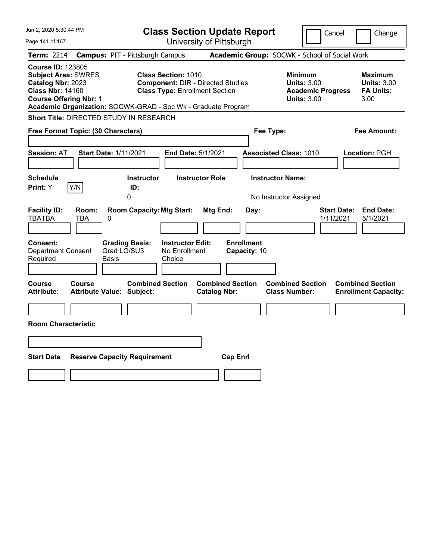| Jun 2, 2020 5:30:44 PM                                                                                                                                                                                   |                                                                                                                 | <b>Class Section Update Report</b>             | Cancel                                                                                 | Change                                                          |
|----------------------------------------------------------------------------------------------------------------------------------------------------------------------------------------------------------|-----------------------------------------------------------------------------------------------------------------|------------------------------------------------|----------------------------------------------------------------------------------------|-----------------------------------------------------------------|
| Page 141 of 167                                                                                                                                                                                          |                                                                                                                 | University of Pittsburgh                       |                                                                                        |                                                                 |
| <b>Term: 2214</b>                                                                                                                                                                                        | <b>Campus: PIT - Pittsburgh Campus</b>                                                                          |                                                | Academic Group: SOCWK - School of Social Work                                          |                                                                 |
| <b>Course ID: 123805</b><br><b>Subject Area: SWRES</b><br>Catalog Nbr: 2023<br><b>Class Nbr: 14160</b><br><b>Course Offering Nbr: 1</b><br>Academic Organization: SOCWK-GRAD - Soc Wk - Graduate Program | <b>Class Section: 1010</b><br><b>Component: DIR - Directed Studies</b><br><b>Class Type: Enrollment Section</b> |                                                | <b>Minimum</b><br><b>Units: 3.00</b><br><b>Academic Progress</b><br><b>Units: 3.00</b> | Maximum<br><b>Units: 3.00</b><br><b>FA Units:</b><br>3.00       |
| <b>Short Title: DIRECTED STUDY IN RESEARCH</b>                                                                                                                                                           |                                                                                                                 |                                                |                                                                                        |                                                                 |
| Free Format Topic: (30 Characters)                                                                                                                                                                       |                                                                                                                 |                                                | Fee Type:                                                                              | Fee Amount:                                                     |
| <b>Session: AT</b><br><b>Start Date: 1/11/2021</b>                                                                                                                                                       | End Date: 5/1/2021                                                                                              |                                                | <b>Associated Class: 1010</b>                                                          | Location: PGH                                                   |
| <b>Schedule</b><br>Y/N<br>Print: Y                                                                                                                                                                       | <b>Instructor</b><br>ID:<br>0                                                                                   | <b>Instructor Role</b>                         | <b>Instructor Name:</b><br>No Instructor Assigned                                      |                                                                 |
| <b>Facility ID:</b><br>Room:<br><b>TBATBA</b><br><b>TBA</b><br>0                                                                                                                                         | <b>Room Capacity: Mtg Start:</b>                                                                                | Mtg End:<br>Day:                               |                                                                                        | <b>Start Date:</b><br><b>End Date:</b><br>1/11/2021<br>5/1/2021 |
| Consent:<br><b>Grading Basis:</b><br>Grad LG/SU3<br><b>Department Consent</b><br>Required<br>Basis                                                                                                       | <b>Instructor Edit:</b><br>No Enrollment<br>Choice                                                              | <b>Enrollment</b><br>Capacity: 10              |                                                                                        |                                                                 |
| Course<br><b>Course</b><br><b>Attribute:</b><br><b>Attribute Value: Subject:</b>                                                                                                                         | <b>Combined Section</b>                                                                                         | <b>Combined Section</b><br><b>Catalog Nbr:</b> | <b>Combined Section</b><br><b>Class Number:</b>                                        | <b>Combined Section</b><br><b>Enrollment Capacity:</b>          |
| <b>Room Characteristic</b>                                                                                                                                                                               |                                                                                                                 |                                                |                                                                                        |                                                                 |
|                                                                                                                                                                                                          |                                                                                                                 |                                                |                                                                                        |                                                                 |
| <b>Start Date</b><br><b>Reserve Capacity Requirement</b>                                                                                                                                                 |                                                                                                                 | <b>Cap Enrl</b>                                |                                                                                        |                                                                 |
|                                                                                                                                                                                                          |                                                                                                                 |                                                |                                                                                        |                                                                 |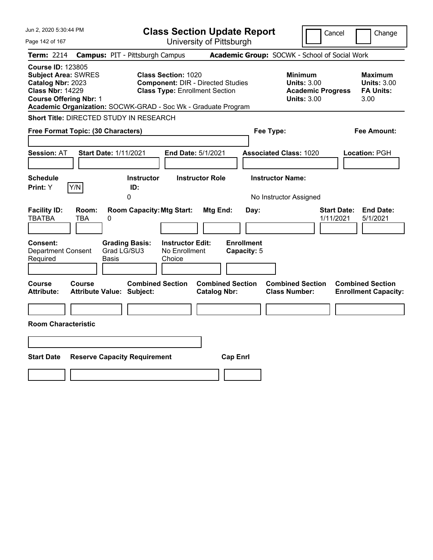| Jun 2, 2020 5:30:44 PM                                                                                                                                                                                   |                                                                                                                 | <b>Class Section Update Report</b>             | Cancel                                                                                 | Change                                                    |
|----------------------------------------------------------------------------------------------------------------------------------------------------------------------------------------------------------|-----------------------------------------------------------------------------------------------------------------|------------------------------------------------|----------------------------------------------------------------------------------------|-----------------------------------------------------------|
| Page 142 of 167                                                                                                                                                                                          |                                                                                                                 | University of Pittsburgh                       |                                                                                        |                                                           |
| <b>Term: 2214</b>                                                                                                                                                                                        | <b>Campus: PIT - Pittsburgh Campus</b>                                                                          |                                                | Academic Group: SOCWK - School of Social Work                                          |                                                           |
| <b>Course ID: 123805</b><br><b>Subject Area: SWRES</b><br>Catalog Nbr: 2023<br><b>Class Nbr: 14229</b><br><b>Course Offering Nbr: 1</b><br>Academic Organization: SOCWK-GRAD - Soc Wk - Graduate Program | <b>Class Section: 1020</b><br><b>Component: DIR - Directed Studies</b><br><b>Class Type: Enrollment Section</b> |                                                | <b>Minimum</b><br><b>Units: 3.00</b><br><b>Academic Progress</b><br><b>Units: 3.00</b> | Maximum<br><b>Units: 3.00</b><br><b>FA Units:</b><br>3.00 |
| <b>Short Title: DIRECTED STUDY IN RESEARCH</b>                                                                                                                                                           |                                                                                                                 |                                                |                                                                                        |                                                           |
| Free Format Topic: (30 Characters)                                                                                                                                                                       |                                                                                                                 |                                                | Fee Type:                                                                              | Fee Amount:                                               |
| <b>Session: AT</b><br><b>Start Date: 1/11/2021</b>                                                                                                                                                       | End Date: 5/1/2021                                                                                              |                                                | <b>Associated Class: 1020</b>                                                          | Location: PGH                                             |
| <b>Schedule</b><br>Y/N<br>Print: Y                                                                                                                                                                       | <b>Instructor</b><br>ID:<br>0                                                                                   | <b>Instructor Role</b>                         | <b>Instructor Name:</b><br>No Instructor Assigned                                      |                                                           |
| <b>Facility ID:</b><br>Room:<br><b>TBATBA</b><br>TBA<br>0                                                                                                                                                | <b>Room Capacity: Mtg Start:</b>                                                                                | Mtg End:<br>Day:                               | <b>Start Date:</b><br>1/11/2021                                                        | <b>End Date:</b><br>5/1/2021                              |
| Consent:<br>Grad LG/SU3<br><b>Department Consent</b><br>Required<br>Basis                                                                                                                                | <b>Grading Basis:</b><br><b>Instructor Edit:</b><br>No Enrollment<br>Choice                                     | <b>Enrollment</b><br>Capacity: 5               |                                                                                        |                                                           |
| Course<br><b>Course</b><br><b>Attribute:</b><br><b>Attribute Value: Subject:</b>                                                                                                                         | <b>Combined Section</b>                                                                                         | <b>Combined Section</b><br><b>Catalog Nbr:</b> | <b>Combined Section</b><br><b>Class Number:</b>                                        | <b>Combined Section</b><br><b>Enrollment Capacity:</b>    |
| <b>Room Characteristic</b>                                                                                                                                                                               |                                                                                                                 |                                                |                                                                                        |                                                           |
|                                                                                                                                                                                                          |                                                                                                                 |                                                |                                                                                        |                                                           |
| <b>Start Date</b><br><b>Reserve Capacity Requirement</b>                                                                                                                                                 |                                                                                                                 | <b>Cap Enrl</b>                                |                                                                                        |                                                           |
|                                                                                                                                                                                                          |                                                                                                                 |                                                |                                                                                        |                                                           |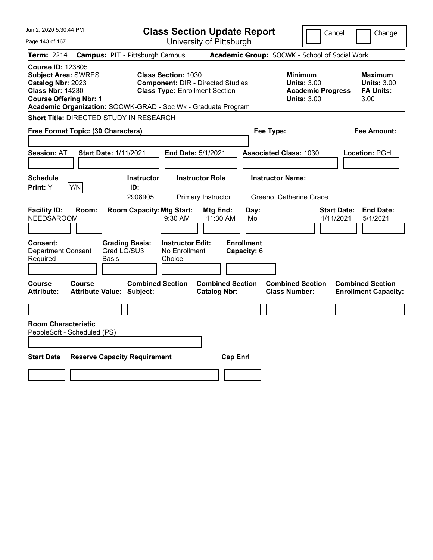| Jun 2, 2020 5:30:44 PM                                                                                                                  |                                                                                                                                                                                  | <b>Class Section Update Report</b>             | Cancel                                                                                 | Change                                                           |
|-----------------------------------------------------------------------------------------------------------------------------------------|----------------------------------------------------------------------------------------------------------------------------------------------------------------------------------|------------------------------------------------|----------------------------------------------------------------------------------------|------------------------------------------------------------------|
| Page 143 of 167                                                                                                                         |                                                                                                                                                                                  | University of Pittsburgh                       |                                                                                        |                                                                  |
| <b>Term: 2214</b>                                                                                                                       | <b>Campus: PIT - Pittsburgh Campus</b>                                                                                                                                           |                                                | Academic Group: SOCWK - School of Social Work                                          |                                                                  |
| <b>Course ID: 123805</b><br><b>Subject Area: SWRES</b><br>Catalog Nbr: 2023<br><b>Class Nbr: 14230</b><br><b>Course Offering Nbr: 1</b> | <b>Class Section: 1030</b><br><b>Component: DIR - Directed Studies</b><br><b>Class Type: Enrollment Section</b><br>Academic Organization: SOCWK-GRAD - Soc Wk - Graduate Program |                                                | <b>Minimum</b><br><b>Units: 3.00</b><br><b>Academic Progress</b><br><b>Units: 3.00</b> | <b>Maximum</b><br><b>Units: 3.00</b><br><b>FA Units:</b><br>3.00 |
| <b>Short Title: DIRECTED STUDY IN RESEARCH</b>                                                                                          |                                                                                                                                                                                  |                                                |                                                                                        |                                                                  |
| Free Format Topic: (30 Characters)                                                                                                      |                                                                                                                                                                                  | Fee Type:                                      |                                                                                        | Fee Amount:                                                      |
| Session: AT                                                                                                                             | <b>Start Date: 1/11/2021</b>                                                                                                                                                     | End Date: 5/1/2021                             | <b>Associated Class: 1030</b>                                                          | Location: PGH                                                    |
| <b>Schedule</b><br>Print: Y<br>Y/N                                                                                                      | <b>Instructor</b><br>ID:<br>2908905                                                                                                                                              | <b>Instructor Role</b><br>Primary Instructor   | <b>Instructor Name:</b><br>Greeno, Catherine Grace                                     |                                                                  |
| <b>Facility ID:</b><br>Room:<br><b>NEEDSAROOM</b>                                                                                       | <b>Room Capacity: Mtg Start:</b><br>9:30 AM                                                                                                                                      | Mtg End:<br>Day:<br>11:30 AM<br>Mo             | <b>Start Date:</b><br>1/11/2021                                                        | <b>End Date:</b><br>5/1/2021                                     |
| Consent:<br><b>Department Consent</b><br>Required                                                                                       | <b>Instructor Edit:</b><br><b>Grading Basis:</b><br>Grad LG/SU3<br>No Enrollment<br>Basis<br>Choice                                                                              | <b>Enrollment</b><br>Capacity: 6               |                                                                                        |                                                                  |
| Course<br>Course<br><b>Attribute:</b>                                                                                                   | <b>Combined Section</b><br><b>Attribute Value: Subject:</b>                                                                                                                      | <b>Combined Section</b><br><b>Catalog Nbr:</b> | <b>Combined Section</b><br><b>Class Number:</b>                                        | <b>Combined Section</b><br><b>Enrollment Capacity:</b>           |
|                                                                                                                                         |                                                                                                                                                                                  |                                                |                                                                                        |                                                                  |
| <b>Room Characteristic</b><br>PeopleSoft - Scheduled (PS)                                                                               |                                                                                                                                                                                  |                                                |                                                                                        |                                                                  |
| <b>Start Date</b>                                                                                                                       | <b>Reserve Capacity Requirement</b>                                                                                                                                              | <b>Cap Enrl</b>                                |                                                                                        |                                                                  |
|                                                                                                                                         |                                                                                                                                                                                  |                                                |                                                                                        |                                                                  |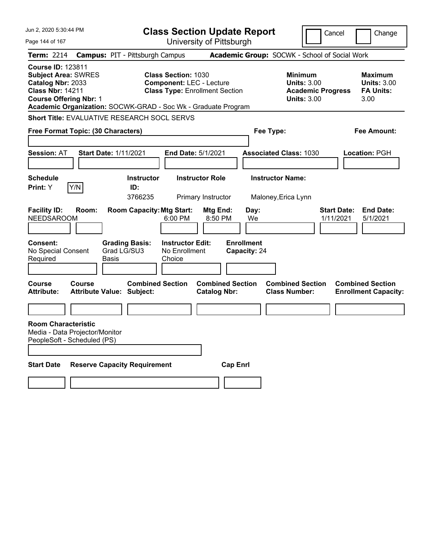| Jun 2, 2020 5:30:44 PM                                                                                                                                                                                   |                                                   |                                                                          |                                                               | <b>Class Section Update Report</b>             |                                                 |                                                                                        | Cancel                          | Change                                                           |
|----------------------------------------------------------------------------------------------------------------------------------------------------------------------------------------------------------|---------------------------------------------------|--------------------------------------------------------------------------|---------------------------------------------------------------|------------------------------------------------|-------------------------------------------------|----------------------------------------------------------------------------------------|---------------------------------|------------------------------------------------------------------|
| Page 144 of 167                                                                                                                                                                                          |                                                   |                                                                          |                                                               | University of Pittsburgh                       |                                                 |                                                                                        |                                 |                                                                  |
| <b>Term: 2214</b>                                                                                                                                                                                        | <b>Campus: PIT - Pittsburgh Campus</b>            |                                                                          |                                                               |                                                |                                                 | Academic Group: SOCWK - School of Social Work                                          |                                 |                                                                  |
| <b>Course ID: 123811</b><br><b>Subject Area: SWRES</b><br>Catalog Nbr: 2033<br><b>Class Nbr: 14211</b><br><b>Course Offering Nbr: 1</b><br>Academic Organization: SOCWK-GRAD - Soc Wk - Graduate Program |                                                   |                                                                          | <b>Class Section: 1030</b><br><b>Component: LEC - Lecture</b> | <b>Class Type: Enrollment Section</b>          |                                                 | <b>Minimum</b><br><b>Units: 3.00</b><br><b>Academic Progress</b><br><b>Units: 3.00</b> |                                 | <b>Maximum</b><br><b>Units: 3.00</b><br><b>FA Units:</b><br>3.00 |
| Short Title: EVALUATIVE RESEARCH SOCL SERVS                                                                                                                                                              |                                                   |                                                                          |                                                               |                                                |                                                 |                                                                                        |                                 |                                                                  |
| Free Format Topic: (30 Characters)                                                                                                                                                                       |                                                   |                                                                          |                                                               |                                                | Fee Type:                                       |                                                                                        |                                 | Fee Amount:                                                      |
| <b>Session: AT</b>                                                                                                                                                                                       | <b>Start Date: 1/11/2021</b>                      |                                                                          | End Date: 5/1/2021                                            |                                                |                                                 | <b>Associated Class: 1030</b>                                                          |                                 | Location: PGH                                                    |
| <b>Schedule</b>                                                                                                                                                                                          |                                                   | <b>Instructor</b>                                                        |                                                               | <b>Instructor Role</b>                         |                                                 | <b>Instructor Name:</b>                                                                |                                 |                                                                  |
| Y/N<br><b>Print:</b> Y                                                                                                                                                                                   |                                                   | ID:<br>3766235                                                           |                                                               | Primary Instructor                             |                                                 | Maloney, Erica Lynn                                                                    |                                 |                                                                  |
| <b>Facility ID:</b><br><b>NEEDSAROOM</b><br>Consent:<br>No Special Consent<br>Required                                                                                                                   | Room:<br>Basis                                    | <b>Room Capacity: Mtg Start:</b><br><b>Grading Basis:</b><br>Grad LG/SU3 | 6:00 PM<br><b>Instructor Edit:</b><br>No Enrollment<br>Choice | Mtg End:<br>8:50 PM                            | Day:<br>We<br><b>Enrollment</b><br>Capacity: 24 |                                                                                        | <b>Start Date:</b><br>1/11/2021 | <b>End Date:</b><br>5/1/2021                                     |
| Course<br><b>Attribute:</b>                                                                                                                                                                              | <b>Course</b><br><b>Attribute Value: Subject:</b> | <b>Combined Section</b>                                                  |                                                               | <b>Combined Section</b><br><b>Catalog Nbr:</b> |                                                 | <b>Combined Section</b><br><b>Class Number:</b>                                        |                                 | <b>Combined Section</b><br><b>Enrollment Capacity:</b>           |
|                                                                                                                                                                                                          |                                                   |                                                                          |                                                               |                                                |                                                 |                                                                                        |                                 |                                                                  |
| <b>Room Characteristic</b><br>Media - Data Projector/Monitor<br>PeopleSoft - Scheduled (PS)                                                                                                              |                                                   |                                                                          |                                                               |                                                |                                                 |                                                                                        |                                 |                                                                  |
| <b>Start Date</b>                                                                                                                                                                                        | <b>Reserve Capacity Requirement</b>               |                                                                          |                                                               | <b>Cap Enrl</b>                                |                                                 |                                                                                        |                                 |                                                                  |
|                                                                                                                                                                                                          |                                                   |                                                                          |                                                               |                                                |                                                 |                                                                                        |                                 |                                                                  |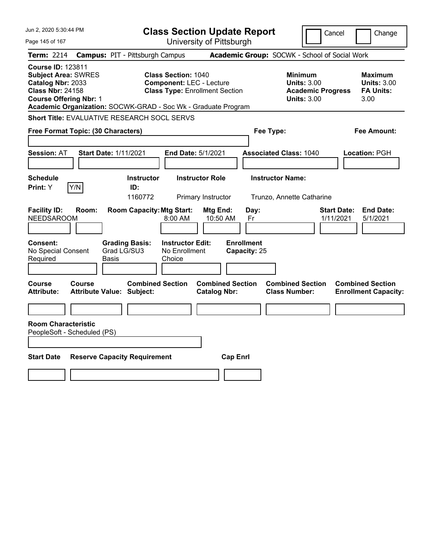| Jun 2, 2020 5:30:44 PM                                                                                                                  |                                                                                                                                                                         | <b>Class Section Update Report</b>                                      |                                                                                        | Cancel<br>Change                                                 |
|-----------------------------------------------------------------------------------------------------------------------------------------|-------------------------------------------------------------------------------------------------------------------------------------------------------------------------|-------------------------------------------------------------------------|----------------------------------------------------------------------------------------|------------------------------------------------------------------|
| Page 145 of 167                                                                                                                         |                                                                                                                                                                         | University of Pittsburgh                                                |                                                                                        |                                                                  |
| <b>Term: 2214</b>                                                                                                                       | <b>Campus: PIT - Pittsburgh Campus</b>                                                                                                                                  |                                                                         | Academic Group: SOCWK - School of Social Work                                          |                                                                  |
| <b>Course ID: 123811</b><br><b>Subject Area: SWRES</b><br>Catalog Nbr: 2033<br><b>Class Nbr: 24158</b><br><b>Course Offering Nbr: 1</b> | <b>Class Section: 1040</b><br><b>Component: LEC - Lecture</b><br><b>Class Type: Enrollment Section</b><br>Academic Organization: SOCWK-GRAD - Soc Wk - Graduate Program |                                                                         | <b>Minimum</b><br><b>Units: 3.00</b><br><b>Academic Progress</b><br><b>Units: 3.00</b> | <b>Maximum</b><br><b>Units: 3.00</b><br><b>FA Units:</b><br>3.00 |
|                                                                                                                                         | Short Title: EVALUATIVE RESEARCH SOCL SERVS                                                                                                                             |                                                                         |                                                                                        |                                                                  |
| Free Format Topic: (30 Characters)                                                                                                      |                                                                                                                                                                         |                                                                         | Fee Type:                                                                              | Fee Amount:                                                      |
| <b>Session: AT</b>                                                                                                                      | <b>Start Date: 1/11/2021</b><br>End Date: 5/1/2021                                                                                                                      |                                                                         | <b>Associated Class: 1040</b>                                                          | Location: PGH                                                    |
| <b>Schedule</b><br>Print: Y<br>Y/N                                                                                                      | <b>Instructor</b><br>ID:<br>1160772                                                                                                                                     | <b>Instructor Role</b><br>Primary Instructor                            | <b>Instructor Name:</b><br>Trunzo, Annette Catharine                                   |                                                                  |
| <b>Facility ID:</b><br>Room:<br><b>NEEDSAROOM</b><br>Consent:<br>No Special Consent                                                     | <b>Room Capacity: Mtg Start:</b><br>8:00 AM<br><b>Grading Basis:</b><br><b>Instructor Edit:</b><br>Grad LG/SU3<br>No Enrollment                                         | Mtg End:<br>Day:<br>10:50 AM<br>Fr<br><b>Enrollment</b><br>Capacity: 25 |                                                                                        | <b>Start Date:</b><br><b>End Date:</b><br>1/11/2021<br>5/1/2021  |
| Required                                                                                                                                | Basis<br>Choice                                                                                                                                                         |                                                                         |                                                                                        |                                                                  |
| Course<br>Course<br><b>Attribute:</b>                                                                                                   | <b>Combined Section</b><br><b>Attribute Value: Subject:</b>                                                                                                             | <b>Combined Section</b><br><b>Catalog Nbr:</b>                          | <b>Combined Section</b><br><b>Class Number:</b>                                        | <b>Combined Section</b><br><b>Enrollment Capacity:</b>           |
|                                                                                                                                         |                                                                                                                                                                         |                                                                         |                                                                                        |                                                                  |
| <b>Room Characteristic</b><br>PeopleSoft - Scheduled (PS)                                                                               |                                                                                                                                                                         |                                                                         |                                                                                        |                                                                  |
| <b>Start Date</b>                                                                                                                       | <b>Reserve Capacity Requirement</b>                                                                                                                                     | <b>Cap Enrl</b>                                                         |                                                                                        |                                                                  |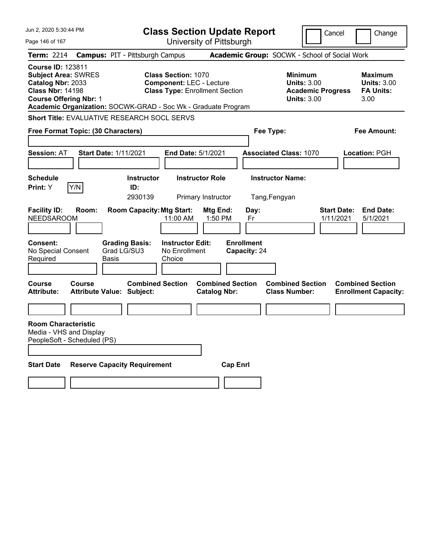| Jun 2, 2020 5:30:44 PM                                                                                                                  |        |                                                               | <b>Class Section Update Report</b>                                                                     |                                                |                                   |                                                 | Cancel                                                               |                                 | Change                                                           |
|-----------------------------------------------------------------------------------------------------------------------------------------|--------|---------------------------------------------------------------|--------------------------------------------------------------------------------------------------------|------------------------------------------------|-----------------------------------|-------------------------------------------------|----------------------------------------------------------------------|---------------------------------|------------------------------------------------------------------|
| Page 146 of 167                                                                                                                         |        |                                                               |                                                                                                        | University of Pittsburgh                       |                                   |                                                 |                                                                      |                                 |                                                                  |
| <b>Term: 2214</b>                                                                                                                       |        | <b>Campus: PIT - Pittsburgh Campus</b>                        |                                                                                                        |                                                |                                   | Academic Group: SOCWK - School of Social Work   |                                                                      |                                 |                                                                  |
| <b>Course ID: 123811</b><br><b>Subject Area: SWRES</b><br>Catalog Nbr: 2033<br><b>Class Nbr: 14198</b><br><b>Course Offering Nbr: 1</b> |        | Academic Organization: SOCWK-GRAD - Soc Wk - Graduate Program | <b>Class Section: 1070</b><br><b>Component: LEC - Lecture</b><br><b>Class Type: Enrollment Section</b> |                                                |                                   | <b>Minimum</b>                                  | <b>Units: 3.00</b><br><b>Academic Progress</b><br><b>Units: 3.00</b> |                                 | <b>Maximum</b><br><b>Units: 3.00</b><br><b>FA Units:</b><br>3.00 |
|                                                                                                                                         |        | <b>Short Title: EVALUATIVE RESEARCH SOCL SERVS</b>            |                                                                                                        |                                                |                                   |                                                 |                                                                      |                                 |                                                                  |
| Free Format Topic: (30 Characters)                                                                                                      |        |                                                               |                                                                                                        |                                                | Fee Type:                         |                                                 |                                                                      |                                 | <b>Fee Amount:</b>                                               |
| <b>Session: AT</b>                                                                                                                      |        | <b>Start Date: 1/11/2021</b>                                  | <b>End Date: 5/1/2021</b>                                                                              |                                                |                                   | <b>Associated Class: 1070</b>                   |                                                                      |                                 | Location: PGH                                                    |
| <b>Schedule</b><br><b>Print:</b> Y                                                                                                      | Y/N    | <b>Instructor</b><br>ID:<br>2930139                           | <b>Instructor Role</b>                                                                                 | Primary Instructor                             |                                   | <b>Instructor Name:</b><br>Tang, Fengyan        |                                                                      |                                 |                                                                  |
| <b>Facility ID:</b><br><b>NEEDSAROOM</b>                                                                                                | Room:  | <b>Room Capacity: Mtg Start:</b>                              | 11:00 AM                                                                                               | Mtg End:<br>1:50 PM                            | Day:<br>Fr                        |                                                 |                                                                      | <b>Start Date:</b><br>1/11/2021 | <b>End Date:</b><br>5/1/2021                                     |
| <b>Consent:</b><br>No Special Consent<br>Required                                                                                       |        | <b>Grading Basis:</b><br>Grad LG/SU3<br>Basis                 | <b>Instructor Edit:</b><br>No Enrollment<br>Choice                                                     |                                                | <b>Enrollment</b><br>Capacity: 24 |                                                 |                                                                      |                                 |                                                                  |
| Course<br>Attribute:                                                                                                                    | Course | <b>Combined Section</b><br><b>Attribute Value: Subject:</b>   |                                                                                                        | <b>Combined Section</b><br><b>Catalog Nbr:</b> |                                   | <b>Combined Section</b><br><b>Class Number:</b> |                                                                      |                                 | <b>Combined Section</b><br><b>Enrollment Capacity:</b>           |
|                                                                                                                                         |        |                                                               |                                                                                                        |                                                |                                   |                                                 |                                                                      |                                 |                                                                  |
| <b>Room Characteristic</b><br>Media - VHS and Display<br>PeopleSoft - Scheduled (PS)                                                    |        |                                                               |                                                                                                        |                                                |                                   |                                                 |                                                                      |                                 |                                                                  |
| <b>Start Date</b>                                                                                                                       |        | <b>Reserve Capacity Requirement</b>                           |                                                                                                        | <b>Cap Enrl</b>                                |                                   |                                                 |                                                                      |                                 |                                                                  |
|                                                                                                                                         |        |                                                               |                                                                                                        |                                                |                                   |                                                 |                                                                      |                                 |                                                                  |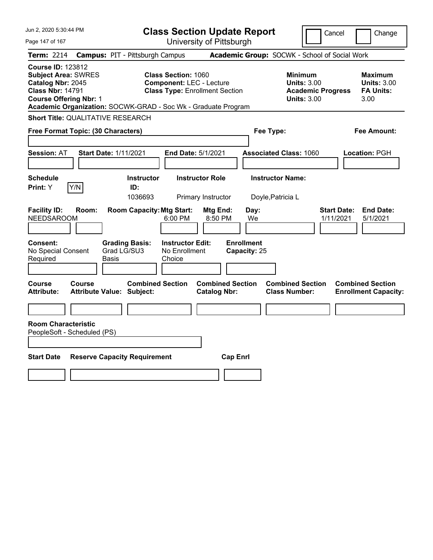| Jun 2, 2020 5:30:44 PM                                                                                                                  |                                                                                                                                                                         | <b>Class Section Update Report</b>             |                                                                                        | Cancel<br>Change                                                 |
|-----------------------------------------------------------------------------------------------------------------------------------------|-------------------------------------------------------------------------------------------------------------------------------------------------------------------------|------------------------------------------------|----------------------------------------------------------------------------------------|------------------------------------------------------------------|
| Page 147 of 167                                                                                                                         |                                                                                                                                                                         | University of Pittsburgh                       |                                                                                        |                                                                  |
| <b>Term: 2214</b>                                                                                                                       | <b>Campus: PIT - Pittsburgh Campus</b>                                                                                                                                  |                                                | Academic Group: SOCWK - School of Social Work                                          |                                                                  |
| <b>Course ID: 123812</b><br><b>Subject Area: SWRES</b><br>Catalog Nbr: 2045<br><b>Class Nbr: 14791</b><br><b>Course Offering Nbr: 1</b> | <b>Class Section: 1060</b><br><b>Component: LEC - Lecture</b><br><b>Class Type: Enrollment Section</b><br>Academic Organization: SOCWK-GRAD - Soc Wk - Graduate Program |                                                | <b>Minimum</b><br><b>Units: 3.00</b><br><b>Academic Progress</b><br><b>Units: 3.00</b> | <b>Maximum</b><br><b>Units: 3.00</b><br><b>FA Units:</b><br>3.00 |
| Short Title: QUALITATIVE RESEARCH                                                                                                       |                                                                                                                                                                         |                                                |                                                                                        |                                                                  |
| Free Format Topic: (30 Characters)                                                                                                      |                                                                                                                                                                         |                                                | Fee Type:                                                                              | <b>Fee Amount:</b>                                               |
| Session: AT                                                                                                                             | <b>Start Date: 1/11/2021</b>                                                                                                                                            | End Date: 5/1/2021                             | <b>Associated Class: 1060</b>                                                          | Location: PGH                                                    |
| <b>Schedule</b><br>Print: Y<br> Y/N                                                                                                     | <b>Instructor</b><br>ID:<br>1036693                                                                                                                                     | <b>Instructor Role</b><br>Primary Instructor   | <b>Instructor Name:</b><br>Doyle, Patricia L                                           |                                                                  |
| <b>Facility ID:</b><br>Room:<br><b>NEEDSAROOM</b>                                                                                       | <b>Room Capacity: Mtg Start:</b><br>6:00 PM                                                                                                                             | Mtg End:<br>Day:<br>8:50 PM<br>We              |                                                                                        | <b>Start Date:</b><br><b>End Date:</b><br>1/11/2021<br>5/1/2021  |
| Consent:<br>No Special Consent<br>Required                                                                                              | <b>Instructor Edit:</b><br><b>Grading Basis:</b><br>Grad LG/SU3<br>No Enrollment<br>Basis<br>Choice                                                                     | <b>Enrollment</b><br>Capacity: 25              |                                                                                        |                                                                  |
| <b>Course</b><br><b>Course</b><br><b>Attribute:</b>                                                                                     | <b>Combined Section</b><br><b>Attribute Value: Subject:</b>                                                                                                             | <b>Combined Section</b><br><b>Catalog Nbr:</b> | <b>Combined Section</b><br><b>Class Number:</b>                                        | <b>Combined Section</b><br><b>Enrollment Capacity:</b>           |
|                                                                                                                                         |                                                                                                                                                                         |                                                |                                                                                        |                                                                  |
| <b>Room Characteristic</b><br>PeopleSoft - Scheduled (PS)                                                                               |                                                                                                                                                                         |                                                |                                                                                        |                                                                  |
| <b>Start Date</b>                                                                                                                       | <b>Reserve Capacity Requirement</b>                                                                                                                                     | <b>Cap Enrl</b>                                |                                                                                        |                                                                  |
|                                                                                                                                         |                                                                                                                                                                         |                                                |                                                                                        |                                                                  |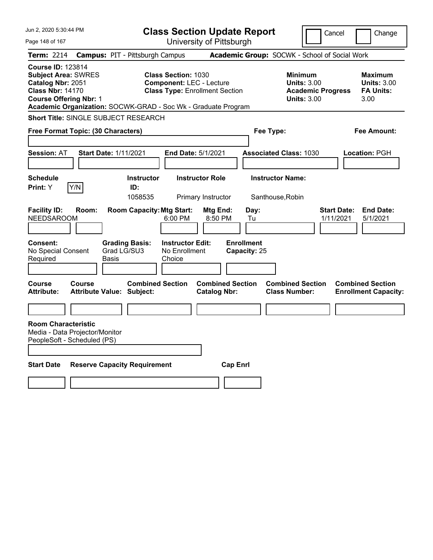| Jun 2, 2020 5:30:44 PM                                                                                                                  |        |                                                               | <b>Class Section Update Report</b>                                                                     |                          |                                   |                                                            | Cancel                   |                                 | Change                                                    |
|-----------------------------------------------------------------------------------------------------------------------------------------|--------|---------------------------------------------------------------|--------------------------------------------------------------------------------------------------------|--------------------------|-----------------------------------|------------------------------------------------------------|--------------------------|---------------------------------|-----------------------------------------------------------|
| Page 148 of 167                                                                                                                         |        |                                                               |                                                                                                        | University of Pittsburgh |                                   |                                                            |                          |                                 |                                                           |
| <b>Term: 2214</b>                                                                                                                       |        | <b>Campus: PIT - Pittsburgh Campus</b>                        |                                                                                                        |                          |                                   | Academic Group: SOCWK - School of Social Work              |                          |                                 |                                                           |
| <b>Course ID: 123814</b><br><b>Subject Area: SWRES</b><br>Catalog Nbr: 2051<br><b>Class Nbr: 14170</b><br><b>Course Offering Nbr: 1</b> |        | Academic Organization: SOCWK-GRAD - Soc Wk - Graduate Program | <b>Class Section: 1030</b><br><b>Component: LEC - Lecture</b><br><b>Class Type: Enrollment Section</b> |                          |                                   | <b>Minimum</b><br><b>Units: 3.00</b><br><b>Units: 3.00</b> | <b>Academic Progress</b> |                                 | Maximum<br><b>Units: 3.00</b><br><b>FA Units:</b><br>3.00 |
|                                                                                                                                         |        | <b>Short Title: SINGLE SUBJECT RESEARCH</b>                   |                                                                                                        |                          |                                   |                                                            |                          |                                 |                                                           |
| Free Format Topic: (30 Characters)                                                                                                      |        |                                                               |                                                                                                        |                          |                                   | Fee Type:                                                  |                          |                                 | Fee Amount:                                               |
|                                                                                                                                         |        |                                                               |                                                                                                        |                          |                                   |                                                            |                          |                                 |                                                           |
| <b>Session: AT</b>                                                                                                                      |        | <b>Start Date: 1/11/2021</b>                                  | <b>End Date: 5/1/2021</b>                                                                              |                          |                                   | <b>Associated Class: 1030</b>                              |                          |                                 | <b>Location: PGH</b>                                      |
|                                                                                                                                         |        |                                                               |                                                                                                        |                          |                                   |                                                            |                          |                                 |                                                           |
| <b>Schedule</b>                                                                                                                         |        | <b>Instructor</b>                                             |                                                                                                        | <b>Instructor Role</b>   |                                   | <b>Instructor Name:</b>                                    |                          |                                 |                                                           |
| <b>Print:</b> Y                                                                                                                         | Y/N    | ID:                                                           |                                                                                                        |                          |                                   |                                                            |                          |                                 |                                                           |
|                                                                                                                                         |        | 1058535                                                       |                                                                                                        | Primary Instructor       |                                   | Santhouse, Robin                                           |                          |                                 |                                                           |
| <b>Facility ID:</b><br><b>NEEDSAROOM</b>                                                                                                | Room:  | <b>Room Capacity: Mtg Start:</b>                              | 6:00 PM                                                                                                | Mtg End:<br>8:50 PM      | Day:<br>Tu                        |                                                            |                          | <b>Start Date:</b><br>1/11/2021 | <b>End Date:</b><br>5/1/2021                              |
| <b>Consent:</b><br>No Special Consent<br>Required                                                                                       |        | <b>Grading Basis:</b><br>Grad LG/SU3<br>Basis                 | <b>Instructor Edit:</b><br>No Enrollment<br>Choice                                                     |                          | <b>Enrollment</b><br>Capacity: 25 |                                                            |                          |                                 |                                                           |
| Course                                                                                                                                  | Course | <b>Combined Section</b>                                       |                                                                                                        | <b>Combined Section</b>  |                                   | <b>Combined Section</b>                                    |                          |                                 | <b>Combined Section</b>                                   |
| <b>Attribute:</b>                                                                                                                       |        | <b>Attribute Value: Subject:</b>                              |                                                                                                        | <b>Catalog Nbr:</b>      |                                   | <b>Class Number:</b>                                       |                          |                                 | <b>Enrollment Capacity:</b>                               |
|                                                                                                                                         |        |                                                               |                                                                                                        |                          |                                   |                                                            |                          |                                 |                                                           |
| <b>Room Characteristic</b><br>Media - Data Projector/Monitor<br>PeopleSoft - Scheduled (PS)                                             |        |                                                               |                                                                                                        |                          |                                   |                                                            |                          |                                 |                                                           |
| <b>Start Date</b>                                                                                                                       |        | <b>Reserve Capacity Requirement</b>                           |                                                                                                        | <b>Cap Enri</b>          |                                   |                                                            |                          |                                 |                                                           |
|                                                                                                                                         |        |                                                               |                                                                                                        |                          |                                   |                                                            |                          |                                 |                                                           |
|                                                                                                                                         |        |                                                               |                                                                                                        |                          |                                   |                                                            |                          |                                 |                                                           |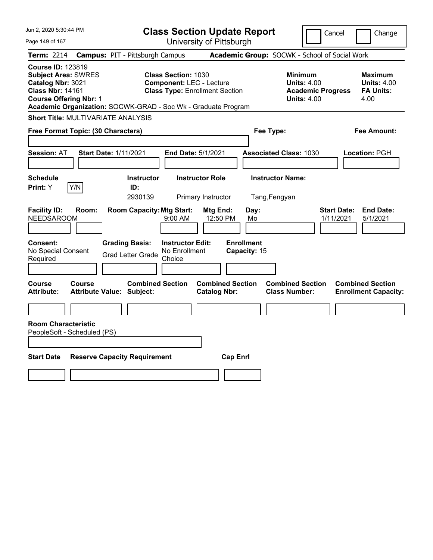| Jun 2, 2020 5:30:44 PM                                                                                                                  |                                                                                                                                                                         | <b>Class Section Update Report</b>             |                                                                                        | Cancel<br>Change                                                 |
|-----------------------------------------------------------------------------------------------------------------------------------------|-------------------------------------------------------------------------------------------------------------------------------------------------------------------------|------------------------------------------------|----------------------------------------------------------------------------------------|------------------------------------------------------------------|
| Page 149 of 167                                                                                                                         |                                                                                                                                                                         | University of Pittsburgh                       |                                                                                        |                                                                  |
| <b>Term: 2214</b>                                                                                                                       | <b>Campus: PIT - Pittsburgh Campus</b>                                                                                                                                  |                                                | Academic Group: SOCWK - School of Social Work                                          |                                                                  |
| <b>Course ID: 123819</b><br><b>Subject Area: SWRES</b><br>Catalog Nbr: 3021<br><b>Class Nbr: 14161</b><br><b>Course Offering Nbr: 1</b> | <b>Class Section: 1030</b><br><b>Component: LEC - Lecture</b><br><b>Class Type: Enrollment Section</b><br>Academic Organization: SOCWK-GRAD - Soc Wk - Graduate Program |                                                | <b>Minimum</b><br><b>Units: 4.00</b><br><b>Academic Progress</b><br><b>Units: 4.00</b> | <b>Maximum</b><br><b>Units: 4.00</b><br><b>FA Units:</b><br>4.00 |
| <b>Short Title: MULTIVARIATE ANALYSIS</b>                                                                                               |                                                                                                                                                                         |                                                |                                                                                        |                                                                  |
| Free Format Topic: (30 Characters)                                                                                                      |                                                                                                                                                                         |                                                | Fee Type:                                                                              | <b>Fee Amount:</b>                                               |
| Session: AT                                                                                                                             | <b>Start Date: 1/11/2021</b>                                                                                                                                            | End Date: 5/1/2021                             | <b>Associated Class: 1030</b>                                                          | Location: PGH                                                    |
| <b>Schedule</b><br>Print: Y<br> Y/N                                                                                                     | <b>Instructor</b><br>ID:<br>2930139                                                                                                                                     | <b>Instructor Role</b><br>Primary Instructor   | <b>Instructor Name:</b><br>Tang, Fengyan                                               |                                                                  |
| <b>Facility ID:</b><br>Room:<br><b>NEEDSAROOM</b>                                                                                       | <b>Room Capacity: Mtg Start:</b><br>9:00 AM                                                                                                                             | Mtg End:<br>Day:<br>12:50 PM<br>Mo             |                                                                                        | <b>Start Date:</b><br><b>End Date:</b><br>1/11/2021<br>5/1/2021  |
| Consent:<br>No Special Consent<br>Required                                                                                              | <b>Grading Basis:</b><br><b>Instructor Edit:</b><br>No Enrollment<br><b>Grad Letter Grade</b><br>Choice                                                                 | <b>Enrollment</b><br>Capacity: 15              |                                                                                        |                                                                  |
| <b>Course</b><br><b>Course</b><br><b>Attribute:</b>                                                                                     | <b>Combined Section</b><br><b>Attribute Value: Subject:</b>                                                                                                             | <b>Combined Section</b><br><b>Catalog Nbr:</b> | <b>Combined Section</b><br><b>Class Number:</b>                                        | <b>Combined Section</b><br><b>Enrollment Capacity:</b>           |
|                                                                                                                                         |                                                                                                                                                                         |                                                |                                                                                        |                                                                  |
| <b>Room Characteristic</b><br>PeopleSoft - Scheduled (PS)                                                                               |                                                                                                                                                                         |                                                |                                                                                        |                                                                  |
| <b>Start Date</b>                                                                                                                       | <b>Reserve Capacity Requirement</b>                                                                                                                                     | <b>Cap Enrl</b>                                |                                                                                        |                                                                  |
|                                                                                                                                         |                                                                                                                                                                         |                                                |                                                                                        |                                                                  |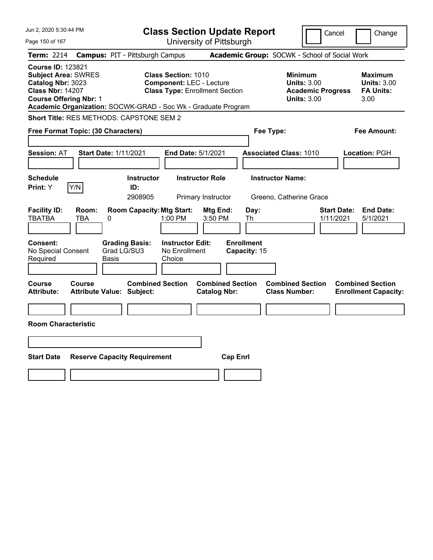| Jun 2, 2020 5:30:44 PM                                                                                                                                                                                   |                                                   |                                     |                                                    | <b>Class Section Update Report</b>                                       |                                   |                                                    |                                                                                        | Cancel                          | Change                                                    |
|----------------------------------------------------------------------------------------------------------------------------------------------------------------------------------------------------------|---------------------------------------------------|-------------------------------------|----------------------------------------------------|--------------------------------------------------------------------------|-----------------------------------|----------------------------------------------------|----------------------------------------------------------------------------------------|---------------------------------|-----------------------------------------------------------|
| Page 150 of 167                                                                                                                                                                                          |                                                   |                                     |                                                    | University of Pittsburgh                                                 |                                   |                                                    |                                                                                        |                                 |                                                           |
| Term: 2214                                                                                                                                                                                               | <b>Campus: PIT - Pittsburgh Campus</b>            |                                     |                                                    |                                                                          |                                   | Academic Group: SOCWK - School of Social Work      |                                                                                        |                                 |                                                           |
| <b>Course ID: 123821</b><br><b>Subject Area: SWRES</b><br>Catalog Nbr: 3023<br><b>Class Nbr: 14207</b><br><b>Course Offering Nbr: 1</b><br>Academic Organization: SOCWK-GRAD - Soc Wk - Graduate Program |                                                   |                                     | <b>Class Section: 1010</b>                         | <b>Component: LEC - Lecture</b><br><b>Class Type: Enrollment Section</b> |                                   |                                                    | <b>Minimum</b><br><b>Units: 3.00</b><br><b>Academic Progress</b><br><b>Units: 3.00</b> |                                 | Maximum<br><b>Units: 3.00</b><br><b>FA Units:</b><br>3.00 |
| <b>Short Title: RES METHODS: CAPSTONE SEM 2</b>                                                                                                                                                          |                                                   |                                     |                                                    |                                                                          |                                   |                                                    |                                                                                        |                                 |                                                           |
| Free Format Topic: (30 Characters)                                                                                                                                                                       |                                                   |                                     |                                                    |                                                                          |                                   | Fee Type:                                          |                                                                                        |                                 | Fee Amount:                                               |
| <b>Session: AT</b>                                                                                                                                                                                       | <b>Start Date: 1/11/2021</b>                      |                                     |                                                    | End Date: 5/1/2021                                                       |                                   | <b>Associated Class: 1010</b>                      |                                                                                        |                                 | Location: PGH                                             |
| <b>Schedule</b><br>Y/N<br>Print: Y                                                                                                                                                                       |                                                   | <b>Instructor</b><br>ID:<br>2908905 |                                                    | <b>Instructor Role</b><br>Primary Instructor                             |                                   | <b>Instructor Name:</b><br>Greeno, Catherine Grace |                                                                                        |                                 |                                                           |
| <b>Facility ID:</b><br><b>TBATBA</b>                                                                                                                                                                     | Room:<br><b>TBA</b><br>0                          | <b>Room Capacity: Mtg Start:</b>    | 1:00 PM                                            | Mtg End:<br>3:50 PM                                                      | Day:<br>Th                        |                                                    |                                                                                        | <b>Start Date:</b><br>1/11/2021 | <b>End Date:</b><br>5/1/2021                              |
| Consent:<br>No Special Consent<br>Required                                                                                                                                                               | Grad LG/SU3<br>Basis                              | <b>Grading Basis:</b>               | <b>Instructor Edit:</b><br>No Enrollment<br>Choice |                                                                          | <b>Enrollment</b><br>Capacity: 15 |                                                    |                                                                                        |                                 |                                                           |
| Course<br><b>Attribute:</b>                                                                                                                                                                              | <b>Course</b><br><b>Attribute Value: Subject:</b> | <b>Combined Section</b>             |                                                    | <b>Combined Section</b><br><b>Catalog Nbr:</b>                           |                                   | <b>Combined Section</b><br><b>Class Number:</b>    |                                                                                        |                                 | <b>Combined Section</b><br><b>Enrollment Capacity:</b>    |
| <b>Room Characteristic</b>                                                                                                                                                                               |                                                   |                                     |                                                    |                                                                          |                                   |                                                    |                                                                                        |                                 |                                                           |
| <b>Start Date</b>                                                                                                                                                                                        | <b>Reserve Capacity Requirement</b>               |                                     |                                                    |                                                                          | <b>Cap Enrl</b>                   |                                                    |                                                                                        |                                 |                                                           |
|                                                                                                                                                                                                          |                                                   |                                     |                                                    |                                                                          |                                   |                                                    |                                                                                        |                                 |                                                           |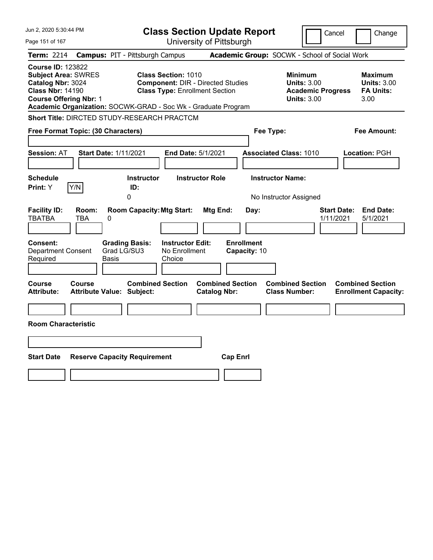| Jun 2, 2020 5:30:44 PM                                                                                                                  |                                                                                                                                                                                  | <b>Class Section Update Report</b>             |                                                                                        | Cancel<br>Change                                                |
|-----------------------------------------------------------------------------------------------------------------------------------------|----------------------------------------------------------------------------------------------------------------------------------------------------------------------------------|------------------------------------------------|----------------------------------------------------------------------------------------|-----------------------------------------------------------------|
| Page 151 of 167                                                                                                                         |                                                                                                                                                                                  | University of Pittsburgh                       |                                                                                        |                                                                 |
| Term: 2214                                                                                                                              | <b>Campus: PIT - Pittsburgh Campus</b>                                                                                                                                           |                                                | Academic Group: SOCWK - School of Social Work                                          |                                                                 |
| <b>Course ID: 123822</b><br><b>Subject Area: SWRES</b><br>Catalog Nbr: 3024<br><b>Class Nbr: 14190</b><br><b>Course Offering Nbr: 1</b> | <b>Class Section: 1010</b><br><b>Component: DIR - Directed Studies</b><br><b>Class Type: Enrollment Section</b><br>Academic Organization: SOCWK-GRAD - Soc Wk - Graduate Program |                                                | <b>Minimum</b><br><b>Units: 3.00</b><br><b>Academic Progress</b><br><b>Units: 3.00</b> | Maximum<br><b>Units: 3.00</b><br><b>FA Units:</b><br>3.00       |
|                                                                                                                                         | Short Title: DIRCTED STUDY-RESEARCH PRACTCM                                                                                                                                      |                                                |                                                                                        |                                                                 |
| Free Format Topic: (30 Characters)                                                                                                      |                                                                                                                                                                                  |                                                | Fee Type:                                                                              | Fee Amount:                                                     |
| <b>Session: AT</b>                                                                                                                      | <b>Start Date: 1/11/2021</b><br>End Date: 5/1/2021                                                                                                                               |                                                | <b>Associated Class: 1010</b>                                                          | Location: PGH                                                   |
| <b>Schedule</b><br>Y/N<br>Print: Y                                                                                                      | <b>Instructor</b><br>ID:<br>0                                                                                                                                                    | <b>Instructor Role</b>                         | <b>Instructor Name:</b><br>No Instructor Assigned                                      |                                                                 |
| <b>Facility ID:</b><br>Room:<br><b>TBATBA</b><br>TBA                                                                                    | <b>Room Capacity: Mtg Start:</b><br>0                                                                                                                                            | Mtg End:<br>Day:                               |                                                                                        | <b>End Date:</b><br><b>Start Date:</b><br>1/11/2021<br>5/1/2021 |
| <b>Consent:</b><br><b>Department Consent</b><br>Required                                                                                | <b>Instructor Edit:</b><br><b>Grading Basis:</b><br>Grad LG/SU3<br>No Enrollment<br>Basis<br>Choice                                                                              | <b>Enrollment</b><br>Capacity: 10              |                                                                                        |                                                                 |
| Course<br>Course<br>Attribute:                                                                                                          | <b>Combined Section</b><br><b>Attribute Value: Subject:</b>                                                                                                                      | <b>Combined Section</b><br><b>Catalog Nbr:</b> | <b>Combined Section</b><br><b>Class Number:</b>                                        | <b>Combined Section</b><br><b>Enrollment Capacity:</b>          |
|                                                                                                                                         |                                                                                                                                                                                  |                                                |                                                                                        |                                                                 |
| <b>Room Characteristic</b>                                                                                                              |                                                                                                                                                                                  |                                                |                                                                                        |                                                                 |
|                                                                                                                                         |                                                                                                                                                                                  |                                                |                                                                                        |                                                                 |
| <b>Start Date</b>                                                                                                                       | <b>Reserve Capacity Requirement</b>                                                                                                                                              | <b>Cap Enrl</b>                                |                                                                                        |                                                                 |
|                                                                                                                                         |                                                                                                                                                                                  |                                                |                                                                                        |                                                                 |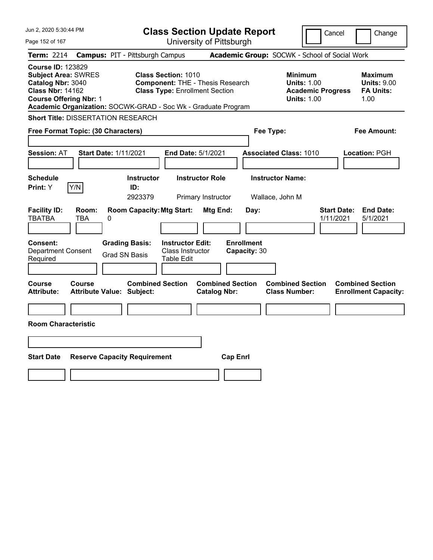| Jun 2, 2020 5:30:44 PM                                                                                                                  |                                                                                                                                                                                 | <b>Class Section Update Report</b>             | Cancel                                                                                 | Change                                                           |
|-----------------------------------------------------------------------------------------------------------------------------------------|---------------------------------------------------------------------------------------------------------------------------------------------------------------------------------|------------------------------------------------|----------------------------------------------------------------------------------------|------------------------------------------------------------------|
| Page 152 of 167                                                                                                                         |                                                                                                                                                                                 | University of Pittsburgh                       |                                                                                        |                                                                  |
| <b>Term: 2214</b>                                                                                                                       | <b>Campus: PIT - Pittsburgh Campus</b>                                                                                                                                          |                                                | Academic Group: SOCWK - School of Social Work                                          |                                                                  |
| <b>Course ID: 123829</b><br><b>Subject Area: SWRES</b><br>Catalog Nbr: 3040<br><b>Class Nbr: 14162</b><br><b>Course Offering Nbr: 1</b> | <b>Class Section: 1010</b><br><b>Component: THE - Thesis Research</b><br><b>Class Type: Enrollment Section</b><br>Academic Organization: SOCWK-GRAD - Soc Wk - Graduate Program |                                                | <b>Minimum</b><br><b>Units: 1.00</b><br><b>Academic Progress</b><br><b>Units: 1.00</b> | <b>Maximum</b><br><b>Units: 9.00</b><br><b>FA Units:</b><br>1.00 |
| <b>Short Title: DISSERTATION RESEARCH</b>                                                                                               |                                                                                                                                                                                 |                                                |                                                                                        |                                                                  |
| Free Format Topic: (30 Characters)                                                                                                      |                                                                                                                                                                                 |                                                | Fee Type:                                                                              | Fee Amount:                                                      |
| <b>Session: AT</b>                                                                                                                      | <b>Start Date: 1/11/2021</b>                                                                                                                                                    | End Date: 5/1/2021                             | <b>Associated Class: 1010</b>                                                          | Location: PGH                                                    |
| <b>Schedule</b><br>Print: Y<br>Y/N                                                                                                      | <b>Instructor</b><br>ID:<br>2923379                                                                                                                                             | <b>Instructor Role</b><br>Primary Instructor   | <b>Instructor Name:</b><br>Wallace, John M                                             |                                                                  |
| <b>Facility ID:</b><br>Room:<br><b>TBATBA</b><br>TBA                                                                                    | <b>Room Capacity: Mtg Start:</b><br>0                                                                                                                                           | Mtg End:<br>Day:                               | <b>Start Date:</b><br>1/11/2021                                                        | <b>End Date:</b><br>5/1/2021                                     |
| <b>Consent:</b><br>Department Consent<br>Required                                                                                       | <b>Grading Basis:</b><br><b>Instructor Edit:</b><br><b>Class Instructor</b><br><b>Grad SN Basis</b><br>Table Edit                                                               | <b>Enrollment</b><br>Capacity: 30              |                                                                                        |                                                                  |
| Course<br><b>Course</b><br><b>Attribute:</b>                                                                                            | <b>Combined Section</b><br><b>Attribute Value: Subject:</b>                                                                                                                     | <b>Combined Section</b><br><b>Catalog Nbr:</b> | <b>Combined Section</b><br><b>Class Number:</b>                                        | <b>Combined Section</b><br><b>Enrollment Capacity:</b>           |
|                                                                                                                                         |                                                                                                                                                                                 |                                                |                                                                                        |                                                                  |
| <b>Room Characteristic</b>                                                                                                              |                                                                                                                                                                                 |                                                |                                                                                        |                                                                  |
|                                                                                                                                         |                                                                                                                                                                                 |                                                |                                                                                        |                                                                  |
| <b>Start Date</b>                                                                                                                       | <b>Reserve Capacity Requirement</b>                                                                                                                                             | <b>Cap Enrl</b>                                |                                                                                        |                                                                  |
|                                                                                                                                         |                                                                                                                                                                                 |                                                |                                                                                        |                                                                  |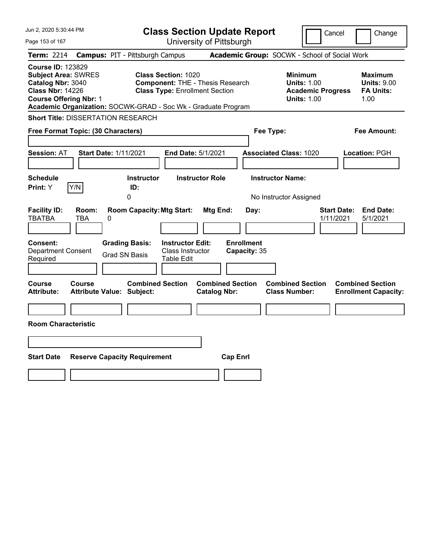| Jun 2, 2020 5:30:44 PM                                                                                                                                                                                   |                                                                                                                | <b>Class Section Update Report</b>             | Cancel                                                                                 | Change                                                    |
|----------------------------------------------------------------------------------------------------------------------------------------------------------------------------------------------------------|----------------------------------------------------------------------------------------------------------------|------------------------------------------------|----------------------------------------------------------------------------------------|-----------------------------------------------------------|
| Page 153 of 167                                                                                                                                                                                          |                                                                                                                | University of Pittsburgh                       |                                                                                        |                                                           |
| <b>Term: 2214</b>                                                                                                                                                                                        | <b>Campus: PIT - Pittsburgh Campus</b>                                                                         |                                                | Academic Group: SOCWK - School of Social Work                                          |                                                           |
| <b>Course ID: 123829</b><br><b>Subject Area: SWRES</b><br>Catalog Nbr: 3040<br><b>Class Nbr: 14226</b><br><b>Course Offering Nbr: 1</b><br>Academic Organization: SOCWK-GRAD - Soc Wk - Graduate Program | <b>Class Section: 1020</b><br><b>Component: THE - Thesis Research</b><br><b>Class Type: Enrollment Section</b> |                                                | <b>Minimum</b><br><b>Units: 1.00</b><br><b>Academic Progress</b><br><b>Units: 1.00</b> | Maximum<br><b>Units: 9.00</b><br><b>FA Units:</b><br>1.00 |
| <b>Short Title: DISSERTATION RESEARCH</b>                                                                                                                                                                |                                                                                                                |                                                |                                                                                        |                                                           |
| Free Format Topic: (30 Characters)                                                                                                                                                                       |                                                                                                                |                                                | Fee Type:                                                                              | Fee Amount:                                               |
| <b>Session: AT</b><br><b>Start Date: 1/11/2021</b>                                                                                                                                                       | End Date: 5/1/2021                                                                                             |                                                | <b>Associated Class: 1020</b>                                                          | Location: PGH                                             |
| <b>Schedule</b><br>Y/N<br>Print: Y                                                                                                                                                                       | <b>Instructor</b><br>ID:<br>0                                                                                  | <b>Instructor Role</b>                         | <b>Instructor Name:</b><br>No Instructor Assigned                                      |                                                           |
| <b>Facility ID:</b><br>Room:<br><b>TBATBA</b><br><b>TBA</b><br>0                                                                                                                                         | <b>Room Capacity: Mtg Start:</b>                                                                               | Mtg End:<br>Day:                               | <b>Start Date:</b><br>1/11/2021                                                        | <b>End Date:</b><br>5/1/2021                              |
| Consent:<br><b>Department Consent</b><br>Required                                                                                                                                                        | <b>Grading Basis:</b><br><b>Instructor Edit:</b><br>Class Instructor<br><b>Grad SN Basis</b><br>Table Edit     | <b>Enrollment</b><br>Capacity: 35              |                                                                                        |                                                           |
| Course<br><b>Course</b><br><b>Attribute:</b><br><b>Attribute Value: Subject:</b>                                                                                                                         | <b>Combined Section</b>                                                                                        | <b>Combined Section</b><br><b>Catalog Nbr:</b> | <b>Combined Section</b><br><b>Class Number:</b>                                        | <b>Combined Section</b><br><b>Enrollment Capacity:</b>    |
|                                                                                                                                                                                                          |                                                                                                                |                                                |                                                                                        |                                                           |
| <b>Room Characteristic</b>                                                                                                                                                                               |                                                                                                                |                                                |                                                                                        |                                                           |
|                                                                                                                                                                                                          |                                                                                                                |                                                |                                                                                        |                                                           |
| <b>Start Date</b><br><b>Reserve Capacity Requirement</b>                                                                                                                                                 |                                                                                                                | <b>Cap Enrl</b>                                |                                                                                        |                                                           |
|                                                                                                                                                                                                          |                                                                                                                |                                                |                                                                                        |                                                           |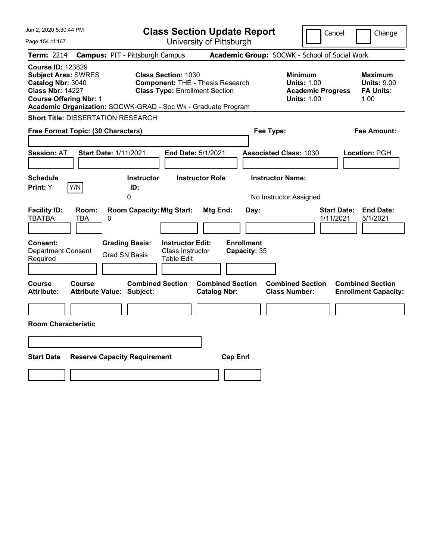| Jun 2, 2020 5:30:44 PM                                                                                                                                                                                   |                                                                                                                | <b>Class Section Update Report</b>             | Cancel                                                                                 | Change                                                    |
|----------------------------------------------------------------------------------------------------------------------------------------------------------------------------------------------------------|----------------------------------------------------------------------------------------------------------------|------------------------------------------------|----------------------------------------------------------------------------------------|-----------------------------------------------------------|
| Page 154 of 167                                                                                                                                                                                          |                                                                                                                | University of Pittsburgh                       |                                                                                        |                                                           |
| <b>Term: 2214</b>                                                                                                                                                                                        | <b>Campus: PIT - Pittsburgh Campus</b>                                                                         |                                                | Academic Group: SOCWK - School of Social Work                                          |                                                           |
| <b>Course ID: 123829</b><br><b>Subject Area: SWRES</b><br>Catalog Nbr: 3040<br><b>Class Nbr: 14227</b><br><b>Course Offering Nbr: 1</b><br>Academic Organization: SOCWK-GRAD - Soc Wk - Graduate Program | <b>Class Section: 1030</b><br><b>Component: THE - Thesis Research</b><br><b>Class Type: Enrollment Section</b> |                                                | <b>Minimum</b><br><b>Units: 1.00</b><br><b>Academic Progress</b><br><b>Units: 1.00</b> | Maximum<br><b>Units: 9.00</b><br><b>FA Units:</b><br>1.00 |
| <b>Short Title: DISSERTATION RESEARCH</b>                                                                                                                                                                |                                                                                                                |                                                |                                                                                        |                                                           |
| Free Format Topic: (30 Characters)                                                                                                                                                                       |                                                                                                                |                                                | Fee Type:                                                                              | Fee Amount:                                               |
| <b>Session: AT</b><br><b>Start Date: 1/11/2021</b>                                                                                                                                                       | End Date: 5/1/2021                                                                                             |                                                | <b>Associated Class: 1030</b>                                                          | Location: PGH                                             |
| <b>Schedule</b><br>Y/N<br>Print: Y                                                                                                                                                                       | <b>Instructor</b><br>ID:<br>0                                                                                  | <b>Instructor Role</b>                         | <b>Instructor Name:</b><br>No Instructor Assigned                                      |                                                           |
| <b>Facility ID:</b><br>Room:<br><b>TBATBA</b><br><b>TBA</b><br>0                                                                                                                                         | <b>Room Capacity: Mtg Start:</b>                                                                               | Mtg End:<br>Day:                               | 1/11/2021                                                                              | <b>Start Date:</b><br><b>End Date:</b><br>5/1/2021        |
| Consent:<br><b>Department Consent</b><br>Required                                                                                                                                                        | <b>Grading Basis:</b><br><b>Instructor Edit:</b><br>Class Instructor<br><b>Grad SN Basis</b><br>Table Edit     | <b>Enrollment</b><br>Capacity: 35              |                                                                                        |                                                           |
| Course<br><b>Course</b><br><b>Attribute:</b><br><b>Attribute Value: Subject:</b>                                                                                                                         | <b>Combined Section</b>                                                                                        | <b>Combined Section</b><br><b>Catalog Nbr:</b> | <b>Combined Section</b><br><b>Class Number:</b>                                        | <b>Combined Section</b><br><b>Enrollment Capacity:</b>    |
|                                                                                                                                                                                                          |                                                                                                                |                                                |                                                                                        |                                                           |
| <b>Room Characteristic</b>                                                                                                                                                                               |                                                                                                                |                                                |                                                                                        |                                                           |
|                                                                                                                                                                                                          |                                                                                                                |                                                |                                                                                        |                                                           |
| <b>Start Date</b><br><b>Reserve Capacity Requirement</b>                                                                                                                                                 |                                                                                                                | <b>Cap Enrl</b>                                |                                                                                        |                                                           |
|                                                                                                                                                                                                          |                                                                                                                |                                                |                                                                                        |                                                           |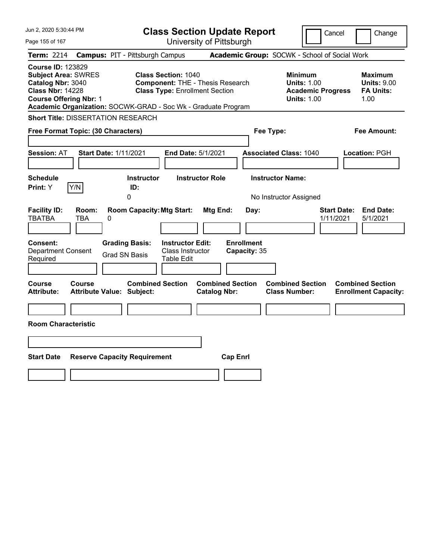| Jun 2, 2020 5:30:44 PM                                                                                                                                                                                   |                                                                                                                | <b>Class Section Update Report</b>             |                                                                                        | Cancel<br>Change                                                |
|----------------------------------------------------------------------------------------------------------------------------------------------------------------------------------------------------------|----------------------------------------------------------------------------------------------------------------|------------------------------------------------|----------------------------------------------------------------------------------------|-----------------------------------------------------------------|
| Page 155 of 167                                                                                                                                                                                          |                                                                                                                | University of Pittsburgh                       |                                                                                        |                                                                 |
| Term: 2214                                                                                                                                                                                               | <b>Campus: PIT - Pittsburgh Campus</b>                                                                         |                                                | Academic Group: SOCWK - School of Social Work                                          |                                                                 |
| <b>Course ID: 123829</b><br><b>Subject Area: SWRES</b><br>Catalog Nbr: 3040<br><b>Class Nbr: 14228</b><br><b>Course Offering Nbr: 1</b><br>Academic Organization: SOCWK-GRAD - Soc Wk - Graduate Program | <b>Class Section: 1040</b><br><b>Component: THE - Thesis Research</b><br><b>Class Type: Enrollment Section</b> |                                                | <b>Minimum</b><br><b>Units: 1.00</b><br><b>Academic Progress</b><br><b>Units: 1.00</b> | Maximum<br><b>Units: 9.00</b><br><b>FA Units:</b><br>1.00       |
| <b>Short Title: DISSERTATION RESEARCH</b>                                                                                                                                                                |                                                                                                                |                                                |                                                                                        |                                                                 |
| Free Format Topic: (30 Characters)                                                                                                                                                                       |                                                                                                                |                                                | Fee Type:                                                                              | Fee Amount:                                                     |
| Start Date: 1/11/2021<br><b>Session: AT</b>                                                                                                                                                              |                                                                                                                | End Date: 5/1/2021                             | <b>Associated Class: 1040</b>                                                          | Location: PGH                                                   |
| <b>Schedule</b><br>Y/N<br>Print: Y                                                                                                                                                                       | <b>Instructor</b><br>ID:<br>0                                                                                  | <b>Instructor Role</b>                         | <b>Instructor Name:</b><br>No Instructor Assigned                                      |                                                                 |
| <b>Facility ID:</b><br>Room:<br><b>TBATBA</b><br>TBA<br>0                                                                                                                                                | <b>Room Capacity: Mtg Start:</b>                                                                               | Mtg End:<br>Day:                               |                                                                                        | <b>End Date:</b><br><b>Start Date:</b><br>1/11/2021<br>5/1/2021 |
| <b>Consent:</b><br><b>Department Consent</b><br>Required                                                                                                                                                 | <b>Grading Basis:</b><br><b>Instructor Edit:</b><br>Class Instructor<br><b>Grad SN Basis</b><br>Table Edit     | <b>Enrollment</b><br>Capacity: 35              |                                                                                        |                                                                 |
| Course<br><b>Course</b><br><b>Attribute:</b><br>Attribute Value: Subject:                                                                                                                                | <b>Combined Section</b>                                                                                        | <b>Combined Section</b><br><b>Catalog Nbr:</b> | <b>Combined Section</b><br><b>Class Number:</b>                                        | <b>Combined Section</b><br><b>Enrollment Capacity:</b>          |
|                                                                                                                                                                                                          |                                                                                                                |                                                |                                                                                        |                                                                 |
| <b>Room Characteristic</b>                                                                                                                                                                               |                                                                                                                |                                                |                                                                                        |                                                                 |
|                                                                                                                                                                                                          |                                                                                                                |                                                |                                                                                        |                                                                 |
| <b>Start Date</b>                                                                                                                                                                                        | <b>Reserve Capacity Requirement</b>                                                                            | <b>Cap Enrl</b>                                |                                                                                        |                                                                 |
|                                                                                                                                                                                                          |                                                                                                                |                                                |                                                                                        |                                                                 |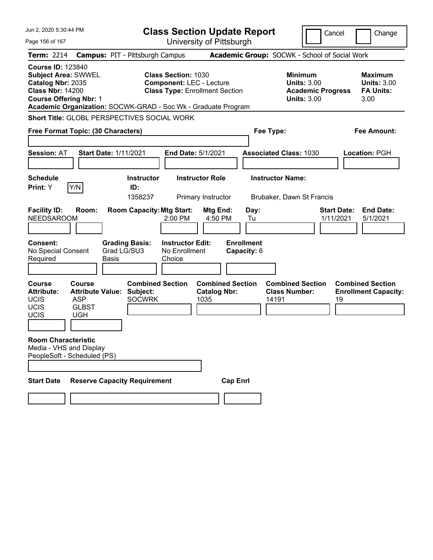| Jun 2. 2020 5:30:44 PM                                                                                                                  |                                                      | <b>Class Section Update Report</b>                                                                                                                                      |                                                        |                                                      | Cancel                                                                                 | Change                                                           |
|-----------------------------------------------------------------------------------------------------------------------------------------|------------------------------------------------------|-------------------------------------------------------------------------------------------------------------------------------------------------------------------------|--------------------------------------------------------|------------------------------------------------------|----------------------------------------------------------------------------------------|------------------------------------------------------------------|
| Page 156 of 167                                                                                                                         |                                                      |                                                                                                                                                                         | University of Pittsburgh                               |                                                      |                                                                                        |                                                                  |
| <b>Term: 2214</b>                                                                                                                       | <b>Campus: PIT - Pittsburgh Campus</b>               |                                                                                                                                                                         |                                                        | Academic Group: SOCWK - School of Social Work        |                                                                                        |                                                                  |
| <b>Course ID: 123840</b><br><b>Subject Area: SWWEL</b><br>Catalog Nbr: 2035<br><b>Class Nbr: 14200</b><br><b>Course Offering Nbr: 1</b> |                                                      | <b>Class Section: 1030</b><br><b>Component: LEC - Lecture</b><br><b>Class Type: Enrollment Section</b><br>Academic Organization: SOCWK-GRAD - Soc Wk - Graduate Program |                                                        |                                                      | <b>Minimum</b><br><b>Units: 3.00</b><br><b>Academic Progress</b><br><b>Units: 3.00</b> | <b>Maximum</b><br><b>Units: 3.00</b><br><b>FA Units:</b><br>3.00 |
|                                                                                                                                         |                                                      | <b>Short Title: GLOBL PERSPECTIVES SOCIAL WORK</b>                                                                                                                      |                                                        |                                                      |                                                                                        |                                                                  |
| Free Format Topic: (30 Characters)                                                                                                      |                                                      |                                                                                                                                                                         |                                                        | Fee Type:                                            |                                                                                        | <b>Fee Amount:</b>                                               |
| <b>Session: AT</b>                                                                                                                      | <b>Start Date: 1/11/2021</b>                         |                                                                                                                                                                         | End Date: 5/1/2021                                     | <b>Associated Class: 1030</b>                        |                                                                                        | <b>Location: PGH</b>                                             |
| <b>Schedule</b><br>Y/N<br>Print: Y                                                                                                      | ID:                                                  | <b>Instructor</b><br>1358237                                                                                                                                            | <b>Instructor Role</b><br>Primary Instructor           | <b>Instructor Name:</b><br>Brubaker, Dawn St Francis |                                                                                        |                                                                  |
| <b>Facility ID:</b><br><b>NEEDSAROOM</b>                                                                                                | Room:                                                | <b>Room Capacity: Mtg Start:</b><br>2:00 PM                                                                                                                             | Mtg End:<br>4:50 PM                                    | Day:<br>Tu                                           | 1/11/2021                                                                              | <b>Start Date:</b><br><b>End Date:</b><br>5/1/2021               |
| Consent:<br>No Special Consent<br>Required                                                                                              | <b>Grading Basis:</b><br>Grad LG/SU3<br><b>Basis</b> | <b>Instructor Edit:</b><br>No Enrollment<br>Choice                                                                                                                      |                                                        | <b>Enrollment</b><br>Capacity: 6                     |                                                                                        |                                                                  |
| <b>Course</b><br>Course<br><b>Attribute:</b><br><b>UCIS</b><br><b>ASP</b><br>UCIS<br>UCIS<br><b>UGH</b>                                 | <b>Attribute Value:</b><br><b>GLBST</b>              | <b>Combined Section</b><br>Subject:<br><b>SOCWRK</b>                                                                                                                    | <b>Combined Section</b><br><b>Catalog Nbr:</b><br>1035 | <b>Class Number:</b><br>14191                        | <b>Combined Section</b>                                                                | <b>Combined Section</b><br><b>Enrollment Capacity:</b><br>19     |
| <b>Room Characteristic</b><br>Media - VHS and Display<br>PeopleSoft - Scheduled (PS)                                                    |                                                      |                                                                                                                                                                         |                                                        |                                                      |                                                                                        |                                                                  |
| <b>Start Date</b>                                                                                                                       | <b>Reserve Capacity Requirement</b>                  |                                                                                                                                                                         | <b>Cap Enrl</b>                                        |                                                      |                                                                                        |                                                                  |
|                                                                                                                                         |                                                      |                                                                                                                                                                         |                                                        |                                                      |                                                                                        |                                                                  |
|                                                                                                                                         |                                                      |                                                                                                                                                                         |                                                        |                                                      |                                                                                        |                                                                  |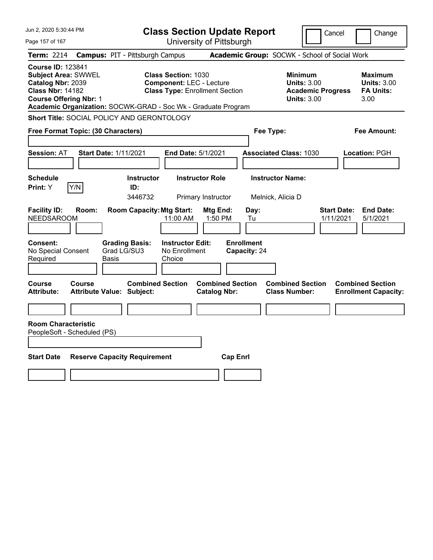| Jun 2, 2020 5:30:44 PM                                                                                                                  |                                                                                                                                                                         | <b>Class Section Update Report</b>             |                                                                                        | Cancel<br>Change                                                 |
|-----------------------------------------------------------------------------------------------------------------------------------------|-------------------------------------------------------------------------------------------------------------------------------------------------------------------------|------------------------------------------------|----------------------------------------------------------------------------------------|------------------------------------------------------------------|
| Page 157 of 167                                                                                                                         |                                                                                                                                                                         | University of Pittsburgh                       |                                                                                        |                                                                  |
| <b>Term: 2214</b>                                                                                                                       | <b>Campus: PIT - Pittsburgh Campus</b>                                                                                                                                  |                                                | Academic Group: SOCWK - School of Social Work                                          |                                                                  |
| <b>Course ID: 123841</b><br><b>Subject Area: SWWEL</b><br>Catalog Nbr: 2039<br><b>Class Nbr: 14182</b><br><b>Course Offering Nbr: 1</b> | <b>Class Section: 1030</b><br><b>Component: LEC - Lecture</b><br><b>Class Type: Enrollment Section</b><br>Academic Organization: SOCWK-GRAD - Soc Wk - Graduate Program |                                                | <b>Minimum</b><br><b>Units: 3.00</b><br><b>Academic Progress</b><br><b>Units: 3.00</b> | <b>Maximum</b><br><b>Units: 3.00</b><br><b>FA Units:</b><br>3.00 |
|                                                                                                                                         | Short Title: SOCIAL POLICY AND GERONTOLOGY                                                                                                                              |                                                |                                                                                        |                                                                  |
| Free Format Topic: (30 Characters)                                                                                                      |                                                                                                                                                                         |                                                | Fee Type:                                                                              | Fee Amount:                                                      |
| Session: AT                                                                                                                             | <b>Start Date: 1/11/2021</b><br>End Date: 5/1/2021                                                                                                                      |                                                | <b>Associated Class: 1030</b>                                                          | Location: PGH                                                    |
| <b>Schedule</b><br> Y/N <br>Print: Y                                                                                                    | <b>Instructor</b><br>ID:<br>3446732                                                                                                                                     | <b>Instructor Role</b><br>Primary Instructor   | <b>Instructor Name:</b><br>Melnick, Alicia D                                           |                                                                  |
| <b>Facility ID:</b><br>Room:<br><b>NEEDSAROOM</b>                                                                                       | <b>Room Capacity: Mtg Start:</b><br>11:00 AM                                                                                                                            | Mtg End:<br>Day:<br>1:50 PM<br>Tu              |                                                                                        | <b>End Date:</b><br><b>Start Date:</b><br>1/11/2021<br>5/1/2021  |
| Consent:<br>No Special Consent<br>Required                                                                                              | <b>Grading Basis:</b><br><b>Instructor Edit:</b><br>Grad LG/SU3<br>No Enrollment<br>Basis<br>Choice                                                                     | <b>Enrollment</b><br>Capacity: 24              |                                                                                        |                                                                  |
| Course<br>Course<br><b>Attribute:</b>                                                                                                   | <b>Combined Section</b><br><b>Attribute Value: Subject:</b>                                                                                                             | <b>Combined Section</b><br><b>Catalog Nbr:</b> | <b>Combined Section</b><br><b>Class Number:</b>                                        | <b>Combined Section</b><br><b>Enrollment Capacity:</b>           |
| <b>Room Characteristic</b><br>PeopleSoft - Scheduled (PS)                                                                               |                                                                                                                                                                         |                                                |                                                                                        |                                                                  |
| <b>Start Date</b>                                                                                                                       | <b>Reserve Capacity Requirement</b>                                                                                                                                     | <b>Cap Enrl</b>                                |                                                                                        |                                                                  |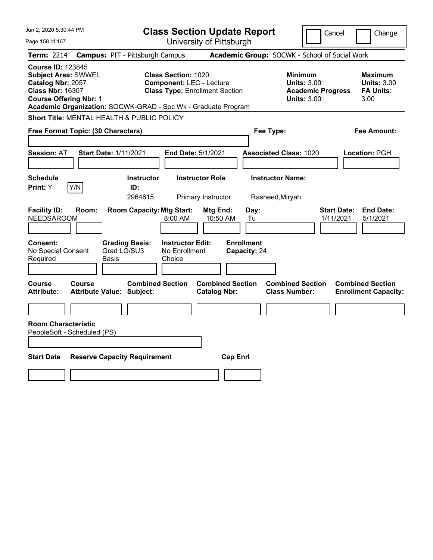| Jun 2, 2020 5:30:44 PM                                                                                                                  |                                                                                                                                                                         | <b>Class Section Update Report</b>             |                                                                                        | Cancel<br>Change                                                 |
|-----------------------------------------------------------------------------------------------------------------------------------------|-------------------------------------------------------------------------------------------------------------------------------------------------------------------------|------------------------------------------------|----------------------------------------------------------------------------------------|------------------------------------------------------------------|
| Page 158 of 167                                                                                                                         |                                                                                                                                                                         | University of Pittsburgh                       |                                                                                        |                                                                  |
| <b>Term: 2214</b>                                                                                                                       | <b>Campus: PIT - Pittsburgh Campus</b>                                                                                                                                  |                                                | Academic Group: SOCWK - School of Social Work                                          |                                                                  |
| <b>Course ID: 123845</b><br><b>Subject Area: SWWEL</b><br>Catalog Nbr: 2057<br><b>Class Nbr: 16307</b><br><b>Course Offering Nbr: 1</b> | <b>Class Section: 1020</b><br><b>Component: LEC - Lecture</b><br><b>Class Type: Enrollment Section</b><br>Academic Organization: SOCWK-GRAD - Soc Wk - Graduate Program |                                                | <b>Minimum</b><br><b>Units: 3.00</b><br><b>Academic Progress</b><br><b>Units: 3.00</b> | <b>Maximum</b><br><b>Units: 3.00</b><br><b>FA Units:</b><br>3.00 |
| Short Title: MENTAL HEALTH & PUBLIC POLICY                                                                                              |                                                                                                                                                                         |                                                |                                                                                        |                                                                  |
| Free Format Topic: (30 Characters)                                                                                                      |                                                                                                                                                                         |                                                | Fee Type:                                                                              | Fee Amount:                                                      |
| Session: AT                                                                                                                             | <b>Start Date: 1/11/2021</b><br>End Date: 5/1/2021                                                                                                                      |                                                | <b>Associated Class: 1020</b>                                                          | <b>Location: PGH</b>                                             |
| <b>Schedule</b><br>Print: Y<br> Y/N                                                                                                     | Instructor<br>ID:<br>2964615                                                                                                                                            | <b>Instructor Role</b><br>Primary Instructor   | <b>Instructor Name:</b><br>Rasheed, Miryah                                             |                                                                  |
| <b>Facility ID:</b><br>Room:<br><b>NEEDSAROOM</b>                                                                                       | <b>Room Capacity: Mtg Start:</b><br>8:00 AM                                                                                                                             | Mtg End:<br>Day:<br>10:50 AM<br>Tu             |                                                                                        | <b>Start Date:</b><br><b>End Date:</b><br>1/11/2021<br>5/1/2021  |
| Consent:<br>No Special Consent<br>Required                                                                                              | <b>Instructor Edit:</b><br><b>Grading Basis:</b><br>Grad LG/SU3<br>No Enrollment<br>Basis<br>Choice                                                                     | <b>Enrollment</b><br>Capacity: 24              |                                                                                        |                                                                  |
| Course<br>Course<br><b>Attribute:</b>                                                                                                   | <b>Combined Section</b><br><b>Attribute Value: Subject:</b>                                                                                                             | <b>Combined Section</b><br><b>Catalog Nbr:</b> | <b>Combined Section</b><br><b>Class Number:</b>                                        | <b>Combined Section</b><br><b>Enrollment Capacity:</b>           |
| <b>Room Characteristic</b><br>PeopleSoft - Scheduled (PS)                                                                               |                                                                                                                                                                         |                                                |                                                                                        |                                                                  |
| <b>Start Date</b>                                                                                                                       | <b>Reserve Capacity Requirement</b>                                                                                                                                     | <b>Cap Enrl</b>                                |                                                                                        |                                                                  |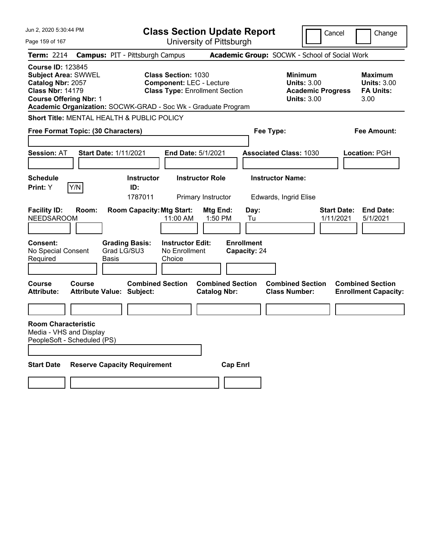| Jun 2, 2020 5:30:44 PM                                                                                                                  |        |                                                               | <b>Class Section Update Report</b>                                                                     |                                                |                                   |                                                            | Cancel                   | Change                                                           |
|-----------------------------------------------------------------------------------------------------------------------------------------|--------|---------------------------------------------------------------|--------------------------------------------------------------------------------------------------------|------------------------------------------------|-----------------------------------|------------------------------------------------------------|--------------------------|------------------------------------------------------------------|
| Page 159 of 167                                                                                                                         |        |                                                               | University of Pittsburgh                                                                               |                                                |                                   |                                                            |                          |                                                                  |
| <b>Term: 2214</b>                                                                                                                       |        | <b>Campus: PIT - Pittsburgh Campus</b>                        |                                                                                                        |                                                |                                   | Academic Group: SOCWK - School of Social Work              |                          |                                                                  |
| <b>Course ID: 123845</b><br><b>Subject Area: SWWEL</b><br>Catalog Nbr: 2057<br><b>Class Nbr: 14179</b><br><b>Course Offering Nbr: 1</b> |        | Academic Organization: SOCWK-GRAD - Soc Wk - Graduate Program | <b>Class Section: 1030</b><br><b>Component: LEC - Lecture</b><br><b>Class Type: Enrollment Section</b> |                                                |                                   | <b>Minimum</b><br><b>Units: 3.00</b><br><b>Units: 3.00</b> | <b>Academic Progress</b> | <b>Maximum</b><br><b>Units: 3.00</b><br><b>FA Units:</b><br>3.00 |
|                                                                                                                                         |        | Short Title: MENTAL HEALTH & PUBLIC POLICY                    |                                                                                                        |                                                |                                   |                                                            |                          |                                                                  |
| Free Format Topic: (30 Characters)                                                                                                      |        |                                                               |                                                                                                        |                                                | Fee Type:                         |                                                            |                          | Fee Amount:                                                      |
| <b>Session: AT</b>                                                                                                                      |        | <b>Start Date: 1/11/2021</b>                                  | <b>End Date: 5/1/2021</b>                                                                              |                                                |                                   | <b>Associated Class: 1030</b>                              |                          | <b>Location: PGH</b>                                             |
| <b>Schedule</b><br>Y/N<br><b>Print:</b> Y                                                                                               |        | <b>Instructor</b><br>ID:<br>1787011                           | <b>Instructor Role</b>                                                                                 | Primary Instructor                             |                                   | <b>Instructor Name:</b><br>Edwards, Ingrid Elise           |                          |                                                                  |
| <b>Facility ID:</b><br><b>NEEDSAROOM</b>                                                                                                | Room:  | <b>Room Capacity: Mtg Start:</b>                              | 11:00 AM                                                                                               | Mtg End:<br>1:50 PM                            | Day:<br>Tu                        |                                                            | Start Date:<br>1/11/2021 | <b>End Date:</b><br>5/1/2021                                     |
| <b>Consent:</b><br>No Special Consent<br>Required                                                                                       |        | <b>Grading Basis:</b><br>Grad LG/SU3<br>Basis                 | <b>Instructor Edit:</b><br>No Enrollment<br>Choice                                                     |                                                | <b>Enrollment</b><br>Capacity: 24 |                                                            |                          |                                                                  |
| Course<br><b>Attribute:</b>                                                                                                             | Course | <b>Combined Section</b><br><b>Attribute Value: Subject:</b>   |                                                                                                        | <b>Combined Section</b><br><b>Catalog Nbr:</b> |                                   | <b>Combined Section</b><br><b>Class Number:</b>            |                          | <b>Combined Section</b><br><b>Enrollment Capacity:</b>           |
|                                                                                                                                         |        |                                                               |                                                                                                        |                                                |                                   |                                                            |                          |                                                                  |
| <b>Room Characteristic</b><br>Media - VHS and Display<br>PeopleSoft - Scheduled (PS)                                                    |        |                                                               |                                                                                                        |                                                |                                   |                                                            |                          |                                                                  |
| <b>Start Date</b>                                                                                                                       |        | <b>Reserve Capacity Requirement</b>                           |                                                                                                        | <b>Cap Enrl</b>                                |                                   |                                                            |                          |                                                                  |
|                                                                                                                                         |        |                                                               |                                                                                                        |                                                |                                   |                                                            |                          |                                                                  |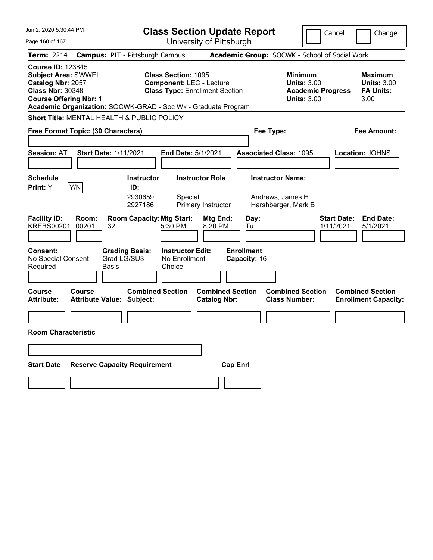| Jun 2, 2020 5:30:44 PM                                                                                                                                                                                   |                                                             | <b>Class Section Update Report</b>                                                                     |                                                |                                             |                                                                                 | Cancel                          | Change                                                    |
|----------------------------------------------------------------------------------------------------------------------------------------------------------------------------------------------------------|-------------------------------------------------------------|--------------------------------------------------------------------------------------------------------|------------------------------------------------|---------------------------------------------|---------------------------------------------------------------------------------|---------------------------------|-----------------------------------------------------------|
| Page 160 of 167                                                                                                                                                                                          |                                                             | University of Pittsburgh                                                                               |                                                |                                             |                                                                                 |                                 |                                                           |
| Term: 2214                                                                                                                                                                                               | <b>Campus: PIT - Pittsburgh Campus</b>                      |                                                                                                        |                                                |                                             | Academic Group: SOCWK - School of Social Work                                   |                                 |                                                           |
| <b>Course ID: 123845</b><br><b>Subject Area: SWWEL</b><br>Catalog Nbr: 2057<br><b>Class Nbr: 30348</b><br><b>Course Offering Nbr: 1</b><br>Academic Organization: SOCWK-GRAD - Soc Wk - Graduate Program |                                                             | <b>Class Section: 1095</b><br><b>Component: LEC - Lecture</b><br><b>Class Type: Enrollment Section</b> |                                                |                                             | Minimum<br><b>Units: 3.00</b><br><b>Academic Progress</b><br><b>Units: 3.00</b> |                                 | Maximum<br><b>Units: 3.00</b><br><b>FA Units:</b><br>3.00 |
| Short Title: MENTAL HEALTH & PUBLIC POLICY                                                                                                                                                               |                                                             |                                                                                                        |                                                |                                             |                                                                                 |                                 |                                                           |
| Free Format Topic: (30 Characters)                                                                                                                                                                       |                                                             |                                                                                                        |                                                | Fee Type:                                   |                                                                                 |                                 | Fee Amount:                                               |
| <b>Session: AT</b>                                                                                                                                                                                       | <b>Start Date: 1/11/2021</b>                                | <b>End Date: 5/1/2021</b>                                                                              |                                                | <b>Associated Class: 1095</b>               |                                                                                 |                                 | Location: JOHNS                                           |
| <b>Schedule</b><br>Y/N<br>Print: Y                                                                                                                                                                       | <b>Instructor</b><br>ID:<br>2930659<br>2927186              | <b>Instructor Role</b><br>Special<br>Primary Instructor                                                |                                                | <b>Instructor Name:</b><br>Andrews, James H | Harshberger, Mark B                                                             |                                 |                                                           |
| <b>Facility ID:</b><br>Room:<br><b>KREBS00201</b><br>00201                                                                                                                                               | <b>Room Capacity: Mtg Start:</b><br>32                      | 5:30 PM                                                                                                | Mtg End:<br>8:20 PM                            | Day:<br>Tu                                  |                                                                                 | <b>Start Date:</b><br>1/11/2021 | <b>End Date:</b><br>5/1/2021                              |
| <b>Consent:</b><br>No Special Consent<br>Required                                                                                                                                                        | <b>Grading Basis:</b><br>Grad LG/SU3<br>Basis               | <b>Instructor Edit:</b><br>No Enrollment<br>Choice                                                     |                                                | <b>Enrollment</b><br>Capacity: 16           |                                                                                 |                                 |                                                           |
| Course<br>Course<br><b>Attribute:</b>                                                                                                                                                                    | <b>Combined Section</b><br><b>Attribute Value: Subject:</b> |                                                                                                        | <b>Combined Section</b><br><b>Catalog Nbr:</b> |                                             | <b>Combined Section</b><br><b>Class Number:</b>                                 |                                 | <b>Combined Section</b><br><b>Enrollment Capacity:</b>    |
|                                                                                                                                                                                                          |                                                             |                                                                                                        |                                                |                                             |                                                                                 |                                 |                                                           |
| <b>Room Characteristic</b>                                                                                                                                                                               |                                                             |                                                                                                        |                                                |                                             |                                                                                 |                                 |                                                           |
|                                                                                                                                                                                                          |                                                             |                                                                                                        |                                                |                                             |                                                                                 |                                 |                                                           |
| <b>Start Date</b>                                                                                                                                                                                        | <b>Reserve Capacity Requirement</b>                         |                                                                                                        | <b>Cap Enrl</b>                                |                                             |                                                                                 |                                 |                                                           |
|                                                                                                                                                                                                          |                                                             |                                                                                                        |                                                |                                             |                                                                                 |                                 |                                                           |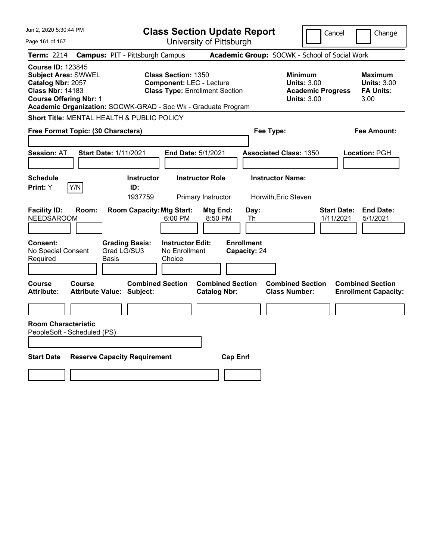| Jun 2, 2020 5:30:44 PM                                                                                                                  |                                                                                                                                                                         | <b>Class Section Update Report</b>             |                                                                                        | Cancel<br>Change                                                 |
|-----------------------------------------------------------------------------------------------------------------------------------------|-------------------------------------------------------------------------------------------------------------------------------------------------------------------------|------------------------------------------------|----------------------------------------------------------------------------------------|------------------------------------------------------------------|
| Page 161 of 167                                                                                                                         |                                                                                                                                                                         | University of Pittsburgh                       |                                                                                        |                                                                  |
| <b>Term: 2214</b>                                                                                                                       | <b>Campus: PIT - Pittsburgh Campus</b>                                                                                                                                  |                                                | Academic Group: SOCWK - School of Social Work                                          |                                                                  |
| <b>Course ID: 123845</b><br><b>Subject Area: SWWEL</b><br>Catalog Nbr: 2057<br><b>Class Nbr: 14183</b><br><b>Course Offering Nbr: 1</b> | <b>Class Section: 1350</b><br><b>Component: LEC - Lecture</b><br><b>Class Type: Enrollment Section</b><br>Academic Organization: SOCWK-GRAD - Soc Wk - Graduate Program |                                                | <b>Minimum</b><br><b>Units: 3.00</b><br><b>Academic Progress</b><br><b>Units: 3.00</b> | <b>Maximum</b><br><b>Units: 3.00</b><br><b>FA Units:</b><br>3.00 |
| Short Title: MENTAL HEALTH & PUBLIC POLICY                                                                                              |                                                                                                                                                                         |                                                |                                                                                        |                                                                  |
| Free Format Topic: (30 Characters)                                                                                                      |                                                                                                                                                                         |                                                | Fee Type:                                                                              | Fee Amount:                                                      |
| <b>Session: AT</b>                                                                                                                      | <b>Start Date: 1/11/2021</b>                                                                                                                                            | End Date: 5/1/2021                             | <b>Associated Class: 1350</b>                                                          | Location: PGH                                                    |
| <b>Schedule</b><br> Y/N <br>Print: Y                                                                                                    | <b>Instructor</b><br>ID:<br>1937759                                                                                                                                     | <b>Instructor Role</b><br>Primary Instructor   | <b>Instructor Name:</b><br>Horwith, Eric Steven                                        |                                                                  |
| <b>Facility ID:</b><br>Room:<br><b>NEEDSAROOM</b>                                                                                       | <b>Room Capacity: Mtg Start:</b><br>6:00 PM                                                                                                                             | Mtg End:<br>Day:<br>8:50 PM<br>Th              |                                                                                        | <b>End Date:</b><br><b>Start Date:</b><br>1/11/2021<br>5/1/2021  |
| Consent:<br>No Special Consent<br>Required                                                                                              | <b>Grading Basis:</b><br><b>Instructor Edit:</b><br>Grad LG/SU3<br>No Enrollment<br>Basis<br>Choice                                                                     | <b>Enrollment</b><br>Capacity: 24              |                                                                                        |                                                                  |
| Course<br><b>Course</b><br><b>Attribute:</b>                                                                                            | <b>Combined Section</b><br><b>Attribute Value: Subject:</b>                                                                                                             | <b>Combined Section</b><br><b>Catalog Nbr:</b> | <b>Combined Section</b><br><b>Class Number:</b>                                        | <b>Combined Section</b><br><b>Enrollment Capacity:</b>           |
| <b>Room Characteristic</b>                                                                                                              |                                                                                                                                                                         |                                                |                                                                                        |                                                                  |
| PeopleSoft - Scheduled (PS)                                                                                                             |                                                                                                                                                                         |                                                |                                                                                        |                                                                  |
| <b>Start Date</b>                                                                                                                       | <b>Reserve Capacity Requirement</b>                                                                                                                                     | <b>Cap Enrl</b>                                |                                                                                        |                                                                  |
|                                                                                                                                         |                                                                                                                                                                         |                                                |                                                                                        |                                                                  |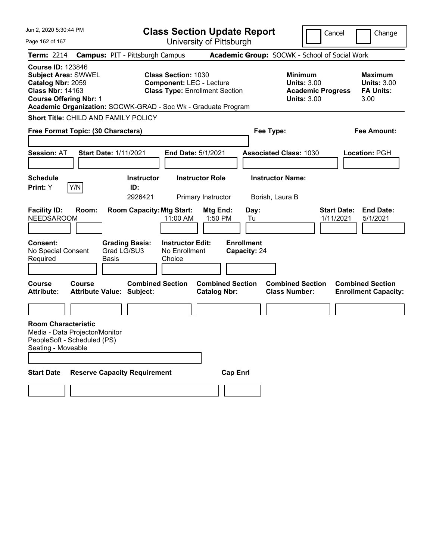|                                                                                                                                         | Jun 2, 2020 5:30:44 PM<br><b>Class Section Update Report</b><br>Cancel |                                                                          |                                                               |                                                |                                                 | Change                                                                                 |                                 |                                                                  |
|-----------------------------------------------------------------------------------------------------------------------------------------|------------------------------------------------------------------------|--------------------------------------------------------------------------|---------------------------------------------------------------|------------------------------------------------|-------------------------------------------------|----------------------------------------------------------------------------------------|---------------------------------|------------------------------------------------------------------|
| Page 162 of 167                                                                                                                         |                                                                        |                                                                          |                                                               | University of Pittsburgh                       |                                                 |                                                                                        |                                 |                                                                  |
| <b>Term: 2214</b>                                                                                                                       |                                                                        | <b>Campus: PIT - Pittsburgh Campus</b>                                   |                                                               |                                                |                                                 | Academic Group: SOCWK - School of Social Work                                          |                                 |                                                                  |
| <b>Course ID: 123846</b><br><b>Subject Area: SWWEL</b><br>Catalog Nbr: 2059<br><b>Class Nbr: 14163</b><br><b>Course Offering Nbr: 1</b> |                                                                        | Academic Organization: SOCWK-GRAD - Soc Wk - Graduate Program            | <b>Class Section: 1030</b><br><b>Component: LEC - Lecture</b> | <b>Class Type: Enrollment Section</b>          |                                                 | <b>Minimum</b><br><b>Units: 3.00</b><br><b>Academic Progress</b><br><b>Units: 3.00</b> |                                 | <b>Maximum</b><br><b>Units: 3.00</b><br><b>FA Units:</b><br>3.00 |
|                                                                                                                                         |                                                                        | Short Title: CHILD AND FAMILY POLICY                                     |                                                               |                                                |                                                 |                                                                                        |                                 |                                                                  |
| Free Format Topic: (30 Characters)                                                                                                      |                                                                        |                                                                          |                                                               |                                                | Fee Type:                                       |                                                                                        |                                 | <b>Fee Amount:</b>                                               |
| <b>Session: AT</b>                                                                                                                      |                                                                        | <b>Start Date: 1/11/2021</b>                                             | <b>End Date: 5/1/2021</b>                                     |                                                |                                                 | <b>Associated Class: 1030</b>                                                          |                                 | <b>Location: PGH</b>                                             |
| <b>Schedule</b>                                                                                                                         |                                                                        | <b>Instructor</b>                                                        |                                                               | <b>Instructor Role</b>                         |                                                 | <b>Instructor Name:</b>                                                                |                                 |                                                                  |
| <b>Print:</b> Y                                                                                                                         | Y/N                                                                    | ID:<br>2926421                                                           |                                                               | Primary Instructor                             |                                                 | Borish, Laura B                                                                        |                                 |                                                                  |
| <b>Facility ID:</b><br><b>NEEDSAROOM</b><br><b>Consent:</b><br>No Special Consent                                                       | Room:                                                                  | <b>Room Capacity: Mtg Start:</b><br><b>Grading Basis:</b><br>Grad LG/SU3 | 11:00 AM<br><b>Instructor Edit:</b><br>No Enrollment          | Mtg End:<br>1:50 PM                            | Day:<br>Tu<br><b>Enrollment</b><br>Capacity: 24 |                                                                                        | <b>Start Date:</b><br>1/11/2021 | <b>End Date:</b><br>5/1/2021                                     |
| Required                                                                                                                                |                                                                        | Basis                                                                    | Choice                                                        |                                                |                                                 |                                                                                        |                                 |                                                                  |
| <b>Course</b><br><b>Attribute:</b>                                                                                                      | Course                                                                 | <b>Combined Section</b><br><b>Attribute Value: Subject:</b>              |                                                               | <b>Combined Section</b><br><b>Catalog Nbr:</b> |                                                 | <b>Combined Section</b><br><b>Class Number:</b>                                        |                                 | <b>Combined Section</b><br><b>Enrollment Capacity:</b>           |
|                                                                                                                                         |                                                                        |                                                                          |                                                               |                                                |                                                 |                                                                                        |                                 |                                                                  |
| <b>Room Characteristic</b><br>Media - Data Projector/Monitor<br>PeopleSoft - Scheduled (PS)<br>Seating - Moveable                       |                                                                        |                                                                          |                                                               |                                                |                                                 |                                                                                        |                                 |                                                                  |
| <b>Start Date</b>                                                                                                                       |                                                                        | <b>Reserve Capacity Requirement</b>                                      |                                                               | <b>Cap Enrl</b>                                |                                                 |                                                                                        |                                 |                                                                  |
|                                                                                                                                         |                                                                        |                                                                          |                                                               |                                                |                                                 |                                                                                        |                                 |                                                                  |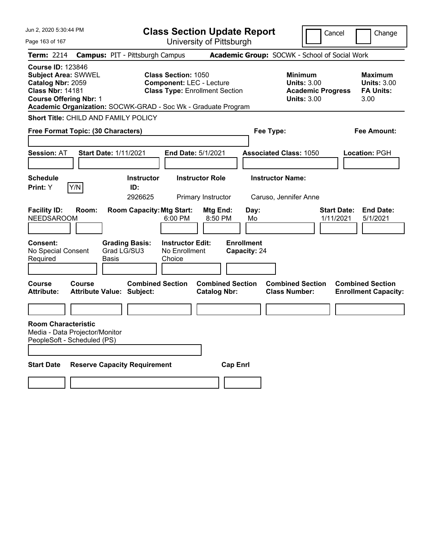| Jun 2, 2020 5:30:44 PM                                                                                                                                                                                   |                                                                                             | <b>Class Section Update Report</b>                                                                     |                                                 | Cancel                                                                                 | Change                                                    |
|----------------------------------------------------------------------------------------------------------------------------------------------------------------------------------------------------------|---------------------------------------------------------------------------------------------|--------------------------------------------------------------------------------------------------------|-------------------------------------------------|----------------------------------------------------------------------------------------|-----------------------------------------------------------|
| Page 163 of 167                                                                                                                                                                                          |                                                                                             | University of Pittsburgh                                                                               |                                                 |                                                                                        |                                                           |
| <b>Term: 2214</b>                                                                                                                                                                                        | <b>Campus: PIT - Pittsburgh Campus</b>                                                      |                                                                                                        | Academic Group: SOCWK - School of Social Work   |                                                                                        |                                                           |
| <b>Course ID: 123846</b><br><b>Subject Area: SWWEL</b><br>Catalog Nbr: 2059<br><b>Class Nbr: 14181</b><br><b>Course Offering Nbr: 1</b><br>Academic Organization: SOCWK-GRAD - Soc Wk - Graduate Program |                                                                                             | <b>Class Section: 1050</b><br><b>Component: LEC - Lecture</b><br><b>Class Type: Enrollment Section</b> |                                                 | <b>Minimum</b><br><b>Units: 3.00</b><br><b>Academic Progress</b><br><b>Units: 3.00</b> | Maximum<br><b>Units: 3.00</b><br><b>FA Units:</b><br>3.00 |
| <b>Short Title: CHILD AND FAMILY POLICY</b>                                                                                                                                                              |                                                                                             |                                                                                                        |                                                 |                                                                                        |                                                           |
| Free Format Topic: (30 Characters)                                                                                                                                                                       |                                                                                             |                                                                                                        | Fee Type:                                       |                                                                                        | Fee Amount:                                               |
| <b>Session: AT</b>                                                                                                                                                                                       | <b>Start Date: 1/11/2021</b>                                                                | End Date: 5/1/2021                                                                                     | <b>Associated Class: 1050</b>                   |                                                                                        | <b>Location: PGH</b>                                      |
| <b>Schedule</b>                                                                                                                                                                                          | <b>Instructor</b>                                                                           | <b>Instructor Role</b>                                                                                 | <b>Instructor Name:</b>                         |                                                                                        |                                                           |
| Y/N<br><b>Print:</b> Y                                                                                                                                                                                   | ID:<br>2926625                                                                              | Primary Instructor                                                                                     | Caruso, Jennifer Anne                           |                                                                                        |                                                           |
| <b>Facility ID:</b><br>Room:<br><b>NEEDSAROOM</b><br>Consent:<br>No Special Consent<br>Required                                                                                                          | <b>Room Capacity: Mtg Start:</b><br><b>Grading Basis:</b><br>Grad LG/SU3<br>Basis<br>Choice | Mtg End:<br>6:00 PM<br>8:50 PM<br><b>Instructor Edit:</b><br>No Enrollment                             | Day:<br>Mo<br><b>Enrollment</b><br>Capacity: 24 | <b>Start Date:</b><br>1/11/2021                                                        | <b>End Date:</b><br>5/1/2021                              |
| Course<br>Course<br><b>Attribute:</b>                                                                                                                                                                    | <b>Combined Section</b><br><b>Attribute Value: Subject:</b>                                 | <b>Combined Section</b><br><b>Catalog Nbr:</b>                                                         | <b>Class Number:</b>                            | <b>Combined Section</b>                                                                | <b>Combined Section</b><br><b>Enrollment Capacity:</b>    |
| <b>Room Characteristic</b><br>Media - Data Projector/Monitor<br>PeopleSoft - Scheduled (PS)                                                                                                              |                                                                                             |                                                                                                        |                                                 |                                                                                        |                                                           |
| <b>Start Date</b>                                                                                                                                                                                        | <b>Reserve Capacity Requirement</b>                                                         |                                                                                                        | <b>Cap Enri</b>                                 |                                                                                        |                                                           |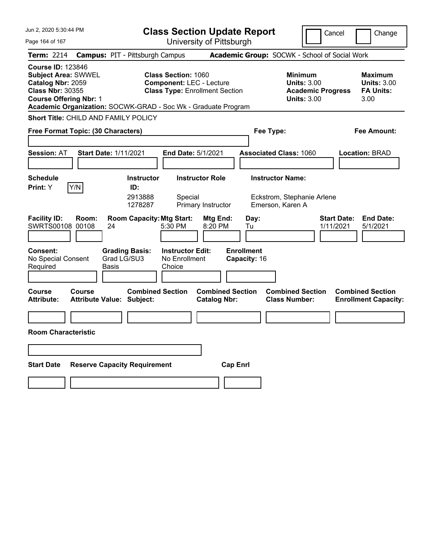| Jun 2, 2020 5:30:44 PM                                                                                                                                                                                   |                                                             | <b>Class Section Update Report</b>                                                                     |                                                |                                                                           |                                                                                        | Cancel                          | Change                                                           |
|----------------------------------------------------------------------------------------------------------------------------------------------------------------------------------------------------------|-------------------------------------------------------------|--------------------------------------------------------------------------------------------------------|------------------------------------------------|---------------------------------------------------------------------------|----------------------------------------------------------------------------------------|---------------------------------|------------------------------------------------------------------|
| Page 164 of 167                                                                                                                                                                                          |                                                             | University of Pittsburgh                                                                               |                                                |                                                                           |                                                                                        |                                 |                                                                  |
| Term: 2214                                                                                                                                                                                               | <b>Campus: PIT - Pittsburgh Campus</b>                      |                                                                                                        |                                                | Academic Group: SOCWK - School of Social Work                             |                                                                                        |                                 |                                                                  |
| <b>Course ID: 123846</b><br><b>Subject Area: SWWEL</b><br>Catalog Nbr: 2059<br><b>Class Nbr: 30355</b><br><b>Course Offering Nbr: 1</b><br>Academic Organization: SOCWK-GRAD - Soc Wk - Graduate Program |                                                             | <b>Class Section: 1060</b><br><b>Component: LEC - Lecture</b><br><b>Class Type: Enrollment Section</b> |                                                |                                                                           | <b>Minimum</b><br><b>Units: 3.00</b><br><b>Academic Progress</b><br><b>Units: 3.00</b> |                                 | <b>Maximum</b><br><b>Units: 3.00</b><br><b>FA Units:</b><br>3.00 |
| Short Title: CHILD AND FAMILY POLICY                                                                                                                                                                     |                                                             |                                                                                                        |                                                |                                                                           |                                                                                        |                                 |                                                                  |
| Free Format Topic: (30 Characters)                                                                                                                                                                       |                                                             |                                                                                                        |                                                | Fee Type:                                                                 |                                                                                        |                                 | Fee Amount:                                                      |
| <b>Session: AT</b>                                                                                                                                                                                       | <b>Start Date: 1/11/2021</b>                                | <b>End Date: 5/1/2021</b>                                                                              |                                                | <b>Associated Class: 1060</b>                                             |                                                                                        |                                 | <b>Location: BRAD</b>                                            |
| <b>Schedule</b><br>Y/N<br>Print: Y                                                                                                                                                                       | <b>Instructor</b><br>ID:<br>2913888<br>1278287              | <b>Instructor Role</b><br>Special<br>Primary Instructor                                                |                                                | <b>Instructor Name:</b><br>Eckstrom, Stephanie Arlene<br>Emerson, Karen A |                                                                                        |                                 |                                                                  |
| <b>Facility ID:</b><br>Room:<br>SWRTS00108 00108                                                                                                                                                         | <b>Room Capacity: Mtg Start:</b><br>24                      | 5:30 PM                                                                                                | Mtg End:<br>8:20 PM                            | Day:<br>Tu                                                                |                                                                                        | <b>Start Date:</b><br>1/11/2021 | <b>End Date:</b><br>5/1/2021                                     |
| <b>Consent:</b><br>No Special Consent<br>Required                                                                                                                                                        | <b>Grading Basis:</b><br>Grad LG/SU3<br>Basis               | <b>Instructor Edit:</b><br>No Enrollment<br>Choice                                                     | <b>Enrollment</b>                              | Capacity: 16                                                              |                                                                                        |                                 |                                                                  |
| Course<br>Course<br><b>Attribute:</b>                                                                                                                                                                    | <b>Combined Section</b><br><b>Attribute Value: Subject:</b> |                                                                                                        | <b>Combined Section</b><br><b>Catalog Nbr:</b> | <b>Class Number:</b>                                                      | <b>Combined Section</b>                                                                |                                 | <b>Combined Section</b><br><b>Enrollment Capacity:</b>           |
|                                                                                                                                                                                                          |                                                             |                                                                                                        |                                                |                                                                           |                                                                                        |                                 |                                                                  |
| <b>Room Characteristic</b>                                                                                                                                                                               |                                                             |                                                                                                        |                                                |                                                                           |                                                                                        |                                 |                                                                  |
|                                                                                                                                                                                                          |                                                             |                                                                                                        |                                                |                                                                           |                                                                                        |                                 |                                                                  |
| <b>Start Date</b>                                                                                                                                                                                        | <b>Reserve Capacity Requirement</b>                         |                                                                                                        | <b>Cap Enrl</b>                                |                                                                           |                                                                                        |                                 |                                                                  |
|                                                                                                                                                                                                          |                                                             |                                                                                                        |                                                |                                                                           |                                                                                        |                                 |                                                                  |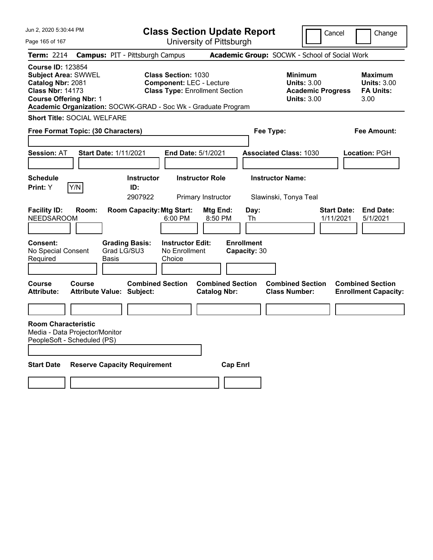| Jun 2, 2020 5:30:44 PM                                                                                                                                                                                   |                                                             | <b>Class Section Update Report</b>                                                                     |                                                |                                   |                                                                                        | Cancel                          | Change                                                    |
|----------------------------------------------------------------------------------------------------------------------------------------------------------------------------------------------------------|-------------------------------------------------------------|--------------------------------------------------------------------------------------------------------|------------------------------------------------|-----------------------------------|----------------------------------------------------------------------------------------|---------------------------------|-----------------------------------------------------------|
| Page 165 of 167                                                                                                                                                                                          |                                                             | University of Pittsburgh                                                                               |                                                |                                   |                                                                                        |                                 |                                                           |
| Term: 2214                                                                                                                                                                                               | <b>Campus: PIT - Pittsburgh Campus</b>                      |                                                                                                        |                                                |                                   | Academic Group: SOCWK - School of Social Work                                          |                                 |                                                           |
| <b>Course ID: 123854</b><br><b>Subject Area: SWWEL</b><br>Catalog Nbr: 2081<br><b>Class Nbr: 14173</b><br><b>Course Offering Nbr: 1</b><br>Academic Organization: SOCWK-GRAD - Soc Wk - Graduate Program |                                                             | <b>Class Section: 1030</b><br><b>Component: LEC - Lecture</b><br><b>Class Type: Enrollment Section</b> |                                                |                                   | <b>Minimum</b><br><b>Units: 3.00</b><br><b>Academic Progress</b><br><b>Units: 3.00</b> |                                 | Maximum<br><b>Units: 3.00</b><br><b>FA Units:</b><br>3.00 |
| <b>Short Title: SOCIAL WELFARE</b>                                                                                                                                                                       |                                                             |                                                                                                        |                                                |                                   |                                                                                        |                                 |                                                           |
|                                                                                                                                                                                                          | Free Format Topic: (30 Characters)                          |                                                                                                        |                                                | Fee Type:                         |                                                                                        |                                 | Fee Amount:                                               |
|                                                                                                                                                                                                          |                                                             |                                                                                                        |                                                |                                   |                                                                                        |                                 |                                                           |
| <b>Session: AT</b>                                                                                                                                                                                       | <b>Start Date: 1/11/2021</b>                                | <b>End Date: 5/1/2021</b>                                                                              |                                                |                                   | <b>Associated Class: 1030</b>                                                          |                                 | Location: PGH                                             |
| <b>Schedule</b>                                                                                                                                                                                          | <b>Instructor</b>                                           | <b>Instructor Role</b>                                                                                 |                                                |                                   | <b>Instructor Name:</b>                                                                |                                 |                                                           |
| Y/N<br>Print: Y                                                                                                                                                                                          | ID:                                                         |                                                                                                        |                                                |                                   |                                                                                        |                                 |                                                           |
|                                                                                                                                                                                                          | 2907922                                                     | Primary Instructor                                                                                     |                                                |                                   | Slawinski, Tonya Teal                                                                  |                                 |                                                           |
| <b>Facility ID:</b><br>Room:<br><b>NEEDSAROOM</b>                                                                                                                                                        | <b>Room Capacity: Mtg Start:</b>                            | 6:00 PM                                                                                                | Mtg End:<br>8:50 PM                            | Day:<br>Th                        |                                                                                        | <b>Start Date:</b><br>1/11/2021 | <b>End Date:</b><br>5/1/2021                              |
| <b>Consent:</b><br>No Special Consent<br>Required                                                                                                                                                        | <b>Grading Basis:</b><br>Grad LG/SU3<br>Basis               | <b>Instructor Edit:</b><br>No Enrollment<br>Choice                                                     |                                                | <b>Enrollment</b><br>Capacity: 30 |                                                                                        |                                 |                                                           |
| <b>Course</b><br>Course<br><b>Attribute:</b>                                                                                                                                                             | <b>Combined Section</b><br><b>Attribute Value: Subject:</b> |                                                                                                        | <b>Combined Section</b><br><b>Catalog Nbr:</b> |                                   | <b>Combined Section</b><br><b>Class Number:</b>                                        |                                 | <b>Combined Section</b><br><b>Enrollment Capacity:</b>    |
|                                                                                                                                                                                                          |                                                             |                                                                                                        |                                                |                                   |                                                                                        |                                 |                                                           |
| <b>Room Characteristic</b><br>Media - Data Projector/Monitor<br>PeopleSoft - Scheduled (PS)                                                                                                              |                                                             |                                                                                                        |                                                |                                   |                                                                                        |                                 |                                                           |
| <b>Start Date</b>                                                                                                                                                                                        | <b>Reserve Capacity Requirement</b>                         |                                                                                                        | <b>Cap Enri</b>                                |                                   |                                                                                        |                                 |                                                           |
|                                                                                                                                                                                                          |                                                             |                                                                                                        |                                                |                                   |                                                                                        |                                 |                                                           |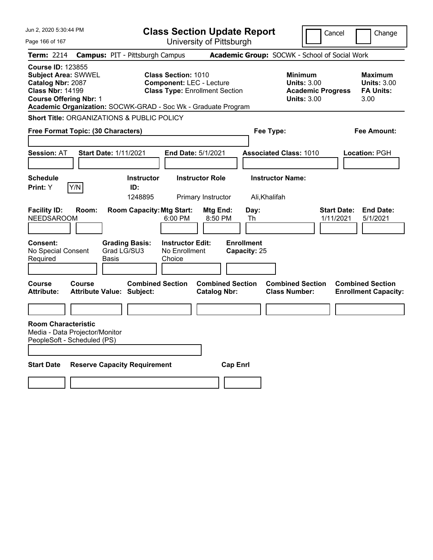| Jun 2, 2020 5:30:44 PM                                                                                                                                                                                   |                                                                                                     | <b>Class Section Update Report</b>             |                                                 | Cancel                                                                                 | Change                                                           |
|----------------------------------------------------------------------------------------------------------------------------------------------------------------------------------------------------------|-----------------------------------------------------------------------------------------------------|------------------------------------------------|-------------------------------------------------|----------------------------------------------------------------------------------------|------------------------------------------------------------------|
| Page 166 of 167                                                                                                                                                                                          |                                                                                                     | University of Pittsburgh                       |                                                 |                                                                                        |                                                                  |
| <b>Term: 2214</b>                                                                                                                                                                                        | <b>Campus: PIT - Pittsburgh Campus</b>                                                              |                                                | Academic Group: SOCWK - School of Social Work   |                                                                                        |                                                                  |
| <b>Course ID: 123855</b><br><b>Subject Area: SWWEL</b><br>Catalog Nbr: 2087<br><b>Class Nbr: 14199</b><br><b>Course Offering Nbr: 1</b><br>Academic Organization: SOCWK-GRAD - Soc Wk - Graduate Program | <b>Class Section: 1010</b><br><b>Component: LEC - Lecture</b>                                       | <b>Class Type: Enrollment Section</b>          |                                                 | <b>Minimum</b><br><b>Units: 3.00</b><br><b>Academic Progress</b><br><b>Units: 3.00</b> | <b>Maximum</b><br><b>Units: 3.00</b><br><b>FA Units:</b><br>3.00 |
| Short Title: ORGANIZATIONS & PUBLIC POLICY                                                                                                                                                               |                                                                                                     |                                                |                                                 |                                                                                        |                                                                  |
| Free Format Topic: (30 Characters)                                                                                                                                                                       |                                                                                                     |                                                | Fee Type:                                       |                                                                                        | Fee Amount:                                                      |
|                                                                                                                                                                                                          |                                                                                                     |                                                |                                                 |                                                                                        |                                                                  |
| <b>Session: AT</b>                                                                                                                                                                                       | <b>Start Date: 1/11/2021</b>                                                                        | End Date: 5/1/2021                             | <b>Associated Class: 1010</b>                   |                                                                                        | Location: PGH                                                    |
|                                                                                                                                                                                                          |                                                                                                     |                                                |                                                 |                                                                                        |                                                                  |
| <b>Schedule</b>                                                                                                                                                                                          | <b>Instructor</b>                                                                                   | <b>Instructor Role</b>                         | <b>Instructor Name:</b>                         |                                                                                        |                                                                  |
| Y/N<br>Print: Y                                                                                                                                                                                          | ID:                                                                                                 |                                                |                                                 |                                                                                        |                                                                  |
|                                                                                                                                                                                                          | 1248895                                                                                             | Primary Instructor                             | Ali, Khalifah                                   |                                                                                        |                                                                  |
| <b>Facility ID:</b><br>Room:<br><b>NEEDSAROOM</b>                                                                                                                                                        | <b>Room Capacity: Mtg Start:</b><br>6:00 PM                                                         | Mtg End:<br>8:50 PM                            | Day:<br>Th                                      | <b>Start Date:</b><br>1/11/2021                                                        | <b>End Date:</b><br>5/1/2021                                     |
| Consent:<br>No Special Consent<br>Required                                                                                                                                                               | <b>Grading Basis:</b><br><b>Instructor Edit:</b><br>Grad LG/SU3<br>No Enrollment<br>Basis<br>Choice |                                                | <b>Enrollment</b><br>Capacity: 25               |                                                                                        |                                                                  |
| Course<br>Course<br><b>Attribute:</b>                                                                                                                                                                    | <b>Combined Section</b><br><b>Attribute Value: Subject:</b>                                         | <b>Combined Section</b><br><b>Catalog Nbr:</b> | <b>Combined Section</b><br><b>Class Number:</b> |                                                                                        | <b>Combined Section</b><br><b>Enrollment Capacity:</b>           |
|                                                                                                                                                                                                          |                                                                                                     |                                                |                                                 |                                                                                        |                                                                  |
| <b>Room Characteristic</b><br>Media - Data Projector/Monitor<br>PeopleSoft - Scheduled (PS)                                                                                                              |                                                                                                     |                                                |                                                 |                                                                                        |                                                                  |
| <b>Start Date</b>                                                                                                                                                                                        | <b>Reserve Capacity Requirement</b>                                                                 | <b>Cap Enrl</b>                                |                                                 |                                                                                        |                                                                  |
|                                                                                                                                                                                                          |                                                                                                     |                                                |                                                 |                                                                                        |                                                                  |